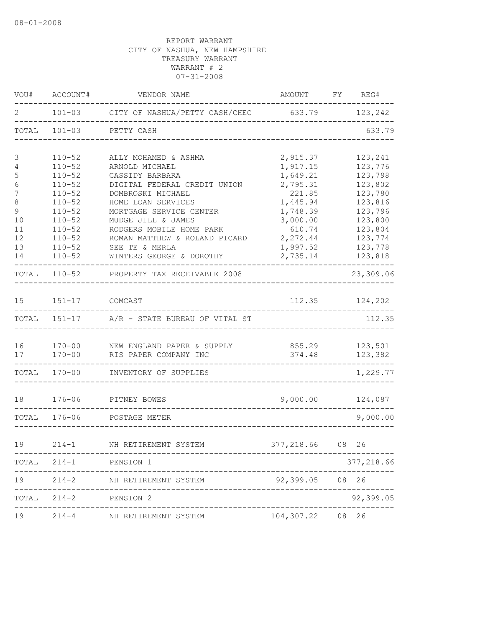| VOU#           | ACCOUNT#                 | VENDOR NAME                                           | AMOUNT           | FY | REG#               |
|----------------|--------------------------|-------------------------------------------------------|------------------|----|--------------------|
| 2              | $101 - 03$               | CITY OF NASHUA/PETTY CASH/CHEC                        | 633.79           |    | 123,242            |
| TOTAL          | $101 - 03$               | PETTY CASH                                            |                  |    | 633.79             |
| 3              | $110 - 52$               | ALLY MOHAMED & ASHMA                                  | 2,915.37         |    | 123,241            |
| 4              | $110 - 52$               | ARNOLD MICHAEL                                        | 1,917.15         |    | 123,776            |
| 5              | $110 - 52$               | CASSIDY BARBARA                                       | 1,649.21         |    | 123,798            |
| 6              | $110 - 52$               | DIGITAL FEDERAL CREDIT UNION                          | 2,795.31         |    | 123,802            |
| $\overline{7}$ | $110 - 52$               | DOMBROSKI MICHAEL                                     | 221.85           |    | 123,780            |
| 8              | $110 - 52$               | HOME LOAN SERVICES                                    | 1,445.94         |    | 123,816            |
| $\mathsf 9$    | $110 - 52$               | MORTGAGE SERVICE CENTER                               | 1,748.39         |    | 123,796            |
| 10             | $110 - 52$               | MUDGE JILL & JAMES                                    | 3,000.00         |    | 123,800            |
| 11             | $110 - 52$               | RODGERS MOBILE HOME PARK                              | 610.74           |    | 123,804            |
| 12             | $110 - 52$               | ROMAN MATTHEW & ROLAND PICARD                         | 2,272.44         |    | 123,774            |
| 13             | $110 - 52$               | SEE TE & MERLA                                        | 1,997.52         |    | 123,778            |
| 14             | $110 - 52$               | WINTERS GEORGE & DOROTHY                              | 2,735.14         |    | 123,818            |
| TOTAL          | $110 - 52$               | PROPERTY TAX RECEIVABLE 2008                          |                  |    | 23,309.06          |
| 15             | $151 - 17$               | COMCAST                                               | 112.35           |    | 124,202            |
| TOTAL          | $151 - 17$               | A/R - STATE BUREAU OF VITAL ST                        |                  |    | 112.35             |
|                |                          |                                                       |                  |    |                    |
| 16<br>17       | $170 - 00$<br>$170 - 00$ | NEW ENGLAND PAPER & SUPPLY<br>RIS PAPER COMPANY INC   | 855.29<br>374.48 |    | 123,501<br>123,382 |
|                |                          |                                                       |                  |    |                    |
| TOTAL          | $170 - 00$               | INVENTORY OF SUPPLIES                                 |                  |    | 1,229.77           |
| 18             | $176 - 06$               | PITNEY BOWES                                          | 9,000.00         |    | 124,087            |
| TOTAL          | $176 - 06$               | POSTAGE METER                                         |                  |    | 9,000.00           |
| 19             | $214 - 1$                | NH RETIREMENT SYSTEM                                  | 377,218.66 08 26 |    |                    |
|                |                          |                                                       |                  |    |                    |
|                |                          | TOTAL 214-1 PENSION 1                                 |                  |    | 377,218.66         |
|                |                          | 19 214-2 NH RETIREMENT SYSTEM<br>-------------------- | 92,399.05 08 26  |    |                    |
|                |                          | TOTAL 214-2 PENSION 2                                 |                  |    | 92,399.05          |
|                | $19$ $214-4$             | NH RETIREMENT SYSTEM                                  | 104,307.22 08 26 |    |                    |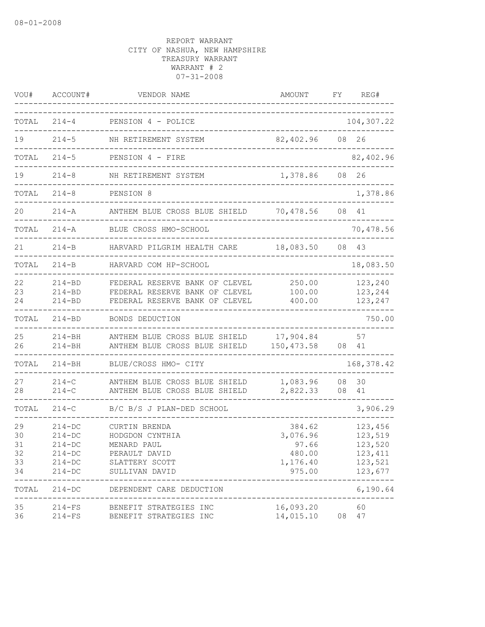| VOU#                             | ACCOUNT#                                                                       | VENDOR NAME                                                                                          | AMOUNT                                                      | FΥ       | REG#                                                           |
|----------------------------------|--------------------------------------------------------------------------------|------------------------------------------------------------------------------------------------------|-------------------------------------------------------------|----------|----------------------------------------------------------------|
| TOTAL                            | $214 - 4$                                                                      | PENSION 4 - POLICE                                                                                   |                                                             |          | 104,307.22                                                     |
| 19                               | $214 - 5$                                                                      | NH RETIREMENT SYSTEM                                                                                 | 82,402.96                                                   | 08       | 26                                                             |
| TOTAL                            | $214 - 5$                                                                      | PENSION 4 - FIRE                                                                                     |                                                             |          | 82,402.96                                                      |
| 19                               | $214 - 8$                                                                      | NH RETIREMENT SYSTEM                                                                                 | 1,378.86                                                    | 08       | 26                                                             |
| TOTAL                            | $214 - 8$                                                                      | PENSION 8                                                                                            |                                                             |          | 1,378.86                                                       |
| 20                               | $214 - A$                                                                      | ANTHEM BLUE CROSS BLUE SHIELD                                                                        | 70,478.56                                                   | 08       | 41                                                             |
| TOTAL                            | $214 - A$                                                                      | BLUE CROSS HMO-SCHOOL                                                                                |                                                             |          | 70,478.56                                                      |
| 21                               | $214 - B$                                                                      | HARVARD PILGRIM HEALTH CARE                                                                          | 18,083.50                                                   | 08       | 43                                                             |
| TOTAL                            | $214-B$                                                                        | HARVARD COM HP-SCHOOL                                                                                |                                                             |          | 18,083.50                                                      |
| 22<br>23<br>24                   | $214 - BD$<br>$214 - BD$<br>$214 - BD$                                         | FEDERAL RESERVE BANK OF CLEVEL<br>FEDERAL RESERVE BANK OF CLEVEL<br>FEDERAL RESERVE BANK OF CLEVEL   | 250.00<br>100.00<br>400.00                                  |          | 123,240<br>123,244<br>123,247                                  |
| TOTAL                            | $214 - BD$                                                                     | BONDS DEDUCTION                                                                                      |                                                             |          | 750.00                                                         |
| 25<br>26                         | $214 - BH$<br>$214 - BH$                                                       | ANTHEM BLUE CROSS BLUE SHIELD<br>ANTHEM BLUE CROSS BLUE SHIELD                                       | 17,904.84<br>150, 473.58                                    | 08       | 57<br>41                                                       |
| TOTAL                            | $214 - BH$                                                                     | BLUE/CROSS HMO- CITY                                                                                 |                                                             |          | 168, 378.42                                                    |
| 27<br>28                         | $214 - C$<br>$214 - C$                                                         | ANTHEM BLUE CROSS BLUE SHIELD<br>ANTHEM BLUE CROSS BLUE SHIELD                                       | 1,083.96<br>2,822.33                                        | 08<br>08 | 30<br>41                                                       |
| TOTAL                            | $214 - C$                                                                      | B/C B/S J PLAN-DED SCHOOL                                                                            |                                                             |          | 3,906.29                                                       |
| 29<br>30<br>31<br>32<br>33<br>34 | $214 - DC$<br>$214 - DC$<br>$214 - DC$<br>$214-DC$<br>$214 - DC$<br>$214 - DC$ | CURTIN BRENDA<br>HODGDON CYNTHIA<br>MENARD PAUL<br>PERAULT DAVID<br>SLATTERY SCOTT<br>SULLIVAN DAVID | 384.62<br>3,076.96<br>97.66<br>480.00<br>1,176.40<br>975.00 |          | 123,456<br>123,519<br>123,520<br>123,411<br>123,521<br>123,677 |
| TOTAL                            | $214 - DC$                                                                     | DEPENDENT CARE DEDUCTION                                                                             |                                                             |          | . _ _ _ _ _ _ _ _ _ _<br>6,190.64                              |
| 35<br>36                         | 214-FS<br>$214-FS$                                                             | BENEFIT STRATEGIES INC<br>BENEFIT STRATEGIES INC                                                     | 16,093.20<br>14,015.10                                      | 08       | 60<br>47                                                       |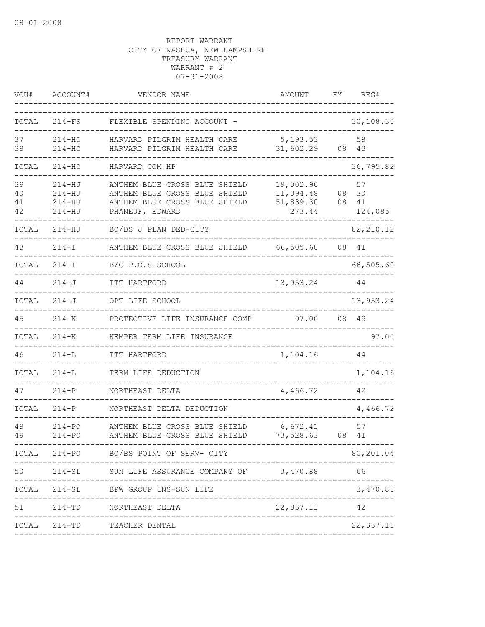| VOU#                 | ACCOUNT#                                             | VENDOR NAME                                                                                                        | AMOUNT                                        | FΥ       | REG#                      |
|----------------------|------------------------------------------------------|--------------------------------------------------------------------------------------------------------------------|-----------------------------------------------|----------|---------------------------|
| TOTAL                | $214-FS$                                             | FLEXIBLE SPENDING ACCOUNT -                                                                                        |                                               |          | 30,108.30                 |
| 37<br>38             | $214 - HC$<br>$214 - HC$                             | HARVARD PILGRIM HEALTH CARE<br>HARVARD PILGRIM HEALTH CARE                                                         | 5, 193.53<br>31,602.29                        | 08       | 58<br>43                  |
| TOTAL                | $214 - HC$                                           | HARVARD COM HP                                                                                                     |                                               |          | 36,795.82                 |
| 39<br>40<br>41<br>42 | $214 - HJ$<br>$214 - HJ$<br>$214 - HJ$<br>$214 - HJ$ | ANTHEM BLUE CROSS BLUE SHIELD<br>ANTHEM BLUE CROSS BLUE SHIELD<br>ANTHEM BLUE CROSS BLUE SHIELD<br>PHANEUF, EDWARD | 19,002.90<br>11,094.48<br>51,839.30<br>273.44 | 08<br>08 | 57<br>30<br>41<br>124,085 |
| TOTAL                | $214 - HJ$                                           | BC/BS J PLAN DED-CITY                                                                                              |                                               |          | 82, 210.12                |
| 43                   | $214 - I$                                            | ANTHEM BLUE CROSS BLUE SHIELD                                                                                      | 66,505.60                                     |          | 08 41                     |
| TOTAL                | $214 - I$                                            | B/C P.O.S-SCHOOL                                                                                                   |                                               |          | 66,505.60                 |
| 44                   | $214 - J$                                            | ITT HARTFORD                                                                                                       | 13,953.24                                     |          | 44                        |
| TOTAL                | $214 - J$                                            | OPT LIFE SCHOOL                                                                                                    |                                               |          | 13,953.24                 |
| 45                   | $214 - K$                                            | PROTECTIVE LIFE INSURANCE COMP                                                                                     | 97.00                                         | 08       | 49                        |
| TOTAL                | $214 - K$                                            | KEMPER TERM LIFE INSURANCE                                                                                         |                                               |          | 97.00                     |
| 46                   | $214 - L$                                            | ITT HARTFORD                                                                                                       | 1,104.16                                      |          | 44                        |
| TOTAL                | $214 - L$                                            | TERM LIFE DEDUCTION                                                                                                |                                               |          | 1,104.16                  |
| 47                   | $214 - P$                                            | NORTHEAST DELTA                                                                                                    | 4,466.72                                      |          | 42                        |
| TOTAL                | $214 - P$                                            | NORTHEAST DELTA DEDUCTION                                                                                          |                                               |          | 4,466.72                  |
| 48<br>49             | $214 - PQ$<br>$214 - PQ$                             | ANTHEM BLUE CROSS BLUE SHIELD<br>ANTHEM BLUE CROSS BLUE SHIELD                                                     | 6,672.41<br>73,528.63                         | 08       | 57<br>41                  |
|                      |                                                      | TOTAL 214-PO BC/BS POINT OF SERV- CITY                                                                             |                                               |          | 80,201.04                 |
| 50                   |                                                      | 214-SL SUN LIFE ASSURANCE COMPANY OF 3,470.88                                                                      |                                               |          | 66                        |
| TOTAL                | $214 - SL$                                           | BPW GROUP INS-SUN LIFE                                                                                             |                                               |          | 3,470.88                  |
| 51                   |                                                      | 214-TD NORTHEAST DELTA                                                                                             | 22,337.11                                     |          | 42                        |
|                      |                                                      | ______________________<br>TOTAL 214-TD TEACHER DENTAL                                                              |                                               |          | 22, 337.11                |
|                      |                                                      |                                                                                                                    |                                               |          |                           |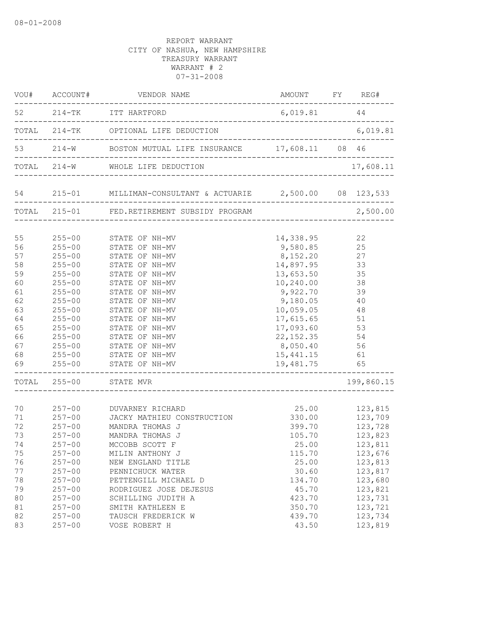| 52 214-TK ITT HARTFORD<br>$6,019.81$ 44<br>TOTAL 214-TK OPTIONAL LIFE DEDUCTION<br>6,019.81<br>53   214-W   BOSTON MUTUAL LIFE INSURANCE   17,608.11   08   46<br>TOTAL 214-W WHOLE LIFE DEDUCTION<br>54  215-01  MILLIMAN-CONSULTANT & ACTUARIE  2,500.00  08  123,533<br>TOTAL 215-01 FED.RETIREMENT SUBSIDY PROGRAM<br>2,500.00<br>$255 - 00$<br>14,338.95<br>22<br>STATE OF NH-MV<br>56<br>9,580.85 25<br>$255 - 00$<br>STATE OF NH-MV<br>57<br>8, 152.20<br>14, 897.95<br>13, 653.50<br>27<br>$255 - 00$<br>STATE OF NH-MV<br>58<br>33<br>$255 - 00$<br>STATE OF NH-MV<br>35<br>13,653.50<br>59<br>$255 - 00$<br>STATE OF NH-MV<br>STATE OF NH-MV<br>10,240.00<br>38<br>60<br>$255 - 00$<br>STATE OF NH-MV<br>9,922.70 39<br>61<br>$255 - 00$<br>62<br>STATE OF NH-MV<br>9,180.05 40<br>$255 - 00$<br>63<br>$255 - 00$<br>STATE OF NH-MV<br>10,059.05 48<br>64<br>17,615.65<br>51<br>$255 - 00$<br>STATE OF NH-MV<br>65<br>17,093.60<br>53<br>$255 - 00$<br>STATE OF NH-MV<br>66<br>22, 152.35<br>54<br>$\begin{array}{lll} 255\texttt{-}00 && \texttt{STATE OF NH-MV} \\ 255\texttt{-}00 && \texttt{STATE OF NH-MV} \\ 255\texttt{-}00 && \texttt{STATE OF NH-MV} \end{array}$<br>67<br>8,050.40<br>56<br>68<br>15,441.15<br>61<br>$255-00$ STATE OF NH-MV<br>19,481.75<br>65<br>TOTAL 255-00 STATE MVR<br>199,860.15<br>257-00 DUVARNEY RICHARD<br>70<br>25.00<br>123,815<br>123,709<br>71<br>$257 - 00$<br>330.00<br>JACKY MATHIEU CONSTRUCTION<br>72<br>123,728<br>123,823<br>$257 - 00$<br>MANDRA THOMAS J<br>399.70<br>73<br>105.70<br>$257 - 00$<br>MANDRA THOMAS J<br>25.00<br>123,811<br>74<br>$257 - 00$<br>MCCOBB SCOTT F<br>75<br>$257 - 00$<br>123,676<br>MILIN ANTHONY J<br>115.70<br>$257 - 00$<br>25.00<br>123,813<br>76<br>NEW ENGLAND TITLE<br>77<br>$257 - 00$<br>PENNICHUCK WATER<br>30.60<br>123,817<br>78<br>$257 - 00$<br>123,680<br>PETTENGILL MICHAEL D<br>134.70<br>79<br>$257 - 00$<br>45.70<br>123,821<br>RODRIGUEZ JOSE DEJESUS<br>80<br>$257 - 00$<br>SCHILLING JUDITH A<br>423.70<br>123,731<br>123,721<br>81<br>$257 - 00$<br>SMITH KATHLEEN E<br>350.70<br>123,734<br>82<br>$257 - 00$<br>TAUSCH FREDERICK W<br>439.70 |    |            | $\verb VOU#     ACCOUNT#      VENDOR    NAME$ | AMOUNT FY REG# |           |
|--------------------------------------------------------------------------------------------------------------------------------------------------------------------------------------------------------------------------------------------------------------------------------------------------------------------------------------------------------------------------------------------------------------------------------------------------------------------------------------------------------------------------------------------------------------------------------------------------------------------------------------------------------------------------------------------------------------------------------------------------------------------------------------------------------------------------------------------------------------------------------------------------------------------------------------------------------------------------------------------------------------------------------------------------------------------------------------------------------------------------------------------------------------------------------------------------------------------------------------------------------------------------------------------------------------------------------------------------------------------------------------------------------------------------------------------------------------------------------------------------------------------------------------------------------------------------------------------------------------------------------------------------------------------------------------------------------------------------------------------------------------------------------------------------------------------------------------------------------------------------------------------------------------------------------------------------------------------------------------------------------------------------------------------------------------------------------------------------------------------------------------------------------------|----|------------|-----------------------------------------------|----------------|-----------|
|                                                                                                                                                                                                                                                                                                                                                                                                                                                                                                                                                                                                                                                                                                                                                                                                                                                                                                                                                                                                                                                                                                                                                                                                                                                                                                                                                                                                                                                                                                                                                                                                                                                                                                                                                                                                                                                                                                                                                                                                                                                                                                                                                              |    |            |                                               |                |           |
|                                                                                                                                                                                                                                                                                                                                                                                                                                                                                                                                                                                                                                                                                                                                                                                                                                                                                                                                                                                                                                                                                                                                                                                                                                                                                                                                                                                                                                                                                                                                                                                                                                                                                                                                                                                                                                                                                                                                                                                                                                                                                                                                                              |    |            |                                               |                |           |
|                                                                                                                                                                                                                                                                                                                                                                                                                                                                                                                                                                                                                                                                                                                                                                                                                                                                                                                                                                                                                                                                                                                                                                                                                                                                                                                                                                                                                                                                                                                                                                                                                                                                                                                                                                                                                                                                                                                                                                                                                                                                                                                                                              |    |            |                                               |                |           |
|                                                                                                                                                                                                                                                                                                                                                                                                                                                                                                                                                                                                                                                                                                                                                                                                                                                                                                                                                                                                                                                                                                                                                                                                                                                                                                                                                                                                                                                                                                                                                                                                                                                                                                                                                                                                                                                                                                                                                                                                                                                                                                                                                              |    |            |                                               |                | 17,608.11 |
|                                                                                                                                                                                                                                                                                                                                                                                                                                                                                                                                                                                                                                                                                                                                                                                                                                                                                                                                                                                                                                                                                                                                                                                                                                                                                                                                                                                                                                                                                                                                                                                                                                                                                                                                                                                                                                                                                                                                                                                                                                                                                                                                                              |    |            |                                               |                |           |
|                                                                                                                                                                                                                                                                                                                                                                                                                                                                                                                                                                                                                                                                                                                                                                                                                                                                                                                                                                                                                                                                                                                                                                                                                                                                                                                                                                                                                                                                                                                                                                                                                                                                                                                                                                                                                                                                                                                                                                                                                                                                                                                                                              |    |            |                                               |                |           |
|                                                                                                                                                                                                                                                                                                                                                                                                                                                                                                                                                                                                                                                                                                                                                                                                                                                                                                                                                                                                                                                                                                                                                                                                                                                                                                                                                                                                                                                                                                                                                                                                                                                                                                                                                                                                                                                                                                                                                                                                                                                                                                                                                              | 55 |            |                                               |                |           |
|                                                                                                                                                                                                                                                                                                                                                                                                                                                                                                                                                                                                                                                                                                                                                                                                                                                                                                                                                                                                                                                                                                                                                                                                                                                                                                                                                                                                                                                                                                                                                                                                                                                                                                                                                                                                                                                                                                                                                                                                                                                                                                                                                              |    |            |                                               |                |           |
|                                                                                                                                                                                                                                                                                                                                                                                                                                                                                                                                                                                                                                                                                                                                                                                                                                                                                                                                                                                                                                                                                                                                                                                                                                                                                                                                                                                                                                                                                                                                                                                                                                                                                                                                                                                                                                                                                                                                                                                                                                                                                                                                                              |    |            |                                               |                |           |
|                                                                                                                                                                                                                                                                                                                                                                                                                                                                                                                                                                                                                                                                                                                                                                                                                                                                                                                                                                                                                                                                                                                                                                                                                                                                                                                                                                                                                                                                                                                                                                                                                                                                                                                                                                                                                                                                                                                                                                                                                                                                                                                                                              |    |            |                                               |                |           |
|                                                                                                                                                                                                                                                                                                                                                                                                                                                                                                                                                                                                                                                                                                                                                                                                                                                                                                                                                                                                                                                                                                                                                                                                                                                                                                                                                                                                                                                                                                                                                                                                                                                                                                                                                                                                                                                                                                                                                                                                                                                                                                                                                              |    |            |                                               |                |           |
|                                                                                                                                                                                                                                                                                                                                                                                                                                                                                                                                                                                                                                                                                                                                                                                                                                                                                                                                                                                                                                                                                                                                                                                                                                                                                                                                                                                                                                                                                                                                                                                                                                                                                                                                                                                                                                                                                                                                                                                                                                                                                                                                                              |    |            |                                               |                |           |
|                                                                                                                                                                                                                                                                                                                                                                                                                                                                                                                                                                                                                                                                                                                                                                                                                                                                                                                                                                                                                                                                                                                                                                                                                                                                                                                                                                                                                                                                                                                                                                                                                                                                                                                                                                                                                                                                                                                                                                                                                                                                                                                                                              |    |            |                                               |                |           |
|                                                                                                                                                                                                                                                                                                                                                                                                                                                                                                                                                                                                                                                                                                                                                                                                                                                                                                                                                                                                                                                                                                                                                                                                                                                                                                                                                                                                                                                                                                                                                                                                                                                                                                                                                                                                                                                                                                                                                                                                                                                                                                                                                              |    |            |                                               |                |           |
|                                                                                                                                                                                                                                                                                                                                                                                                                                                                                                                                                                                                                                                                                                                                                                                                                                                                                                                                                                                                                                                                                                                                                                                                                                                                                                                                                                                                                                                                                                                                                                                                                                                                                                                                                                                                                                                                                                                                                                                                                                                                                                                                                              |    |            |                                               |                |           |
|                                                                                                                                                                                                                                                                                                                                                                                                                                                                                                                                                                                                                                                                                                                                                                                                                                                                                                                                                                                                                                                                                                                                                                                                                                                                                                                                                                                                                                                                                                                                                                                                                                                                                                                                                                                                                                                                                                                                                                                                                                                                                                                                                              |    |            |                                               |                |           |
|                                                                                                                                                                                                                                                                                                                                                                                                                                                                                                                                                                                                                                                                                                                                                                                                                                                                                                                                                                                                                                                                                                                                                                                                                                                                                                                                                                                                                                                                                                                                                                                                                                                                                                                                                                                                                                                                                                                                                                                                                                                                                                                                                              |    |            |                                               |                |           |
|                                                                                                                                                                                                                                                                                                                                                                                                                                                                                                                                                                                                                                                                                                                                                                                                                                                                                                                                                                                                                                                                                                                                                                                                                                                                                                                                                                                                                                                                                                                                                                                                                                                                                                                                                                                                                                                                                                                                                                                                                                                                                                                                                              |    |            |                                               |                |           |
|                                                                                                                                                                                                                                                                                                                                                                                                                                                                                                                                                                                                                                                                                                                                                                                                                                                                                                                                                                                                                                                                                                                                                                                                                                                                                                                                                                                                                                                                                                                                                                                                                                                                                                                                                                                                                                                                                                                                                                                                                                                                                                                                                              |    |            |                                               |                |           |
|                                                                                                                                                                                                                                                                                                                                                                                                                                                                                                                                                                                                                                                                                                                                                                                                                                                                                                                                                                                                                                                                                                                                                                                                                                                                                                                                                                                                                                                                                                                                                                                                                                                                                                                                                                                                                                                                                                                                                                                                                                                                                                                                                              | 69 |            |                                               |                |           |
|                                                                                                                                                                                                                                                                                                                                                                                                                                                                                                                                                                                                                                                                                                                                                                                                                                                                                                                                                                                                                                                                                                                                                                                                                                                                                                                                                                                                                                                                                                                                                                                                                                                                                                                                                                                                                                                                                                                                                                                                                                                                                                                                                              |    |            |                                               |                |           |
|                                                                                                                                                                                                                                                                                                                                                                                                                                                                                                                                                                                                                                                                                                                                                                                                                                                                                                                                                                                                                                                                                                                                                                                                                                                                                                                                                                                                                                                                                                                                                                                                                                                                                                                                                                                                                                                                                                                                                                                                                                                                                                                                                              |    |            |                                               |                |           |
|                                                                                                                                                                                                                                                                                                                                                                                                                                                                                                                                                                                                                                                                                                                                                                                                                                                                                                                                                                                                                                                                                                                                                                                                                                                                                                                                                                                                                                                                                                                                                                                                                                                                                                                                                                                                                                                                                                                                                                                                                                                                                                                                                              |    |            |                                               |                |           |
|                                                                                                                                                                                                                                                                                                                                                                                                                                                                                                                                                                                                                                                                                                                                                                                                                                                                                                                                                                                                                                                                                                                                                                                                                                                                                                                                                                                                                                                                                                                                                                                                                                                                                                                                                                                                                                                                                                                                                                                                                                                                                                                                                              |    |            |                                               |                |           |
|                                                                                                                                                                                                                                                                                                                                                                                                                                                                                                                                                                                                                                                                                                                                                                                                                                                                                                                                                                                                                                                                                                                                                                                                                                                                                                                                                                                                                                                                                                                                                                                                                                                                                                                                                                                                                                                                                                                                                                                                                                                                                                                                                              |    |            |                                               |                |           |
|                                                                                                                                                                                                                                                                                                                                                                                                                                                                                                                                                                                                                                                                                                                                                                                                                                                                                                                                                                                                                                                                                                                                                                                                                                                                                                                                                                                                                                                                                                                                                                                                                                                                                                                                                                                                                                                                                                                                                                                                                                                                                                                                                              |    |            |                                               |                |           |
|                                                                                                                                                                                                                                                                                                                                                                                                                                                                                                                                                                                                                                                                                                                                                                                                                                                                                                                                                                                                                                                                                                                                                                                                                                                                                                                                                                                                                                                                                                                                                                                                                                                                                                                                                                                                                                                                                                                                                                                                                                                                                                                                                              |    |            |                                               |                |           |
|                                                                                                                                                                                                                                                                                                                                                                                                                                                                                                                                                                                                                                                                                                                                                                                                                                                                                                                                                                                                                                                                                                                                                                                                                                                                                                                                                                                                                                                                                                                                                                                                                                                                                                                                                                                                                                                                                                                                                                                                                                                                                                                                                              |    |            |                                               |                |           |
|                                                                                                                                                                                                                                                                                                                                                                                                                                                                                                                                                                                                                                                                                                                                                                                                                                                                                                                                                                                                                                                                                                                                                                                                                                                                                                                                                                                                                                                                                                                                                                                                                                                                                                                                                                                                                                                                                                                                                                                                                                                                                                                                                              |    |            |                                               |                |           |
|                                                                                                                                                                                                                                                                                                                                                                                                                                                                                                                                                                                                                                                                                                                                                                                                                                                                                                                                                                                                                                                                                                                                                                                                                                                                                                                                                                                                                                                                                                                                                                                                                                                                                                                                                                                                                                                                                                                                                                                                                                                                                                                                                              |    |            |                                               |                |           |
|                                                                                                                                                                                                                                                                                                                                                                                                                                                                                                                                                                                                                                                                                                                                                                                                                                                                                                                                                                                                                                                                                                                                                                                                                                                                                                                                                                                                                                                                                                                                                                                                                                                                                                                                                                                                                                                                                                                                                                                                                                                                                                                                                              |    |            |                                               |                |           |
|                                                                                                                                                                                                                                                                                                                                                                                                                                                                                                                                                                                                                                                                                                                                                                                                                                                                                                                                                                                                                                                                                                                                                                                                                                                                                                                                                                                                                                                                                                                                                                                                                                                                                                                                                                                                                                                                                                                                                                                                                                                                                                                                                              |    |            |                                               |                |           |
|                                                                                                                                                                                                                                                                                                                                                                                                                                                                                                                                                                                                                                                                                                                                                                                                                                                                                                                                                                                                                                                                                                                                                                                                                                                                                                                                                                                                                                                                                                                                                                                                                                                                                                                                                                                                                                                                                                                                                                                                                                                                                                                                                              |    |            |                                               |                |           |
|                                                                                                                                                                                                                                                                                                                                                                                                                                                                                                                                                                                                                                                                                                                                                                                                                                                                                                                                                                                                                                                                                                                                                                                                                                                                                                                                                                                                                                                                                                                                                                                                                                                                                                                                                                                                                                                                                                                                                                                                                                                                                                                                                              |    |            |                                               |                |           |
|                                                                                                                                                                                                                                                                                                                                                                                                                                                                                                                                                                                                                                                                                                                                                                                                                                                                                                                                                                                                                                                                                                                                                                                                                                                                                                                                                                                                                                                                                                                                                                                                                                                                                                                                                                                                                                                                                                                                                                                                                                                                                                                                                              | 83 | $257 - 00$ | VOSE ROBERT H                                 | 43.50          | 123,819   |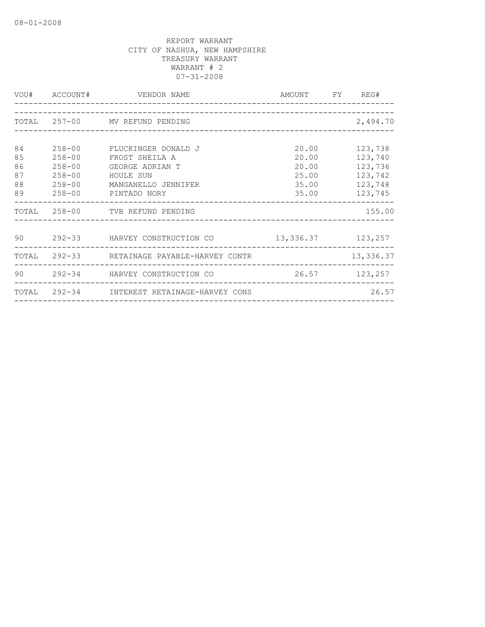|                                  | VOU# ACCOUNT#                                                                    | VENDOR NAME                                                                                                  | AMOUNT FY REG#                                     |                                                                |
|----------------------------------|----------------------------------------------------------------------------------|--------------------------------------------------------------------------------------------------------------|----------------------------------------------------|----------------------------------------------------------------|
|                                  |                                                                                  | TOTAL 257-00 MV REFUND PENDING                                                                               |                                                    | 2,494.70                                                       |
|                                  |                                                                                  |                                                                                                              |                                                    |                                                                |
| 84<br>85<br>86<br>87<br>88<br>89 | $258 - 00$<br>$258 - 00$<br>$258 - 00$<br>$258 - 00$<br>$258 - 00$<br>$258 - 00$ | FLUCKINGER DONALD J<br>FROST SHEILA A<br>GEORGE ADRIAN T<br>HOULE SUN<br>MANGANELLO JENNIFER<br>PINTADO NORY | 20.00<br>20.00<br>20.00<br>25.00<br>35.00<br>35.00 | 123,738<br>123,740<br>123,736<br>123,742<br>123,748<br>123,745 |
|                                  |                                                                                  | TOTAL 258-00 TVB REFUND PENDING                                                                              |                                                    | 155.00                                                         |
|                                  |                                                                                  | 90 292-33 HARVEY CONSTRUCTION CO                                                                             | 13, 336.37 123, 257                                |                                                                |
|                                  |                                                                                  | TOTAL 292-33 RETAINAGE PAYABLE-HARVEY CONTR                                                                  |                                                    | 13,336.37                                                      |
| 90                               |                                                                                  | 292-34 HARVEY CONSTRUCTION CO                                                                                |                                                    | 26.57 123,257                                                  |
|                                  |                                                                                  | TOTAL 292-34 INTEREST RETAINAGE-HARVEY CONS                                                                  |                                                    | 26.57                                                          |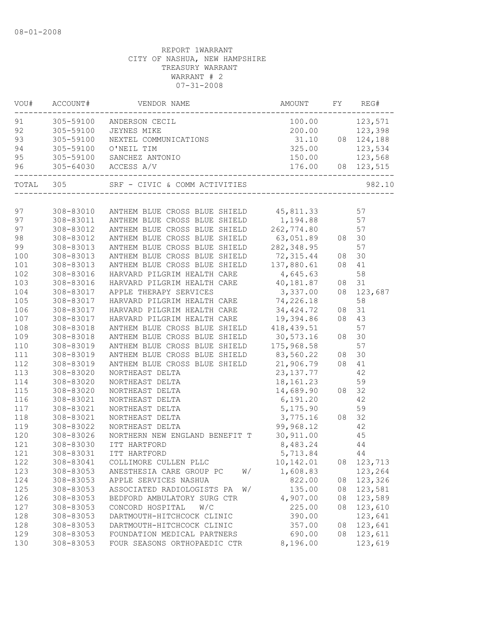|     |                        | 91 305-59100 ANDERSON CECIL 100.00 123,571<br>92 305-59100 JEYNES MIKE 200.00 123,398<br>93 305-59100 NEXTEL COMMUNICATIONS 31.10 08 124,188<br>94 305-59100 O'NEIL TIM 325.00 123,534<br>95 305-59100 SANCHEZ ANTONIO 150.00 123,568  | 100.00 123,571 |    |            |
|-----|------------------------|----------------------------------------------------------------------------------------------------------------------------------------------------------------------------------------------------------------------------------------|----------------|----|------------|
|     |                        |                                                                                                                                                                                                                                        |                |    |            |
|     |                        |                                                                                                                                                                                                                                        |                |    |            |
|     |                        |                                                                                                                                                                                                                                        |                |    |            |
|     |                        |                                                                                                                                                                                                                                        |                |    |            |
|     |                        | 96 305-64030 ACCESS A/V                                                                                                                                                                                                                |                |    |            |
|     | TOTAL 305              |                                                                                                                                                                                                                                        |                |    | 982.10     |
|     |                        |                                                                                                                                                                                                                                        |                |    |            |
|     |                        | 97 308-83010 ANTHEM BLUE CROSS BLUE SHIELD 45,811.33 57                                                                                                                                                                                |                |    |            |
|     |                        | 97 308-83011 ANTHEM BLUE CROSS BLUE SHIELD 1,194.88 57                                                                                                                                                                                 |                |    |            |
| 97  |                        | 308-83012 ANTHEM BLUE CROSS BLUE SHIELD 262,774.80 57                                                                                                                                                                                  |                |    |            |
| 98  | 308-83012              | ANTHEM BLUE CROSS BLUE SHIELD 63,051.89 08 30                                                                                                                                                                                          |                |    |            |
| 99  | 308-83013              | ANTHEM BLUE CROSS BLUE SHIELD 282,348.95                                                                                                                                                                                               |                |    | 57         |
| 100 | 308-83013              | ANTHEM BLUE CROSS BLUE SHIELD 72, 315.44 08 30<br>ANTHEM BLUE CROSS BLUE SHIELD 72, 315.44 08 30<br>HARVARD PILGRIM HEALTH CARE 4, 645.63 58<br>HARVARD PILGRIM HEALTH CARE 40, 181.87 08 31<br>APPLE THERAPY SERVICES 3, 337.00 08 12 |                |    |            |
| 101 | 308-83013              |                                                                                                                                                                                                                                        |                |    |            |
| 102 | 308-83016              |                                                                                                                                                                                                                                        |                |    |            |
| 103 | 308-83016              |                                                                                                                                                                                                                                        |                |    |            |
| 104 | 308-83017              |                                                                                                                                                                                                                                        |                |    | 08 123,687 |
| 105 | 308-83017              | HARVARD PILGRIM HEALTH CARE 74,226.18                                                                                                                                                                                                  |                |    | 58         |
| 106 | 308-83017              | HARVARD PILGRIM HEALTH CARE 34, 424.72 08 31                                                                                                                                                                                           |                |    |            |
| 107 | 308-83017              | HARVARD PILGRIM HEALTH CARE 19,394.86 08 43                                                                                                                                                                                            |                |    |            |
| 108 | 308-83018              | ANTHEM BLUE CROSS BLUE SHIELD 418,439.51                                                                                                                                                                                               |                |    | 57         |
| 109 | 308-83018              |                                                                                                                                                                                                                                        |                |    |            |
| 110 | 308-83019              | ANTHEM BLUE CROSS BLUE SHIELD 30,573.16 08 30<br>ANTHEM BLUE CROSS BLUE SHIELD 175,968.58 57<br>ANTHEM BLUE CROSS BLUE SHIELD 83,560.22 08 30<br>ANTHEM BLUE CROSS BLUE SHIELD 21,906.79 08 41<br>NORTHEAST DELTA 23,137.77 42         |                |    |            |
| 111 | 308-83019              |                                                                                                                                                                                                                                        |                |    |            |
| 112 | 308-83019              |                                                                                                                                                                                                                                        |                |    |            |
| 113 | 308-83020              | $23,137.77$<br>$18,161.23$                                                                                                                                                                                                             |                |    |            |
| 114 | 308-83020              | NORTHEAST DELTA                                                                                                                                                                                                                        |                |    | 59         |
| 115 | 308-83020              | NORTHEAST DELTA                                                                                                                                                                                                                        |                |    |            |
| 116 | 308-83021              | NORTHEAST DELTA                                                                                                                                                                                                                        |                |    |            |
| 117 | 308-83021              | $14,689.90$<br>$6,191.20$<br>$3,775.16$<br>$3,775.16$<br>$99,968.12$<br>$42$<br>NORTHEAST DELTA                                                                                                                                        |                |    |            |
| 118 | 308-83021              | NORTHEAST DELTA                                                                                                                                                                                                                        |                |    |            |
| 119 |                        |                                                                                                                                                                                                                                        |                |    | 42         |
| 120 | 308-83022<br>308-83026 |                                                                                                                                                                                                                                        |                |    | 45         |
| 121 | $308 - 83030$          | 99,968.12<br>NORTHERN NEW ENGLAND BENEFIT T 30,911.00<br>ITT HARTFORD                                                                                                                                                                  |                |    | 44         |
| 121 |                        | 308-83031 ITT HARTFORD                                                                                                                                                                                                                 | 5,713.84 44    |    |            |
| 122 | 308-83041              | COLLIMORE CULLEN PLLC                                                                                                                                                                                                                  | 10,142.01      | 08 | 123,713    |
| 123 | 308-83053              | ANESTHESIA CARE GROUP PC<br>W/                                                                                                                                                                                                         | 1,608.83       |    | 123,264    |
| 124 | 308-83053              | APPLE SERVICES NASHUA                                                                                                                                                                                                                  | 822.00         | 08 | 123,326    |
| 125 | 308-83053              | ASSOCIATED RADIOLOGISTS PA<br>W/                                                                                                                                                                                                       | 135.00         | 08 | 123,581    |
| 126 | 308-83053              | BEDFORD AMBULATORY SURG CTR                                                                                                                                                                                                            | 4,907.00       | 08 | 123,589    |
| 127 | 308-83053              | CONCORD HOSPITAL<br>W/C                                                                                                                                                                                                                | 225.00         | 08 | 123,610    |
| 128 | 308-83053              | DARTMOUTH-HITCHCOCK CLINIC                                                                                                                                                                                                             | 390.00         |    | 123,641    |
| 128 | 308-83053              | DARTMOUTH-HITCHCOCK CLINIC                                                                                                                                                                                                             | 357.00         | 08 | 123,641    |
| 129 | 308-83053              | FOUNDATION MEDICAL PARTNERS                                                                                                                                                                                                            | 690.00         | 08 | 123,611    |
| 130 | 308-83053              | FOUR SEASONS ORTHOPAEDIC CTR                                                                                                                                                                                                           | 8,196.00       |    | 123,619    |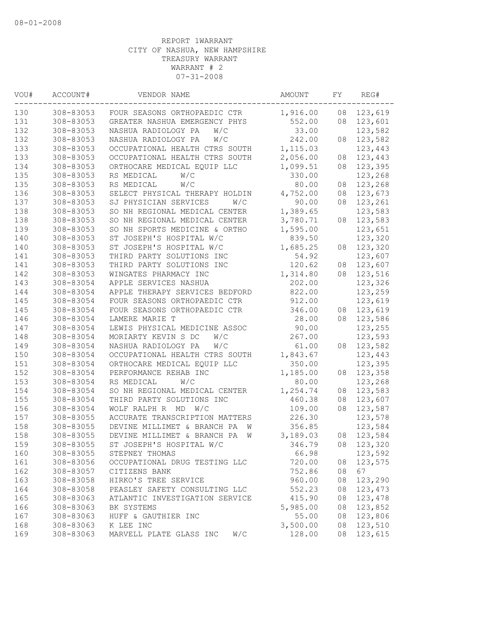| 130<br>308-83053<br>1,916.00<br>123,619<br>FOUR SEASONS ORTHOPAEDIC CTR<br>08<br>131<br>308-83053<br>GREATER NASHUA EMERGENCY PHYS<br>552.00<br>08<br>123,601<br>132<br>123,582<br>308-83053<br>NASHUA RADIOLOGY PA<br>W/C<br>33.00<br>132<br>242.00<br>308-83053<br>NASHUA RADIOLOGY PA<br>W/C<br>08<br>123,582<br>133<br>1,115.03<br>308-83053<br>123,443<br>OCCUPATIONAL HEALTH CTRS SOUTH<br>133<br>2,056.00<br>123,443<br>308-83053<br>OCCUPATIONAL HEALTH CTRS SOUTH<br>08<br>134<br>1,099.51<br>123,395<br>308-83053<br>ORTHOCARE MEDICAL EQUIP LLC<br>08<br>135<br>308-83053<br>W/C<br>330.00<br>123,268<br>RS MEDICAL<br>135<br>308-83053<br>W/C<br>80.00<br>123,268<br>RS MEDICAL<br>08<br>136<br>308-83053<br>4,752.00<br>08<br>123,673<br>SELECT PHYSICAL THERAPY HOLDIN<br>90.00<br>137<br>308-83053<br>SJ PHYSICIAN SERVICES<br>W/C<br>08<br>123,261<br>138<br>308-83053<br>SO NH REGIONAL MEDICAL CENTER<br>1,389.65<br>123,583<br>138<br>308-83053<br>SO NH REGIONAL MEDICAL CENTER<br>3,780.71<br>123,583<br>08<br>139<br>308-83053<br>SO NH SPORTS MEDICINE & ORTHO<br>123,651<br>1,595.00<br>140<br>123,320<br>308-83053<br>ST JOSEPH'S HOSPITAL W/C<br>839.50<br>140<br>308-83053<br>123,320<br>ST JOSEPH'S HOSPITAL W/C<br>1,685.25<br>08<br>123,607<br>141<br>308-83053<br>THIRD PARTY SOLUTIONS INC<br>54.92<br>141<br>308-83053<br>THIRD PARTY SOLUTIONS INC<br>120.62<br>123,607<br>08<br>142<br>308-83053<br>WINGATES PHARMACY INC<br>1,314.80<br>08<br>123,516<br>202.00<br>143<br>308-83054<br>APPLE SERVICES NASHUA<br>123,326<br>822.00<br>144<br>308-83054<br>APPLE THERAPY SERVICES BEDFORD<br>123,259<br>145<br>308-83054<br>FOUR SEASONS ORTHOPAEDIC CTR<br>912.00<br>123,619<br>145<br>308-83054<br>346.00<br>123,619<br>FOUR SEASONS ORTHOPAEDIC CTR<br>08<br>146<br>308-83054<br>LAMERE MARIE T<br>28.00<br>08<br>123,586<br>147<br>123,255<br>308-83054<br>LEWIS PHYSICAL MEDICINE ASSOC<br>90.00<br>123,593<br>148<br>308-83054<br>MORIARTY KEVIN S DC<br>267.00<br>W/C<br>149<br>NASHUA RADIOLOGY PA<br>61.00<br>123,582<br>308-83054<br>W/C<br>08<br>150<br>308-83054<br>OCCUPATIONAL HEALTH CTRS SOUTH<br>1,843.67<br>123,443<br>151<br>308-83054<br>ORTHOCARE MEDICAL EQUIP LLC<br>350.00<br>123,395<br>152<br>308-83054<br>PERFORMANCE REHAB INC<br>1,185.00<br>123,358<br>08<br>153<br>308-83054<br>W/C<br>80.00<br>123,268<br>RS MEDICAL<br>154<br>308-83054<br>SO NH REGIONAL MEDICAL CENTER<br>1,254.74<br>123,583<br>08<br>155<br>308-83054<br>THIRD PARTY SOLUTIONS INC<br>460.38<br>123,607<br>08<br>123,587<br>156<br>308-83054<br>WOLF RALPH R MD<br>W/C<br>109.00<br>08 |  |
|-------------------------------------------------------------------------------------------------------------------------------------------------------------------------------------------------------------------------------------------------------------------------------------------------------------------------------------------------------------------------------------------------------------------------------------------------------------------------------------------------------------------------------------------------------------------------------------------------------------------------------------------------------------------------------------------------------------------------------------------------------------------------------------------------------------------------------------------------------------------------------------------------------------------------------------------------------------------------------------------------------------------------------------------------------------------------------------------------------------------------------------------------------------------------------------------------------------------------------------------------------------------------------------------------------------------------------------------------------------------------------------------------------------------------------------------------------------------------------------------------------------------------------------------------------------------------------------------------------------------------------------------------------------------------------------------------------------------------------------------------------------------------------------------------------------------------------------------------------------------------------------------------------------------------------------------------------------------------------------------------------------------------------------------------------------------------------------------------------------------------------------------------------------------------------------------------------------------------------------------------------------------------------------------------------------------------------------------------------------------------------------------------------------------------------------------------------------------------------------------------------------------------------------------------------------------------------------------------------------------------------|--|
|                                                                                                                                                                                                                                                                                                                                                                                                                                                                                                                                                                                                                                                                                                                                                                                                                                                                                                                                                                                                                                                                                                                                                                                                                                                                                                                                                                                                                                                                                                                                                                                                                                                                                                                                                                                                                                                                                                                                                                                                                                                                                                                                                                                                                                                                                                                                                                                                                                                                                                                                                                                                                               |  |
|                                                                                                                                                                                                                                                                                                                                                                                                                                                                                                                                                                                                                                                                                                                                                                                                                                                                                                                                                                                                                                                                                                                                                                                                                                                                                                                                                                                                                                                                                                                                                                                                                                                                                                                                                                                                                                                                                                                                                                                                                                                                                                                                                                                                                                                                                                                                                                                                                                                                                                                                                                                                                               |  |
|                                                                                                                                                                                                                                                                                                                                                                                                                                                                                                                                                                                                                                                                                                                                                                                                                                                                                                                                                                                                                                                                                                                                                                                                                                                                                                                                                                                                                                                                                                                                                                                                                                                                                                                                                                                                                                                                                                                                                                                                                                                                                                                                                                                                                                                                                                                                                                                                                                                                                                                                                                                                                               |  |
|                                                                                                                                                                                                                                                                                                                                                                                                                                                                                                                                                                                                                                                                                                                                                                                                                                                                                                                                                                                                                                                                                                                                                                                                                                                                                                                                                                                                                                                                                                                                                                                                                                                                                                                                                                                                                                                                                                                                                                                                                                                                                                                                                                                                                                                                                                                                                                                                                                                                                                                                                                                                                               |  |
|                                                                                                                                                                                                                                                                                                                                                                                                                                                                                                                                                                                                                                                                                                                                                                                                                                                                                                                                                                                                                                                                                                                                                                                                                                                                                                                                                                                                                                                                                                                                                                                                                                                                                                                                                                                                                                                                                                                                                                                                                                                                                                                                                                                                                                                                                                                                                                                                                                                                                                                                                                                                                               |  |
|                                                                                                                                                                                                                                                                                                                                                                                                                                                                                                                                                                                                                                                                                                                                                                                                                                                                                                                                                                                                                                                                                                                                                                                                                                                                                                                                                                                                                                                                                                                                                                                                                                                                                                                                                                                                                                                                                                                                                                                                                                                                                                                                                                                                                                                                                                                                                                                                                                                                                                                                                                                                                               |  |
|                                                                                                                                                                                                                                                                                                                                                                                                                                                                                                                                                                                                                                                                                                                                                                                                                                                                                                                                                                                                                                                                                                                                                                                                                                                                                                                                                                                                                                                                                                                                                                                                                                                                                                                                                                                                                                                                                                                                                                                                                                                                                                                                                                                                                                                                                                                                                                                                                                                                                                                                                                                                                               |  |
|                                                                                                                                                                                                                                                                                                                                                                                                                                                                                                                                                                                                                                                                                                                                                                                                                                                                                                                                                                                                                                                                                                                                                                                                                                                                                                                                                                                                                                                                                                                                                                                                                                                                                                                                                                                                                                                                                                                                                                                                                                                                                                                                                                                                                                                                                                                                                                                                                                                                                                                                                                                                                               |  |
|                                                                                                                                                                                                                                                                                                                                                                                                                                                                                                                                                                                                                                                                                                                                                                                                                                                                                                                                                                                                                                                                                                                                                                                                                                                                                                                                                                                                                                                                                                                                                                                                                                                                                                                                                                                                                                                                                                                                                                                                                                                                                                                                                                                                                                                                                                                                                                                                                                                                                                                                                                                                                               |  |
|                                                                                                                                                                                                                                                                                                                                                                                                                                                                                                                                                                                                                                                                                                                                                                                                                                                                                                                                                                                                                                                                                                                                                                                                                                                                                                                                                                                                                                                                                                                                                                                                                                                                                                                                                                                                                                                                                                                                                                                                                                                                                                                                                                                                                                                                                                                                                                                                                                                                                                                                                                                                                               |  |
|                                                                                                                                                                                                                                                                                                                                                                                                                                                                                                                                                                                                                                                                                                                                                                                                                                                                                                                                                                                                                                                                                                                                                                                                                                                                                                                                                                                                                                                                                                                                                                                                                                                                                                                                                                                                                                                                                                                                                                                                                                                                                                                                                                                                                                                                                                                                                                                                                                                                                                                                                                                                                               |  |
|                                                                                                                                                                                                                                                                                                                                                                                                                                                                                                                                                                                                                                                                                                                                                                                                                                                                                                                                                                                                                                                                                                                                                                                                                                                                                                                                                                                                                                                                                                                                                                                                                                                                                                                                                                                                                                                                                                                                                                                                                                                                                                                                                                                                                                                                                                                                                                                                                                                                                                                                                                                                                               |  |
|                                                                                                                                                                                                                                                                                                                                                                                                                                                                                                                                                                                                                                                                                                                                                                                                                                                                                                                                                                                                                                                                                                                                                                                                                                                                                                                                                                                                                                                                                                                                                                                                                                                                                                                                                                                                                                                                                                                                                                                                                                                                                                                                                                                                                                                                                                                                                                                                                                                                                                                                                                                                                               |  |
|                                                                                                                                                                                                                                                                                                                                                                                                                                                                                                                                                                                                                                                                                                                                                                                                                                                                                                                                                                                                                                                                                                                                                                                                                                                                                                                                                                                                                                                                                                                                                                                                                                                                                                                                                                                                                                                                                                                                                                                                                                                                                                                                                                                                                                                                                                                                                                                                                                                                                                                                                                                                                               |  |
|                                                                                                                                                                                                                                                                                                                                                                                                                                                                                                                                                                                                                                                                                                                                                                                                                                                                                                                                                                                                                                                                                                                                                                                                                                                                                                                                                                                                                                                                                                                                                                                                                                                                                                                                                                                                                                                                                                                                                                                                                                                                                                                                                                                                                                                                                                                                                                                                                                                                                                                                                                                                                               |  |
|                                                                                                                                                                                                                                                                                                                                                                                                                                                                                                                                                                                                                                                                                                                                                                                                                                                                                                                                                                                                                                                                                                                                                                                                                                                                                                                                                                                                                                                                                                                                                                                                                                                                                                                                                                                                                                                                                                                                                                                                                                                                                                                                                                                                                                                                                                                                                                                                                                                                                                                                                                                                                               |  |
|                                                                                                                                                                                                                                                                                                                                                                                                                                                                                                                                                                                                                                                                                                                                                                                                                                                                                                                                                                                                                                                                                                                                                                                                                                                                                                                                                                                                                                                                                                                                                                                                                                                                                                                                                                                                                                                                                                                                                                                                                                                                                                                                                                                                                                                                                                                                                                                                                                                                                                                                                                                                                               |  |
|                                                                                                                                                                                                                                                                                                                                                                                                                                                                                                                                                                                                                                                                                                                                                                                                                                                                                                                                                                                                                                                                                                                                                                                                                                                                                                                                                                                                                                                                                                                                                                                                                                                                                                                                                                                                                                                                                                                                                                                                                                                                                                                                                                                                                                                                                                                                                                                                                                                                                                                                                                                                                               |  |
|                                                                                                                                                                                                                                                                                                                                                                                                                                                                                                                                                                                                                                                                                                                                                                                                                                                                                                                                                                                                                                                                                                                                                                                                                                                                                                                                                                                                                                                                                                                                                                                                                                                                                                                                                                                                                                                                                                                                                                                                                                                                                                                                                                                                                                                                                                                                                                                                                                                                                                                                                                                                                               |  |
|                                                                                                                                                                                                                                                                                                                                                                                                                                                                                                                                                                                                                                                                                                                                                                                                                                                                                                                                                                                                                                                                                                                                                                                                                                                                                                                                                                                                                                                                                                                                                                                                                                                                                                                                                                                                                                                                                                                                                                                                                                                                                                                                                                                                                                                                                                                                                                                                                                                                                                                                                                                                                               |  |
|                                                                                                                                                                                                                                                                                                                                                                                                                                                                                                                                                                                                                                                                                                                                                                                                                                                                                                                                                                                                                                                                                                                                                                                                                                                                                                                                                                                                                                                                                                                                                                                                                                                                                                                                                                                                                                                                                                                                                                                                                                                                                                                                                                                                                                                                                                                                                                                                                                                                                                                                                                                                                               |  |
|                                                                                                                                                                                                                                                                                                                                                                                                                                                                                                                                                                                                                                                                                                                                                                                                                                                                                                                                                                                                                                                                                                                                                                                                                                                                                                                                                                                                                                                                                                                                                                                                                                                                                                                                                                                                                                                                                                                                                                                                                                                                                                                                                                                                                                                                                                                                                                                                                                                                                                                                                                                                                               |  |
|                                                                                                                                                                                                                                                                                                                                                                                                                                                                                                                                                                                                                                                                                                                                                                                                                                                                                                                                                                                                                                                                                                                                                                                                                                                                                                                                                                                                                                                                                                                                                                                                                                                                                                                                                                                                                                                                                                                                                                                                                                                                                                                                                                                                                                                                                                                                                                                                                                                                                                                                                                                                                               |  |
|                                                                                                                                                                                                                                                                                                                                                                                                                                                                                                                                                                                                                                                                                                                                                                                                                                                                                                                                                                                                                                                                                                                                                                                                                                                                                                                                                                                                                                                                                                                                                                                                                                                                                                                                                                                                                                                                                                                                                                                                                                                                                                                                                                                                                                                                                                                                                                                                                                                                                                                                                                                                                               |  |
|                                                                                                                                                                                                                                                                                                                                                                                                                                                                                                                                                                                                                                                                                                                                                                                                                                                                                                                                                                                                                                                                                                                                                                                                                                                                                                                                                                                                                                                                                                                                                                                                                                                                                                                                                                                                                                                                                                                                                                                                                                                                                                                                                                                                                                                                                                                                                                                                                                                                                                                                                                                                                               |  |
|                                                                                                                                                                                                                                                                                                                                                                                                                                                                                                                                                                                                                                                                                                                                                                                                                                                                                                                                                                                                                                                                                                                                                                                                                                                                                                                                                                                                                                                                                                                                                                                                                                                                                                                                                                                                                                                                                                                                                                                                                                                                                                                                                                                                                                                                                                                                                                                                                                                                                                                                                                                                                               |  |
|                                                                                                                                                                                                                                                                                                                                                                                                                                                                                                                                                                                                                                                                                                                                                                                                                                                                                                                                                                                                                                                                                                                                                                                                                                                                                                                                                                                                                                                                                                                                                                                                                                                                                                                                                                                                                                                                                                                                                                                                                                                                                                                                                                                                                                                                                                                                                                                                                                                                                                                                                                                                                               |  |
|                                                                                                                                                                                                                                                                                                                                                                                                                                                                                                                                                                                                                                                                                                                                                                                                                                                                                                                                                                                                                                                                                                                                                                                                                                                                                                                                                                                                                                                                                                                                                                                                                                                                                                                                                                                                                                                                                                                                                                                                                                                                                                                                                                                                                                                                                                                                                                                                                                                                                                                                                                                                                               |  |
|                                                                                                                                                                                                                                                                                                                                                                                                                                                                                                                                                                                                                                                                                                                                                                                                                                                                                                                                                                                                                                                                                                                                                                                                                                                                                                                                                                                                                                                                                                                                                                                                                                                                                                                                                                                                                                                                                                                                                                                                                                                                                                                                                                                                                                                                                                                                                                                                                                                                                                                                                                                                                               |  |
|                                                                                                                                                                                                                                                                                                                                                                                                                                                                                                                                                                                                                                                                                                                                                                                                                                                                                                                                                                                                                                                                                                                                                                                                                                                                                                                                                                                                                                                                                                                                                                                                                                                                                                                                                                                                                                                                                                                                                                                                                                                                                                                                                                                                                                                                                                                                                                                                                                                                                                                                                                                                                               |  |
|                                                                                                                                                                                                                                                                                                                                                                                                                                                                                                                                                                                                                                                                                                                                                                                                                                                                                                                                                                                                                                                                                                                                                                                                                                                                                                                                                                                                                                                                                                                                                                                                                                                                                                                                                                                                                                                                                                                                                                                                                                                                                                                                                                                                                                                                                                                                                                                                                                                                                                                                                                                                                               |  |
|                                                                                                                                                                                                                                                                                                                                                                                                                                                                                                                                                                                                                                                                                                                                                                                                                                                                                                                                                                                                                                                                                                                                                                                                                                                                                                                                                                                                                                                                                                                                                                                                                                                                                                                                                                                                                                                                                                                                                                                                                                                                                                                                                                                                                                                                                                                                                                                                                                                                                                                                                                                                                               |  |
|                                                                                                                                                                                                                                                                                                                                                                                                                                                                                                                                                                                                                                                                                                                                                                                                                                                                                                                                                                                                                                                                                                                                                                                                                                                                                                                                                                                                                                                                                                                                                                                                                                                                                                                                                                                                                                                                                                                                                                                                                                                                                                                                                                                                                                                                                                                                                                                                                                                                                                                                                                                                                               |  |
|                                                                                                                                                                                                                                                                                                                                                                                                                                                                                                                                                                                                                                                                                                                                                                                                                                                                                                                                                                                                                                                                                                                                                                                                                                                                                                                                                                                                                                                                                                                                                                                                                                                                                                                                                                                                                                                                                                                                                                                                                                                                                                                                                                                                                                                                                                                                                                                                                                                                                                                                                                                                                               |  |
| ACCURATE TRANSCRIPTION MATTERS<br>226.30<br>123,578<br>157<br>308-83055                                                                                                                                                                                                                                                                                                                                                                                                                                                                                                                                                                                                                                                                                                                                                                                                                                                                                                                                                                                                                                                                                                                                                                                                                                                                                                                                                                                                                                                                                                                                                                                                                                                                                                                                                                                                                                                                                                                                                                                                                                                                                                                                                                                                                                                                                                                                                                                                                                                                                                                                                       |  |
| 158<br>308-83055<br>DEVINE MILLIMET & BRANCH PA<br>356.85<br>123,584<br>W                                                                                                                                                                                                                                                                                                                                                                                                                                                                                                                                                                                                                                                                                                                                                                                                                                                                                                                                                                                                                                                                                                                                                                                                                                                                                                                                                                                                                                                                                                                                                                                                                                                                                                                                                                                                                                                                                                                                                                                                                                                                                                                                                                                                                                                                                                                                                                                                                                                                                                                                                     |  |
| 158<br>308-83055<br>DEVINE MILLIMET & BRANCH PA<br>3,189.03<br>123,584<br>08<br>W                                                                                                                                                                                                                                                                                                                                                                                                                                                                                                                                                                                                                                                                                                                                                                                                                                                                                                                                                                                                                                                                                                                                                                                                                                                                                                                                                                                                                                                                                                                                                                                                                                                                                                                                                                                                                                                                                                                                                                                                                                                                                                                                                                                                                                                                                                                                                                                                                                                                                                                                             |  |
| 159<br>308-83055<br>ST JOSEPH'S HOSPITAL W/C<br>346.79<br>08<br>123,320                                                                                                                                                                                                                                                                                                                                                                                                                                                                                                                                                                                                                                                                                                                                                                                                                                                                                                                                                                                                                                                                                                                                                                                                                                                                                                                                                                                                                                                                                                                                                                                                                                                                                                                                                                                                                                                                                                                                                                                                                                                                                                                                                                                                                                                                                                                                                                                                                                                                                                                                                       |  |
| 160<br>308-83055<br>STEPNEY THOMAS<br>66.98<br>123,592                                                                                                                                                                                                                                                                                                                                                                                                                                                                                                                                                                                                                                                                                                                                                                                                                                                                                                                                                                                                                                                                                                                                                                                                                                                                                                                                                                                                                                                                                                                                                                                                                                                                                                                                                                                                                                                                                                                                                                                                                                                                                                                                                                                                                                                                                                                                                                                                                                                                                                                                                                        |  |
| 161<br>308-83056<br>720.00<br>123,575<br>OCCUPATIONAL DRUG TESTING LLC<br>08                                                                                                                                                                                                                                                                                                                                                                                                                                                                                                                                                                                                                                                                                                                                                                                                                                                                                                                                                                                                                                                                                                                                                                                                                                                                                                                                                                                                                                                                                                                                                                                                                                                                                                                                                                                                                                                                                                                                                                                                                                                                                                                                                                                                                                                                                                                                                                                                                                                                                                                                                  |  |
| 67<br>162<br>308-83057<br>752.86<br>CITIZENS BANK<br>08                                                                                                                                                                                                                                                                                                                                                                                                                                                                                                                                                                                                                                                                                                                                                                                                                                                                                                                                                                                                                                                                                                                                                                                                                                                                                                                                                                                                                                                                                                                                                                                                                                                                                                                                                                                                                                                                                                                                                                                                                                                                                                                                                                                                                                                                                                                                                                                                                                                                                                                                                                       |  |
| 163<br>123,290<br>308-83058<br>HIRKO'S TREE SERVICE<br>960.00<br>08                                                                                                                                                                                                                                                                                                                                                                                                                                                                                                                                                                                                                                                                                                                                                                                                                                                                                                                                                                                                                                                                                                                                                                                                                                                                                                                                                                                                                                                                                                                                                                                                                                                                                                                                                                                                                                                                                                                                                                                                                                                                                                                                                                                                                                                                                                                                                                                                                                                                                                                                                           |  |
| 164<br>308-83058<br>552.23<br>123,473<br>PEASLEY SAFETY CONSULTING LLC<br>08                                                                                                                                                                                                                                                                                                                                                                                                                                                                                                                                                                                                                                                                                                                                                                                                                                                                                                                                                                                                                                                                                                                                                                                                                                                                                                                                                                                                                                                                                                                                                                                                                                                                                                                                                                                                                                                                                                                                                                                                                                                                                                                                                                                                                                                                                                                                                                                                                                                                                                                                                  |  |
| 165<br>308-83063<br>415.90<br>123,478<br>ATLANTIC INVESTIGATION SERVICE<br>08                                                                                                                                                                                                                                                                                                                                                                                                                                                                                                                                                                                                                                                                                                                                                                                                                                                                                                                                                                                                                                                                                                                                                                                                                                                                                                                                                                                                                                                                                                                                                                                                                                                                                                                                                                                                                                                                                                                                                                                                                                                                                                                                                                                                                                                                                                                                                                                                                                                                                                                                                 |  |
| 166<br>308-83063<br>5,985.00<br>123,852<br>BK SYSTEMS<br>08                                                                                                                                                                                                                                                                                                                                                                                                                                                                                                                                                                                                                                                                                                                                                                                                                                                                                                                                                                                                                                                                                                                                                                                                                                                                                                                                                                                                                                                                                                                                                                                                                                                                                                                                                                                                                                                                                                                                                                                                                                                                                                                                                                                                                                                                                                                                                                                                                                                                                                                                                                   |  |
| 167<br>308-83063<br>55.00<br>123,806<br>HUFF & GAUTHIER INC<br>08                                                                                                                                                                                                                                                                                                                                                                                                                                                                                                                                                                                                                                                                                                                                                                                                                                                                                                                                                                                                                                                                                                                                                                                                                                                                                                                                                                                                                                                                                                                                                                                                                                                                                                                                                                                                                                                                                                                                                                                                                                                                                                                                                                                                                                                                                                                                                                                                                                                                                                                                                             |  |
| 168<br>308-83063<br>3,500.00<br>08<br>123,510<br>K LEE INC                                                                                                                                                                                                                                                                                                                                                                                                                                                                                                                                                                                                                                                                                                                                                                                                                                                                                                                                                                                                                                                                                                                                                                                                                                                                                                                                                                                                                                                                                                                                                                                                                                                                                                                                                                                                                                                                                                                                                                                                                                                                                                                                                                                                                                                                                                                                                                                                                                                                                                                                                                    |  |
| 169<br>308-83063<br>W/C<br>128.00<br>123,615<br>MARVELL PLATE GLASS INC<br>08                                                                                                                                                                                                                                                                                                                                                                                                                                                                                                                                                                                                                                                                                                                                                                                                                                                                                                                                                                                                                                                                                                                                                                                                                                                                                                                                                                                                                                                                                                                                                                                                                                                                                                                                                                                                                                                                                                                                                                                                                                                                                                                                                                                                                                                                                                                                                                                                                                                                                                                                                 |  |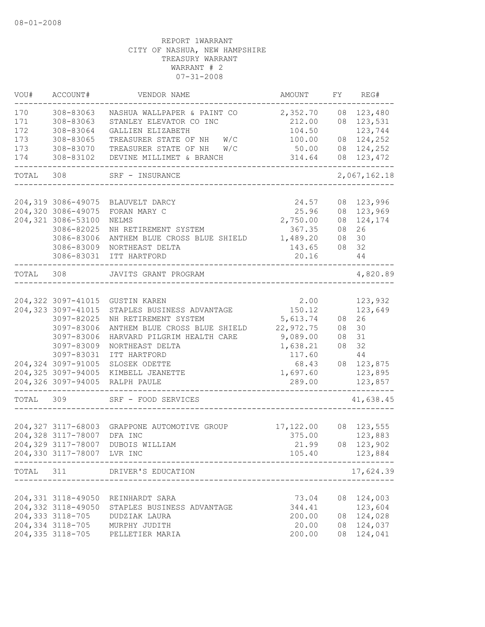| VOU#  | ACCOUNT#                   | VENDOR NAME                                        | AMOUNT               | FY       | REG#         |
|-------|----------------------------|----------------------------------------------------|----------------------|----------|--------------|
| 170   | 308-83063                  | NASHUA WALLPAPER & PAINT CO                        | 2,352.70             | 08       | 123,480      |
| 171   | 308-83063                  | STANLEY ELEVATOR CO INC                            | 212.00               | 08       | 123,531      |
| 172   | 308-83064                  | GALLIEN ELIZABETH                                  | 104.50               |          | 123,744      |
| 173   | 308-83065                  | W/C<br>TREASURER STATE OF NH                       | 100.00               |          | 08 124,252   |
| 173   | 308-83070                  | TREASURER STATE OF NH<br>W/C                       | 50.00                |          | 08 124,252   |
| 174   | 308-83102                  | DEVINE MILLIMET & BRANCH                           | 314.64               |          | 08 123,472   |
| TOTAL | 308                        | SRF - INSURANCE                                    |                      |          | 2,067,162.18 |
|       |                            |                                                    |                      |          |              |
|       |                            | 204,319 3086-49075 BLAUVELT DARCY                  | 24.57                |          | 08 123,996   |
|       | 204,320 3086-49075         | FORAN MARY C                                       | 25.96                |          | 08 123,969   |
|       | 204,321 3086-53100         | NELMS                                              | 2,750.00             | 08       | 124,174      |
|       | 3086-82025                 | NH RETIREMENT SYSTEM                               | 367.35               | 08       | 26           |
|       | 3086-83006                 | ANTHEM BLUE CROSS BLUE SHIELD                      | 1,489.20             | 08       | 30           |
|       | 3086-83009                 | NORTHEAST DELTA                                    | 143.65               | 08       | 32           |
|       | 3086-83031                 | ITT HARTFORD                                       | 20.16                |          | 44           |
| TOTAL | 308                        | JAVITS GRANT PROGRAM                               |                      |          | 4,820.89     |
|       |                            |                                                    |                      |          |              |
|       | 204, 322 3097-41015        | GUSTIN KAREN                                       | 2.00                 |          | 123,932      |
|       | 204,323 3097-41015         | STAPLES BUSINESS ADVANTAGE<br>NH RETIREMENT SYSTEM | 150.12               |          | 123,649      |
|       | 3097-82025                 |                                                    | 5,613.74             | 08       | 26           |
|       | 3097-83006                 | ANTHEM BLUE CROSS BLUE SHIELD                      | 22,972.75            | 08       | 30<br>31     |
|       | 3097-83006                 | HARVARD PILGRIM HEALTH CARE                        | 9,089.00<br>1,638.21 | 08<br>08 | 32           |
|       | 3097-83009<br>3097-83031   | NORTHEAST DELTA<br>ITT HARTFORD                    | 117.60               |          | $4\,4$       |
|       | 204,324 3097-91005         |                                                    |                      |          | 08 123,875   |
|       | 204,325 3097-94005         | SLOSEK ODETTE<br>KIMBELL JEANETTE                  | 68.43<br>1,697.60    |          | 123,895      |
|       | 204,326 3097-94005         | RALPH PAULE                                        | 289.00               |          | 123,857      |
|       |                            |                                                    |                      |          |              |
| TOTAL | 309                        | SRF - FOOD SERVICES                                |                      |          | 41,638.45    |
|       |                            |                                                    |                      |          |              |
|       |                            | 204,327 3117-68003 GRAPPONE AUTOMOTIVE GROUP       | 17,122.00            |          | 08 123,555   |
|       | 204,328 3117-78007         | DFA INC                                            | 375.00               |          | 123,883      |
|       |                            | 204,329 3117-78007 DUBOIS WILLIAM                  | 21.99                |          | 08 123,902   |
|       | 204,330 3117-78007 LVR INC |                                                    | 105.40               |          | 123,884      |
|       |                            | TOTAL 311 DRIVER'S EDUCATION                       |                      |          | 17,624.39    |
|       |                            |                                                    |                      |          |              |
|       |                            | 204,331 3118-49050 REINHARDT SARA                  | 73.04                |          | 08 124,003   |
|       | 204,332 3118-49050         | STAPLES BUSINESS ADVANTAGE                         | 344.41               |          | 123,604      |
|       |                            | 204,333 3118-705 DUDZIAK LAURA                     | 200.00               |          | 08 124,028   |
|       |                            | 204,334 3118-705 MURPHY JUDITH                     | 20.00                |          | 08 124,037   |
|       | 204, 335 3118-705          | PELLETIER MARIA                                    | 200.00               |          | 08 124,041   |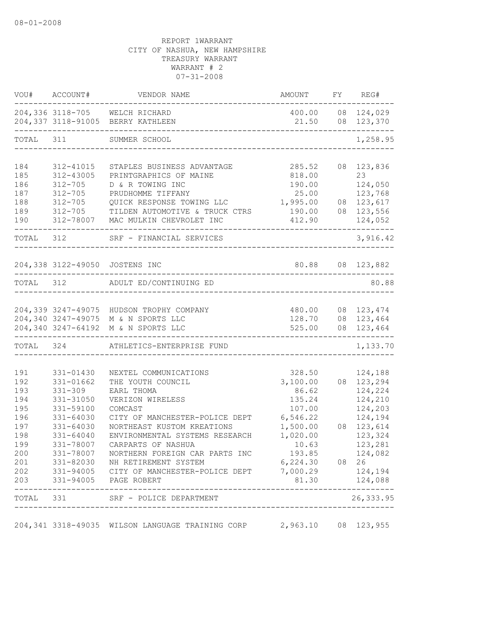|                                 | VOU# ACCOUNT#                                                   | VENDOR NAME                                                                                                                                    | AMOUNT                                          | FY REG#                                                |
|---------------------------------|-----------------------------------------------------------------|------------------------------------------------------------------------------------------------------------------------------------------------|-------------------------------------------------|--------------------------------------------------------|
|                                 |                                                                 | 204,336 3118-705 WELCH RICHARD<br>204,337 3118-91005 BERRY KATHLEEN<br>-------------------------                                               | 21.50                                           | 400.00 08 124,029<br>08 123,370                        |
|                                 |                                                                 | TOTAL 311 SUMMER SCHOOL                                                                                                                        |                                                 | 1,258.95                                               |
| 184<br>185<br>186<br>187<br>188 | 312-41015<br>312-43005<br>$312 - 705$<br>$312 - 705$<br>312-705 | STAPLES BUSINESS ADVANTAGE<br>PRINTGRAPHICS OF MAINE<br>D & R TOWING INC<br>PRUDHOMME TIFFANY<br>QUICK RESPONSE TOWING LLC                     | 285.52<br>818.00<br>190.00<br>25.00<br>1,995.00 | 08 123,836<br>23<br>124,050<br>123,768<br>08 123,617   |
| 189<br>190                      |                                                                 | 312-705 TILDEN AUTOMOTIVE & TRUCK CTRS<br>312-78007 MAC MULKIN CHEVROLET INC                                                                   | 190.00<br>412.90                                | 08 123,556<br>124,052                                  |
|                                 | TOTAL 312                                                       | SRF - FINANCIAL SERVICES                                                                                                                       |                                                 | 3,916.42                                               |
|                                 |                                                                 | 204,338 3122-49050 JOSTENS INC                                                                                                                 | 80.88 08 123,882                                |                                                        |
|                                 |                                                                 | TOTAL 312 ADULT ED/CONTINUING ED                                                                                                               |                                                 | 80.88                                                  |
|                                 |                                                                 | 204,339 3247-49075 HUDSON TROPHY COMPANY<br>204,340 3247-49075 M & N SPORTS LLC<br>204,340 3247-64192 M & N SPORTS LLC                         | 480.00<br>128.70<br>525.00                      | 08 123,474<br>08 123,464<br>08 123,464                 |
|                                 |                                                                 | TOTAL 324 ATHLETICS-ENTERPRISE FUND                                                                                                            |                                                 | 1,133.70                                               |
| 191<br>192<br>193<br>194<br>195 | 331-01430<br>331-01662<br>$331 - 309$<br>331-31050<br>331-59100 | NEXTEL COMMUNICATIONS<br>THE YOUTH COUNCIL<br>EARL THOMA<br>VERIZON WIRELESS<br>COMCAST                                                        | 328.50<br>3,100.00<br>86.62<br>135.24<br>107.00 | 124,188<br>08 123,294<br>124,224<br>124,210<br>124,203 |
| 196<br>197<br>198<br>199        | $331 - 64030$<br>331-64030<br>331-64040<br>331-78007            | CITY OF MANCHESTER-POLICE DEPT<br>NORTHEAST KUSTOM KREATIONS<br>ENVIRONMENTAL SYSTEMS RESEARCH<br>CARPARTS OF NASHUA                           | 6,546.22<br>1,500.00<br>1,020.00<br>10.63       | 124,194<br>08 123,614<br>123,324<br>123,281            |
| 200<br>201<br>202<br>203        | 331-78007                                                       | NORTHERN FOREIGN CAR PARTS INC<br>331-82030 NH RETIREMENT SYSTEM<br>331-94005 CITY OF MANCHESTER-POLICE DEPT 7,000.29<br>331-94005 PAGE ROBERT | 193.85<br>6,224.30 08 26<br>81.30               | 124,082<br>124,194<br>124,088                          |
|                                 | --------------------                                            | TOTAL 331 SRF - POLICE DEPARTMENT<br>-------------------------------                                                                           |                                                 | ---------------<br>26, 333.95                          |
|                                 |                                                                 | 204,341 3318-49035 WILSON LANGUAGE TRAINING CORP                                                                                               | 2,963.10 08 123,955                             |                                                        |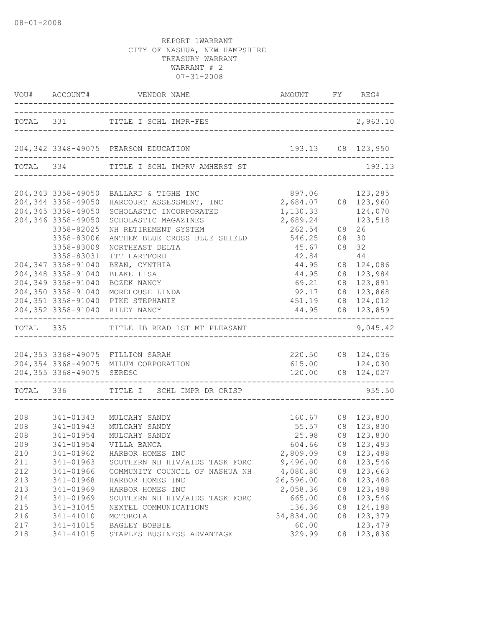|                         |                           | VOU# ACCOUNT# VENDOR NAME AMOUNT FY REG# |                                          |    |                                                           |
|-------------------------|---------------------------|------------------------------------------|------------------------------------------|----|-----------------------------------------------------------|
|                         |                           | TOTAL 331 TITLE I SCHL IMPR-FES          |                                          |    | 2,963.10                                                  |
|                         |                           | 204, 342 3348-49075 PEARSON EDUCATION    | 193.13 08 123,950                        |    |                                                           |
|                         |                           | TOTAL 334 TITLE I SCHL IMPRV AMHERST ST  | --------------------------------         |    | 193.13                                                    |
|                         |                           | 204,343 3358-49050 BALLARD & TIGHE INC   | 897.06                                   |    | 123,285                                                   |
|                         |                           | HARCOURT ASSESSMENT, INC                 | 2,684.07 08 123,960                      |    |                                                           |
|                         | 204,344 3358-49050        |                                          |                                          |    |                                                           |
|                         | 204,345 3358-49050        | SCHOLASTIC INCORPORATED                  | 1,130.33                                 |    | 124,070                                                   |
|                         | 204,346 3358-49050        | SCHOLASTIC MAGAZINES                     | 2,689.24                                 |    | 123,518                                                   |
|                         | 3358-82025                | NH RETIREMENT SYSTEM                     | 262.54                                   | 08 | 26                                                        |
|                         | 3358-83006                | ANTHEM BLUE CROSS BLUE SHIELD            | 546.25                                   | 08 | 30                                                        |
|                         | 3358-83009                | NORTHEAST DELTA                          | 45.67                                    | 08 | 32                                                        |
|                         | 3358-83031                | ITT HARTFORD                             | 42.84                                    |    | 44                                                        |
|                         | 204,347 3358-91040        | BEAN, CYNTHIA                            | 44.95                                    |    | 08 124,086                                                |
|                         | 204,348 3358-91040        | BLAKE LISA                               | 44.95                                    |    | 08 123,984                                                |
|                         | 204,349 3358-91040        | BOZEK NANCY                              | 69.21                                    |    | 08 123,891                                                |
|                         | 204,350 3358-91040        | MOREHOUSE LINDA                          | 92.17                                    |    | 08 123,868                                                |
|                         |                           | 204,351 3358-91040 PIKE STEPHANIE        | 451.19                                   |    | 08 124,012                                                |
|                         |                           | 204,352 3358-91040 RILEY NANCY           | 44.95<br>_______________________________ |    | 08 123,859                                                |
|                         |                           | TOTAL 335 TITLE IB READ 1ST MT PLEASANT  |                                          |    | 9,045.42                                                  |
|                         |                           | 204,353 3368-49075 FILLION SARAH         |                                          |    | 220.50 08 124,036                                         |
|                         |                           | 204,354 3368-49075 MILUM CORPORATION     |                                          |    | 615.00 124,030                                            |
|                         | 204,355 3368-49075 SERESC |                                          |                                          |    | $120.00$ 08 $124,027$                                     |
|                         |                           | TOTAL 336 TITLE I SCHL IMPR DR CRISP     | ----------------------                   |    | 955.50                                                    |
|                         |                           |                                          |                                          |    |                                                           |
| $208$<br>$208$<br>$208$ |                           | 341-01343 MULCAHY SANDY                  |                                          |    | 160.67 08 123,830<br>55.57 08 123,830<br>25.98 08 123,830 |
|                         | 341-01943                 | MULCAHY SANDY                            |                                          |    |                                                           |
| 208                     | 341-01954                 | MULCAHY SANDY                            |                                          |    |                                                           |
| 209                     |                           | 341-01954 VILLA BANCA                    |                                          |    | 604.66 08 123,493                                         |
| 210                     | 341-01962                 | HARBOR HOMES INC                         | 2,809.09                                 |    | 08 123,488                                                |
| 211                     | 341-01963                 | SOUTHERN NH HIV/AIDS TASK FORC           | 9,496.00                                 |    | 08 123,546                                                |
| 212                     | 341-01966                 | COMMUNITY COUNCIL OF NASHUA NH           | 4,080.80                                 |    | 08 123,663                                                |
| 213                     | 341-01968                 | HARBOR HOMES INC                         | 26,596.00                                | 08 | 123,488                                                   |
| 213                     | 341-01969                 | HARBOR HOMES INC                         | 2,058.36                                 | 08 | 123,488                                                   |
| 214                     | 341-01969                 | SOUTHERN NH HIV/AIDS TASK FORC           | 665.00                                   | 08 | 123,546                                                   |
| 215                     | 341-31045                 | NEXTEL COMMUNICATIONS                    | 136.36                                   | 08 | 124,188                                                   |
| 216                     | $341 - 41010$             | MOTOROLA                                 | 34,834.00                                | 08 | 123,379                                                   |
| 217                     | 341-41015                 | BAGLEY BOBBIE                            | 60.00                                    |    | 123,479                                                   |
| 218                     | 341-41015                 | STAPLES BUSINESS ADVANTAGE               | 329.99                                   | 08 | 123,836                                                   |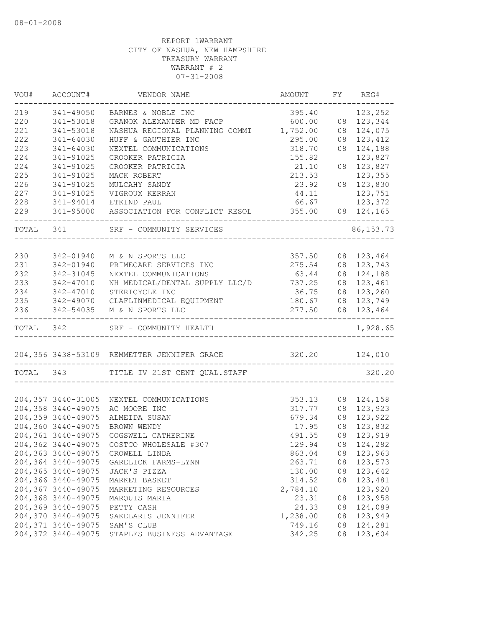| VOU#      | ACCOUNT#            | VENDOR NAME                                                | AMOUNT                        | FY | REG#       |
|-----------|---------------------|------------------------------------------------------------|-------------------------------|----|------------|
| 219       | 341-49050           | BARNES & NOBLE INC                                         | 395.40                        |    | 123,252    |
| 220       | 341-53018           | GRANOK ALEXANDER MD FACP                                   | 600.00                        |    | 08 123,344 |
| 221       | 341-53018           | NASHUA REGIONAL PLANNING COMMI 1,752.00                    |                               |    | 08 124,075 |
| 222       | 341-64030           | HUFF & GAUTHIER INC                                        | 295.00                        | 08 | 123,412    |
| 223       | 341-64030           | NEXTEL COMMUNICATIONS                                      | 318.70                        | 08 | 124,188    |
| 224       | 341-91025           | CROOKER PATRICIA                                           | 155.82                        |    | 123,827    |
| 224       | 341-91025           | CROOKER PATRICIA                                           | 21.10                         |    | 08 123,827 |
| 225       | 341-91025           | MACK ROBERT                                                | 213.53                        |    | 123,355    |
| 226       | 341-91025           | MULCAHY SANDY                                              | 23.92                         |    | 08 123,830 |
| 227       | 341-91025           | VIGROUX KERRAN                                             | 44.11                         |    | 123,751    |
| 228       | 341-94014           | ETKIND PAUL                                                | 66.67                         |    | 123,372    |
| 229       |                     | 341-95000 ASSOCIATION FOR CONFLICT RESOL 355.00            |                               |    | 08 124,165 |
|           |                     | TOTAL 341 SRF - COMMUNITY SERVICES                         |                               |    | 86, 153.73 |
|           |                     |                                                            |                               |    |            |
| 230       | 342-01940           | M & N SPORTS LLC                                           | 357.50                        |    | 08 123,464 |
| 231       | 342-01940           | PRIMECARE SERVICES INC                                     | 275.54                        |    | 08 123,743 |
| 232       | 342-31045           | NEXTEL COMMUNICATIONS                                      | 63.44                         |    | 08 124,188 |
| 233       | 342-47010           | NH MEDICAL/DENTAL SUPPLY LLC/D 737.25                      |                               |    | 08 123,461 |
| 234       | 342-47010           | STERICYCLE INC                                             | 36.75                         |    | 08 123,260 |
| 235       |                     | 342-49070 CLAFLINMEDICAL EQUIPMENT                         | 180.67                        |    | 08 123,749 |
| 236       | 342-54035           | M & N SPORTS LLC                                           | 277.50<br>___________________ |    | 08 123,464 |
| TOTAL 342 |                     | SRF - COMMUNITY HEALTH                                     |                               |    | 1,928.65   |
|           |                     | 204,356 3438-53109 REMMETTER JENNIFER GRACE 320.20 124,010 |                               |    |            |
|           |                     | TOTAL 343 TITLE IV 21ST CENT QUAL.STAFF                    | .__________________________   |    | 320.20     |
|           |                     |                                                            |                               |    |            |
|           | 204,357 3440-31005  | NEXTEL COMMUNICATIONS                                      | 353.13                        |    | 08 124,158 |
|           | 204,358 3440-49075  | AC MOORE INC                                               | 317.77                        |    | 08 123,923 |
|           | 204,359 3440-49075  | ALMEIDA SUSAN                                              | 679.34                        | 08 | 123,922    |
|           | 204,360 3440-49075  | BROWN WENDY                                                | 17.95                         | 08 | 123,832    |
|           | 204,361 3440-49075  | COGSWELL CATHERINE                                         | 491.55                        | 08 | 123,919    |
|           | 204,362 3440-49075  | COSTCO WHOLESALE #307                                      | 129.94                        |    | 08 124,282 |
|           | 204,363 3440-49075  | CROWELL LINDA                                              | 863.04                        |    | 08 123,963 |
|           | 204,364 3440-49075  | GARELICK FARMS-LYNN                                        | 263.71                        |    | 08 123,573 |
|           | 204,365 3440-49075  | JACK'S PIZZA                                               | 130.00                        | 08 | 123,642    |
|           | 204,366 3440-49075  | MARKET BASKET                                              | 314.52                        | 08 | 123,481    |
|           | 204,367 3440-49075  | MARKETING RESOURCES                                        | 2,784.10                      |    | 123,920    |
|           | 204,368 3440-49075  | MARQUIS MARIA                                              | 23.31                         |    | 08 123,958 |
|           | 204,369 3440-49075  | PETTY CASH                                                 | 24.33                         |    | 08 124,089 |
|           | 204,370 3440-49075  | SAKELARIS JENNIFER                                         | 1,238.00                      |    | 08 123,949 |
|           | 204, 371 3440-49075 | SAM'S CLUB                                                 | 749.16                        | 08 | 124,281    |
|           | 204,372 3440-49075  | STAPLES BUSINESS ADVANTAGE                                 | 342.25                        |    | 08 123,604 |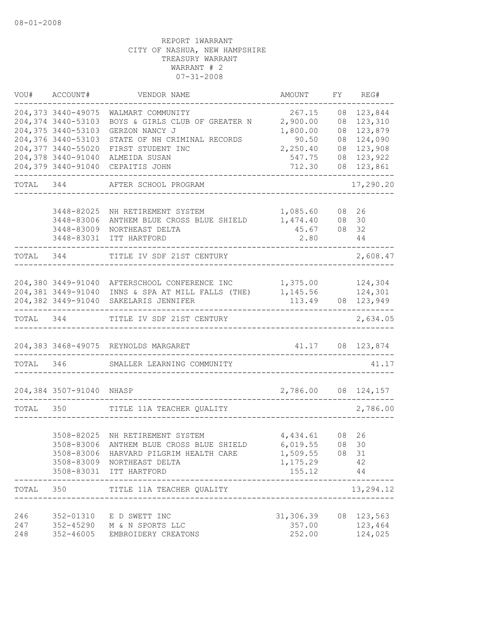| VOU#      | ACCOUNT#                                 | VENDOR NAME                                                  | AMOUNT              | FY             | REG#               |
|-----------|------------------------------------------|--------------------------------------------------------------|---------------------|----------------|--------------------|
|           | 204,373 3440-49075<br>204,374 3440-53103 | WALMART COMMUNITY<br>BOYS & GIRLS CLUB OF GREATER N          | 267.15<br>2,900.00  | 08<br>08       | 123,844<br>123,310 |
|           | 204,375 3440-53103                       | GERZON NANCY J                                               | 1,800.00            | 08             | 123,879            |
|           | 204,376 3440-53103<br>204,377 3440-55020 | STATE OF NH CRIMINAL RECORDS<br>FIRST STUDENT INC            | 90.50<br>2,250.40   | 08<br>08       | 124,090<br>123,908 |
|           | 204,378 3440-91040                       | ALMEIDA SUSAN                                                | 547.75              | 08             | 123,922            |
|           | 204,379 3440-91040                       | CEPAITIS JOHN                                                | 712.30              | 08             | 123,861            |
| TOTAL     | 344                                      | AFTER SCHOOL PROGRAM                                         |                     |                | 17,290.20          |
|           | 3448-82025                               | NH RETIREMENT SYSTEM                                         | 1,085.60            |                | 08 26              |
|           | 3448-83006                               | ANTHEM BLUE CROSS BLUE SHIELD                                | 1,474.40            |                | 08 30              |
|           | 3448-83009                               | NORTHEAST DELTA                                              | 45.67               |                | 08 32              |
|           | 3448-83031                               | ITT HARTFORD                                                 | 2.80                |                | 44                 |
| TOTAL     | 344                                      | TITLE IV SDF 21ST CENTURY                                    |                     |                | 2,608.47           |
|           |                                          |                                                              |                     |                |                    |
|           | 204,380 3449-91040<br>204,381 3449-91040 | AFTERSCHOOL CONFERENCE INC<br>INNS & SPA AT MILL FALLS (THE) | 1,375.00            |                | 124,304<br>124,301 |
|           | 204,382 3449-91040                       | SAKELARIS JENNIFER                                           | 1,145.56<br>113.49  |                | 08 123,949         |
|           |                                          |                                                              |                     |                | ----------------   |
| TOTAL     | 344                                      | TITLE IV SDF 21ST CENTURY                                    |                     |                | 2,634.05           |
|           |                                          | 204,383 3468-49075 REYNOLDS MARGARET                         | 41.17               |                | 08 123,874         |
| TOTAL 346 |                                          | SMALLER LEARNING COMMUNITY                                   |                     |                | 41.17              |
|           | 204,384 3507-91040 NHASP                 |                                                              | 2,786.00 08 124,157 |                |                    |
| TOTAL     | 350                                      | TITLE 11A TEACHER QUALITY                                    |                     |                | 2,786.00           |
|           |                                          |                                                              |                     |                |                    |
|           | 3508-82025                               | NH RETIREMENT SYSTEM                                         | 4,434.61            | 08             | 26                 |
|           |                                          | 3508-83006 ANTHEM BLUE CROSS BLUE SHIELD 6,019.55            |                     | 08 30          |                    |
|           |                                          | 3508-83006 HARVARD PILGRIM HEALTH CARE                       | 1,509.55 08 31      |                |                    |
|           |                                          | 3508-83009 NORTHEAST DELTA                                   | 1,175.29            |                | 42                 |
|           |                                          | 3508-83031 ITT HARTFORD<br>________________                  | 155.12              |                | 44                 |
| TOTAL     | 350                                      | TITLE 11A TEACHER QUALITY<br>------------------              |                     | ______________ | 13,294.12          |
| 246       |                                          | 352-01310 E D SWETT INC                                      | 31,306.39           |                | 08 123,563         |
| 247       |                                          | 352-45290 M & N SPORTS LLC                                   | 357.00              |                | 123,464            |
| 248       |                                          | 352-46005 EMBROIDERY CREATONS                                | 252.00              |                | 124,025            |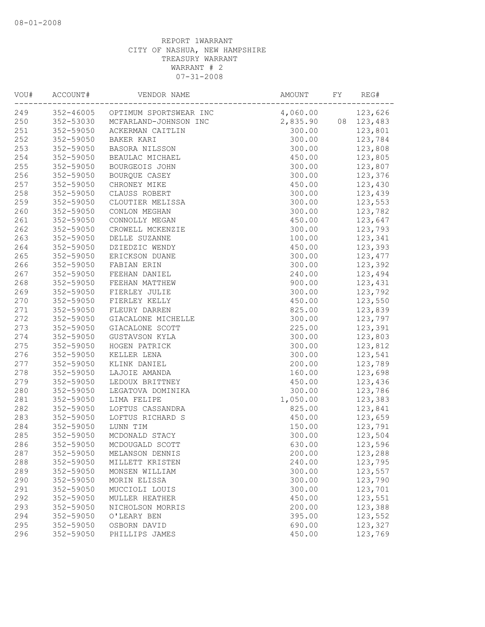| VOU# | ACCOUNT#  | VENDOR NAME                      | AMOUNT   | FY | REG#       |
|------|-----------|----------------------------------|----------|----|------------|
| 249  |           | 352-46005 OPTIMUM SPORTSWEAR INC | 4,060.00 |    | 123,626    |
| 250  | 352-53030 | MCFARLAND-JOHNSON INC            | 2,835.90 |    | 08 123,483 |
| 251  | 352-59050 | ACKERMAN CAITLIN                 | 300.00   |    | 123,801    |
| 252  | 352-59050 | BAKER KARI                       | 300.00   |    | 123,784    |
| 253  | 352-59050 | BASORA NILSSON                   | 300.00   |    | 123,808    |
| 254  | 352-59050 | BEAULAC MICHAEL                  | 450.00   |    | 123,805    |
| 255  | 352-59050 | BOURGEOIS JOHN                   | 300.00   |    | 123,807    |
| 256  | 352-59050 | BOURQUE CASEY                    | 300.00   |    | 123,376    |
| 257  | 352-59050 | CHRONEY MIKE                     | 450.00   |    | 123,430    |
| 258  | 352-59050 | CLAUSS ROBERT                    | 300.00   |    | 123,439    |
| 259  | 352-59050 | CLOUTIER MELISSA                 | 300.00   |    | 123,553    |
| 260  | 352-59050 | CONLON MEGHAN                    | 300.00   |    | 123,782    |
| 261  | 352-59050 | CONNOLLY MEGAN                   | 450.00   |    | 123,647    |
| 262  | 352-59050 | CROWELL MCKENZIE                 | 300.00   |    | 123,793    |
| 263  | 352-59050 | DELLE SUZANNE                    | 100.00   |    | 123,341    |
| 264  | 352-59050 | DZIEDZIC WENDY                   | 450.00   |    | 123,393    |
| 265  | 352-59050 | ERICKSON DUANE                   | 300.00   |    | 123, 477   |
| 266  | 352-59050 | FABIAN ERIN                      | 300.00   |    | 123,392    |
| 267  | 352-59050 | FEEHAN DANIEL                    | 240.00   |    | 123,494    |
| 268  | 352-59050 | FEEHAN MATTHEW                   | 900.00   |    | 123,431    |
| 269  | 352-59050 | FIERLEY JULIE                    | 300.00   |    | 123,792    |
| 270  | 352-59050 | FIERLEY KELLY                    | 450.00   |    | 123,550    |
| 271  | 352-59050 | FLEURY DARREN                    | 825.00   |    | 123,839    |
| 272  | 352-59050 | GIACALONE MICHELLE               | 300.00   |    | 123,797    |
| 273  | 352-59050 | GIACALONE SCOTT                  | 225.00   |    | 123,391    |
| 274  | 352-59050 | GUSTAVSON KYLA                   | 300.00   |    | 123,803    |
| 275  | 352-59050 | HOGEN PATRICK                    | 300.00   |    | 123,812    |
| 276  | 352-59050 | KELLER LENA                      | 300.00   |    | 123,541    |
| 277  | 352-59050 | KLINK DANIEL                     | 200.00   |    | 123,789    |
| 278  | 352-59050 | LAJOIE AMANDA                    | 160.00   |    | 123,698    |
| 279  | 352-59050 | LEDOUX BRITTNEY                  | 450.00   |    | 123,436    |
| 280  | 352-59050 | LEGATOVA DOMINIKA                | 300.00   |    | 123,786    |
| 281  | 352-59050 | LIMA FELIPE                      | 1,050.00 |    | 123,383    |
| 282  | 352-59050 | LOFTUS CASSANDRA                 | 825.00   |    | 123,841    |
| 283  | 352-59050 | LOFTUS RICHARD S                 | 450.00   |    | 123,659    |
| 284  | 352-59050 | LUNN TIM                         | 150.00   |    | 123,791    |
| 285  | 352-59050 | MCDONALD STACY                   | 300.00   |    | 123,504    |
| 286  | 352-59050 | MCDOUGALD SCOTT                  | 630.00   |    | 123,596    |
| 287  | 352-59050 | MELANSON DENNIS                  | 200.00   |    | 123,288    |
| 288  | 352-59050 | MILLETT KRISTEN                  | 240.00   |    | 123,795    |
| 289  | 352-59050 | MONSEN WILLIAM                   | 300.00   |    | 123,557    |
| 290  | 352-59050 | MORIN ELISSA                     | 300.00   |    | 123,790    |
| 291  | 352-59050 | MUCCIOLI LOUIS                   | 300.00   |    | 123,701    |
| 292  | 352-59050 | MULLER HEATHER                   | 450.00   |    | 123,551    |
| 293  | 352-59050 | NICHOLSON MORRIS                 | 200.00   |    | 123,388    |
| 294  | 352-59050 | O'LEARY BEN                      | 395.00   |    | 123,552    |
| 295  | 352-59050 | OSBORN DAVID                     | 690.00   |    | 123,327    |
| 296  | 352-59050 | PHILLIPS JAMES                   | 450.00   |    | 123,769    |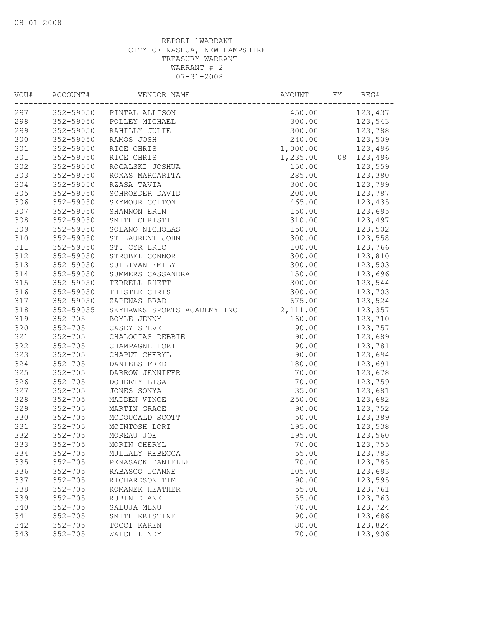| VOU# | ACCOUNT#    | VENDOR NAME                 | AMOUNT   | FY | REG#    |
|------|-------------|-----------------------------|----------|----|---------|
| 297  |             | 352-59050 PINTAL ALLISON    | 450.00   |    | 123,437 |
| 298  | 352-59050   | POLLEY MICHAEL              | 300.00   |    | 123,543 |
| 299  | 352-59050   | RAHILLY JULIE               | 300.00   |    | 123,788 |
| 300  | 352-59050   | RAMOS JOSH                  | 240.00   |    | 123,509 |
| 301  | 352-59050   | RICE CHRIS                  | 1,000.00 |    | 123,496 |
| 301  | 352-59050   | RICE CHRIS                  | 1,235.00 | 08 | 123,496 |
| 302  | 352-59050   | ROGALSKI JOSHUA             | 150.00   |    | 123,559 |
| 303  | 352-59050   | ROXAS MARGARITA             | 285.00   |    | 123,380 |
| 304  | 352-59050   | RZASA TAVIA                 | 300.00   |    | 123,799 |
| 305  | 352-59050   | SCHROEDER DAVID             | 200.00   |    | 123,787 |
| 306  | 352-59050   | SEYMOUR COLTON              | 465.00   |    | 123,435 |
| 307  | 352-59050   | SHANNON ERIN                | 150.00   |    | 123,695 |
| 308  | 352-59050   | SMITH CHRISTI               | 310.00   |    | 123,497 |
| 309  | 352-59050   | SOLANO NICHOLAS             | 150.00   |    | 123,502 |
| 310  | 352-59050   | ST LAURENT JOHN             | 300.00   |    | 123,558 |
| 311  | 352-59050   | ST. CYR ERIC                | 100.00   |    | 123,766 |
| 312  | 352-59050   | STROBEL CONNOR              | 300.00   |    | 123,810 |
| 313  | 352-59050   | SULLIVAN EMILY              | 300.00   |    | 123,503 |
| 314  | 352-59050   | SUMMERS CASSANDRA           | 150.00   |    | 123,696 |
| 315  | 352-59050   | TERRELL RHETT               | 300.00   |    | 123,544 |
| 316  | 352-59050   | THISTLE CHRIS               | 300.00   |    | 123,703 |
| 317  | 352-59050   | ZAPENAS BRAD                | 675.00   |    | 123,524 |
| 318  | 352-59055   | SKYHAWKS SPORTS ACADEMY INC | 2,111.00 |    | 123,357 |
| 319  | $352 - 705$ | BOYLE JENNY                 | 160.00   |    | 123,710 |
| 320  | $352 - 705$ | CASEY STEVE                 | 90.00    |    | 123,757 |
| 321  | $352 - 705$ | CHALOGIAS DEBBIE            | 90.00    |    | 123,689 |
| 322  | $352 - 705$ | CHAMPAGNE LORI              | 90.00    |    | 123,781 |
| 323  | $352 - 705$ | CHAPUT CHERYL               | 90.00    |    | 123,694 |
| 324  | $352 - 705$ | DANIELS FRED                | 180.00   |    | 123,691 |
| 325  | $352 - 705$ | DARROW JENNIFER             | 70.00    |    | 123,678 |
| 326  | $352 - 705$ | DOHERTY LISA                | 70.00    |    | 123,759 |
| 327  | $352 - 705$ | JONES SONYA                 | 35.00    |    | 123,681 |
| 328  | $352 - 705$ | MADDEN VINCE                | 250.00   |    | 123,682 |
| 329  | $352 - 705$ | MARTIN GRACE                | 90.00    |    | 123,752 |
| 330  | $352 - 705$ | MCDOUGALD SCOTT             | 50.00    |    | 123,389 |
| 331  | $352 - 705$ | MCINTOSH LORI               | 195.00   |    | 123,538 |
| 332  | $352 - 705$ | MOREAU JOE                  | 195.00   |    | 123,560 |
| 333  | $352 - 705$ | MORIN CHERYL                | 70.00    |    | 123,755 |
| 334  | $352 - 705$ | MULLALY REBECCA             | 55.00    |    | 123,783 |
| 335  | $352 - 705$ | PENASACK DANIELLE           | 70.00    |    | 123,785 |
| 336  | $352 - 705$ | RABASCO JOANNE              | 105.00   |    | 123,693 |
| 337  | $352 - 705$ | RICHARDSON TIM              | 90.00    |    | 123,595 |
| 338  | $352 - 705$ | ROMANEK HEATHER             | 55.00    |    | 123,761 |
| 339  | $352 - 705$ | RUBIN DIANE                 | 55.00    |    | 123,763 |
| 340  | $352 - 705$ | SALUJA MENU                 | 70.00    |    | 123,724 |
| 341  | $352 - 705$ | SMITH KRISTINE              | 90.00    |    | 123,686 |
| 342  | $352 - 705$ | TOCCI KAREN                 | 80.00    |    | 123,824 |
| 343  | $352 - 705$ | WALCH LINDY                 | 70.00    |    | 123,906 |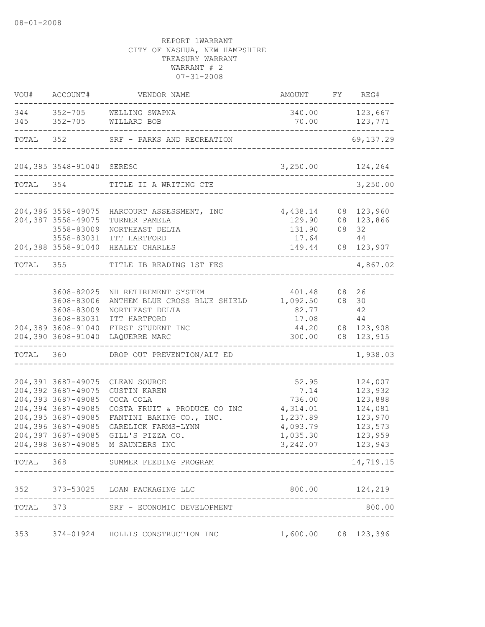| VOU#      |                                                                                                                                                                              | ACCOUNT# VENDOR NAME                                                                                                                                                      | AMOUNT FY REG#                                                                      |                                                                                      |
|-----------|------------------------------------------------------------------------------------------------------------------------------------------------------------------------------|---------------------------------------------------------------------------------------------------------------------------------------------------------------------------|-------------------------------------------------------------------------------------|--------------------------------------------------------------------------------------|
|           |                                                                                                                                                                              | 344 352-705 WELLING SWAPNA<br>345 352-705 WILLARD BOB                                                                                                                     |                                                                                     | 340.00 123,667<br>70.00 123,771<br>________________                                  |
|           |                                                                                                                                                                              | TOTAL 352 SRF - PARKS AND RECREATION                                                                                                                                      | _____________________________                                                       | 69,137.29                                                                            |
|           |                                                                                                                                                                              |                                                                                                                                                                           | $3,250.00$ 124,264                                                                  |                                                                                      |
|           | TOTAL 354                                                                                                                                                                    | TITLE II A WRITING CTE                                                                                                                                                    |                                                                                     | 3,250.00                                                                             |
|           | 204,387 3558-49075<br>3558-83009<br>3558-83031                                                                                                                               | 204,386 3558-49075 HARCOURT ASSESSMENT, INC<br>TURNER PAMELA<br>NORTHEAST DELTA<br>ITT HARTFORD<br>204,388 3558-91040 HEALEY CHARLES                                      | 4,438.14<br>129.90<br>131.90<br>17.64                                               | 08 123,960<br>08 123,866<br>08 32<br>44<br>149.44 08 123,907                         |
| TOTAL 355 |                                                                                                                                                                              | TITLE IB READING 1ST FES                                                                                                                                                  |                                                                                     | . _ _ _ _ _ _ _ _ _ _ _ _ .<br>4,867.02                                              |
|           | 3608-82025<br>3608-83006<br>3608-83009<br>3608-83031<br>204,389 3608-91040                                                                                                   | NH RETIREMENT SYSTEM<br>ANTHEM BLUE CROSS BLUE SHIELD 1,092.50<br>NORTHEAST DELTA<br>ITT HARTFORD<br>FIRST STUDENT INC<br>204,390 3608-91040 LAQUERRE MARC                | 401.48<br>82.77<br>17.08<br>300.00                                                  | 08 26<br>08 30<br>42<br>44<br>44.20 08 123,908<br>08 123,915                         |
| TOTAL 360 |                                                                                                                                                                              | DROP OUT PREVENTION/ALT ED                                                                                                                                                |                                                                                     | 1,938.03                                                                             |
|           | 204,391 3687-49075<br>204,392 3687-49075<br>204,393 3687-49085<br>204,394 3687-49085<br>204,395 3687-49085<br>204,396 3687-49085<br>204,397 3687-49085<br>204,398 3687-49085 | CLEAN SOURCE<br><b>GUSTIN KAREN</b><br>COCA COLA<br>COSTA FRUIT & PRODUCE CO INC<br>FANTINI BAKING CO., INC.<br>GARELICK FARMS-LYNN<br>GILL'S PIZZA CO.<br>M SAUNDERS INC | 52.95<br>7.14<br>736.00<br>4,314.01<br>1,237.89<br>4,093.79<br>1,035.30<br>3,242.07 | 124,007<br>123,932<br>123,888<br>124,081<br>123,970<br>123,573<br>123,959<br>123,943 |
|           |                                                                                                                                                                              | TOTAL 368 SUMMER FEEDING PROGRAM                                                                                                                                          |                                                                                     | 14,719.15                                                                            |
| 352       |                                                                                                                                                                              | 373-53025 LOAN PACKAGING LLC                                                                                                                                              |                                                                                     |                                                                                      |
|           |                                                                                                                                                                              | TOTAL 373 SRF - ECONOMIC DEVELOPMENT                                                                                                                                      |                                                                                     | 800.00                                                                               |
| 353       |                                                                                                                                                                              | 374-01924 HOLLIS CONSTRUCTION INC                                                                                                                                         | $1,600.00$ 08 123,396                                                               |                                                                                      |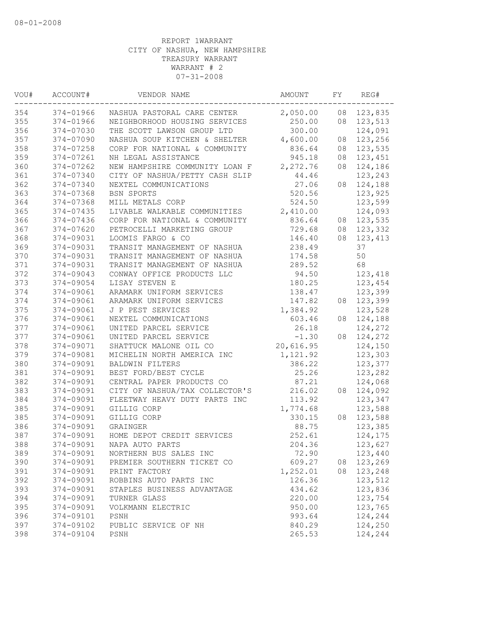| 2,050.00<br>123,835<br>374-01966<br>NASHUA PASTORAL CARE CENTER<br>08<br>374-01966<br>250.00<br>123,513<br>NEIGHBORHOOD HOUSING SERVICES<br>08<br>300.00<br>374-07030<br>THE SCOTT LAWSON GROUP LTD<br>124,091<br>374-07090<br>NASHUA SOUP KITCHEN & SHELTER<br>4,600.00<br>123,256<br>08<br>374-07258<br>836.64<br>123,535<br>CORP FOR NATIONAL & COMMUNITY<br>08<br>374-07261<br>NH LEGAL ASSISTANCE<br>945.18<br>123,451<br>08<br>2,272.76<br>374-07262<br>NEW HAMPSHIRE COMMUNITY LOAN F<br>08<br>124,186<br>374-07340<br>CITY OF NASHUA/PETTY CASH SLIP<br>44.46<br>123,243<br>27.06<br>124,188<br>374-07340<br>NEXTEL COMMUNICATIONS<br>08<br>520.56<br>123,925<br>374-07368<br>BSN SPORTS<br>374-07368<br>524.50<br>123,599<br>MILL METALS CORP<br>374-07435<br>LIVABLE WALKABLE COMMUNITIES<br>2,410.00<br>124,093<br>374-07436<br>836.64<br>123,535<br>CORP FOR NATIONAL & COMMUNITY<br>08<br>374-07620<br>729.68<br>PETROCELLI MARKETING GROUP<br>08<br>123,332<br>374-09031<br>LOOMIS FARGO & CO<br>146.40<br>08<br>123,413<br>37<br>374-09031<br>TRANSIT MANAGEMENT OF NASHUA<br>238.49<br>50<br>374-09031<br>174.58<br>TRANSIT MANAGEMENT OF NASHUA<br>68<br>374-09031<br>289.52<br>TRANSIT MANAGEMENT OF NASHUA<br>374-09043<br>CONWAY OFFICE PRODUCTS LLC<br>94.50<br>123,418<br>374-09054<br>LISAY STEVEN E<br>180.25<br>123,454<br>374-09061<br>ARAMARK UNIFORM SERVICES<br>138.47<br>123,399<br>374-09061<br>123,399<br>ARAMARK UNIFORM SERVICES<br>147.82<br>08<br>374-09061<br>J P PEST SERVICES<br>1,384.92<br>123,528<br>374-09061<br>NEXTEL COMMUNICATIONS<br>603.46<br>08<br>124,188<br>374-09061<br>UNITED PARCEL SERVICE<br>26.18<br>124,272<br>374-09061<br>UNITED PARCEL SERVICE<br>$-1.30$<br>124,272<br>08<br>374-09071<br>20,616.95<br>124,150<br>SHATTUCK MALONE OIL CO<br>379<br>374-09081<br>1,121.92<br>123,303<br>MICHELIN NORTH AMERICA INC<br>374-09091<br>123,377<br>BALDWIN FILTERS<br>386.22<br>374-09091<br>BEST FORD/BEST CYCLE<br>25.26<br>123,282<br>382<br>374-09091<br>CENTRAL PAPER PRODUCTS CO<br>87.21<br>124,068<br>374-09091<br>CITY OF NASHUA/TAX COLLECTOR'S<br>216.02<br>124,092<br>08<br>374-09091<br>113.92<br>FLEETWAY HEAVY DUTY PARTS INC<br>123,347<br>123,588<br>385<br>374-09091<br>GILLIG CORP<br>1,774.68<br>123,588<br>374-09091<br>GILLIG CORP<br>330.15<br>08<br>374-09091<br>88.75<br>123,385<br>GRAINGER<br>252.61<br>374-09091<br>HOME DEPOT CREDIT SERVICES<br>124,175<br>204.36<br>374-09091<br>NAPA AUTO PARTS<br>123,627<br>374-09091<br>123,440<br>NORTHERN BUS SALES INC<br>72.90<br>374-09091<br>609.27<br>08 123,269<br>PREMIER SOUTHERN TICKET CO<br>374-09091<br>PRINT FACTORY<br>1,252.01<br>08<br>123,248<br>392<br>374-09091<br>126.36<br>123,512<br>ROBBINS AUTO PARTS INC<br>123,836<br>374-09091<br>STAPLES BUSINESS ADVANTAGE<br>434.62<br>374-09091<br>123,754<br>TURNER GLASS<br>220.00<br>395<br>123,765<br>374-09091<br>VOLKMANN ELECTRIC<br>950.00<br>396<br>374-09101<br>PSNH<br>993.64<br>124,244<br>397<br>124,250<br>374-09102<br>PUBLIC SERVICE OF NH<br>840.29<br>374-09104<br>PSNH<br>265.53<br>124,244 | VOU# | ACCOUNT# | VENDOR NAME | AMOUNT | FY | REG# |
|-------------------------------------------------------------------------------------------------------------------------------------------------------------------------------------------------------------------------------------------------------------------------------------------------------------------------------------------------------------------------------------------------------------------------------------------------------------------------------------------------------------------------------------------------------------------------------------------------------------------------------------------------------------------------------------------------------------------------------------------------------------------------------------------------------------------------------------------------------------------------------------------------------------------------------------------------------------------------------------------------------------------------------------------------------------------------------------------------------------------------------------------------------------------------------------------------------------------------------------------------------------------------------------------------------------------------------------------------------------------------------------------------------------------------------------------------------------------------------------------------------------------------------------------------------------------------------------------------------------------------------------------------------------------------------------------------------------------------------------------------------------------------------------------------------------------------------------------------------------------------------------------------------------------------------------------------------------------------------------------------------------------------------------------------------------------------------------------------------------------------------------------------------------------------------------------------------------------------------------------------------------------------------------------------------------------------------------------------------------------------------------------------------------------------------------------------------------------------------------------------------------------------------------------------------------------------------------------------------------------------------------------------------------------------------------------------------------------------------------------------------------------------------------------------------------------------------------------------------------------------------------------------------------------------------------------------------------------------------------------------------------------------------------------------------------------------------------------------------------|------|----------|-------------|--------|----|------|
|                                                                                                                                                                                                                                                                                                                                                                                                                                                                                                                                                                                                                                                                                                                                                                                                                                                                                                                                                                                                                                                                                                                                                                                                                                                                                                                                                                                                                                                                                                                                                                                                                                                                                                                                                                                                                                                                                                                                                                                                                                                                                                                                                                                                                                                                                                                                                                                                                                                                                                                                                                                                                                                                                                                                                                                                                                                                                                                                                                                                                                                                                                             | 354  |          |             |        |    |      |
|                                                                                                                                                                                                                                                                                                                                                                                                                                                                                                                                                                                                                                                                                                                                                                                                                                                                                                                                                                                                                                                                                                                                                                                                                                                                                                                                                                                                                                                                                                                                                                                                                                                                                                                                                                                                                                                                                                                                                                                                                                                                                                                                                                                                                                                                                                                                                                                                                                                                                                                                                                                                                                                                                                                                                                                                                                                                                                                                                                                                                                                                                                             | 355  |          |             |        |    |      |
|                                                                                                                                                                                                                                                                                                                                                                                                                                                                                                                                                                                                                                                                                                                                                                                                                                                                                                                                                                                                                                                                                                                                                                                                                                                                                                                                                                                                                                                                                                                                                                                                                                                                                                                                                                                                                                                                                                                                                                                                                                                                                                                                                                                                                                                                                                                                                                                                                                                                                                                                                                                                                                                                                                                                                                                                                                                                                                                                                                                                                                                                                                             | 356  |          |             |        |    |      |
|                                                                                                                                                                                                                                                                                                                                                                                                                                                                                                                                                                                                                                                                                                                                                                                                                                                                                                                                                                                                                                                                                                                                                                                                                                                                                                                                                                                                                                                                                                                                                                                                                                                                                                                                                                                                                                                                                                                                                                                                                                                                                                                                                                                                                                                                                                                                                                                                                                                                                                                                                                                                                                                                                                                                                                                                                                                                                                                                                                                                                                                                                                             | 357  |          |             |        |    |      |
|                                                                                                                                                                                                                                                                                                                                                                                                                                                                                                                                                                                                                                                                                                                                                                                                                                                                                                                                                                                                                                                                                                                                                                                                                                                                                                                                                                                                                                                                                                                                                                                                                                                                                                                                                                                                                                                                                                                                                                                                                                                                                                                                                                                                                                                                                                                                                                                                                                                                                                                                                                                                                                                                                                                                                                                                                                                                                                                                                                                                                                                                                                             | 358  |          |             |        |    |      |
|                                                                                                                                                                                                                                                                                                                                                                                                                                                                                                                                                                                                                                                                                                                                                                                                                                                                                                                                                                                                                                                                                                                                                                                                                                                                                                                                                                                                                                                                                                                                                                                                                                                                                                                                                                                                                                                                                                                                                                                                                                                                                                                                                                                                                                                                                                                                                                                                                                                                                                                                                                                                                                                                                                                                                                                                                                                                                                                                                                                                                                                                                                             | 359  |          |             |        |    |      |
|                                                                                                                                                                                                                                                                                                                                                                                                                                                                                                                                                                                                                                                                                                                                                                                                                                                                                                                                                                                                                                                                                                                                                                                                                                                                                                                                                                                                                                                                                                                                                                                                                                                                                                                                                                                                                                                                                                                                                                                                                                                                                                                                                                                                                                                                                                                                                                                                                                                                                                                                                                                                                                                                                                                                                                                                                                                                                                                                                                                                                                                                                                             | 360  |          |             |        |    |      |
|                                                                                                                                                                                                                                                                                                                                                                                                                                                                                                                                                                                                                                                                                                                                                                                                                                                                                                                                                                                                                                                                                                                                                                                                                                                                                                                                                                                                                                                                                                                                                                                                                                                                                                                                                                                                                                                                                                                                                                                                                                                                                                                                                                                                                                                                                                                                                                                                                                                                                                                                                                                                                                                                                                                                                                                                                                                                                                                                                                                                                                                                                                             | 361  |          |             |        |    |      |
|                                                                                                                                                                                                                                                                                                                                                                                                                                                                                                                                                                                                                                                                                                                                                                                                                                                                                                                                                                                                                                                                                                                                                                                                                                                                                                                                                                                                                                                                                                                                                                                                                                                                                                                                                                                                                                                                                                                                                                                                                                                                                                                                                                                                                                                                                                                                                                                                                                                                                                                                                                                                                                                                                                                                                                                                                                                                                                                                                                                                                                                                                                             | 362  |          |             |        |    |      |
|                                                                                                                                                                                                                                                                                                                                                                                                                                                                                                                                                                                                                                                                                                                                                                                                                                                                                                                                                                                                                                                                                                                                                                                                                                                                                                                                                                                                                                                                                                                                                                                                                                                                                                                                                                                                                                                                                                                                                                                                                                                                                                                                                                                                                                                                                                                                                                                                                                                                                                                                                                                                                                                                                                                                                                                                                                                                                                                                                                                                                                                                                                             | 363  |          |             |        |    |      |
|                                                                                                                                                                                                                                                                                                                                                                                                                                                                                                                                                                                                                                                                                                                                                                                                                                                                                                                                                                                                                                                                                                                                                                                                                                                                                                                                                                                                                                                                                                                                                                                                                                                                                                                                                                                                                                                                                                                                                                                                                                                                                                                                                                                                                                                                                                                                                                                                                                                                                                                                                                                                                                                                                                                                                                                                                                                                                                                                                                                                                                                                                                             | 364  |          |             |        |    |      |
|                                                                                                                                                                                                                                                                                                                                                                                                                                                                                                                                                                                                                                                                                                                                                                                                                                                                                                                                                                                                                                                                                                                                                                                                                                                                                                                                                                                                                                                                                                                                                                                                                                                                                                                                                                                                                                                                                                                                                                                                                                                                                                                                                                                                                                                                                                                                                                                                                                                                                                                                                                                                                                                                                                                                                                                                                                                                                                                                                                                                                                                                                                             | 365  |          |             |        |    |      |
|                                                                                                                                                                                                                                                                                                                                                                                                                                                                                                                                                                                                                                                                                                                                                                                                                                                                                                                                                                                                                                                                                                                                                                                                                                                                                                                                                                                                                                                                                                                                                                                                                                                                                                                                                                                                                                                                                                                                                                                                                                                                                                                                                                                                                                                                                                                                                                                                                                                                                                                                                                                                                                                                                                                                                                                                                                                                                                                                                                                                                                                                                                             | 366  |          |             |        |    |      |
|                                                                                                                                                                                                                                                                                                                                                                                                                                                                                                                                                                                                                                                                                                                                                                                                                                                                                                                                                                                                                                                                                                                                                                                                                                                                                                                                                                                                                                                                                                                                                                                                                                                                                                                                                                                                                                                                                                                                                                                                                                                                                                                                                                                                                                                                                                                                                                                                                                                                                                                                                                                                                                                                                                                                                                                                                                                                                                                                                                                                                                                                                                             | 367  |          |             |        |    |      |
|                                                                                                                                                                                                                                                                                                                                                                                                                                                                                                                                                                                                                                                                                                                                                                                                                                                                                                                                                                                                                                                                                                                                                                                                                                                                                                                                                                                                                                                                                                                                                                                                                                                                                                                                                                                                                                                                                                                                                                                                                                                                                                                                                                                                                                                                                                                                                                                                                                                                                                                                                                                                                                                                                                                                                                                                                                                                                                                                                                                                                                                                                                             | 368  |          |             |        |    |      |
|                                                                                                                                                                                                                                                                                                                                                                                                                                                                                                                                                                                                                                                                                                                                                                                                                                                                                                                                                                                                                                                                                                                                                                                                                                                                                                                                                                                                                                                                                                                                                                                                                                                                                                                                                                                                                                                                                                                                                                                                                                                                                                                                                                                                                                                                                                                                                                                                                                                                                                                                                                                                                                                                                                                                                                                                                                                                                                                                                                                                                                                                                                             | 369  |          |             |        |    |      |
|                                                                                                                                                                                                                                                                                                                                                                                                                                                                                                                                                                                                                                                                                                                                                                                                                                                                                                                                                                                                                                                                                                                                                                                                                                                                                                                                                                                                                                                                                                                                                                                                                                                                                                                                                                                                                                                                                                                                                                                                                                                                                                                                                                                                                                                                                                                                                                                                                                                                                                                                                                                                                                                                                                                                                                                                                                                                                                                                                                                                                                                                                                             | 370  |          |             |        |    |      |
|                                                                                                                                                                                                                                                                                                                                                                                                                                                                                                                                                                                                                                                                                                                                                                                                                                                                                                                                                                                                                                                                                                                                                                                                                                                                                                                                                                                                                                                                                                                                                                                                                                                                                                                                                                                                                                                                                                                                                                                                                                                                                                                                                                                                                                                                                                                                                                                                                                                                                                                                                                                                                                                                                                                                                                                                                                                                                                                                                                                                                                                                                                             | 371  |          |             |        |    |      |
|                                                                                                                                                                                                                                                                                                                                                                                                                                                                                                                                                                                                                                                                                                                                                                                                                                                                                                                                                                                                                                                                                                                                                                                                                                                                                                                                                                                                                                                                                                                                                                                                                                                                                                                                                                                                                                                                                                                                                                                                                                                                                                                                                                                                                                                                                                                                                                                                                                                                                                                                                                                                                                                                                                                                                                                                                                                                                                                                                                                                                                                                                                             | 372  |          |             |        |    |      |
|                                                                                                                                                                                                                                                                                                                                                                                                                                                                                                                                                                                                                                                                                                                                                                                                                                                                                                                                                                                                                                                                                                                                                                                                                                                                                                                                                                                                                                                                                                                                                                                                                                                                                                                                                                                                                                                                                                                                                                                                                                                                                                                                                                                                                                                                                                                                                                                                                                                                                                                                                                                                                                                                                                                                                                                                                                                                                                                                                                                                                                                                                                             | 373  |          |             |        |    |      |
|                                                                                                                                                                                                                                                                                                                                                                                                                                                                                                                                                                                                                                                                                                                                                                                                                                                                                                                                                                                                                                                                                                                                                                                                                                                                                                                                                                                                                                                                                                                                                                                                                                                                                                                                                                                                                                                                                                                                                                                                                                                                                                                                                                                                                                                                                                                                                                                                                                                                                                                                                                                                                                                                                                                                                                                                                                                                                                                                                                                                                                                                                                             | 374  |          |             |        |    |      |
|                                                                                                                                                                                                                                                                                                                                                                                                                                                                                                                                                                                                                                                                                                                                                                                                                                                                                                                                                                                                                                                                                                                                                                                                                                                                                                                                                                                                                                                                                                                                                                                                                                                                                                                                                                                                                                                                                                                                                                                                                                                                                                                                                                                                                                                                                                                                                                                                                                                                                                                                                                                                                                                                                                                                                                                                                                                                                                                                                                                                                                                                                                             | 374  |          |             |        |    |      |
|                                                                                                                                                                                                                                                                                                                                                                                                                                                                                                                                                                                                                                                                                                                                                                                                                                                                                                                                                                                                                                                                                                                                                                                                                                                                                                                                                                                                                                                                                                                                                                                                                                                                                                                                                                                                                                                                                                                                                                                                                                                                                                                                                                                                                                                                                                                                                                                                                                                                                                                                                                                                                                                                                                                                                                                                                                                                                                                                                                                                                                                                                                             | 375  |          |             |        |    |      |
|                                                                                                                                                                                                                                                                                                                                                                                                                                                                                                                                                                                                                                                                                                                                                                                                                                                                                                                                                                                                                                                                                                                                                                                                                                                                                                                                                                                                                                                                                                                                                                                                                                                                                                                                                                                                                                                                                                                                                                                                                                                                                                                                                                                                                                                                                                                                                                                                                                                                                                                                                                                                                                                                                                                                                                                                                                                                                                                                                                                                                                                                                                             | 376  |          |             |        |    |      |
|                                                                                                                                                                                                                                                                                                                                                                                                                                                                                                                                                                                                                                                                                                                                                                                                                                                                                                                                                                                                                                                                                                                                                                                                                                                                                                                                                                                                                                                                                                                                                                                                                                                                                                                                                                                                                                                                                                                                                                                                                                                                                                                                                                                                                                                                                                                                                                                                                                                                                                                                                                                                                                                                                                                                                                                                                                                                                                                                                                                                                                                                                                             | 377  |          |             |        |    |      |
|                                                                                                                                                                                                                                                                                                                                                                                                                                                                                                                                                                                                                                                                                                                                                                                                                                                                                                                                                                                                                                                                                                                                                                                                                                                                                                                                                                                                                                                                                                                                                                                                                                                                                                                                                                                                                                                                                                                                                                                                                                                                                                                                                                                                                                                                                                                                                                                                                                                                                                                                                                                                                                                                                                                                                                                                                                                                                                                                                                                                                                                                                                             | 377  |          |             |        |    |      |
|                                                                                                                                                                                                                                                                                                                                                                                                                                                                                                                                                                                                                                                                                                                                                                                                                                                                                                                                                                                                                                                                                                                                                                                                                                                                                                                                                                                                                                                                                                                                                                                                                                                                                                                                                                                                                                                                                                                                                                                                                                                                                                                                                                                                                                                                                                                                                                                                                                                                                                                                                                                                                                                                                                                                                                                                                                                                                                                                                                                                                                                                                                             | 378  |          |             |        |    |      |
|                                                                                                                                                                                                                                                                                                                                                                                                                                                                                                                                                                                                                                                                                                                                                                                                                                                                                                                                                                                                                                                                                                                                                                                                                                                                                                                                                                                                                                                                                                                                                                                                                                                                                                                                                                                                                                                                                                                                                                                                                                                                                                                                                                                                                                                                                                                                                                                                                                                                                                                                                                                                                                                                                                                                                                                                                                                                                                                                                                                                                                                                                                             |      |          |             |        |    |      |
|                                                                                                                                                                                                                                                                                                                                                                                                                                                                                                                                                                                                                                                                                                                                                                                                                                                                                                                                                                                                                                                                                                                                                                                                                                                                                                                                                                                                                                                                                                                                                                                                                                                                                                                                                                                                                                                                                                                                                                                                                                                                                                                                                                                                                                                                                                                                                                                                                                                                                                                                                                                                                                                                                                                                                                                                                                                                                                                                                                                                                                                                                                             | 380  |          |             |        |    |      |
|                                                                                                                                                                                                                                                                                                                                                                                                                                                                                                                                                                                                                                                                                                                                                                                                                                                                                                                                                                                                                                                                                                                                                                                                                                                                                                                                                                                                                                                                                                                                                                                                                                                                                                                                                                                                                                                                                                                                                                                                                                                                                                                                                                                                                                                                                                                                                                                                                                                                                                                                                                                                                                                                                                                                                                                                                                                                                                                                                                                                                                                                                                             | 381  |          |             |        |    |      |
|                                                                                                                                                                                                                                                                                                                                                                                                                                                                                                                                                                                                                                                                                                                                                                                                                                                                                                                                                                                                                                                                                                                                                                                                                                                                                                                                                                                                                                                                                                                                                                                                                                                                                                                                                                                                                                                                                                                                                                                                                                                                                                                                                                                                                                                                                                                                                                                                                                                                                                                                                                                                                                                                                                                                                                                                                                                                                                                                                                                                                                                                                                             |      |          |             |        |    |      |
|                                                                                                                                                                                                                                                                                                                                                                                                                                                                                                                                                                                                                                                                                                                                                                                                                                                                                                                                                                                                                                                                                                                                                                                                                                                                                                                                                                                                                                                                                                                                                                                                                                                                                                                                                                                                                                                                                                                                                                                                                                                                                                                                                                                                                                                                                                                                                                                                                                                                                                                                                                                                                                                                                                                                                                                                                                                                                                                                                                                                                                                                                                             | 383  |          |             |        |    |      |
|                                                                                                                                                                                                                                                                                                                                                                                                                                                                                                                                                                                                                                                                                                                                                                                                                                                                                                                                                                                                                                                                                                                                                                                                                                                                                                                                                                                                                                                                                                                                                                                                                                                                                                                                                                                                                                                                                                                                                                                                                                                                                                                                                                                                                                                                                                                                                                                                                                                                                                                                                                                                                                                                                                                                                                                                                                                                                                                                                                                                                                                                                                             | 384  |          |             |        |    |      |
|                                                                                                                                                                                                                                                                                                                                                                                                                                                                                                                                                                                                                                                                                                                                                                                                                                                                                                                                                                                                                                                                                                                                                                                                                                                                                                                                                                                                                                                                                                                                                                                                                                                                                                                                                                                                                                                                                                                                                                                                                                                                                                                                                                                                                                                                                                                                                                                                                                                                                                                                                                                                                                                                                                                                                                                                                                                                                                                                                                                                                                                                                                             |      |          |             |        |    |      |
|                                                                                                                                                                                                                                                                                                                                                                                                                                                                                                                                                                                                                                                                                                                                                                                                                                                                                                                                                                                                                                                                                                                                                                                                                                                                                                                                                                                                                                                                                                                                                                                                                                                                                                                                                                                                                                                                                                                                                                                                                                                                                                                                                                                                                                                                                                                                                                                                                                                                                                                                                                                                                                                                                                                                                                                                                                                                                                                                                                                                                                                                                                             | 385  |          |             |        |    |      |
|                                                                                                                                                                                                                                                                                                                                                                                                                                                                                                                                                                                                                                                                                                                                                                                                                                                                                                                                                                                                                                                                                                                                                                                                                                                                                                                                                                                                                                                                                                                                                                                                                                                                                                                                                                                                                                                                                                                                                                                                                                                                                                                                                                                                                                                                                                                                                                                                                                                                                                                                                                                                                                                                                                                                                                                                                                                                                                                                                                                                                                                                                                             | 386  |          |             |        |    |      |
|                                                                                                                                                                                                                                                                                                                                                                                                                                                                                                                                                                                                                                                                                                                                                                                                                                                                                                                                                                                                                                                                                                                                                                                                                                                                                                                                                                                                                                                                                                                                                                                                                                                                                                                                                                                                                                                                                                                                                                                                                                                                                                                                                                                                                                                                                                                                                                                                                                                                                                                                                                                                                                                                                                                                                                                                                                                                                                                                                                                                                                                                                                             | 387  |          |             |        |    |      |
|                                                                                                                                                                                                                                                                                                                                                                                                                                                                                                                                                                                                                                                                                                                                                                                                                                                                                                                                                                                                                                                                                                                                                                                                                                                                                                                                                                                                                                                                                                                                                                                                                                                                                                                                                                                                                                                                                                                                                                                                                                                                                                                                                                                                                                                                                                                                                                                                                                                                                                                                                                                                                                                                                                                                                                                                                                                                                                                                                                                                                                                                                                             | 388  |          |             |        |    |      |
|                                                                                                                                                                                                                                                                                                                                                                                                                                                                                                                                                                                                                                                                                                                                                                                                                                                                                                                                                                                                                                                                                                                                                                                                                                                                                                                                                                                                                                                                                                                                                                                                                                                                                                                                                                                                                                                                                                                                                                                                                                                                                                                                                                                                                                                                                                                                                                                                                                                                                                                                                                                                                                                                                                                                                                                                                                                                                                                                                                                                                                                                                                             | 389  |          |             |        |    |      |
|                                                                                                                                                                                                                                                                                                                                                                                                                                                                                                                                                                                                                                                                                                                                                                                                                                                                                                                                                                                                                                                                                                                                                                                                                                                                                                                                                                                                                                                                                                                                                                                                                                                                                                                                                                                                                                                                                                                                                                                                                                                                                                                                                                                                                                                                                                                                                                                                                                                                                                                                                                                                                                                                                                                                                                                                                                                                                                                                                                                                                                                                                                             | 390  |          |             |        |    |      |
|                                                                                                                                                                                                                                                                                                                                                                                                                                                                                                                                                                                                                                                                                                                                                                                                                                                                                                                                                                                                                                                                                                                                                                                                                                                                                                                                                                                                                                                                                                                                                                                                                                                                                                                                                                                                                                                                                                                                                                                                                                                                                                                                                                                                                                                                                                                                                                                                                                                                                                                                                                                                                                                                                                                                                                                                                                                                                                                                                                                                                                                                                                             | 391  |          |             |        |    |      |
|                                                                                                                                                                                                                                                                                                                                                                                                                                                                                                                                                                                                                                                                                                                                                                                                                                                                                                                                                                                                                                                                                                                                                                                                                                                                                                                                                                                                                                                                                                                                                                                                                                                                                                                                                                                                                                                                                                                                                                                                                                                                                                                                                                                                                                                                                                                                                                                                                                                                                                                                                                                                                                                                                                                                                                                                                                                                                                                                                                                                                                                                                                             |      |          |             |        |    |      |
|                                                                                                                                                                                                                                                                                                                                                                                                                                                                                                                                                                                                                                                                                                                                                                                                                                                                                                                                                                                                                                                                                                                                                                                                                                                                                                                                                                                                                                                                                                                                                                                                                                                                                                                                                                                                                                                                                                                                                                                                                                                                                                                                                                                                                                                                                                                                                                                                                                                                                                                                                                                                                                                                                                                                                                                                                                                                                                                                                                                                                                                                                                             | 393  |          |             |        |    |      |
|                                                                                                                                                                                                                                                                                                                                                                                                                                                                                                                                                                                                                                                                                                                                                                                                                                                                                                                                                                                                                                                                                                                                                                                                                                                                                                                                                                                                                                                                                                                                                                                                                                                                                                                                                                                                                                                                                                                                                                                                                                                                                                                                                                                                                                                                                                                                                                                                                                                                                                                                                                                                                                                                                                                                                                                                                                                                                                                                                                                                                                                                                                             | 394  |          |             |        |    |      |
|                                                                                                                                                                                                                                                                                                                                                                                                                                                                                                                                                                                                                                                                                                                                                                                                                                                                                                                                                                                                                                                                                                                                                                                                                                                                                                                                                                                                                                                                                                                                                                                                                                                                                                                                                                                                                                                                                                                                                                                                                                                                                                                                                                                                                                                                                                                                                                                                                                                                                                                                                                                                                                                                                                                                                                                                                                                                                                                                                                                                                                                                                                             |      |          |             |        |    |      |
|                                                                                                                                                                                                                                                                                                                                                                                                                                                                                                                                                                                                                                                                                                                                                                                                                                                                                                                                                                                                                                                                                                                                                                                                                                                                                                                                                                                                                                                                                                                                                                                                                                                                                                                                                                                                                                                                                                                                                                                                                                                                                                                                                                                                                                                                                                                                                                                                                                                                                                                                                                                                                                                                                                                                                                                                                                                                                                                                                                                                                                                                                                             |      |          |             |        |    |      |
|                                                                                                                                                                                                                                                                                                                                                                                                                                                                                                                                                                                                                                                                                                                                                                                                                                                                                                                                                                                                                                                                                                                                                                                                                                                                                                                                                                                                                                                                                                                                                                                                                                                                                                                                                                                                                                                                                                                                                                                                                                                                                                                                                                                                                                                                                                                                                                                                                                                                                                                                                                                                                                                                                                                                                                                                                                                                                                                                                                                                                                                                                                             |      |          |             |        |    |      |
|                                                                                                                                                                                                                                                                                                                                                                                                                                                                                                                                                                                                                                                                                                                                                                                                                                                                                                                                                                                                                                                                                                                                                                                                                                                                                                                                                                                                                                                                                                                                                                                                                                                                                                                                                                                                                                                                                                                                                                                                                                                                                                                                                                                                                                                                                                                                                                                                                                                                                                                                                                                                                                                                                                                                                                                                                                                                                                                                                                                                                                                                                                             | 398  |          |             |        |    |      |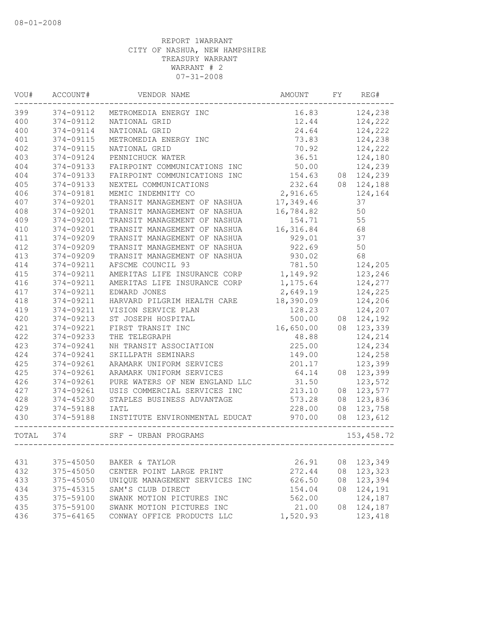| 374-09112<br>16.83<br>METROMEDIA ENERGY INC<br>374-09112<br>12.44<br>NATIONAL GRID<br>374-09114<br>24.64<br>NATIONAL GRID<br>374-09115<br>73.83<br>METROMEDIA ENERGY INC<br>70.92<br>374-09115<br>NATIONAL GRID<br>374-09124<br>36.51<br>PENNICHUCK WATER<br>374-09133<br>50.00<br>FAIRPOINT COMMUNICATIONS INC<br>374-09133<br>154.63<br>08 124,239<br>FAIRPOINT COMMUNICATIONS INC<br>232.64<br>08 124,188<br>374-09133<br>NEXTEL COMMUNICATIONS<br>374-09181<br>2,916.65<br>MEMIC INDEMNITY CO<br>374-09201<br>TRANSIT MANAGEMENT OF NASHUA<br>17,349.46<br>37<br>374-09201<br>16,784.82<br>50<br>TRANSIT MANAGEMENT OF NASHUA<br>374-09201<br>154.71<br>55<br>TRANSIT MANAGEMENT OF NASHUA<br>16,316.84<br>68<br>374-09201<br>TRANSIT MANAGEMENT OF NASHUA<br>37<br>374-09209<br>929.01<br>TRANSIT MANAGEMENT OF NASHUA<br>922.69<br>50<br>374-09209<br>TRANSIT MANAGEMENT OF NASHUA<br>68<br>374-09209<br>930.02<br>TRANSIT MANAGEMENT OF NASHUA<br>AFSCME COUNCIL 93<br>781.50<br>124,205<br>374-09211<br>374-09211<br>1,149.92<br>AMERITAS LIFE INSURANCE CORP<br>416<br>374-09211<br>AMERITAS LIFE INSURANCE CORP<br>1,175.64<br>124,277<br>2,649.19<br>417<br>374-09211<br>EDWARD JONES<br>124,225<br>418<br>374-09211<br>HARVARD PILGRIM HEALTH CARE 18,390.09<br>124,206<br>419<br>374-09211<br>124,207<br>VISION SERVICE PLAN<br>128.23<br>420<br>374-09213<br>500.00<br>08 124,192<br>ST JOSEPH HOSPITAL<br>421<br>374-09221<br>FIRST TRANSIT INC<br>16,650.00<br>08 123,339<br>422<br>374-09233<br>48.88<br>124,214<br>THE TELEGRAPH<br>423<br>225.00<br>124,234<br>374-09241<br>NH TRANSIT ASSOCIATION<br>424<br>374-09241<br>124,258<br>SKILLPATH SEMINARS<br>149.00<br>425<br>374-09261<br>201.17<br>123,399<br>ARAMARK UNIFORM SERVICES<br>425<br>374-09261<br>ARAMARK UNIFORM SERVICES<br>08 123,399<br>64.14<br>426<br>374-09261<br>31.50<br>123,572<br>PURE WATERS OF NEW ENGLAND LLC<br>427<br>USIS COMMERCIAL SERVICES INC<br>08 123,577<br>374-09261<br>213.10<br>428<br>374-45230<br>STAPLES BUSINESS ADVANTAGE<br>573.28<br>08 123,836<br>429<br>374-59188<br>228.00<br>08 123,758<br>IATL<br>374-59188<br>970.00<br>08 123,612<br>INSTITUTE ENVIRONMENTAL EDUCAT<br>374<br>153, 458.72<br>SRF - URBAN PROGRAMS<br>375-45050<br>26.91<br>08<br>BAKER & TAYLOR<br>375-45050<br>272.44<br>08<br>CENTER POINT LARGE PRINT<br>375-45050<br>UNIQUE MANAGEMENT SERVICES INC<br>626.50<br>08<br>124,191<br>434<br>375-45315<br>SAM'S CLUB DIRECT<br>154.04<br>08<br>435<br>124,187<br>375-59100<br>SWANK MOTION PICTURES INC<br>562.00<br>435<br>375-59100<br>SWANK MOTION PICTURES INC<br>21.00<br>08<br>375-64165<br>CONWAY OFFICE PRODUCTS LLC | VOU#  | ACCOUNT# | VENDOR NAME | AMOUNT   | FY | REG#    |
|----------------------------------------------------------------------------------------------------------------------------------------------------------------------------------------------------------------------------------------------------------------------------------------------------------------------------------------------------------------------------------------------------------------------------------------------------------------------------------------------------------------------------------------------------------------------------------------------------------------------------------------------------------------------------------------------------------------------------------------------------------------------------------------------------------------------------------------------------------------------------------------------------------------------------------------------------------------------------------------------------------------------------------------------------------------------------------------------------------------------------------------------------------------------------------------------------------------------------------------------------------------------------------------------------------------------------------------------------------------------------------------------------------------------------------------------------------------------------------------------------------------------------------------------------------------------------------------------------------------------------------------------------------------------------------------------------------------------------------------------------------------------------------------------------------------------------------------------------------------------------------------------------------------------------------------------------------------------------------------------------------------------------------------------------------------------------------------------------------------------------------------------------------------------------------------------------------------------------------------------------------------------------------------------------------------------------------------------------------------------------------------------------------------------------------------------------------------------------------------------------------------------------------------------------------------------------------------------------------------------------------------------------------------------|-------|----------|-------------|----------|----|---------|
|                                                                                                                                                                                                                                                                                                                                                                                                                                                                                                                                                                                                                                                                                                                                                                                                                                                                                                                                                                                                                                                                                                                                                                                                                                                                                                                                                                                                                                                                                                                                                                                                                                                                                                                                                                                                                                                                                                                                                                                                                                                                                                                                                                                                                                                                                                                                                                                                                                                                                                                                                                                                                                                                      | 399   |          |             |          |    | 124,238 |
|                                                                                                                                                                                                                                                                                                                                                                                                                                                                                                                                                                                                                                                                                                                                                                                                                                                                                                                                                                                                                                                                                                                                                                                                                                                                                                                                                                                                                                                                                                                                                                                                                                                                                                                                                                                                                                                                                                                                                                                                                                                                                                                                                                                                                                                                                                                                                                                                                                                                                                                                                                                                                                                                      | 400   |          |             |          |    | 124,222 |
|                                                                                                                                                                                                                                                                                                                                                                                                                                                                                                                                                                                                                                                                                                                                                                                                                                                                                                                                                                                                                                                                                                                                                                                                                                                                                                                                                                                                                                                                                                                                                                                                                                                                                                                                                                                                                                                                                                                                                                                                                                                                                                                                                                                                                                                                                                                                                                                                                                                                                                                                                                                                                                                                      | 400   |          |             |          |    | 124,222 |
|                                                                                                                                                                                                                                                                                                                                                                                                                                                                                                                                                                                                                                                                                                                                                                                                                                                                                                                                                                                                                                                                                                                                                                                                                                                                                                                                                                                                                                                                                                                                                                                                                                                                                                                                                                                                                                                                                                                                                                                                                                                                                                                                                                                                                                                                                                                                                                                                                                                                                                                                                                                                                                                                      | 401   |          |             |          |    | 124,238 |
|                                                                                                                                                                                                                                                                                                                                                                                                                                                                                                                                                                                                                                                                                                                                                                                                                                                                                                                                                                                                                                                                                                                                                                                                                                                                                                                                                                                                                                                                                                                                                                                                                                                                                                                                                                                                                                                                                                                                                                                                                                                                                                                                                                                                                                                                                                                                                                                                                                                                                                                                                                                                                                                                      | 402   |          |             |          |    | 124,222 |
|                                                                                                                                                                                                                                                                                                                                                                                                                                                                                                                                                                                                                                                                                                                                                                                                                                                                                                                                                                                                                                                                                                                                                                                                                                                                                                                                                                                                                                                                                                                                                                                                                                                                                                                                                                                                                                                                                                                                                                                                                                                                                                                                                                                                                                                                                                                                                                                                                                                                                                                                                                                                                                                                      | 403   |          |             |          |    | 124,180 |
|                                                                                                                                                                                                                                                                                                                                                                                                                                                                                                                                                                                                                                                                                                                                                                                                                                                                                                                                                                                                                                                                                                                                                                                                                                                                                                                                                                                                                                                                                                                                                                                                                                                                                                                                                                                                                                                                                                                                                                                                                                                                                                                                                                                                                                                                                                                                                                                                                                                                                                                                                                                                                                                                      | 404   |          |             |          |    | 124,239 |
|                                                                                                                                                                                                                                                                                                                                                                                                                                                                                                                                                                                                                                                                                                                                                                                                                                                                                                                                                                                                                                                                                                                                                                                                                                                                                                                                                                                                                                                                                                                                                                                                                                                                                                                                                                                                                                                                                                                                                                                                                                                                                                                                                                                                                                                                                                                                                                                                                                                                                                                                                                                                                                                                      | 404   |          |             |          |    |         |
|                                                                                                                                                                                                                                                                                                                                                                                                                                                                                                                                                                                                                                                                                                                                                                                                                                                                                                                                                                                                                                                                                                                                                                                                                                                                                                                                                                                                                                                                                                                                                                                                                                                                                                                                                                                                                                                                                                                                                                                                                                                                                                                                                                                                                                                                                                                                                                                                                                                                                                                                                                                                                                                                      | 405   |          |             |          |    |         |
|                                                                                                                                                                                                                                                                                                                                                                                                                                                                                                                                                                                                                                                                                                                                                                                                                                                                                                                                                                                                                                                                                                                                                                                                                                                                                                                                                                                                                                                                                                                                                                                                                                                                                                                                                                                                                                                                                                                                                                                                                                                                                                                                                                                                                                                                                                                                                                                                                                                                                                                                                                                                                                                                      | 406   |          |             |          |    | 124,164 |
|                                                                                                                                                                                                                                                                                                                                                                                                                                                                                                                                                                                                                                                                                                                                                                                                                                                                                                                                                                                                                                                                                                                                                                                                                                                                                                                                                                                                                                                                                                                                                                                                                                                                                                                                                                                                                                                                                                                                                                                                                                                                                                                                                                                                                                                                                                                                                                                                                                                                                                                                                                                                                                                                      | 407   |          |             |          |    |         |
|                                                                                                                                                                                                                                                                                                                                                                                                                                                                                                                                                                                                                                                                                                                                                                                                                                                                                                                                                                                                                                                                                                                                                                                                                                                                                                                                                                                                                                                                                                                                                                                                                                                                                                                                                                                                                                                                                                                                                                                                                                                                                                                                                                                                                                                                                                                                                                                                                                                                                                                                                                                                                                                                      | 408   |          |             |          |    |         |
|                                                                                                                                                                                                                                                                                                                                                                                                                                                                                                                                                                                                                                                                                                                                                                                                                                                                                                                                                                                                                                                                                                                                                                                                                                                                                                                                                                                                                                                                                                                                                                                                                                                                                                                                                                                                                                                                                                                                                                                                                                                                                                                                                                                                                                                                                                                                                                                                                                                                                                                                                                                                                                                                      | 409   |          |             |          |    |         |
|                                                                                                                                                                                                                                                                                                                                                                                                                                                                                                                                                                                                                                                                                                                                                                                                                                                                                                                                                                                                                                                                                                                                                                                                                                                                                                                                                                                                                                                                                                                                                                                                                                                                                                                                                                                                                                                                                                                                                                                                                                                                                                                                                                                                                                                                                                                                                                                                                                                                                                                                                                                                                                                                      | 410   |          |             |          |    |         |
|                                                                                                                                                                                                                                                                                                                                                                                                                                                                                                                                                                                                                                                                                                                                                                                                                                                                                                                                                                                                                                                                                                                                                                                                                                                                                                                                                                                                                                                                                                                                                                                                                                                                                                                                                                                                                                                                                                                                                                                                                                                                                                                                                                                                                                                                                                                                                                                                                                                                                                                                                                                                                                                                      | 411   |          |             |          |    |         |
|                                                                                                                                                                                                                                                                                                                                                                                                                                                                                                                                                                                                                                                                                                                                                                                                                                                                                                                                                                                                                                                                                                                                                                                                                                                                                                                                                                                                                                                                                                                                                                                                                                                                                                                                                                                                                                                                                                                                                                                                                                                                                                                                                                                                                                                                                                                                                                                                                                                                                                                                                                                                                                                                      | 412   |          |             |          |    |         |
|                                                                                                                                                                                                                                                                                                                                                                                                                                                                                                                                                                                                                                                                                                                                                                                                                                                                                                                                                                                                                                                                                                                                                                                                                                                                                                                                                                                                                                                                                                                                                                                                                                                                                                                                                                                                                                                                                                                                                                                                                                                                                                                                                                                                                                                                                                                                                                                                                                                                                                                                                                                                                                                                      | 413   |          |             |          |    |         |
|                                                                                                                                                                                                                                                                                                                                                                                                                                                                                                                                                                                                                                                                                                                                                                                                                                                                                                                                                                                                                                                                                                                                                                                                                                                                                                                                                                                                                                                                                                                                                                                                                                                                                                                                                                                                                                                                                                                                                                                                                                                                                                                                                                                                                                                                                                                                                                                                                                                                                                                                                                                                                                                                      | 414   |          |             |          |    |         |
|                                                                                                                                                                                                                                                                                                                                                                                                                                                                                                                                                                                                                                                                                                                                                                                                                                                                                                                                                                                                                                                                                                                                                                                                                                                                                                                                                                                                                                                                                                                                                                                                                                                                                                                                                                                                                                                                                                                                                                                                                                                                                                                                                                                                                                                                                                                                                                                                                                                                                                                                                                                                                                                                      | 415   |          |             |          |    | 123,246 |
|                                                                                                                                                                                                                                                                                                                                                                                                                                                                                                                                                                                                                                                                                                                                                                                                                                                                                                                                                                                                                                                                                                                                                                                                                                                                                                                                                                                                                                                                                                                                                                                                                                                                                                                                                                                                                                                                                                                                                                                                                                                                                                                                                                                                                                                                                                                                                                                                                                                                                                                                                                                                                                                                      |       |          |             |          |    |         |
|                                                                                                                                                                                                                                                                                                                                                                                                                                                                                                                                                                                                                                                                                                                                                                                                                                                                                                                                                                                                                                                                                                                                                                                                                                                                                                                                                                                                                                                                                                                                                                                                                                                                                                                                                                                                                                                                                                                                                                                                                                                                                                                                                                                                                                                                                                                                                                                                                                                                                                                                                                                                                                                                      |       |          |             |          |    |         |
|                                                                                                                                                                                                                                                                                                                                                                                                                                                                                                                                                                                                                                                                                                                                                                                                                                                                                                                                                                                                                                                                                                                                                                                                                                                                                                                                                                                                                                                                                                                                                                                                                                                                                                                                                                                                                                                                                                                                                                                                                                                                                                                                                                                                                                                                                                                                                                                                                                                                                                                                                                                                                                                                      |       |          |             |          |    |         |
|                                                                                                                                                                                                                                                                                                                                                                                                                                                                                                                                                                                                                                                                                                                                                                                                                                                                                                                                                                                                                                                                                                                                                                                                                                                                                                                                                                                                                                                                                                                                                                                                                                                                                                                                                                                                                                                                                                                                                                                                                                                                                                                                                                                                                                                                                                                                                                                                                                                                                                                                                                                                                                                                      |       |          |             |          |    |         |
|                                                                                                                                                                                                                                                                                                                                                                                                                                                                                                                                                                                                                                                                                                                                                                                                                                                                                                                                                                                                                                                                                                                                                                                                                                                                                                                                                                                                                                                                                                                                                                                                                                                                                                                                                                                                                                                                                                                                                                                                                                                                                                                                                                                                                                                                                                                                                                                                                                                                                                                                                                                                                                                                      |       |          |             |          |    |         |
|                                                                                                                                                                                                                                                                                                                                                                                                                                                                                                                                                                                                                                                                                                                                                                                                                                                                                                                                                                                                                                                                                                                                                                                                                                                                                                                                                                                                                                                                                                                                                                                                                                                                                                                                                                                                                                                                                                                                                                                                                                                                                                                                                                                                                                                                                                                                                                                                                                                                                                                                                                                                                                                                      |       |          |             |          |    |         |
|                                                                                                                                                                                                                                                                                                                                                                                                                                                                                                                                                                                                                                                                                                                                                                                                                                                                                                                                                                                                                                                                                                                                                                                                                                                                                                                                                                                                                                                                                                                                                                                                                                                                                                                                                                                                                                                                                                                                                                                                                                                                                                                                                                                                                                                                                                                                                                                                                                                                                                                                                                                                                                                                      |       |          |             |          |    |         |
|                                                                                                                                                                                                                                                                                                                                                                                                                                                                                                                                                                                                                                                                                                                                                                                                                                                                                                                                                                                                                                                                                                                                                                                                                                                                                                                                                                                                                                                                                                                                                                                                                                                                                                                                                                                                                                                                                                                                                                                                                                                                                                                                                                                                                                                                                                                                                                                                                                                                                                                                                                                                                                                                      |       |          |             |          |    |         |
|                                                                                                                                                                                                                                                                                                                                                                                                                                                                                                                                                                                                                                                                                                                                                                                                                                                                                                                                                                                                                                                                                                                                                                                                                                                                                                                                                                                                                                                                                                                                                                                                                                                                                                                                                                                                                                                                                                                                                                                                                                                                                                                                                                                                                                                                                                                                                                                                                                                                                                                                                                                                                                                                      |       |          |             |          |    |         |
|                                                                                                                                                                                                                                                                                                                                                                                                                                                                                                                                                                                                                                                                                                                                                                                                                                                                                                                                                                                                                                                                                                                                                                                                                                                                                                                                                                                                                                                                                                                                                                                                                                                                                                                                                                                                                                                                                                                                                                                                                                                                                                                                                                                                                                                                                                                                                                                                                                                                                                                                                                                                                                                                      |       |          |             |          |    |         |
|                                                                                                                                                                                                                                                                                                                                                                                                                                                                                                                                                                                                                                                                                                                                                                                                                                                                                                                                                                                                                                                                                                                                                                                                                                                                                                                                                                                                                                                                                                                                                                                                                                                                                                                                                                                                                                                                                                                                                                                                                                                                                                                                                                                                                                                                                                                                                                                                                                                                                                                                                                                                                                                                      |       |          |             |          |    |         |
|                                                                                                                                                                                                                                                                                                                                                                                                                                                                                                                                                                                                                                                                                                                                                                                                                                                                                                                                                                                                                                                                                                                                                                                                                                                                                                                                                                                                                                                                                                                                                                                                                                                                                                                                                                                                                                                                                                                                                                                                                                                                                                                                                                                                                                                                                                                                                                                                                                                                                                                                                                                                                                                                      |       |          |             |          |    |         |
|                                                                                                                                                                                                                                                                                                                                                                                                                                                                                                                                                                                                                                                                                                                                                                                                                                                                                                                                                                                                                                                                                                                                                                                                                                                                                                                                                                                                                                                                                                                                                                                                                                                                                                                                                                                                                                                                                                                                                                                                                                                                                                                                                                                                                                                                                                                                                                                                                                                                                                                                                                                                                                                                      |       |          |             |          |    |         |
|                                                                                                                                                                                                                                                                                                                                                                                                                                                                                                                                                                                                                                                                                                                                                                                                                                                                                                                                                                                                                                                                                                                                                                                                                                                                                                                                                                                                                                                                                                                                                                                                                                                                                                                                                                                                                                                                                                                                                                                                                                                                                                                                                                                                                                                                                                                                                                                                                                                                                                                                                                                                                                                                      |       |          |             |          |    |         |
|                                                                                                                                                                                                                                                                                                                                                                                                                                                                                                                                                                                                                                                                                                                                                                                                                                                                                                                                                                                                                                                                                                                                                                                                                                                                                                                                                                                                                                                                                                                                                                                                                                                                                                                                                                                                                                                                                                                                                                                                                                                                                                                                                                                                                                                                                                                                                                                                                                                                                                                                                                                                                                                                      |       |          |             |          |    |         |
|                                                                                                                                                                                                                                                                                                                                                                                                                                                                                                                                                                                                                                                                                                                                                                                                                                                                                                                                                                                                                                                                                                                                                                                                                                                                                                                                                                                                                                                                                                                                                                                                                                                                                                                                                                                                                                                                                                                                                                                                                                                                                                                                                                                                                                                                                                                                                                                                                                                                                                                                                                                                                                                                      | 430   |          |             |          |    |         |
|                                                                                                                                                                                                                                                                                                                                                                                                                                                                                                                                                                                                                                                                                                                                                                                                                                                                                                                                                                                                                                                                                                                                                                                                                                                                                                                                                                                                                                                                                                                                                                                                                                                                                                                                                                                                                                                                                                                                                                                                                                                                                                                                                                                                                                                                                                                                                                                                                                                                                                                                                                                                                                                                      | TOTAL |          |             |          |    |         |
|                                                                                                                                                                                                                                                                                                                                                                                                                                                                                                                                                                                                                                                                                                                                                                                                                                                                                                                                                                                                                                                                                                                                                                                                                                                                                                                                                                                                                                                                                                                                                                                                                                                                                                                                                                                                                                                                                                                                                                                                                                                                                                                                                                                                                                                                                                                                                                                                                                                                                                                                                                                                                                                                      |       |          |             |          |    |         |
|                                                                                                                                                                                                                                                                                                                                                                                                                                                                                                                                                                                                                                                                                                                                                                                                                                                                                                                                                                                                                                                                                                                                                                                                                                                                                                                                                                                                                                                                                                                                                                                                                                                                                                                                                                                                                                                                                                                                                                                                                                                                                                                                                                                                                                                                                                                                                                                                                                                                                                                                                                                                                                                                      | 431   |          |             |          |    | 123,349 |
|                                                                                                                                                                                                                                                                                                                                                                                                                                                                                                                                                                                                                                                                                                                                                                                                                                                                                                                                                                                                                                                                                                                                                                                                                                                                                                                                                                                                                                                                                                                                                                                                                                                                                                                                                                                                                                                                                                                                                                                                                                                                                                                                                                                                                                                                                                                                                                                                                                                                                                                                                                                                                                                                      | 432   |          |             |          |    | 123,323 |
|                                                                                                                                                                                                                                                                                                                                                                                                                                                                                                                                                                                                                                                                                                                                                                                                                                                                                                                                                                                                                                                                                                                                                                                                                                                                                                                                                                                                                                                                                                                                                                                                                                                                                                                                                                                                                                                                                                                                                                                                                                                                                                                                                                                                                                                                                                                                                                                                                                                                                                                                                                                                                                                                      | 433   |          |             |          |    | 123,394 |
|                                                                                                                                                                                                                                                                                                                                                                                                                                                                                                                                                                                                                                                                                                                                                                                                                                                                                                                                                                                                                                                                                                                                                                                                                                                                                                                                                                                                                                                                                                                                                                                                                                                                                                                                                                                                                                                                                                                                                                                                                                                                                                                                                                                                                                                                                                                                                                                                                                                                                                                                                                                                                                                                      |       |          |             |          |    |         |
|                                                                                                                                                                                                                                                                                                                                                                                                                                                                                                                                                                                                                                                                                                                                                                                                                                                                                                                                                                                                                                                                                                                                                                                                                                                                                                                                                                                                                                                                                                                                                                                                                                                                                                                                                                                                                                                                                                                                                                                                                                                                                                                                                                                                                                                                                                                                                                                                                                                                                                                                                                                                                                                                      |       |          |             |          |    |         |
|                                                                                                                                                                                                                                                                                                                                                                                                                                                                                                                                                                                                                                                                                                                                                                                                                                                                                                                                                                                                                                                                                                                                                                                                                                                                                                                                                                                                                                                                                                                                                                                                                                                                                                                                                                                                                                                                                                                                                                                                                                                                                                                                                                                                                                                                                                                                                                                                                                                                                                                                                                                                                                                                      |       |          |             |          |    | 124,187 |
|                                                                                                                                                                                                                                                                                                                                                                                                                                                                                                                                                                                                                                                                                                                                                                                                                                                                                                                                                                                                                                                                                                                                                                                                                                                                                                                                                                                                                                                                                                                                                                                                                                                                                                                                                                                                                                                                                                                                                                                                                                                                                                                                                                                                                                                                                                                                                                                                                                                                                                                                                                                                                                                                      | 436   |          |             | 1,520.93 |    | 123,418 |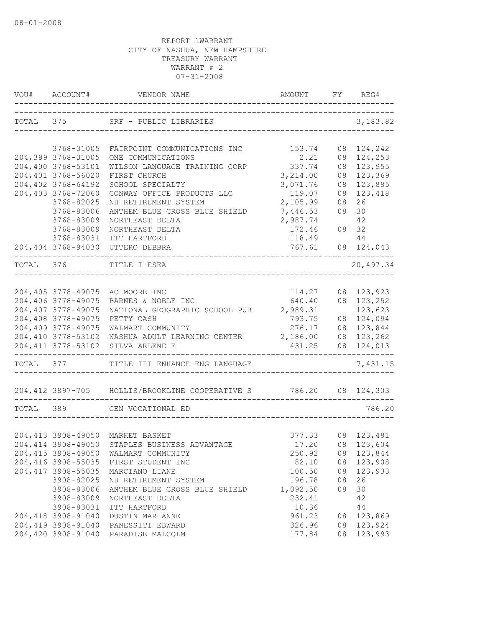|           | VOU# ACCOUNT#                    | VENDOR NAME                                                       | AMOUNT         | FY | REG#                     |
|-----------|----------------------------------|-------------------------------------------------------------------|----------------|----|--------------------------|
|           |                                  | TOTAL 375 SRF - PUBLIC LIBRARIES                                  |                |    | 3,183.82                 |
|           |                                  | FAIRPOINT COMMUNICATIONS INC                                      |                |    |                          |
|           | 3768-31005<br>204,399 3768-31005 | ONE COMMUNICATIONS                                                | 153.74<br>2.21 |    | 08 124,242<br>08 124,253 |
|           | 204,400 3768-53101               | WILSON LANGUAGE TRAINING CORP                                     | 337.74         | 08 | 123,955                  |
|           | 204,401 3768-56020               | FIRST CHURCH                                                      | 3,214.00       |    | 08 123,369               |
|           | 204,402 3768-64192               | SCHOOL SPECIALTY                                                  | 3,071.76       |    | 08 123,885               |
|           | 204,403 3768-72060               | CONWAY OFFICE PRODUCTS LLC                                        | 119.07         | 08 | 123,418                  |
|           | 3768-82025                       | NH RETIREMENT SYSTEM                                              | 2,105.99       | 08 | 26                       |
|           | 3768-83006                       | ANTHEM BLUE CROSS BLUE SHIELD                                     | 7,446.53       | 08 | 30                       |
|           | 3768-83009                       | NORTHEAST DELTA                                                   | 2,987.74       |    | 42                       |
|           | 3768-83009                       | NORTHEAST DELTA                                                   | 172.46         |    | 08 32                    |
|           | 3768-83031                       | ITT HARTFORD                                                      | 118.49         |    | 44                       |
|           |                                  | 204,404 3768-94030 UTTERO DEBBRA                                  | 767.61         |    | 08 124,043               |
|           |                                  |                                                                   |                |    |                          |
|           | TOTAL 376                        | TITLE I ESEA<br>----------------------------                      |                |    | 20,497.34                |
|           |                                  |                                                                   |                |    |                          |
|           | 204,405 3778-49075               | AC MOORE INC                                                      | 114.27         |    | 08 123,923               |
|           | 204,406 3778-49075               | BARNES & NOBLE INC                                                | 640.40         |    | 08 123,252               |
|           | 204,407 3778-49075               | NATIONAL GEOGRAPHIC SCHOOL PUB 2,989.31                           |                |    | 123,623                  |
|           | 204,408 3778-49075               | PETTY CASH                                                        | 793.75         |    | 08 124,094               |
|           | 204,409 3778-49075               | WALMART COMMUNITY                                                 | 276.17         |    | 08 123,844               |
|           | 204,410 3778-53102               | NASHUA ADULT LEARNING CENTER 2,186.00                             |                |    | 08 123,262               |
|           | 204, 411 3778-53102              | SILVA ARLENE E                                                    | 431.25         |    | 08 124,013               |
|           |                                  | TOTAL 377 TITLE III ENHANCE ENG LANGUAGE                          |                |    | 7,431.15                 |
|           |                                  | 204,412 3897-705 HOLLIS/BROOKLINE COOPERATIVE S 786.20 08 124,303 |                |    |                          |
| TOTAL 389 |                                  | GEN VOCATIONAL ED                                                 |                |    | 786.20                   |
|           |                                  | ----------------------------                                      |                |    |                          |
|           |                                  | 204,413 3908-49050 MARKET BASKET                                  | 377.33         |    | 08 123,481               |
|           | 204,414 3908-49050               | STAPLES BUSINESS ADVANTAGE 17.20 08 123,604                       |                |    |                          |
|           |                                  | 204,415 3908-49050 WALMART COMMUNITY                              | 250.92         |    | 08 123,844               |
|           |                                  | 204,416 3908-55035 FIRST STUDENT INC                              | 82.10          |    | 08 123,908               |
|           | 204, 417 3908-55035              | MARCIANO LIANE                                                    | 100.50         |    | 08 123,933               |
|           | 3908-82025                       | NH RETIREMENT SYSTEM                                              | 196.78         | 08 | 26                       |
|           | 3908-83006                       | ANTHEM BLUE CROSS BLUE SHIELD                                     | 1,092.50       | 08 | 30                       |
|           | 3908-83009                       | NORTHEAST DELTA                                                   | 232.41         |    | 42                       |
|           | 3908-83031                       | ITT HARTFORD                                                      | 10.36          |    | 44                       |
|           | 204,418 3908-91040               | DUSTIN MARIANNE                                                   | 961.23         |    | 08 123,869               |
|           | 204,419 3908-91040               | PANESSITI EDWARD                                                  | 326.96         |    | 08 123,924               |
|           |                                  | 204,420 3908-91040 PARADISE MALCOLM                               | 177.84         |    | 08 123,993               |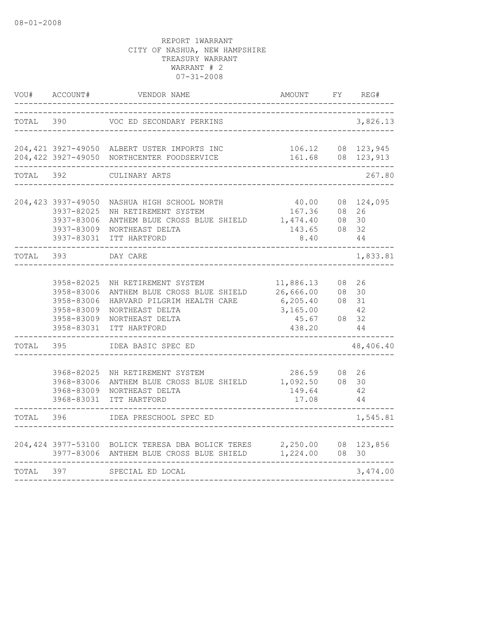| VOU#      | ACCOUNT#                                                                         | VENDOR NAME                                                                                                                                | AMOUNT                                                             | FY       | REG#                                      |
|-----------|----------------------------------------------------------------------------------|--------------------------------------------------------------------------------------------------------------------------------------------|--------------------------------------------------------------------|----------|-------------------------------------------|
| TOTAL     | 390                                                                              | VOC ED SECONDARY PERKINS                                                                                                                   |                                                                    |          | 3,826.13                                  |
|           |                                                                                  | 204,421 3927-49050 ALBERT USTER IMPORTS INC<br>204,422 3927-49050 NORTHCENTER FOODSERVICE                                                  | 161.68                                                             |          | 106.12 08 123,945<br>08 123,913           |
| TOTAL 392 |                                                                                  | CULINARY ARTS                                                                                                                              |                                                                    |          | 267.80                                    |
|           | 204,423 3937-49050<br>3937-82025<br>3937-83006<br>3937-83009<br>3937-83031       | NASHUA HIGH SCHOOL NORTH<br>NH RETIREMENT SYSTEM<br>ANTHEM BLUE CROSS BLUE SHIELD<br>NORTHEAST DELTA<br>ITT HARTFORD                       | 40.00<br>167.36<br>1,474.40<br>143.65<br>8.40                      | 08<br>08 | 08 124,095<br>08 26<br>30<br>32<br>44     |
| TOTAL     | 393                                                                              | DAY CARE                                                                                                                                   |                                                                    |          | 1,833.81                                  |
|           | 3958-82025<br>3958-83006<br>3958-83006<br>3958-83009<br>3958-83009<br>3958-83031 | NH RETIREMENT SYSTEM<br>ANTHEM BLUE CROSS BLUE SHIELD<br>HARVARD PILGRIM HEALTH CARE<br>NORTHEAST DELTA<br>NORTHEAST DELTA<br>ITT HARTFORD | 11,886.13<br>26,666.00<br>6, 205.40<br>3,165.00<br>45.67<br>438.20 | 08       | 26<br>08 30<br>08 31<br>42<br>08 32<br>44 |
| TOTAL     | 395                                                                              | IDEA BASIC SPEC ED                                                                                                                         |                                                                    |          | 48,406.40                                 |
|           | 3968-82025<br>3968-83006<br>3968-83009<br>3968-83031                             | NH RETIREMENT SYSTEM<br>ANTHEM BLUE CROSS BLUE SHIELD 1,092.50<br>NORTHEAST DELTA<br>ITT HARTFORD                                          | 286.59<br>149.64<br>17.08                                          |          | 08 26<br>08 30<br>42<br>44                |
| TOTAL     | 396                                                                              | IDEA PRESCHOOL SPEC ED                                                                                                                     |                                                                    |          | 1,545.81                                  |
|           |                                                                                  | 204,424 3977-53100 BOLICK TERESA DBA BOLICK TERES 2,250.00<br>3977-83006 ANTHEM BLUE CROSS BLUE SHIELD                                     | 1,224.00                                                           | 08       | 08 123,856<br>30                          |
| TOTAL     | 397                                                                              | SPECIAL ED LOCAL                                                                                                                           |                                                                    |          | 3,474.00                                  |
|           |                                                                                  |                                                                                                                                            |                                                                    |          |                                           |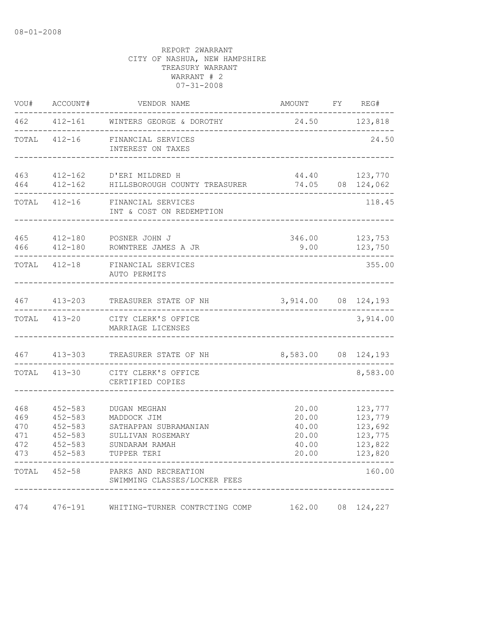| VOU#                                   | ACCOUNT#                                                                               | VENDOR NAME                                                                                                | AMOUNT                                             | FY | REG#                                                           |
|----------------------------------------|----------------------------------------------------------------------------------------|------------------------------------------------------------------------------------------------------------|----------------------------------------------------|----|----------------------------------------------------------------|
| 462                                    | $412 - 161$                                                                            | WINTERS GEORGE & DOROTHY                                                                                   | 24.50                                              |    | 123,818                                                        |
| TOTAL                                  | $412 - 16$                                                                             | FINANCIAL SERVICES<br>INTEREST ON TAXES                                                                    |                                                    |    | 24.50                                                          |
| 463<br>464                             | $412 - 162$<br>$412 - 162$                                                             | D'ERI MILDRED H<br>HILLSBOROUGH COUNTY TREASURER                                                           | 44.40<br>74.05                                     |    | 123,770<br>08 124,062                                          |
| TOTAL                                  | $412 - 16$                                                                             | FINANCIAL SERVICES<br>INT & COST ON REDEMPTION                                                             |                                                    |    | 118.45                                                         |
| 465<br>466                             | 412-180<br>$412 - 180$                                                                 | POSNER JOHN J<br>ROWNTREE JAMES A JR                                                                       | 346.00<br>9.00                                     |    | 123,753<br>123,750                                             |
| TOTAL                                  | $412 - 18$                                                                             | FINANCIAL SERVICES<br>AUTO PERMITS                                                                         |                                                    |    | 355.00                                                         |
| 467                                    | $413 - 203$                                                                            | TREASURER STATE OF NH                                                                                      | 3,914.00 08 124,193                                |    |                                                                |
| TOTAL                                  | 413-20                                                                                 | CITY CLERK'S OFFICE<br>MARRIAGE LICENSES                                                                   |                                                    |    | 3,914.00                                                       |
| 467                                    | $413 - 303$                                                                            | TREASURER STATE OF NH                                                                                      | 8,583.00                                           | 08 | 124,193                                                        |
| TOTAL                                  | $413 - 30$                                                                             | CITY CLERK'S OFFICE<br>CERTIFIED COPIES                                                                    |                                                    |    | 8,583.00                                                       |
| 468<br>469<br>470<br>471<br>472<br>473 | $452 - 583$<br>$452 - 583$<br>$452 - 583$<br>$452 - 583$<br>$452 - 583$<br>$452 - 583$ | DUGAN MEGHAN<br>MADDOCK JIM<br>SATHAPPAN SUBRAMANIAN<br>SULLIVAN ROSEMARY<br>SUNDARAM RAMAH<br>TUPPER TERI | 20.00<br>20.00<br>40.00<br>20.00<br>40.00<br>20.00 |    | 123,777<br>123,779<br>123,692<br>123,775<br>123,822<br>123,820 |
| TOTAL                                  | 452-58                                                                                 | PARKS AND RECREATION<br>SWIMMING CLASSES/LOCKER FEES                                                       |                                                    |    | 160.00                                                         |
| 474                                    | $476 - 191$                                                                            | WHITING-TURNER CONTRCTING COMP                                                                             | 162.00                                             | 08 | 124,227                                                        |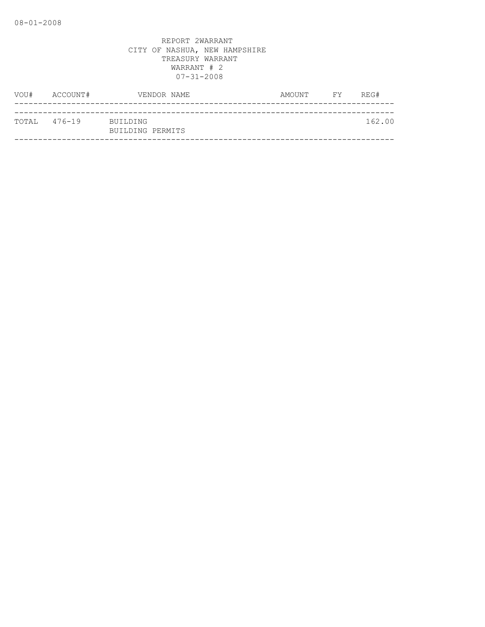| VOU#         | ACCOUNT# | VENDOR NAME                  | AMOUNT | FY | REG#   |
|--------------|----------|------------------------------|--------|----|--------|
|              |          |                              |        |    |        |
| TOTAL 476-19 |          | BUILDING<br>BUILDING PERMITS |        |    | 162.00 |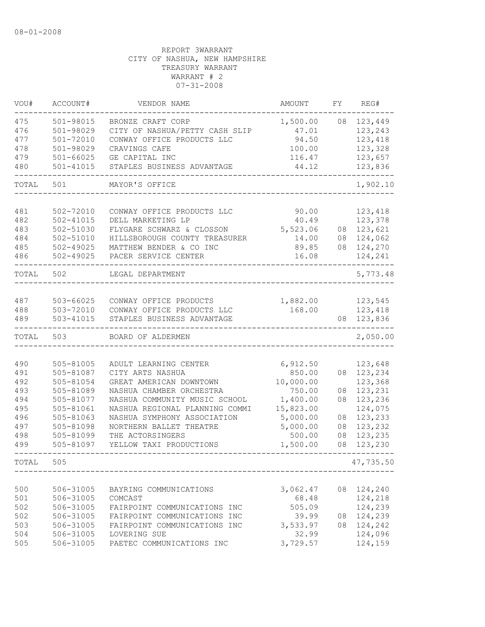| VOU#       | ACCOUNT#                       | VENDOR NAME                                                     | AMOUNT                | FΥ       | REG#               |
|------------|--------------------------------|-----------------------------------------------------------------|-----------------------|----------|--------------------|
| 475        | 501-98015                      | BRONZE CRAFT CORP                                               | 1,500.00              | 08       | 123,449            |
| 476        | 501-98029                      | CITY OF NASHUA/PETTY CASH SLIP                                  | 47.01                 |          | 123,243            |
| 477        | $501 - 72010$                  | CONWAY OFFICE PRODUCTS LLC                                      | 94.50                 |          | 123,418            |
| 478        | 501-98029                      | CRAVINGS CAFE                                                   | 100.00                |          | 123,328            |
| 479        | $501 - 66025$                  | GE CAPITAL INC                                                  | 116.47                |          | 123,657            |
| 480        | $501 - 41015$                  | STAPLES BUSINESS ADVANTAGE                                      | 44.12                 |          | 123,836            |
| TOTAL      | 501                            | MAYOR'S OFFICE                                                  |                       |          | 1,902.10           |
|            |                                |                                                                 |                       |          |                    |
| 481        | 502-72010                      | CONWAY OFFICE PRODUCTS LLC                                      | 90.00                 |          | 123,418            |
| 482        | $502 - 41015$                  | DELL MARKETING LP                                               | 40.49                 |          | 123,378            |
| 483        | 502-51030                      | FLYGARE SCHWARZ & CLOSSON                                       | 5,523.06              | 08       | 123,621            |
| 484        | $502 - 51010$                  | HILLSBOROUGH COUNTY TREASURER                                   | 14.00                 | 08       | 124,062            |
| 485<br>486 | $502 - 49025$<br>$502 - 49025$ | MATTHEW BENDER & CO INC<br>PACER SERVICE CENTER                 | 89.85<br>16.08        | 08       | 124,270<br>124,241 |
| TOTAL      | 502                            | LEGAL DEPARTMENT                                                |                       |          | 5,773.48           |
|            |                                |                                                                 |                       |          |                    |
| 487        | $503 - 66025$                  | CONWAY OFFICE PRODUCTS                                          | 1,882.00              |          | 123,545            |
| 488        | 503-72010                      | CONWAY OFFICE PRODUCTS LLC                                      | 168.00                |          | 123,418            |
| 489        | 503-41015                      | STAPLES BUSINESS ADVANTAGE                                      |                       | 08       | 123,836            |
| TOTAL      | 503                            | BOARD OF ALDERMEN                                               |                       |          | 2,050.00           |
|            |                                |                                                                 |                       |          |                    |
| 490        | 505-81005                      | ADULT LEARNING CENTER                                           | 6,912.50              |          | 123,648            |
| 491        | 505-81087                      | CITY ARTS NASHUA                                                | 850.00                | 08       | 123,234            |
| 492        | 505-81054                      | GREAT AMERICAN DOWNTOWN                                         | 10,000.00             |          | 123,368            |
| 493<br>494 | 505-81089                      | NASHUA CHAMBER ORCHESTRA                                        | 750.00                | 08<br>08 | 123,231            |
| 495        | 505-81077<br>505-81061         | NASHUA COMMUNITY MUSIC SCHOOL<br>NASHUA REGIONAL PLANNING COMMI | 1,400.00<br>15,823.00 |          | 123,236<br>124,075 |
| 496        | 505-81063                      | NASHUA SYMPHONY ASSOCIATION                                     | 5,000.00              | 08       | 123,233            |
| 497        | 505-81098                      | NORTHERN BALLET THEATRE                                         | 5,000.00              | 08       | 123,232            |
| 498        | 505-81099                      | THE ACTORSINGERS                                                | 500.00                | 08       | 123,235            |
| 499        | 505-81097                      | YELLOW TAXI PRODUCTIONS                                         | 1,500.00              | 08       | 123,230            |
| TOTAL      | 505                            |                                                                 |                       |          | 47,735.50          |
|            |                                |                                                                 |                       |          |                    |
| 500        | 506-31005                      | BAYRING COMMUNICATIONS                                          | 3,062.47              | 08       | 124,240            |
| 501        | 506-31005                      | COMCAST                                                         | 68.48                 |          | 124,218            |
| 502        | 506-31005                      | FAIRPOINT COMMUNICATIONS INC                                    | 505.09                |          | 124,239            |
| 502        | 506-31005                      | FAIRPOINT COMMUNICATIONS<br>INC                                 | 39.99                 | 08       | 124,239            |
| 503        | 506-31005                      | FAIRPOINT COMMUNICATIONS INC                                    | 3,533.97              | 08       | 124,242            |
| 504        | 506-31005                      | LOVERING SUE                                                    | 32.99                 |          | 124,096            |
| 505        | 506-31005                      | PAETEC COMMUNICATIONS INC                                       | 3,729.57              |          | 124,159            |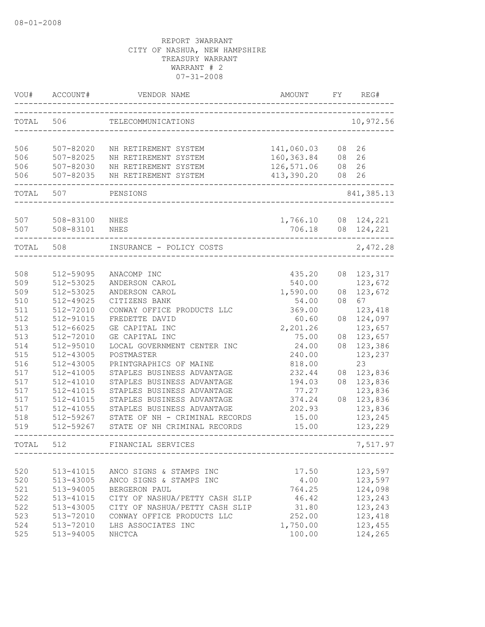| VOU#       | ACCOUNT#               | VENDOR NAME                                | AMOUNT             | FΥ | REG#                     |
|------------|------------------------|--------------------------------------------|--------------------|----|--------------------------|
| TOTAL      | 506                    | TELECOMMUNICATIONS                         |                    |    | 10,972.56                |
| 506        | 507-82020              | NH RETIREMENT SYSTEM                       | 141,060.03         | 08 | 26                       |
| 506        | 507-82025              | NH RETIREMENT SYSTEM                       | 160,363.84         | 08 | 26                       |
| 506        | 507-82030              | NH RETIREMENT SYSTEM                       | 126,571.06         | 08 | 26                       |
| 506        | 507-82035              | NH RETIREMENT SYSTEM<br>------------------ | 413,390.20         | 08 | 26                       |
| TOTAL      | 507                    | PENSIONS                                   |                    |    | 841, 385.13              |
| 507<br>507 | 508-83100<br>508-83101 | NHES<br><b>NHES</b>                        | 1,766.10<br>706.18 |    | 08 124,221<br>08 124,221 |
|            |                        |                                            |                    |    |                          |
| TOTAL 508  |                        | INSURANCE - POLICY COSTS                   |                    |    | 2,472.28                 |
| 508        | 512-59095              | ANACOMP INC                                | 435.20             | 08 | 123,317                  |
| 509        | 512-53025              | ANDERSON CAROL                             | 540.00             |    | 123,672                  |
| 509        | 512-53025              | ANDERSON CAROL                             | 1,590.00           | 08 | 123,672                  |
| 510        | 512-49025              | CITIZENS BANK                              | 54.00              | 08 | 67                       |
| 511        | 512-72010              | CONWAY OFFICE PRODUCTS LLC                 | 369.00             |    | 123,418                  |
| 512        | 512-91015              | FREDETTE DAVID                             | 60.60              | 08 | 124,097                  |
| 513        | $512 - 66025$          | GE CAPITAL INC                             | 2,201.26           |    | 123,657                  |
| 513        | 512-72010              | GE CAPITAL INC                             | 75.00              | 08 | 123,657                  |
| 514        | 512-95010              | LOCAL GOVERNMENT CENTER INC                | 24.00              | 08 | 123,386                  |
| 515        | 512-43005              | POSTMASTER                                 | 240.00             |    | 123,237                  |
| 516        | 512-43005              | PRINTGRAPHICS OF MAINE                     | 818.00             |    | 23                       |
| 517        | 512-41005              | STAPLES BUSINESS ADVANTAGE                 | 232.44             | 08 | 123,836                  |
| 517        | $512 - 41010$          | STAPLES BUSINESS ADVANTAGE                 | 194.03             | 08 | 123,836                  |
| 517        | 512-41015              | STAPLES BUSINESS ADVANTAGE                 | 77.27              |    | 123,836                  |
| 517        | 512-41015              | STAPLES BUSINESS ADVANTAGE                 | 374.24             | 08 | 123,836                  |
| 517        | 512-41055              | STAPLES BUSINESS ADVANTAGE                 | 202.93             |    | 123,836                  |
| 518        | 512-59267              | STATE OF NH - CRIMINAL RECORDS             | 15.00              |    | 123,245                  |
| 519        | 512-59267              | STATE OF NH CRIMINAL RECORDS               | 15.00              |    | 123,229                  |
| TOTAL      | 512                    | FINANCIAL SERVICES                         |                    |    | 7,517.97                 |
|            |                        |                                            |                    |    |                          |
| 520        | 513-41015              | ANCO SIGNS & STAMPS INC                    | 17.50              |    | 123,597                  |
| 520        | 513-43005              | ANCO SIGNS & STAMPS INC                    | 4.00               |    | 123,597                  |
| 521        | 513-94005              | BERGERON PAUL                              | 764.25             |    | 124,098                  |
| 522        | 513-41015              | CITY OF NASHUA/PETTY CASH SLIP             | 46.42              |    | 123,243                  |
| 522        | 513-43005              | CITY OF NASHUA/PETTY CASH SLIP             | 31.80              |    | 123,243                  |
| 523        | 513-72010              | CONWAY OFFICE PRODUCTS LLC                 | 252.00             |    | 123,418                  |
| 524        | 513-72010              | LHS ASSOCIATES INC                         | 1,750.00           |    | 123,455                  |
| 525        | 513-94005              | NHCTCA                                     | 100.00             |    | 124,265                  |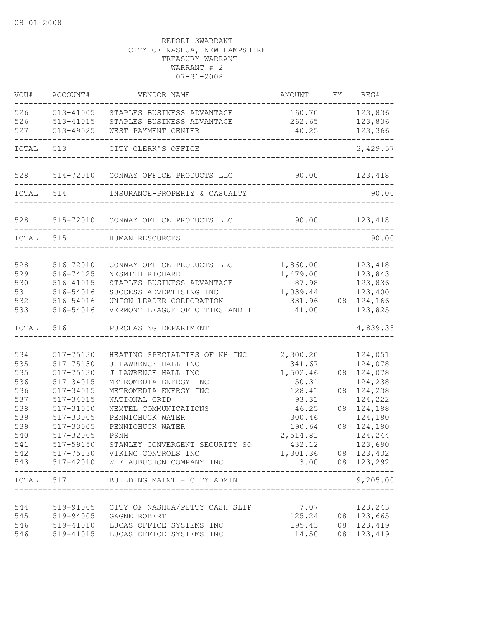| VOU#       | ACCOUNT#               | VENDOR NAME                                | AMOUNT              |    | FY REG#                      |
|------------|------------------------|--------------------------------------------|---------------------|----|------------------------------|
| 526        | 513-41005              | STAPLES BUSINESS ADVANTAGE                 | 160.70 123,836      |    |                              |
| 526        | 513-41015              | STAPLES BUSINESS ADVANTAGE                 | 262.65              |    | 123,836                      |
| 527        | 513-49025              | WEST PAYMENT CENTER                        | 40.25               |    | 123,366                      |
| TOTAL      | 513                    | CITY CLERK'S OFFICE                        |                     |    | 3,429.57                     |
| 528        |                        | 514-72010 CONWAY OFFICE PRODUCTS LLC       | 90.00 123,418       |    |                              |
|            | TOTAL 514              | INSURANCE-PROPERTY & CASUALTY              |                     |    | 90.00                        |
|            |                        | 528 515-72010 CONWAY OFFICE PRODUCTS LLC   |                     |    | 90.00 123,418                |
| TOTAL 515  |                        | HUMAN RESOURCES                            |                     |    | 90.00                        |
|            |                        |                                            |                     |    |                              |
| 528        | 516-72010              | CONWAY OFFICE PRODUCTS LLC                 | 1,860.00            |    | 123,418                      |
| 529        | 516-74125              | NESMITH RICHARD                            | 1,479.00            |    | 123,843                      |
| 530        | 516-41015              | STAPLES BUSINESS ADVANTAGE                 | 87.98               |    | 123,836                      |
| 531        | 516-54016              | SUCCESS ADVERTISING INC                    | 1,039.44            |    | 123,400                      |
| 532        | 516-54016              | UNION LEADER CORPORATION                   | 331.96              |    | 08 124,166                   |
| 533        | 516-54016              | VERMONT LEAGUE OF CITIES AND T             | 41.00               |    | 123,825                      |
| TOTAL      | 516                    | PURCHASING DEPARTMENT                      |                     |    | 4,839.38                     |
|            |                        |                                            |                     |    |                              |
| 534<br>535 | 517-75130              | HEATING SPECIALTIES OF NH INC              | 2,300.20            |    | 124,051<br>124,078           |
| 535        | 517-75130<br>517-75130 | J LAWRENCE HALL INC<br>J LAWRENCE HALL INC | 341.67<br>1,502.46  |    | 08 124,078                   |
| 536        | 517-34015              | METROMEDIA ENERGY INC                      | 50.31               |    | 124,238                      |
| 536        | 517-34015              | METROMEDIA ENERGY INC                      | 128.41              | 08 | 124,238                      |
| 537        | 517-34015              | NATIONAL GRID                              | 93.31               |    | 124,222                      |
| 538        | 517-31050              | NEXTEL COMMUNICATIONS                      | 46.25               | 08 | 124,188                      |
| 539        | 517-33005              | PENNICHUCK WATER                           | 300.46              |    | 124,180                      |
| 539        | 517-33005              | PENNICHUCK WATER                           | 190.64              | 08 | 124,180                      |
| 540        | 517-32005              | PSNH                                       | 2,514.81            |    | 124,244                      |
| 541        | 517-59150              | STANLEY CONVERGENT SECURITY SO             | 432.12              |    | 123,690                      |
| 542        |                        | 517-75130 VIKING CONTROLS INC              | 1,301.36 08 123,432 |    |                              |
|            |                        | 543 517-42010 W E AUBUCHON COMPANY INC     |                     |    | 3.00 08 123,292              |
|            |                        | TOTAL 517 BUILDING MAINT - CITY ADMIN      |                     |    | ---------------<br>9,205.00  |
|            |                        |                                            |                     |    |                              |
| 544        |                        | 519-91005 CITY OF NASHUA/PETTY CASH SLIP   | 7.07                |    | 123,243<br>125.24 08 123,665 |
| 545        |                        | 519-94005 GAGNE ROBERT                     | 195.43              |    |                              |
| 546        | 519-41010              | LUCAS OFFICE SYSTEMS INC                   |                     |    | 08 123,419                   |
| 546        |                        | 519-41015 LUCAS OFFICE SYSTEMS INC         | 14.50               |    | 08 123,419                   |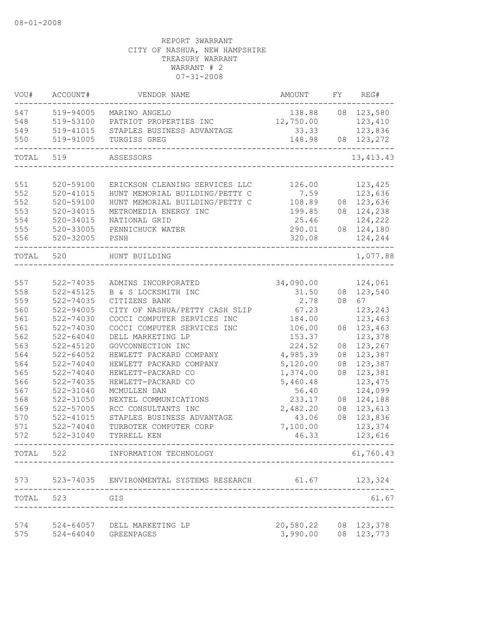| VOU#  | ACCOUNT#      | VENDOR NAME                    | AMOUNT    | FΥ | REG#        |
|-------|---------------|--------------------------------|-----------|----|-------------|
| 547   | 519-94005     | MARINO ANGELO                  | 138.88    |    | 08 123,580  |
| 548   | 519-53100     | PATRIOT PROPERTIES INC         | 12,750.00 |    | 123,410     |
| 549   | 519-41015     | STAPLES BUSINESS ADVANTAGE     | 33.33     |    | 123,836     |
| 550   | 519-91005     | TURGISS GREG                   | 148.98    | 08 | 123,272     |
| TOTAL | 519           | ASSESSORS                      |           |    | 13, 413. 43 |
|       |               |                                |           |    |             |
| 551   | 520-59100     | ERICKSON CLEANING SERVICES LLC | 126.00    |    | 123,425     |
| 552   | $520 - 41015$ | HUNT MEMORIAL BUILDING/PETTY C | 7.59      |    | 123,636     |
| 552   | 520-59100     | HUNT MEMORIAL BUILDING/PETTY C | 108.89    |    | 08 123,636  |
| 553   | $520 - 34015$ | METROMEDIA ENERGY INC          | 199.85    |    | 08 124,238  |
| 554   | $520 - 34015$ | NATIONAL GRID                  | 25.46     |    | 124,222     |
| 555   | 520-33005     | PENNICHUCK WATER               | 290.01    |    | 08 124,180  |
| 556   | 520-32005     | PSNH                           | 320.08    |    | 124,244     |
| TOTAL | 520           | HUNT BUILDING                  |           |    | 1,077.88    |
|       |               |                                |           |    |             |
| 557   | 522-74035     | ADMINS INCORPORATED            | 34,090.00 |    | 124,061     |
| 558   | $522 - 45125$ | B & S LOCKSMITH INC            | 31.50     | 08 | 123,540     |
| 559   | 522-74035     | CITIZENS BANK                  | 2.78      | 08 | 67          |
| 560   | 522-94005     | CITY OF NASHUA/PETTY CASH SLIP | 67.23     |    | 123,243     |
| 561   | $522 - 74030$ | COCCI COMPUTER SERVICES INC    | 184.00    |    | 123,463     |
| 561   | 522-74030     | COCCI COMPUTER SERVICES INC    | 106.00    | 08 | 123,463     |
| 562   | $522 - 64040$ | DELL MARKETING LP              | 153.37    |    | 123,378     |
| 563   | $522 - 45120$ | GOVCONNECTION INC              | 224.52    | 08 | 123,267     |
| 564   | $522 - 64052$ | HEWLETT PACKARD COMPANY        | 4,985.39  | 08 | 123,387     |
| 564   | 522-74040     | HEWLETT PACKARD COMPANY        | 5,120.00  | 08 | 123,387     |
| 565   | 522-74040     | HEWLETT-PACKARD CO             | 1,374.00  | 08 | 123,381     |
| 566   | 522-74035     | HEWLETT-PACKARD CO             | 5,460.48  |    | 123, 475    |
| 567   | 522-31040     | MCMULLEN DAN                   | 56.40     |    | 124,099     |
| 568   | 522-31050     | NEXTEL COMMUNICATIONS          | 233.17    | 08 | 124,188     |
| 569   | 522-57005     | RCC CONSULTANTS INC            | 2,482.20  | 08 | 123,613     |
| 570   | $522 - 41015$ | STAPLES BUSINESS ADVANTAGE     | 43.06     | 08 | 123,836     |
| 571   | $522 - 74040$ | TURBOTEK COMPUTER CORP         | 7,100.00  |    | 123,374     |
| 572   | 522-31040     | TYRRELL KEN                    | 46.33     |    | 123,616     |
| TOTAL | 522           | INFORMATION TECHNOLOGY         |           |    | 61,760.43   |
| 573   | 523-74035     | ENVIRONMENTAL SYSTEMS RESEARCH | 61.67     |    | 123,324     |
|       |               |                                |           |    |             |
| TOTAL | 523           | GIS<br>-------------------     |           |    | 61.67       |
| 574   | 524-64057     | DELL MARKETING LP              | 20,580.22 | 08 | 123,378     |
| 575   | $524 - 64040$ | GREENPAGES                     | 3,990.00  |    | 08 123,773  |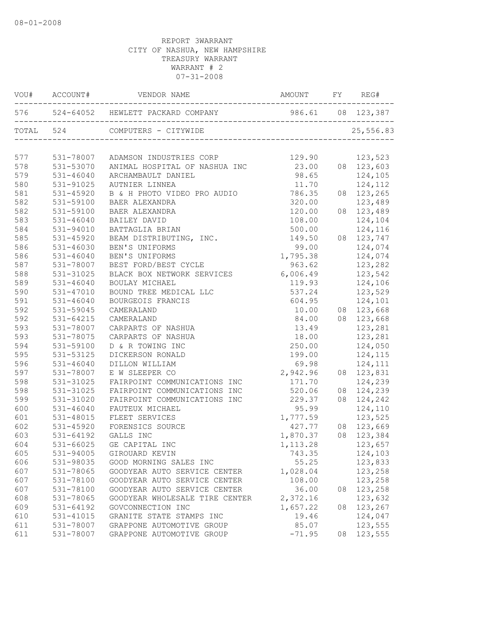|     |               | VOU# ACCOUNT# VENDOR NAME                   |                |    |                  |
|-----|---------------|---------------------------------------------|----------------|----|------------------|
|     |               |                                             |                |    |                  |
|     |               |                                             |                |    | 25,556.83        |
| 577 |               | 531-78007 ADAMSON INDUSTRIES CORP           | 129.90 123,523 |    |                  |
| 578 |               | 531-53070 ANIMAL HOSPITAL OF NASHUA INC     | 23.00          |    | 08 123,603       |
| 579 | 531-46040     | ARCHAMBAULT DANIEL                          | 98.65          |    | 124,105          |
| 580 | 531-91025     | AUTNIER LINNEA                              | 11.70          |    | 124,112          |
| 581 | $531 - 45920$ | B & H PHOTO VIDEO PRO AUDIO 786.35          |                |    | 08 123,265       |
| 582 | 531-59100     | BAER ALEXANDRA                              | 320.00         |    | 123,489          |
| 582 | 531-59100     | BAER ALEXANDRA                              | 120.00         |    | 08 123,489       |
| 583 | 531-46040     | BAILEY DAVID                                | 108.00         |    | 124,104          |
| 584 | 531-94010     | BATTAGLIA BRIAN                             | 500.00         |    | 124,116          |
| 585 | 531-45920     | BEAM DISTRIBUTING, INC.                     | 149.50         |    | 08 123,747       |
| 586 | 531-46030     | BEN'S UNIFORMS                              | 99.00          |    | 124,074          |
| 586 | $531 - 46040$ | BEN'S UNIFORMS                              | 1,795.38       |    | 124,074          |
| 587 | 531-78007     | BEST FORD/BEST CYCLE                        | 963.62         |    | 123,282          |
| 588 | 531-31025     | BLACK BOX NETWORK SERVICES 6,006.49 123,542 |                |    |                  |
| 589 | 531-46040     | BOULAY MICHAEL                              |                |    | 119.93 124,106   |
| 590 | 531-47010     | BOUND TREE MEDICAL LLC                      | 537.24         |    | 123,529          |
| 591 | 531-46040     | BOURGEOIS FRANCIS                           | 604.95         |    | 124,101          |
| 592 | 531-59045     | CAMERALAND                                  |                |    | 10.00 08 123,668 |
| 592 | 531-64215     | CAMERALAND                                  |                |    | 84.00 08 123,668 |
| 593 | 531-78007     | CARPARTS OF NASHUA                          | 13.49          |    | 123,281          |
| 593 | 531-78075     | CARPARTS OF NASHUA                          | 18.00          |    | 123,281          |
| 594 | 531-59100     | D & R TOWING INC                            | 250.00         |    | 124,050          |
| 595 | 531-53125     | DICKERSON RONALD                            | 199.00         |    | 124,115          |
| 596 | 531-46040     | DILLON WILLIAM                              | 69.98          |    | 124,111          |
| 597 | 531-78007     | E W SLEEPER CO                              | 2,942.96       |    | 08 123,831       |
| 598 | 531-31025     | FAIRPOINT COMMUNICATIONS INC                | 171.70         |    | 124,239          |
| 598 | 531-31025     | FAIRPOINT COMMUNICATIONS INC                | 520.06         |    | 08 124,239       |
| 599 | 531-31020     | FAIRPOINT COMMUNICATIONS INC                | 229.37         |    | 08 124,242       |
| 600 | 531-46040     | FAUTEUX MICHAEL                             | 95.99          |    | 124,110          |
| 601 | 531-48015     | FLEET SERVICES                              | 1,777.59       |    | 123,525          |
| 602 | 531-45920     | FORENSICS SOURCE                            | 427.77         |    | 08 123,669       |
| 603 | 531-64192     | GALLS INC                                   | 1,870.37       |    | 08 123,384       |
| 604 |               | 531-66025 GE CAPITAL INC                    | 1, 113.28      |    | 123,657          |
| 605 | 531-94005     | GIROUARD KEVIN                              | 743.35         |    | 124,103          |
| 606 | 531-98035     | GOOD MORNING SALES INC                      | 55.25          |    | 123,833          |
| 607 | 531-78065     | GOODYEAR AUTO SERVICE CENTER                | 1,028.04       |    | 123,258          |
| 607 | 531-78100     | GOODYEAR AUTO SERVICE CENTER                | 108.00         |    | 123,258          |
| 607 | 531-78100     | GOODYEAR AUTO SERVICE CENTER                | 36.00          | 08 | 123,258          |
| 608 | 531-78065     | GOODYEAR WHOLESALE TIRE CENTER              | 2,372.16       |    | 123,632          |
| 609 | 531-64192     | GOVCONNECTION INC                           | 1,657.22       | 08 | 123,267          |
| 610 | 531-41015     | GRANITE STATE STAMPS INC                    | 19.46          |    | 124,047          |
| 611 | 531-78007     | GRAPPONE AUTOMOTIVE GROUP                   | 85.07          |    | 123,555          |
| 611 | 531-78007     | GRAPPONE AUTOMOTIVE GROUP                   | $-71.95$       | 08 | 123,555          |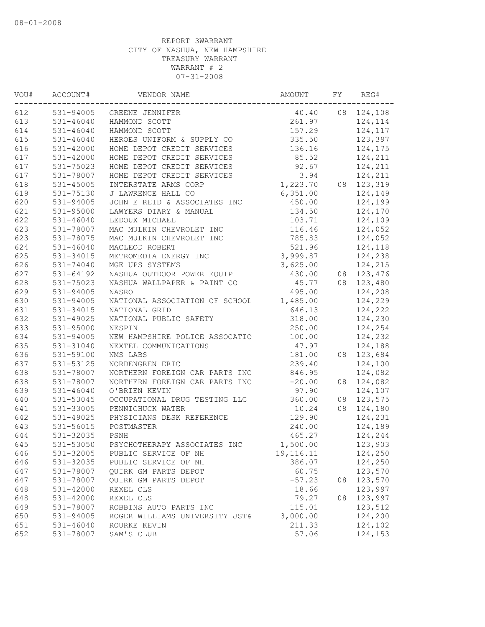| VOU# | ACCOUNT#      | VENDOR NAME                    | AMOUNT    | FΥ | REG#       |
|------|---------------|--------------------------------|-----------|----|------------|
| 612  | 531-94005     | GREENE JENNIFER                | 40.40     | 08 | 124,108    |
| 613  | $531 - 46040$ | HAMMOND SCOTT                  | 261.97    |    | 124,114    |
| 614  | $531 - 46040$ | HAMMOND SCOTT                  | 157.29    |    | 124,117    |
| 615  | $531 - 46040$ | HEROES UNIFORM & SUPPLY CO     | 335.50    |    | 123,397    |
| 616  | 531-42000     | HOME DEPOT CREDIT SERVICES     | 136.16    |    | 124,175    |
| 617  | 531-42000     | HOME DEPOT CREDIT SERVICES     | 85.52     |    | 124,211    |
| 617  | 531-75023     | HOME DEPOT CREDIT SERVICES     | 92.67     |    | 124,211    |
| 617  | 531-78007     | HOME DEPOT CREDIT SERVICES     | 3.94      |    | 124,211    |
| 618  | 531-45005     | INTERSTATE ARMS CORP           | 1,223.70  |    | 08 123,319 |
| 619  | 531-75130     | J LAWRENCE HALL CO             | 6,351.00  |    | 124,149    |
| 620  | 531-94005     | JOHN E REID & ASSOCIATES INC   | 450.00    |    | 124,199    |
| 621  | 531-95000     | LAWYERS DIARY & MANUAL         | 134.50    |    | 124,170    |
| 622  | $531 - 46040$ | LEDOUX MICHAEL                 | 103.71    |    | 124,109    |
| 623  | 531-78007     | MAC MULKIN CHEVROLET INC       | 116.46    |    | 124,052    |
| 623  | 531-78075     | MAC MULKIN CHEVROLET INC       | 785.83    |    | 124,052    |
| 624  | $531 - 46040$ | MACLEOD ROBERT                 | 521.96    |    | 124,118    |
| 625  | 531-34015     | METROMEDIA ENERGY INC          | 3,999.87  |    | 124,238    |
| 626  | 531-74040     | MGE UPS SYSTEMS                | 3,625.00  |    | 124,215    |
| 627  | $531 - 64192$ | NASHUA OUTDOOR POWER EQUIP     | 430.00    | 08 | 123,476    |
| 628  | 531-75023     | NASHUA WALLPAPER & PAINT CO    | 45.77     | 08 | 123,480    |
| 629  | 531-94005     | <b>NASRO</b>                   | 495.00    |    | 124,208    |
| 630  | 531-94005     | NATIONAL ASSOCIATION OF SCHOOL | 1,485.00  |    | 124,229    |
| 631  | 531-34015     | NATIONAL GRID                  | 646.13    |    | 124,222    |
| 632  | 531-49025     | NATIONAL PUBLIC SAFETY         | 318.00    |    | 124,230    |
| 633  | 531-95000     | NESPIN                         | 250.00    |    | 124,254    |
| 634  | 531-94005     | NEW HAMPSHIRE POLICE ASSOCATIO | 100.00    |    | 124,232    |
| 635  | 531-31040     | NEXTEL COMMUNICATIONS          | 47.97     |    | 124,188    |
| 636  | 531-59100     | NMS LABS                       | 181.00    | 08 | 123,684    |
| 637  | 531-53125     | NORDENGREN ERIC                | 239.40    |    | 124,100    |
| 638  | 531-78007     | NORTHERN FOREIGN CAR PARTS INC | 846.95    |    | 124,082    |
| 638  | 531-78007     | NORTHERN FOREIGN CAR PARTS INC | $-20.00$  | 08 | 124,082    |
| 639  | $531 - 46040$ | O'BRIEN KEVIN                  | 97.90     |    | 124,107    |
| 640  | 531-53045     | OCCUPATIONAL DRUG TESTING LLC  | 360.00    | 08 | 123,575    |
| 641  | 531-33005     | PENNICHUCK WATER               | 10.24     | 08 | 124,180    |
| 642  | 531-49025     | PHYSICIANS DESK REFERENCE      | 129.90    |    | 124,231    |
| 643  | 531-56015     | POSTMASTER                     | 240.00    |    | 124,189    |
| 644  | 531-32035     | PSNH                           | 465.27    |    | 124,244    |
| 645  | 531-53050     | PSYCHOTHERAPY ASSOCIATES INC   | 1,500.00  |    | 123,903    |
| 646  | 531-32005     | PUBLIC SERVICE OF NH           | 19,116.11 |    | 124,250    |
| 646  | 531-32035     | PUBLIC SERVICE OF NH           | 386.07    |    | 124,250    |
| 647  | 531-78007     | QUIRK GM PARTS DEPOT           | 60.75     |    | 123,570    |
| 647  | 531-78007     | QUIRK GM PARTS DEPOT           | $-57.23$  | 08 | 123,570    |
| 648  | 531-42000     | REXEL CLS                      | 18.66     |    | 123,997    |
| 648  | 531-42000     | REXEL CLS                      | 79.27     | 08 | 123,997    |
| 649  | 531-78007     | ROBBINS AUTO PARTS INC         | 115.01    |    | 123,512    |
| 650  | 531-94005     | ROGER WILLIAMS UNIVERSITY JST& | 3,000.00  |    | 124,200    |
| 651  | $531 - 46040$ | ROURKE KEVIN                   | 211.33    |    | 124,102    |
| 652  | 531-78007     | SAM'S CLUB                     | 57.06     |    | 124,153    |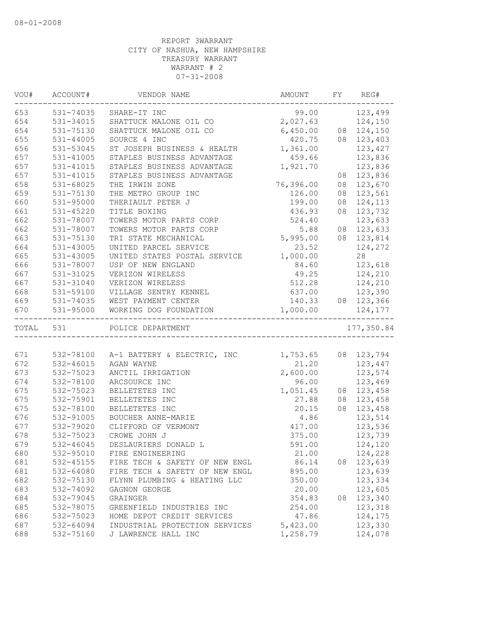| WOU# | ACCOUNT#  | VENDOR NAME                           | AMOUNT              | FY | REG#              |
|------|-----------|---------------------------------------|---------------------|----|-------------------|
| 653  | 531-74035 | SHARE-IT INC                          |                     |    | 99.00 123,499     |
| 654  | 531-34015 | SHATTUCK MALONE OIL CO                | 2,027.63 124,150    |    |                   |
| 654  | 531-75130 | SHATTUCK MALONE OIL CO                | 6,450.00 08 124,150 |    |                   |
| 655  | 531-44005 | SOURCE 4 INC                          |                     |    | 420.75 08 123,403 |
| 656  | 531-53045 | ST JOSEPH BUSINESS & HEALTH           | 1,361.00            |    | 123,427           |
| 657  | 531-41005 | STAPLES BUSINESS ADVANTAGE            | 459.66              |    | 123,836           |
| 657  | 531-41015 | STAPLES BUSINESS ADVANTAGE            | 1,921.70            |    | 123,836           |
| 657  | 531-41015 | STAPLES BUSINESS ADVANTAGE            |                     |    | 08 123,836        |
| 658  | 531-68025 | THE IRWIN ZONE                        | 76,396.00           | 08 | 123,670           |
| 659  | 531-75130 | THE METRO GROUP INC                   | 126.00              | 08 | 123,561           |
| 660  | 531-95000 | THERIAULT PETER J                     | 199.00              |    | 08 124,113        |
| 661  | 531-45220 | TITLE BOXING                          | 436.93              |    | 08 123,732        |
| 662  | 531-78007 | TOWERS MOTOR PARTS CORP               | 524.40              |    | 123,633           |
| 662  | 531-78007 | TOWERS MOTOR PARTS CORP               | 5.88                |    | 08 123,633        |
| 663  | 531-75130 | TRI STATE MECHANICAL                  | 5,995.00            |    | 08 123,814        |
| 664  | 531-43005 | UNITED PARCEL SERVICE                 | 23.52               |    | 124,272           |
| 665  | 531-43005 | UNITED STATES POSTAL SERVICE          | 1,000.00            |    | 28                |
| 666  | 531-78007 | USP OF NEW ENGLAND                    | 84.60               |    | 123,618           |
| 667  | 531-31025 | VERIZON WIRELESS                      | 49.25               |    | 124,210           |
| 667  | 531-31040 | VERIZON WIRELESS                      | 512.28              |    | 124,210           |
| 668  | 531-59100 | VILLAGE SENTRY KENNEL                 |                     |    | 637.00 123,390    |
| 669  |           | 531-74035 WEST PAYMENT CENTER         |                     |    | 140.33 08 123,366 |
| 670  | 531-95000 | WORKING DOG FOUNDATION                | 1,000.00            |    | 124,177           |
|      | TOTAL 531 | POLICE DEPARTMENT                     |                     |    | 177,350.84        |
|      |           |                                       |                     |    |                   |
| 671  |           | 532-78100 A-1 BATTERY & ELECTRIC, INC | 1,753.65 08 123,794 |    |                   |
| 672  | 532-46015 | AGAN WAYNE                            | 21.20               |    | 123,447           |
| 673  | 532-75023 | ANCTIL IRRIGATION                     | 2,600.00            |    | 123,574           |
| 674  | 532-78100 | ARCSOURCE INC                         | 96.00               |    | 123,469           |
| 675  | 532-75023 | BELLETETES INC                        | 1,051.45            |    | 08 123,458        |
| 675  | 532-75901 | BELLETETES INC                        | 27.88               |    | 08 123,458        |
| 675  | 532-78100 | BELLETETES INC                        | 20.15               |    | 08 123,458        |
| 676  | 532-91005 | BOUCHER ANNE-MARIE                    | 4.86                |    | 123,514           |
| 677  | 532-79020 | CLIFFORD OF VERMONT                   | 417.00              |    | 123,536           |
| 678  | 532-75023 | CROWE JOHN J                          | 375.00              |    | 123,739           |
| 679  | 532-46045 | DESLAURIERS DONALD L                  | 591.00              |    | 124,120           |
| 680  | 532-95010 | FIRE ENGINEERING                      | 21.00               |    | 124,228           |
| 681  | 532-45155 | FIRE TECH & SAFETY OF NEW ENGL        | 86.14               | 08 | 123,639           |
| 681  | 532-64080 | FIRE TECH & SAFETY OF NEW ENGL        | 895.00              |    | 123,639           |
| 682  | 532-75130 | FLYNN PLUMBING & HEATING LLC          | 350.00              |    | 123,334           |
| 683  | 532-74092 | GAGNON GEORGE                         | 20.00               |    | 123,605           |
| 684  | 532-79045 | GRAINGER                              | 354.83              | 08 | 123,340           |
| 685  | 532-78075 | GREENFIELD INDUSTRIES INC             | 254.00              |    | 123,318           |
| 686  | 532-75023 | HOME DEPOT CREDIT SERVICES            | 47.86               |    | 124,175           |
| 687  | 532-64094 | INDUSTRIAL PROTECTION SERVICES        | 5,423.00            |    | 123,330           |
| 688  | 532-75160 | J LAWRENCE HALL INC                   | 1,258.79            |    | 124,078           |
|      |           |                                       |                     |    |                   |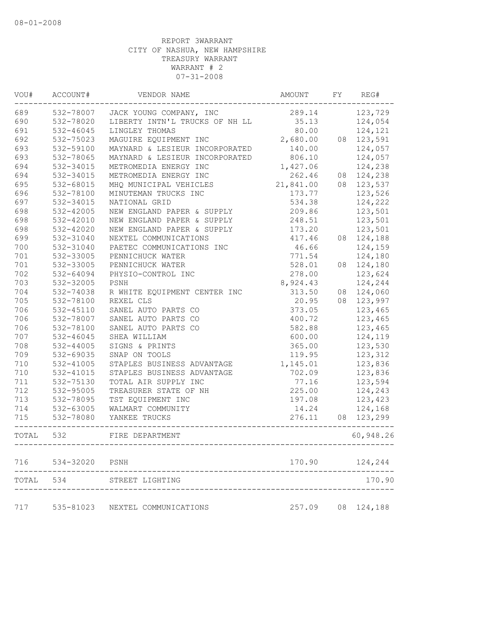| VOU#  | ACCOUNT#      | VENDOR NAME                    | AMOUNT    | FY | REG#       |
|-------|---------------|--------------------------------|-----------|----|------------|
| 689   | 532-78007     | JACK YOUNG COMPANY, INC        | 289.14    |    | 123,729    |
| 690   | 532-78020     | LIBERTY INTN'L TRUCKS OF NH LL | 35.13     |    | 124,054    |
| 691   | 532-46045     | LINGLEY THOMAS                 | 80.00     |    | 124,121    |
| 692   | 532-75023     | MAGUIRE EQUIPMENT INC          | 2,680.00  | 08 | 123,591    |
| 693   | 532-59100     | MAYNARD & LESIEUR INCORPORATED | 140.00    |    | 124,057    |
| 693   | 532-78065     | MAYNARD & LESIEUR INCORPORATED | 806.10    |    | 124,057    |
| 694   | 532-34015     | METROMEDIA ENERGY INC          | 1,427.06  |    | 124,238    |
| 694   | 532-34015     | METROMEDIA ENERGY INC          | 262.46    |    | 08 124,238 |
| 695   | 532-68015     | MHQ MUNICIPAL VEHICLES         | 21,841.00 |    | 08 123,537 |
| 696   | 532-78100     | MINUTEMAN TRUCKS INC           | 173.77    |    | 123,526    |
| 697   | 532-34015     | NATIONAL GRID                  | 534.38    |    | 124,222    |
| 698   | 532-42005     | NEW ENGLAND PAPER & SUPPLY     | 209.86    |    | 123,501    |
| 698   | 532-42010     | NEW ENGLAND PAPER & SUPPLY     | 248.51    |    | 123,501    |
| 698   | 532-42020     | NEW ENGLAND PAPER & SUPPLY     | 173.20    |    | 123,501    |
| 699   | 532-31040     | NEXTEL COMMUNICATIONS          | 417.46    | 08 | 124,188    |
| 700   | 532-31040     | PAETEC COMMUNICATIONS INC      | 46.66     |    | 124,159    |
| 701   | 532-33005     | PENNICHUCK WATER               | 771.54    |    | 124,180    |
| 701   | 532-33005     | PENNICHUCK WATER               | 528.01    | 08 | 124,180    |
| 702   | 532-64094     | PHYSIO-CONTROL INC             | 278.00    |    | 123,624    |
| 703   | 532-32005     | PSNH                           | 8,924.43  |    | 124,244    |
| 704   | 532-74038     | R WHITE EQUIPMENT CENTER INC   | 313.50    | 08 | 124,060    |
| 705   | 532-78100     | REXEL CLS                      | 20.95     | 08 | 123,997    |
| 706   | 532-45110     | SANEL AUTO PARTS CO            | 373.05    |    | 123,465    |
| 706   | 532-78007     | SANEL AUTO PARTS CO            | 400.72    |    | 123,465    |
| 706   | 532-78100     | SANEL AUTO PARTS CO            | 582.88    |    | 123,465    |
| 707   | 532-46045     | SHEA WILLIAM                   | 600.00    |    | 124,119    |
| 708   | $532 - 44005$ | SIGNS & PRINTS                 | 365.00    |    | 123,530    |
| 709   | 532-69035     | SNAP ON TOOLS                  | 119.95    |    | 123,312    |
| 710   | 532-41005     | STAPLES BUSINESS ADVANTAGE     | 1,145.01  |    | 123,836    |
| 710   | 532-41015     | STAPLES BUSINESS ADVANTAGE     | 702.09    |    | 123,836    |
| 711   | 532-75130     | TOTAL AIR SUPPLY INC           | 77.16     |    | 123,594    |
| 712   | 532-95005     | TREASURER STATE OF NH          | 225.00    |    | 124,243    |
| 713   | 532-78095     | TST EQUIPMENT INC              | 197.08    |    | 123,423    |
| 714   | 532-63005     | WALMART COMMUNITY              | 14.24     |    | 124,168    |
| 715   | 532-78080     | YANKEE TRUCKS                  | 276.11    |    | 08 123,299 |
| TOTAL | 532           | FIRE DEPARTMENT                |           |    | 60,948.26  |
| 716   | 534-32020     | PSNH                           | 170.90    |    | 124,244    |
| TOTAL | 534           | STREET LIGHTING                |           |    | 170.90     |
|       |               |                                |           |    |            |
| 717   | 535-81023     | NEXTEL COMMUNICATIONS          | 257.09    |    | 08 124,188 |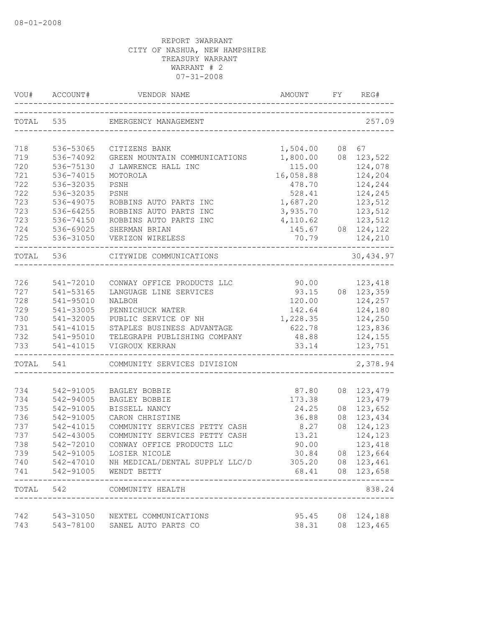| TOTAL 535<br>EMERGENCY MANAGEMENT<br>718<br>536-53065<br>1,504.00<br>08 67<br>CITIZENS BANK<br>719<br>536-74092<br>1,800.00<br>08 123,522<br>GREEN MOUNTAIN COMMUNICATIONS<br>720<br>115.00<br>124,078<br>536-75130<br>J LAWRENCE HALL INC<br>721<br>16,058.88<br>536-74015<br>124,204<br>MOTOROLA<br>722<br>536-32035<br>478.70<br>124,244<br>PSNH<br>722<br>536-32035<br>528.41<br>124,245<br>PSNH<br>723<br>536-49075<br>1,687.20<br>123,512<br>ROBBINS AUTO PARTS INC<br>723<br>536-64255<br>ROBBINS AUTO PARTS INC<br>3,935.70<br>123,512<br>723<br>536-74150<br>ROBBINS AUTO PARTS INC<br>4,110.62<br>123,512<br>724<br>536-69025<br>SHERMAN BRIAN<br>145.67<br>08 124,122<br>536-31050<br>70.79<br>VERIZON WIRELESS<br>124,210<br>TOTAL 536<br>CITYWIDE COMMUNICATIONS<br>541-72010<br>90.00 123,418<br>CONWAY OFFICE PRODUCTS LLC<br>08 123,359<br>541-53165<br>LANGUAGE LINE SERVICES<br>93.15<br>541-95010<br>120.00<br>124,257<br>NALBOH<br>541-33005<br>142.64<br>124,180<br>PENNICHUCK WATER<br>1,228.35<br>541-32005<br>124,250<br>PUBLIC SERVICE OF NH<br>541-41015<br>STAPLES BUSINESS ADVANTAGE<br>622.78<br>123,836<br>541-95010<br>TELEGRAPH PUBLISHING COMPANY<br>48.88<br>124,155<br>541-41015<br>33.14<br>123,751<br>VIGROUX KERRAN<br>TOTAL<br>541<br>COMMUNITY SERVICES DIVISION<br>734<br>542-91005<br>BAGLEY BOBBIE<br>87.80<br>08 123,479<br>734<br>542-94005<br>173.38<br>123,479<br>BAGLEY BOBBIE<br>08 123,652<br>735<br>542-91005<br>BISSELL NANCY<br>24.25<br>736<br>542-91005<br>CARON CHRISTINE<br>36.88<br>08 123,434<br>737<br>542-41015<br>08 124,123<br>COMMUNITY SERVICES PETTY CASH<br>8.27<br>737<br>542-43005<br>COMMUNITY SERVICES PETTY CASH<br>13.21<br>124,123<br>90.00<br>738<br>542-72010<br>CONWAY OFFICE PRODUCTS LLC<br>123,418<br>30.84 08 123,664<br>739<br>542-91005 LOSIER NICOLE<br>305.20 08 123,461<br>740<br>542-47010 NH MEDICAL/DENTAL SUPPLY LLC/D<br>542-91005<br>68.41 08 123,658<br>WENDT BETTY<br>. _ _ _ _ _ _ _ _ _ _ _ _ _ _<br>TOTAL 542 COMMUNITY HEALTH<br>----------------------------------<br>742<br>95.45<br>08 124,188<br>543-31050 NEXTEL COMMUNICATIONS<br>543-78100<br>SANEL AUTO PARTS CO<br>38.31<br>08 123,465 | VOU# | ACCOUNT# | VENDOR NAME | AMOUNT | FY | REG#      |
|---------------------------------------------------------------------------------------------------------------------------------------------------------------------------------------------------------------------------------------------------------------------------------------------------------------------------------------------------------------------------------------------------------------------------------------------------------------------------------------------------------------------------------------------------------------------------------------------------------------------------------------------------------------------------------------------------------------------------------------------------------------------------------------------------------------------------------------------------------------------------------------------------------------------------------------------------------------------------------------------------------------------------------------------------------------------------------------------------------------------------------------------------------------------------------------------------------------------------------------------------------------------------------------------------------------------------------------------------------------------------------------------------------------------------------------------------------------------------------------------------------------------------------------------------------------------------------------------------------------------------------------------------------------------------------------------------------------------------------------------------------------------------------------------------------------------------------------------------------------------------------------------------------------------------------------------------------------------------------------------------------------------------------------------------------------------------------------------------------------------------------------------------------------------------------------------------|------|----------|-------------|--------|----|-----------|
|                                                                                                                                                                                                                                                                                                                                                                                                                                                                                                                                                                                                                                                                                                                                                                                                                                                                                                                                                                                                                                                                                                                                                                                                                                                                                                                                                                                                                                                                                                                                                                                                                                                                                                                                                                                                                                                                                                                                                                                                                                                                                                                                                                                                   |      |          |             |        |    | 257.09    |
|                                                                                                                                                                                                                                                                                                                                                                                                                                                                                                                                                                                                                                                                                                                                                                                                                                                                                                                                                                                                                                                                                                                                                                                                                                                                                                                                                                                                                                                                                                                                                                                                                                                                                                                                                                                                                                                                                                                                                                                                                                                                                                                                                                                                   |      |          |             |        |    |           |
|                                                                                                                                                                                                                                                                                                                                                                                                                                                                                                                                                                                                                                                                                                                                                                                                                                                                                                                                                                                                                                                                                                                                                                                                                                                                                                                                                                                                                                                                                                                                                                                                                                                                                                                                                                                                                                                                                                                                                                                                                                                                                                                                                                                                   |      |          |             |        |    |           |
|                                                                                                                                                                                                                                                                                                                                                                                                                                                                                                                                                                                                                                                                                                                                                                                                                                                                                                                                                                                                                                                                                                                                                                                                                                                                                                                                                                                                                                                                                                                                                                                                                                                                                                                                                                                                                                                                                                                                                                                                                                                                                                                                                                                                   |      |          |             |        |    |           |
|                                                                                                                                                                                                                                                                                                                                                                                                                                                                                                                                                                                                                                                                                                                                                                                                                                                                                                                                                                                                                                                                                                                                                                                                                                                                                                                                                                                                                                                                                                                                                                                                                                                                                                                                                                                                                                                                                                                                                                                                                                                                                                                                                                                                   |      |          |             |        |    |           |
|                                                                                                                                                                                                                                                                                                                                                                                                                                                                                                                                                                                                                                                                                                                                                                                                                                                                                                                                                                                                                                                                                                                                                                                                                                                                                                                                                                                                                                                                                                                                                                                                                                                                                                                                                                                                                                                                                                                                                                                                                                                                                                                                                                                                   |      |          |             |        |    |           |
|                                                                                                                                                                                                                                                                                                                                                                                                                                                                                                                                                                                                                                                                                                                                                                                                                                                                                                                                                                                                                                                                                                                                                                                                                                                                                                                                                                                                                                                                                                                                                                                                                                                                                                                                                                                                                                                                                                                                                                                                                                                                                                                                                                                                   |      |          |             |        |    |           |
|                                                                                                                                                                                                                                                                                                                                                                                                                                                                                                                                                                                                                                                                                                                                                                                                                                                                                                                                                                                                                                                                                                                                                                                                                                                                                                                                                                                                                                                                                                                                                                                                                                                                                                                                                                                                                                                                                                                                                                                                                                                                                                                                                                                                   |      |          |             |        |    |           |
|                                                                                                                                                                                                                                                                                                                                                                                                                                                                                                                                                                                                                                                                                                                                                                                                                                                                                                                                                                                                                                                                                                                                                                                                                                                                                                                                                                                                                                                                                                                                                                                                                                                                                                                                                                                                                                                                                                                                                                                                                                                                                                                                                                                                   |      |          |             |        |    |           |
|                                                                                                                                                                                                                                                                                                                                                                                                                                                                                                                                                                                                                                                                                                                                                                                                                                                                                                                                                                                                                                                                                                                                                                                                                                                                                                                                                                                                                                                                                                                                                                                                                                                                                                                                                                                                                                                                                                                                                                                                                                                                                                                                                                                                   |      |          |             |        |    |           |
|                                                                                                                                                                                                                                                                                                                                                                                                                                                                                                                                                                                                                                                                                                                                                                                                                                                                                                                                                                                                                                                                                                                                                                                                                                                                                                                                                                                                                                                                                                                                                                                                                                                                                                                                                                                                                                                                                                                                                                                                                                                                                                                                                                                                   |      |          |             |        |    |           |
|                                                                                                                                                                                                                                                                                                                                                                                                                                                                                                                                                                                                                                                                                                                                                                                                                                                                                                                                                                                                                                                                                                                                                                                                                                                                                                                                                                                                                                                                                                                                                                                                                                                                                                                                                                                                                                                                                                                                                                                                                                                                                                                                                                                                   | 725  |          |             |        |    |           |
|                                                                                                                                                                                                                                                                                                                                                                                                                                                                                                                                                                                                                                                                                                                                                                                                                                                                                                                                                                                                                                                                                                                                                                                                                                                                                                                                                                                                                                                                                                                                                                                                                                                                                                                                                                                                                                                                                                                                                                                                                                                                                                                                                                                                   |      |          |             |        |    | 30,434.97 |
|                                                                                                                                                                                                                                                                                                                                                                                                                                                                                                                                                                                                                                                                                                                                                                                                                                                                                                                                                                                                                                                                                                                                                                                                                                                                                                                                                                                                                                                                                                                                                                                                                                                                                                                                                                                                                                                                                                                                                                                                                                                                                                                                                                                                   |      |          |             |        |    |           |
|                                                                                                                                                                                                                                                                                                                                                                                                                                                                                                                                                                                                                                                                                                                                                                                                                                                                                                                                                                                                                                                                                                                                                                                                                                                                                                                                                                                                                                                                                                                                                                                                                                                                                                                                                                                                                                                                                                                                                                                                                                                                                                                                                                                                   | 726  |          |             |        |    |           |
|                                                                                                                                                                                                                                                                                                                                                                                                                                                                                                                                                                                                                                                                                                                                                                                                                                                                                                                                                                                                                                                                                                                                                                                                                                                                                                                                                                                                                                                                                                                                                                                                                                                                                                                                                                                                                                                                                                                                                                                                                                                                                                                                                                                                   | 727  |          |             |        |    |           |
|                                                                                                                                                                                                                                                                                                                                                                                                                                                                                                                                                                                                                                                                                                                                                                                                                                                                                                                                                                                                                                                                                                                                                                                                                                                                                                                                                                                                                                                                                                                                                                                                                                                                                                                                                                                                                                                                                                                                                                                                                                                                                                                                                                                                   | 728  |          |             |        |    |           |
|                                                                                                                                                                                                                                                                                                                                                                                                                                                                                                                                                                                                                                                                                                                                                                                                                                                                                                                                                                                                                                                                                                                                                                                                                                                                                                                                                                                                                                                                                                                                                                                                                                                                                                                                                                                                                                                                                                                                                                                                                                                                                                                                                                                                   | 729  |          |             |        |    |           |
|                                                                                                                                                                                                                                                                                                                                                                                                                                                                                                                                                                                                                                                                                                                                                                                                                                                                                                                                                                                                                                                                                                                                                                                                                                                                                                                                                                                                                                                                                                                                                                                                                                                                                                                                                                                                                                                                                                                                                                                                                                                                                                                                                                                                   | 730  |          |             |        |    |           |
|                                                                                                                                                                                                                                                                                                                                                                                                                                                                                                                                                                                                                                                                                                                                                                                                                                                                                                                                                                                                                                                                                                                                                                                                                                                                                                                                                                                                                                                                                                                                                                                                                                                                                                                                                                                                                                                                                                                                                                                                                                                                                                                                                                                                   | 731  |          |             |        |    |           |
|                                                                                                                                                                                                                                                                                                                                                                                                                                                                                                                                                                                                                                                                                                                                                                                                                                                                                                                                                                                                                                                                                                                                                                                                                                                                                                                                                                                                                                                                                                                                                                                                                                                                                                                                                                                                                                                                                                                                                                                                                                                                                                                                                                                                   | 732  |          |             |        |    |           |
|                                                                                                                                                                                                                                                                                                                                                                                                                                                                                                                                                                                                                                                                                                                                                                                                                                                                                                                                                                                                                                                                                                                                                                                                                                                                                                                                                                                                                                                                                                                                                                                                                                                                                                                                                                                                                                                                                                                                                                                                                                                                                                                                                                                                   | 733  |          |             |        |    |           |
|                                                                                                                                                                                                                                                                                                                                                                                                                                                                                                                                                                                                                                                                                                                                                                                                                                                                                                                                                                                                                                                                                                                                                                                                                                                                                                                                                                                                                                                                                                                                                                                                                                                                                                                                                                                                                                                                                                                                                                                                                                                                                                                                                                                                   |      |          |             |        |    | 2,378.94  |
|                                                                                                                                                                                                                                                                                                                                                                                                                                                                                                                                                                                                                                                                                                                                                                                                                                                                                                                                                                                                                                                                                                                                                                                                                                                                                                                                                                                                                                                                                                                                                                                                                                                                                                                                                                                                                                                                                                                                                                                                                                                                                                                                                                                                   |      |          |             |        |    |           |
|                                                                                                                                                                                                                                                                                                                                                                                                                                                                                                                                                                                                                                                                                                                                                                                                                                                                                                                                                                                                                                                                                                                                                                                                                                                                                                                                                                                                                                                                                                                                                                                                                                                                                                                                                                                                                                                                                                                                                                                                                                                                                                                                                                                                   |      |          |             |        |    |           |
|                                                                                                                                                                                                                                                                                                                                                                                                                                                                                                                                                                                                                                                                                                                                                                                                                                                                                                                                                                                                                                                                                                                                                                                                                                                                                                                                                                                                                                                                                                                                                                                                                                                                                                                                                                                                                                                                                                                                                                                                                                                                                                                                                                                                   |      |          |             |        |    |           |
|                                                                                                                                                                                                                                                                                                                                                                                                                                                                                                                                                                                                                                                                                                                                                                                                                                                                                                                                                                                                                                                                                                                                                                                                                                                                                                                                                                                                                                                                                                                                                                                                                                                                                                                                                                                                                                                                                                                                                                                                                                                                                                                                                                                                   |      |          |             |        |    |           |
|                                                                                                                                                                                                                                                                                                                                                                                                                                                                                                                                                                                                                                                                                                                                                                                                                                                                                                                                                                                                                                                                                                                                                                                                                                                                                                                                                                                                                                                                                                                                                                                                                                                                                                                                                                                                                                                                                                                                                                                                                                                                                                                                                                                                   |      |          |             |        |    |           |
|                                                                                                                                                                                                                                                                                                                                                                                                                                                                                                                                                                                                                                                                                                                                                                                                                                                                                                                                                                                                                                                                                                                                                                                                                                                                                                                                                                                                                                                                                                                                                                                                                                                                                                                                                                                                                                                                                                                                                                                                                                                                                                                                                                                                   |      |          |             |        |    |           |
|                                                                                                                                                                                                                                                                                                                                                                                                                                                                                                                                                                                                                                                                                                                                                                                                                                                                                                                                                                                                                                                                                                                                                                                                                                                                                                                                                                                                                                                                                                                                                                                                                                                                                                                                                                                                                                                                                                                                                                                                                                                                                                                                                                                                   |      |          |             |        |    |           |
|                                                                                                                                                                                                                                                                                                                                                                                                                                                                                                                                                                                                                                                                                                                                                                                                                                                                                                                                                                                                                                                                                                                                                                                                                                                                                                                                                                                                                                                                                                                                                                                                                                                                                                                                                                                                                                                                                                                                                                                                                                                                                                                                                                                                   |      |          |             |        |    |           |
|                                                                                                                                                                                                                                                                                                                                                                                                                                                                                                                                                                                                                                                                                                                                                                                                                                                                                                                                                                                                                                                                                                                                                                                                                                                                                                                                                                                                                                                                                                                                                                                                                                                                                                                                                                                                                                                                                                                                                                                                                                                                                                                                                                                                   |      |          |             |        |    |           |
|                                                                                                                                                                                                                                                                                                                                                                                                                                                                                                                                                                                                                                                                                                                                                                                                                                                                                                                                                                                                                                                                                                                                                                                                                                                                                                                                                                                                                                                                                                                                                                                                                                                                                                                                                                                                                                                                                                                                                                                                                                                                                                                                                                                                   | 741  |          |             |        |    |           |
|                                                                                                                                                                                                                                                                                                                                                                                                                                                                                                                                                                                                                                                                                                                                                                                                                                                                                                                                                                                                                                                                                                                                                                                                                                                                                                                                                                                                                                                                                                                                                                                                                                                                                                                                                                                                                                                                                                                                                                                                                                                                                                                                                                                                   |      |          |             |        |    | 838.24    |
|                                                                                                                                                                                                                                                                                                                                                                                                                                                                                                                                                                                                                                                                                                                                                                                                                                                                                                                                                                                                                                                                                                                                                                                                                                                                                                                                                                                                                                                                                                                                                                                                                                                                                                                                                                                                                                                                                                                                                                                                                                                                                                                                                                                                   |      |          |             |        |    |           |
|                                                                                                                                                                                                                                                                                                                                                                                                                                                                                                                                                                                                                                                                                                                                                                                                                                                                                                                                                                                                                                                                                                                                                                                                                                                                                                                                                                                                                                                                                                                                                                                                                                                                                                                                                                                                                                                                                                                                                                                                                                                                                                                                                                                                   | 743  |          |             |        |    |           |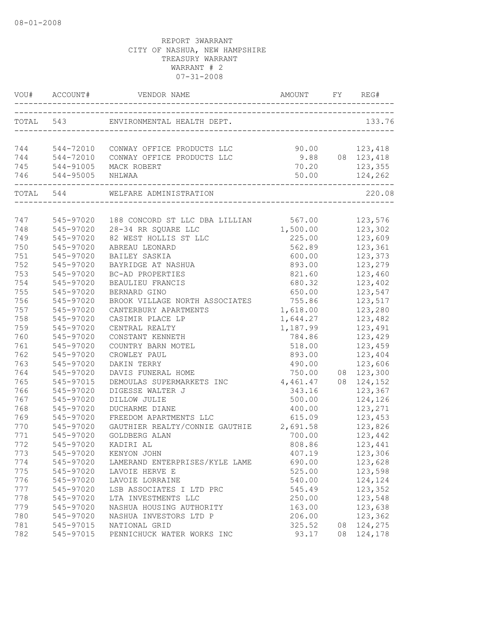|     |                      | VOU# ACCOUNT# VENDOR NAME AMOUNT FY REG#      |                    |    |                    |
|-----|----------------------|-----------------------------------------------|--------------------|----|--------------------|
|     |                      | TOTAL 543 ENVIRONMENTAL HEALTH DEPT.          |                    |    | 133.76             |
|     |                      | 744 544-72010 CONWAY OFFICE PRODUCTS LLC      | 90.00 123,418      |    |                    |
|     |                      | 744 544-72010 CONWAY OFFICE PRODUCTS LLC      |                    |    | 9.88 08 123,418    |
|     |                      | 745 544-91005 MACK ROBERT                     |                    |    | 70.20 123,355      |
|     | 746 544-95005 NHLWAA |                                               | 50.00              |    | 124,262            |
|     |                      | TOTAL 544 WELFARE ADMINISTRATION              |                    |    | 220.08             |
|     |                      |                                               |                    |    |                    |
| 747 | 545-97020            | 188 CONCORD ST LLC DBA LILLIAN 567.00 123,576 |                    |    |                    |
| 748 | 545-97020            | 28-34 RR SQUARE LLC                           | 1,500.00 123,302   |    |                    |
| 749 | 545-97020            | 82 WEST HOLLIS ST LLC                         |                    |    | 225.00 123,609     |
| 750 | 545-97020            | ABREAU LEONARD                                | 562.89             |    | 123,361            |
| 751 | 545-97020            | BAILEY SASKIA                                 | 600.00             |    | 123,373            |
| 752 | 545-97020            | BAYRIDGE AT NASHUA                            | 893.00             |    | 123,279            |
| 753 | 545-97020            | BC-AD PROPERTIES                              | 821.60             |    | 123,460            |
| 754 | 545-97020            | BEAULIEU FRANCIS                              | 680.32             |    | 123,402            |
| 755 | 545-97020            | BERNARD GINO                                  | 650.00             |    | 123,547            |
| 756 | 545-97020            | BROOK VILLAGE NORTH ASSOCIATES 755.86         |                    |    | 123,517            |
| 757 | 545-97020            | CANTERBURY APARTMENTS                         | 1,618.00 123,280   |    |                    |
| 758 | 545-97020            | CASIMIR PLACE LP                              | 1,644.27           |    | 123,482            |
| 759 | 545-97020            | CENTRAL REALTY                                | 1, 187.99 123, 491 |    |                    |
| 760 | 545-97020            | CONSTANT KENNETH                              | 784.86             |    | 123,429            |
| 761 | 545-97020            | COUNTRY BARN MOTEL                            | 518.00             |    | 123,459            |
| 762 | 545-97020            | CROWLEY PAUL                                  | 893.00             |    | 123,404            |
| 763 | 545-97020            | DAKIN TERRY                                   | 490.00             |    | 123,606            |
| 764 | 545-97020            | DAVIS FUNERAL HOME                            | 750.00             |    | 08 123,300         |
| 765 | 545-97015            | DEMOULAS SUPERMARKETS INC                     | 4,461.47           |    | 08 124,152         |
| 766 | 545-97020            | DIGESSE WALTER J                              | 343.16             |    | 123,367            |
| 767 | 545-97020            | DILLOW JULIE                                  | 500.00             |    | 124,126            |
| 768 | 545-97020            | <b>DUCHARME DIANE</b>                         |                    |    | 400.00 123,271     |
| 769 | 545-97020            | FREEDOM APARTMENTS LLC                        | 615.09             |    | 123,453            |
| 770 | 545-97020            | GAUTHIER REALTY/CONNIE GAUTHIE 2,691.58       |                    |    |                    |
| 771 | 545-97020            | GOLDBERG ALAN                                 | 700.00             |    | 123,826<br>123,442 |
| 772 | 545-97020            | KADIRI AL                                     | 808.86             |    | 123,441            |
| 773 | 545-97020            | KENYON JOHN                                   | 407.19             |    | 123,306            |
| 774 | 545-97020            | LAMERAND ENTERPRISES/KYLE LAME                | 690.00             |    | 123,628            |
| 775 | 545-97020            | LAVOIE HERVE E                                | 525.00             |    | 123,598            |
| 776 | 545-97020            | LAVOIE LORRAINE                               | 540.00             |    | 124,124            |
| 777 | 545-97020            | LSB ASSOCIATES I LTD PRC                      | 545.49             |    | 123,352            |
| 778 | 545-97020            | LTA INVESTMENTS LLC                           | 250.00             |    | 123,548            |
| 779 | 545-97020            | NASHUA HOUSING AUTHORITY                      | 163.00             |    | 123,638            |
| 780 | 545-97020            | NASHUA INVESTORS LTD P                        | 206.00             |    | 123,362            |
| 781 | 545-97015            | NATIONAL GRID                                 | 325.52             | 08 | 124,275            |
| 782 | 545-97015            | PENNICHUCK WATER WORKS INC                    | 93.17              |    | 08 124,178         |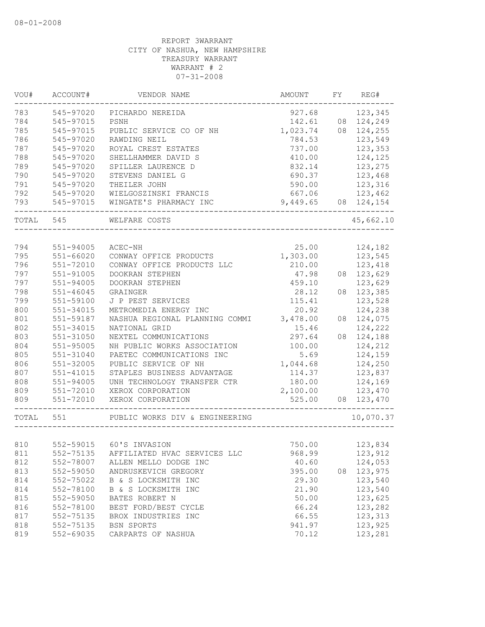| VOU#      | ACCOUNT#      | VENDOR NAME                    | AMOUNT   | FY | REG#       |
|-----------|---------------|--------------------------------|----------|----|------------|
| 783       | 545-97020     | PICHARDO NEREIDA               | 927.68   |    | 123,345    |
| 784       | 545-97015     | PSNH                           | 142.61   |    | 08 124,249 |
| 785       | 545-97015     | PUBLIC SERVICE CO OF NH        | 1,023.74 |    | 08 124,255 |
| 786       | 545-97020     | RAWDING NEIL                   | 784.53   |    | 123,549    |
| 787       | 545-97020     | ROYAL CREST ESTATES            | 737.00   |    | 123,353    |
| 788       | 545-97020     | SHELLHAMMER DAVID S            | 410.00   |    | 124,125    |
| 789       | 545-97020     | SPILLER LAURENCE D             | 832.14   |    | 123,275    |
| 790       | 545-97020     | STEVENS DANIEL G               | 690.37   |    | 123,468    |
| 791       | 545-97020     | THEILER JOHN                   | 590.00   |    | 123,316    |
| 792       | 545-97020     | WIELGOSZINSKI FRANCIS          | 667.06   |    | 123,462    |
| 793       | 545-97015     | WINGATE'S PHARMACY INC         | 9,449.65 |    | 08 124,154 |
| TOTAL 545 |               | WELFARE COSTS                  |          |    | 45,662.10  |
|           |               |                                |          |    |            |
| 794       | 551-94005     | ACEC-NH                        | 25.00    |    | 124,182    |
| 795       | 551-66020     | CONWAY OFFICE PRODUCTS         | 1,303.00 |    | 123,545    |
| 796       | 551-72010     | CONWAY OFFICE PRODUCTS LLC     | 210.00   |    | 123,418    |
| 797       | $551 - 91005$ | DOOKRAN STEPHEN                | 47.98    |    | 08 123,629 |
| 797       | $551 - 94005$ | DOOKRAN STEPHEN                | 459.10   |    | 123,629    |
| 798       | $551 - 46045$ | GRAINGER                       | 28.12    | 08 | 123,385    |
| 799       | 551-59100     | J P PEST SERVICES              | 115.41   |    | 123,528    |
| 800       | $551 - 34015$ | METROMEDIA ENERGY INC          | 20.92    |    | 124,238    |
| 801       | 551-59187     | NASHUA REGIONAL PLANNING COMMI | 3,478.00 | 08 | 124,075    |
| 802       | 551-34015     | NATIONAL GRID                  | 15.46    |    | 124,222    |
| 803       | $551 - 31050$ | NEXTEL COMMUNICATIONS          | 297.64   |    | 08 124,188 |
| 804       | 551-95005     | NH PUBLIC WORKS ASSOCIATION    | 100.00   |    | 124,212    |
| 805       | $551 - 31040$ | PAETEC COMMUNICATIONS INC      | 5.69     |    | 124,159    |
| 806       | 551-32005     | PUBLIC SERVICE OF NH           | 1,044.68 |    | 124,250    |
| 807       | 551-41015     | STAPLES BUSINESS ADVANTAGE     | 114.37   |    | 123,837    |
| 808       | 551-94005     | UNH TECHNOLOGY TRANSFER CTR    | 180.00   |    | 124,169    |
| 809       | 551-72010     | XEROX CORPORATION              | 2,100.00 |    | 123,470    |
| 809       | 551-72010     | XEROX CORPORATION              | 525.00   |    | 08 123,470 |
| TOTAL 551 |               | PUBLIC WORKS DIV & ENGINEERING |          |    | 10,070.37  |
|           |               |                                |          |    |            |
| 810       |               | 552-59015 60'S INVASION        | 750.00   |    | 123,834    |
| 811       | 552-75135     | AFFILIATED HVAC SERVICES LLC   | 968.99   |    | 123,912    |
| 812       | 552-78007     | ALLEN MELLO DODGE INC          | 40.60    |    | 124,053    |
| 813       | 552-59050     | ANDRUSKEVICH GREGORY           | 395.00   |    | 08 123,975 |
| 814       | 552-75022     | B & S LOCKSMITH INC            | 29.30    |    | 123,540    |
| 814       | 552-78100     | B & S LOCKSMITH INC            | 21.90    |    | 123,540    |
| 815       | 552-59050     | BATES ROBERT N                 | 50.00    |    | 123,625    |
| 816       | 552-78100     | BEST FORD/BEST CYCLE           | 66.24    |    | 123,282    |
| 817       | 552-75135     | BROX INDUSTRIES INC            | 66.55    |    | 123,313    |
| 818       | 552-75135     | BSN SPORTS                     | 941.97   |    | 123,925    |
| 819       | 552-69035     | CARPARTS OF NASHUA             | 70.12    |    | 123,281    |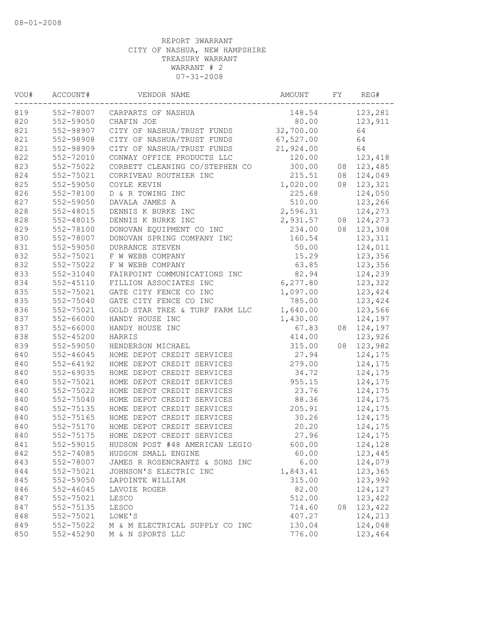| 552-78007<br>148.54<br>123,281<br>CARPARTS OF NASHUA<br>552-59050<br>CHAFIN JOE<br>80.00<br>123,911<br>821<br>552-98907<br>CITY OF NASHUA/TRUST FUNDS<br>64<br>32,700.00<br>821<br>552-98908<br>CITY OF NASHUA/TRUST FUNDS<br>67,527.00<br>64<br>821<br>CITY OF NASHUA/TRUST FUNDS<br>21,924.00<br>64<br>552-98909<br>822<br>552-72010<br>CONWAY OFFICE PRODUCTS LLC<br>120.00<br>123,418<br>823<br>552-75022<br>CORBETT CLEANING CO/STEPHEN CO<br>300.00<br>123,485<br>08<br>552-75021<br>215.51<br>124,049<br>CORRIVEAU ROUTHIER INC<br>08<br>825<br>1,020.00<br>123,321<br>552-59050<br>COYLE KEVIN<br>08<br>552-78100<br>D & R TOWING INC<br>225.68<br>124,050<br>552-59050<br>510.00<br>123,266<br>DAVALA JAMES A<br>552-48015<br>DENNIS K BURKE INC<br>2,596.31<br>124,273<br>552-48015<br>2,931.57<br>DENNIS K BURKE INC<br>124,273<br>08<br>552-78100<br>DONOVAN EQUIPMENT CO INC<br>234.00<br>08<br>123,308<br>552-78007<br>123,311<br>DONOVAN SPRING COMPANY INC<br>160.54<br>124,011<br>831<br>552-59050<br>50.00<br>DURRANCE STEVEN<br>123,356<br>552-75021<br>15.29<br>F W WEBB COMPANY<br>832<br>63.85<br>552-75022<br>F W WEBB COMPANY<br>123,356<br>833<br>82.94<br>552-31040<br>FAIRPOINT COMMUNICATIONS INC<br>124,239<br>834<br>$552 - 45110$<br>FILLION ASSOCIATES INC<br>6,277.80<br>123,322<br>835<br>552-75021<br>GATE CITY FENCE CO INC<br>1,097.00<br>123,424<br>552-75040<br>GATE CITY FENCE CO INC<br>785.00<br>123,424<br>552-75021<br>GOLD STAR TREE & TURF FARM LLC<br>1,640.00<br>123,566<br>552-66000<br>HANDY HOUSE INC<br>1,430.00<br>124,197<br>552-66000<br>HANDY HOUSE INC<br>67.83<br>124,197<br>08<br>$552 - 45200$<br>123,926<br>HARRIS<br>414.00<br>839<br>315.00<br>123,982<br>552-59050<br>HENDERSON MICHAEL<br>08<br>840<br>$552 - 46045$<br>HOME DEPOT CREDIT SERVICES<br>27.94<br>124,175<br>840<br>552-64192<br>279.00<br>HOME DEPOT CREDIT SERVICES<br>124,175<br>552-69035<br>840<br>HOME DEPOT CREDIT SERVICES<br>34.72<br>124,175<br>552-75021<br>955.15<br>HOME DEPOT CREDIT SERVICES<br>124,175<br>840<br>552-75022<br>HOME DEPOT CREDIT SERVICES<br>23.76<br>124,175<br>840<br>552-75040<br>88.36<br>HOME DEPOT CREDIT SERVICES<br>124,175<br>840<br>552-75135<br>HOME DEPOT CREDIT SERVICES<br>205.91<br>124,175<br>840<br>552-75165<br>HOME DEPOT CREDIT SERVICES<br>30.26<br>124,175<br>840<br>552-75170<br>HOME DEPOT CREDIT SERVICES<br>20.20<br>124,175<br>840<br>552-75175<br>HOME DEPOT CREDIT SERVICES<br>27.96<br>124,175<br>841<br>552-59015<br>HUDSON POST #48 AMERICAN LEGIO<br>600.00<br>124,128<br>842<br>552-74085<br>HUDSON SMALL ENGINE<br>60.00<br>123,445<br>843<br>552-78007<br>6.00<br>124,079<br>JAMES R ROSENCRANTZ & SONS INC<br>844<br>552-75021<br>1,843.41<br>123,365<br>JOHNSON'S ELECTRIC INC<br>123,992<br>845<br>552-59050<br>315.00<br>LAPOINTE WILLIAM<br>846<br>552-46045<br>82.00<br>124,127<br>LAVOIE ROGER<br>123,422<br>847<br>552-75021<br>512.00<br>LESCO<br>123,422<br>847<br>552-75135<br>LESCO<br>714.60<br>08<br>848<br>552-75021<br>407.27<br>124,213<br>LOWE'S<br>849<br>552-75022<br>130.04<br>124,048<br>M & M ELECTRICAL SUPPLY CO INC<br>850<br>552-45290<br>776.00<br>123,464<br>M & N SPORTS LLC | VOU# | ACCOUNT# | VENDOR NAME | AMOUNT | FY | REG# |
|-------------------------------------------------------------------------------------------------------------------------------------------------------------------------------------------------------------------------------------------------------------------------------------------------------------------------------------------------------------------------------------------------------------------------------------------------------------------------------------------------------------------------------------------------------------------------------------------------------------------------------------------------------------------------------------------------------------------------------------------------------------------------------------------------------------------------------------------------------------------------------------------------------------------------------------------------------------------------------------------------------------------------------------------------------------------------------------------------------------------------------------------------------------------------------------------------------------------------------------------------------------------------------------------------------------------------------------------------------------------------------------------------------------------------------------------------------------------------------------------------------------------------------------------------------------------------------------------------------------------------------------------------------------------------------------------------------------------------------------------------------------------------------------------------------------------------------------------------------------------------------------------------------------------------------------------------------------------------------------------------------------------------------------------------------------------------------------------------------------------------------------------------------------------------------------------------------------------------------------------------------------------------------------------------------------------------------------------------------------------------------------------------------------------------------------------------------------------------------------------------------------------------------------------------------------------------------------------------------------------------------------------------------------------------------------------------------------------------------------------------------------------------------------------------------------------------------------------------------------------------------------------------------------------------------------------------------------------------------------------------------------------------------------------------------------------------------------------------------------------------------------------------------------------------------------------------------------|------|----------|-------------|--------|----|------|
|                                                                                                                                                                                                                                                                                                                                                                                                                                                                                                                                                                                                                                                                                                                                                                                                                                                                                                                                                                                                                                                                                                                                                                                                                                                                                                                                                                                                                                                                                                                                                                                                                                                                                                                                                                                                                                                                                                                                                                                                                                                                                                                                                                                                                                                                                                                                                                                                                                                                                                                                                                                                                                                                                                                                                                                                                                                                                                                                                                                                                                                                                                                                                                                                             | 819  |          |             |        |    |      |
|                                                                                                                                                                                                                                                                                                                                                                                                                                                                                                                                                                                                                                                                                                                                                                                                                                                                                                                                                                                                                                                                                                                                                                                                                                                                                                                                                                                                                                                                                                                                                                                                                                                                                                                                                                                                                                                                                                                                                                                                                                                                                                                                                                                                                                                                                                                                                                                                                                                                                                                                                                                                                                                                                                                                                                                                                                                                                                                                                                                                                                                                                                                                                                                                             | 820  |          |             |        |    |      |
|                                                                                                                                                                                                                                                                                                                                                                                                                                                                                                                                                                                                                                                                                                                                                                                                                                                                                                                                                                                                                                                                                                                                                                                                                                                                                                                                                                                                                                                                                                                                                                                                                                                                                                                                                                                                                                                                                                                                                                                                                                                                                                                                                                                                                                                                                                                                                                                                                                                                                                                                                                                                                                                                                                                                                                                                                                                                                                                                                                                                                                                                                                                                                                                                             |      |          |             |        |    |      |
|                                                                                                                                                                                                                                                                                                                                                                                                                                                                                                                                                                                                                                                                                                                                                                                                                                                                                                                                                                                                                                                                                                                                                                                                                                                                                                                                                                                                                                                                                                                                                                                                                                                                                                                                                                                                                                                                                                                                                                                                                                                                                                                                                                                                                                                                                                                                                                                                                                                                                                                                                                                                                                                                                                                                                                                                                                                                                                                                                                                                                                                                                                                                                                                                             |      |          |             |        |    |      |
|                                                                                                                                                                                                                                                                                                                                                                                                                                                                                                                                                                                                                                                                                                                                                                                                                                                                                                                                                                                                                                                                                                                                                                                                                                                                                                                                                                                                                                                                                                                                                                                                                                                                                                                                                                                                                                                                                                                                                                                                                                                                                                                                                                                                                                                                                                                                                                                                                                                                                                                                                                                                                                                                                                                                                                                                                                                                                                                                                                                                                                                                                                                                                                                                             |      |          |             |        |    |      |
|                                                                                                                                                                                                                                                                                                                                                                                                                                                                                                                                                                                                                                                                                                                                                                                                                                                                                                                                                                                                                                                                                                                                                                                                                                                                                                                                                                                                                                                                                                                                                                                                                                                                                                                                                                                                                                                                                                                                                                                                                                                                                                                                                                                                                                                                                                                                                                                                                                                                                                                                                                                                                                                                                                                                                                                                                                                                                                                                                                                                                                                                                                                                                                                                             |      |          |             |        |    |      |
|                                                                                                                                                                                                                                                                                                                                                                                                                                                                                                                                                                                                                                                                                                                                                                                                                                                                                                                                                                                                                                                                                                                                                                                                                                                                                                                                                                                                                                                                                                                                                                                                                                                                                                                                                                                                                                                                                                                                                                                                                                                                                                                                                                                                                                                                                                                                                                                                                                                                                                                                                                                                                                                                                                                                                                                                                                                                                                                                                                                                                                                                                                                                                                                                             |      |          |             |        |    |      |
|                                                                                                                                                                                                                                                                                                                                                                                                                                                                                                                                                                                                                                                                                                                                                                                                                                                                                                                                                                                                                                                                                                                                                                                                                                                                                                                                                                                                                                                                                                                                                                                                                                                                                                                                                                                                                                                                                                                                                                                                                                                                                                                                                                                                                                                                                                                                                                                                                                                                                                                                                                                                                                                                                                                                                                                                                                                                                                                                                                                                                                                                                                                                                                                                             | 824  |          |             |        |    |      |
|                                                                                                                                                                                                                                                                                                                                                                                                                                                                                                                                                                                                                                                                                                                                                                                                                                                                                                                                                                                                                                                                                                                                                                                                                                                                                                                                                                                                                                                                                                                                                                                                                                                                                                                                                                                                                                                                                                                                                                                                                                                                                                                                                                                                                                                                                                                                                                                                                                                                                                                                                                                                                                                                                                                                                                                                                                                                                                                                                                                                                                                                                                                                                                                                             |      |          |             |        |    |      |
|                                                                                                                                                                                                                                                                                                                                                                                                                                                                                                                                                                                                                                                                                                                                                                                                                                                                                                                                                                                                                                                                                                                                                                                                                                                                                                                                                                                                                                                                                                                                                                                                                                                                                                                                                                                                                                                                                                                                                                                                                                                                                                                                                                                                                                                                                                                                                                                                                                                                                                                                                                                                                                                                                                                                                                                                                                                                                                                                                                                                                                                                                                                                                                                                             | 826  |          |             |        |    |      |
|                                                                                                                                                                                                                                                                                                                                                                                                                                                                                                                                                                                                                                                                                                                                                                                                                                                                                                                                                                                                                                                                                                                                                                                                                                                                                                                                                                                                                                                                                                                                                                                                                                                                                                                                                                                                                                                                                                                                                                                                                                                                                                                                                                                                                                                                                                                                                                                                                                                                                                                                                                                                                                                                                                                                                                                                                                                                                                                                                                                                                                                                                                                                                                                                             | 827  |          |             |        |    |      |
|                                                                                                                                                                                                                                                                                                                                                                                                                                                                                                                                                                                                                                                                                                                                                                                                                                                                                                                                                                                                                                                                                                                                                                                                                                                                                                                                                                                                                                                                                                                                                                                                                                                                                                                                                                                                                                                                                                                                                                                                                                                                                                                                                                                                                                                                                                                                                                                                                                                                                                                                                                                                                                                                                                                                                                                                                                                                                                                                                                                                                                                                                                                                                                                                             | 828  |          |             |        |    |      |
|                                                                                                                                                                                                                                                                                                                                                                                                                                                                                                                                                                                                                                                                                                                                                                                                                                                                                                                                                                                                                                                                                                                                                                                                                                                                                                                                                                                                                                                                                                                                                                                                                                                                                                                                                                                                                                                                                                                                                                                                                                                                                                                                                                                                                                                                                                                                                                                                                                                                                                                                                                                                                                                                                                                                                                                                                                                                                                                                                                                                                                                                                                                                                                                                             | 828  |          |             |        |    |      |
|                                                                                                                                                                                                                                                                                                                                                                                                                                                                                                                                                                                                                                                                                                                                                                                                                                                                                                                                                                                                                                                                                                                                                                                                                                                                                                                                                                                                                                                                                                                                                                                                                                                                                                                                                                                                                                                                                                                                                                                                                                                                                                                                                                                                                                                                                                                                                                                                                                                                                                                                                                                                                                                                                                                                                                                                                                                                                                                                                                                                                                                                                                                                                                                                             | 829  |          |             |        |    |      |
|                                                                                                                                                                                                                                                                                                                                                                                                                                                                                                                                                                                                                                                                                                                                                                                                                                                                                                                                                                                                                                                                                                                                                                                                                                                                                                                                                                                                                                                                                                                                                                                                                                                                                                                                                                                                                                                                                                                                                                                                                                                                                                                                                                                                                                                                                                                                                                                                                                                                                                                                                                                                                                                                                                                                                                                                                                                                                                                                                                                                                                                                                                                                                                                                             | 830  |          |             |        |    |      |
|                                                                                                                                                                                                                                                                                                                                                                                                                                                                                                                                                                                                                                                                                                                                                                                                                                                                                                                                                                                                                                                                                                                                                                                                                                                                                                                                                                                                                                                                                                                                                                                                                                                                                                                                                                                                                                                                                                                                                                                                                                                                                                                                                                                                                                                                                                                                                                                                                                                                                                                                                                                                                                                                                                                                                                                                                                                                                                                                                                                                                                                                                                                                                                                                             |      |          |             |        |    |      |
|                                                                                                                                                                                                                                                                                                                                                                                                                                                                                                                                                                                                                                                                                                                                                                                                                                                                                                                                                                                                                                                                                                                                                                                                                                                                                                                                                                                                                                                                                                                                                                                                                                                                                                                                                                                                                                                                                                                                                                                                                                                                                                                                                                                                                                                                                                                                                                                                                                                                                                                                                                                                                                                                                                                                                                                                                                                                                                                                                                                                                                                                                                                                                                                                             | 832  |          |             |        |    |      |
|                                                                                                                                                                                                                                                                                                                                                                                                                                                                                                                                                                                                                                                                                                                                                                                                                                                                                                                                                                                                                                                                                                                                                                                                                                                                                                                                                                                                                                                                                                                                                                                                                                                                                                                                                                                                                                                                                                                                                                                                                                                                                                                                                                                                                                                                                                                                                                                                                                                                                                                                                                                                                                                                                                                                                                                                                                                                                                                                                                                                                                                                                                                                                                                                             |      |          |             |        |    |      |
|                                                                                                                                                                                                                                                                                                                                                                                                                                                                                                                                                                                                                                                                                                                                                                                                                                                                                                                                                                                                                                                                                                                                                                                                                                                                                                                                                                                                                                                                                                                                                                                                                                                                                                                                                                                                                                                                                                                                                                                                                                                                                                                                                                                                                                                                                                                                                                                                                                                                                                                                                                                                                                                                                                                                                                                                                                                                                                                                                                                                                                                                                                                                                                                                             |      |          |             |        |    |      |
|                                                                                                                                                                                                                                                                                                                                                                                                                                                                                                                                                                                                                                                                                                                                                                                                                                                                                                                                                                                                                                                                                                                                                                                                                                                                                                                                                                                                                                                                                                                                                                                                                                                                                                                                                                                                                                                                                                                                                                                                                                                                                                                                                                                                                                                                                                                                                                                                                                                                                                                                                                                                                                                                                                                                                                                                                                                                                                                                                                                                                                                                                                                                                                                                             |      |          |             |        |    |      |
|                                                                                                                                                                                                                                                                                                                                                                                                                                                                                                                                                                                                                                                                                                                                                                                                                                                                                                                                                                                                                                                                                                                                                                                                                                                                                                                                                                                                                                                                                                                                                                                                                                                                                                                                                                                                                                                                                                                                                                                                                                                                                                                                                                                                                                                                                                                                                                                                                                                                                                                                                                                                                                                                                                                                                                                                                                                                                                                                                                                                                                                                                                                                                                                                             |      |          |             |        |    |      |
|                                                                                                                                                                                                                                                                                                                                                                                                                                                                                                                                                                                                                                                                                                                                                                                                                                                                                                                                                                                                                                                                                                                                                                                                                                                                                                                                                                                                                                                                                                                                                                                                                                                                                                                                                                                                                                                                                                                                                                                                                                                                                                                                                                                                                                                                                                                                                                                                                                                                                                                                                                                                                                                                                                                                                                                                                                                                                                                                                                                                                                                                                                                                                                                                             | 835  |          |             |        |    |      |
|                                                                                                                                                                                                                                                                                                                                                                                                                                                                                                                                                                                                                                                                                                                                                                                                                                                                                                                                                                                                                                                                                                                                                                                                                                                                                                                                                                                                                                                                                                                                                                                                                                                                                                                                                                                                                                                                                                                                                                                                                                                                                                                                                                                                                                                                                                                                                                                                                                                                                                                                                                                                                                                                                                                                                                                                                                                                                                                                                                                                                                                                                                                                                                                                             | 836  |          |             |        |    |      |
|                                                                                                                                                                                                                                                                                                                                                                                                                                                                                                                                                                                                                                                                                                                                                                                                                                                                                                                                                                                                                                                                                                                                                                                                                                                                                                                                                                                                                                                                                                                                                                                                                                                                                                                                                                                                                                                                                                                                                                                                                                                                                                                                                                                                                                                                                                                                                                                                                                                                                                                                                                                                                                                                                                                                                                                                                                                                                                                                                                                                                                                                                                                                                                                                             | 837  |          |             |        |    |      |
|                                                                                                                                                                                                                                                                                                                                                                                                                                                                                                                                                                                                                                                                                                                                                                                                                                                                                                                                                                                                                                                                                                                                                                                                                                                                                                                                                                                                                                                                                                                                                                                                                                                                                                                                                                                                                                                                                                                                                                                                                                                                                                                                                                                                                                                                                                                                                                                                                                                                                                                                                                                                                                                                                                                                                                                                                                                                                                                                                                                                                                                                                                                                                                                                             | 837  |          |             |        |    |      |
|                                                                                                                                                                                                                                                                                                                                                                                                                                                                                                                                                                                                                                                                                                                                                                                                                                                                                                                                                                                                                                                                                                                                                                                                                                                                                                                                                                                                                                                                                                                                                                                                                                                                                                                                                                                                                                                                                                                                                                                                                                                                                                                                                                                                                                                                                                                                                                                                                                                                                                                                                                                                                                                                                                                                                                                                                                                                                                                                                                                                                                                                                                                                                                                                             | 838  |          |             |        |    |      |
|                                                                                                                                                                                                                                                                                                                                                                                                                                                                                                                                                                                                                                                                                                                                                                                                                                                                                                                                                                                                                                                                                                                                                                                                                                                                                                                                                                                                                                                                                                                                                                                                                                                                                                                                                                                                                                                                                                                                                                                                                                                                                                                                                                                                                                                                                                                                                                                                                                                                                                                                                                                                                                                                                                                                                                                                                                                                                                                                                                                                                                                                                                                                                                                                             |      |          |             |        |    |      |
|                                                                                                                                                                                                                                                                                                                                                                                                                                                                                                                                                                                                                                                                                                                                                                                                                                                                                                                                                                                                                                                                                                                                                                                                                                                                                                                                                                                                                                                                                                                                                                                                                                                                                                                                                                                                                                                                                                                                                                                                                                                                                                                                                                                                                                                                                                                                                                                                                                                                                                                                                                                                                                                                                                                                                                                                                                                                                                                                                                                                                                                                                                                                                                                                             |      |          |             |        |    |      |
|                                                                                                                                                                                                                                                                                                                                                                                                                                                                                                                                                                                                                                                                                                                                                                                                                                                                                                                                                                                                                                                                                                                                                                                                                                                                                                                                                                                                                                                                                                                                                                                                                                                                                                                                                                                                                                                                                                                                                                                                                                                                                                                                                                                                                                                                                                                                                                                                                                                                                                                                                                                                                                                                                                                                                                                                                                                                                                                                                                                                                                                                                                                                                                                                             |      |          |             |        |    |      |
|                                                                                                                                                                                                                                                                                                                                                                                                                                                                                                                                                                                                                                                                                                                                                                                                                                                                                                                                                                                                                                                                                                                                                                                                                                                                                                                                                                                                                                                                                                                                                                                                                                                                                                                                                                                                                                                                                                                                                                                                                                                                                                                                                                                                                                                                                                                                                                                                                                                                                                                                                                                                                                                                                                                                                                                                                                                                                                                                                                                                                                                                                                                                                                                                             |      |          |             |        |    |      |
|                                                                                                                                                                                                                                                                                                                                                                                                                                                                                                                                                                                                                                                                                                                                                                                                                                                                                                                                                                                                                                                                                                                                                                                                                                                                                                                                                                                                                                                                                                                                                                                                                                                                                                                                                                                                                                                                                                                                                                                                                                                                                                                                                                                                                                                                                                                                                                                                                                                                                                                                                                                                                                                                                                                                                                                                                                                                                                                                                                                                                                                                                                                                                                                                             | 840  |          |             |        |    |      |
|                                                                                                                                                                                                                                                                                                                                                                                                                                                                                                                                                                                                                                                                                                                                                                                                                                                                                                                                                                                                                                                                                                                                                                                                                                                                                                                                                                                                                                                                                                                                                                                                                                                                                                                                                                                                                                                                                                                                                                                                                                                                                                                                                                                                                                                                                                                                                                                                                                                                                                                                                                                                                                                                                                                                                                                                                                                                                                                                                                                                                                                                                                                                                                                                             |      |          |             |        |    |      |
|                                                                                                                                                                                                                                                                                                                                                                                                                                                                                                                                                                                                                                                                                                                                                                                                                                                                                                                                                                                                                                                                                                                                                                                                                                                                                                                                                                                                                                                                                                                                                                                                                                                                                                                                                                                                                                                                                                                                                                                                                                                                                                                                                                                                                                                                                                                                                                                                                                                                                                                                                                                                                                                                                                                                                                                                                                                                                                                                                                                                                                                                                                                                                                                                             |      |          |             |        |    |      |
|                                                                                                                                                                                                                                                                                                                                                                                                                                                                                                                                                                                                                                                                                                                                                                                                                                                                                                                                                                                                                                                                                                                                                                                                                                                                                                                                                                                                                                                                                                                                                                                                                                                                                                                                                                                                                                                                                                                                                                                                                                                                                                                                                                                                                                                                                                                                                                                                                                                                                                                                                                                                                                                                                                                                                                                                                                                                                                                                                                                                                                                                                                                                                                                                             |      |          |             |        |    |      |
|                                                                                                                                                                                                                                                                                                                                                                                                                                                                                                                                                                                                                                                                                                                                                                                                                                                                                                                                                                                                                                                                                                                                                                                                                                                                                                                                                                                                                                                                                                                                                                                                                                                                                                                                                                                                                                                                                                                                                                                                                                                                                                                                                                                                                                                                                                                                                                                                                                                                                                                                                                                                                                                                                                                                                                                                                                                                                                                                                                                                                                                                                                                                                                                                             |      |          |             |        |    |      |
|                                                                                                                                                                                                                                                                                                                                                                                                                                                                                                                                                                                                                                                                                                                                                                                                                                                                                                                                                                                                                                                                                                                                                                                                                                                                                                                                                                                                                                                                                                                                                                                                                                                                                                                                                                                                                                                                                                                                                                                                                                                                                                                                                                                                                                                                                                                                                                                                                                                                                                                                                                                                                                                                                                                                                                                                                                                                                                                                                                                                                                                                                                                                                                                                             |      |          |             |        |    |      |
|                                                                                                                                                                                                                                                                                                                                                                                                                                                                                                                                                                                                                                                                                                                                                                                                                                                                                                                                                                                                                                                                                                                                                                                                                                                                                                                                                                                                                                                                                                                                                                                                                                                                                                                                                                                                                                                                                                                                                                                                                                                                                                                                                                                                                                                                                                                                                                                                                                                                                                                                                                                                                                                                                                                                                                                                                                                                                                                                                                                                                                                                                                                                                                                                             |      |          |             |        |    |      |
|                                                                                                                                                                                                                                                                                                                                                                                                                                                                                                                                                                                                                                                                                                                                                                                                                                                                                                                                                                                                                                                                                                                                                                                                                                                                                                                                                                                                                                                                                                                                                                                                                                                                                                                                                                                                                                                                                                                                                                                                                                                                                                                                                                                                                                                                                                                                                                                                                                                                                                                                                                                                                                                                                                                                                                                                                                                                                                                                                                                                                                                                                                                                                                                                             |      |          |             |        |    |      |
|                                                                                                                                                                                                                                                                                                                                                                                                                                                                                                                                                                                                                                                                                                                                                                                                                                                                                                                                                                                                                                                                                                                                                                                                                                                                                                                                                                                                                                                                                                                                                                                                                                                                                                                                                                                                                                                                                                                                                                                                                                                                                                                                                                                                                                                                                                                                                                                                                                                                                                                                                                                                                                                                                                                                                                                                                                                                                                                                                                                                                                                                                                                                                                                                             |      |          |             |        |    |      |
|                                                                                                                                                                                                                                                                                                                                                                                                                                                                                                                                                                                                                                                                                                                                                                                                                                                                                                                                                                                                                                                                                                                                                                                                                                                                                                                                                                                                                                                                                                                                                                                                                                                                                                                                                                                                                                                                                                                                                                                                                                                                                                                                                                                                                                                                                                                                                                                                                                                                                                                                                                                                                                                                                                                                                                                                                                                                                                                                                                                                                                                                                                                                                                                                             |      |          |             |        |    |      |
|                                                                                                                                                                                                                                                                                                                                                                                                                                                                                                                                                                                                                                                                                                                                                                                                                                                                                                                                                                                                                                                                                                                                                                                                                                                                                                                                                                                                                                                                                                                                                                                                                                                                                                                                                                                                                                                                                                                                                                                                                                                                                                                                                                                                                                                                                                                                                                                                                                                                                                                                                                                                                                                                                                                                                                                                                                                                                                                                                                                                                                                                                                                                                                                                             |      |          |             |        |    |      |
|                                                                                                                                                                                                                                                                                                                                                                                                                                                                                                                                                                                                                                                                                                                                                                                                                                                                                                                                                                                                                                                                                                                                                                                                                                                                                                                                                                                                                                                                                                                                                                                                                                                                                                                                                                                                                                                                                                                                                                                                                                                                                                                                                                                                                                                                                                                                                                                                                                                                                                                                                                                                                                                                                                                                                                                                                                                                                                                                                                                                                                                                                                                                                                                                             |      |          |             |        |    |      |
|                                                                                                                                                                                                                                                                                                                                                                                                                                                                                                                                                                                                                                                                                                                                                                                                                                                                                                                                                                                                                                                                                                                                                                                                                                                                                                                                                                                                                                                                                                                                                                                                                                                                                                                                                                                                                                                                                                                                                                                                                                                                                                                                                                                                                                                                                                                                                                                                                                                                                                                                                                                                                                                                                                                                                                                                                                                                                                                                                                                                                                                                                                                                                                                                             |      |          |             |        |    |      |
|                                                                                                                                                                                                                                                                                                                                                                                                                                                                                                                                                                                                                                                                                                                                                                                                                                                                                                                                                                                                                                                                                                                                                                                                                                                                                                                                                                                                                                                                                                                                                                                                                                                                                                                                                                                                                                                                                                                                                                                                                                                                                                                                                                                                                                                                                                                                                                                                                                                                                                                                                                                                                                                                                                                                                                                                                                                                                                                                                                                                                                                                                                                                                                                                             |      |          |             |        |    |      |
|                                                                                                                                                                                                                                                                                                                                                                                                                                                                                                                                                                                                                                                                                                                                                                                                                                                                                                                                                                                                                                                                                                                                                                                                                                                                                                                                                                                                                                                                                                                                                                                                                                                                                                                                                                                                                                                                                                                                                                                                                                                                                                                                                                                                                                                                                                                                                                                                                                                                                                                                                                                                                                                                                                                                                                                                                                                                                                                                                                                                                                                                                                                                                                                                             |      |          |             |        |    |      |
|                                                                                                                                                                                                                                                                                                                                                                                                                                                                                                                                                                                                                                                                                                                                                                                                                                                                                                                                                                                                                                                                                                                                                                                                                                                                                                                                                                                                                                                                                                                                                                                                                                                                                                                                                                                                                                                                                                                                                                                                                                                                                                                                                                                                                                                                                                                                                                                                                                                                                                                                                                                                                                                                                                                                                                                                                                                                                                                                                                                                                                                                                                                                                                                                             |      |          |             |        |    |      |
|                                                                                                                                                                                                                                                                                                                                                                                                                                                                                                                                                                                                                                                                                                                                                                                                                                                                                                                                                                                                                                                                                                                                                                                                                                                                                                                                                                                                                                                                                                                                                                                                                                                                                                                                                                                                                                                                                                                                                                                                                                                                                                                                                                                                                                                                                                                                                                                                                                                                                                                                                                                                                                                                                                                                                                                                                                                                                                                                                                                                                                                                                                                                                                                                             |      |          |             |        |    |      |
|                                                                                                                                                                                                                                                                                                                                                                                                                                                                                                                                                                                                                                                                                                                                                                                                                                                                                                                                                                                                                                                                                                                                                                                                                                                                                                                                                                                                                                                                                                                                                                                                                                                                                                                                                                                                                                                                                                                                                                                                                                                                                                                                                                                                                                                                                                                                                                                                                                                                                                                                                                                                                                                                                                                                                                                                                                                                                                                                                                                                                                                                                                                                                                                                             |      |          |             |        |    |      |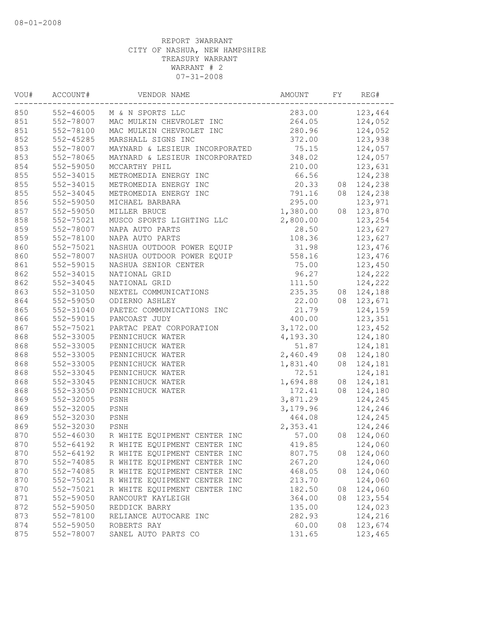| VOU# | ACCOUNT#      | VENDOR NAME                            | AMOUNT   | FY | REG#    |
|------|---------------|----------------------------------------|----------|----|---------|
| 850  | 552-46005     | M & N SPORTS LLC                       | 283.00   |    | 123,464 |
| 851  | 552-78007     | MAC MULKIN CHEVROLET INC               | 264.05   |    | 124,052 |
| 851  | 552-78100     | MAC MULKIN CHEVROLET INC               | 280.96   |    | 124,052 |
| 852  | $552 - 45285$ | MARSHALL SIGNS INC                     | 372.00   |    | 123,938 |
| 853  | 552-78007     | MAYNARD & LESIEUR INCORPORATED         | 75.15    |    | 124,057 |
| 853  | 552-78065     | MAYNARD & LESIEUR INCORPORATED         | 348.02   |    | 124,057 |
| 854  | 552-59050     | MCCARTHY PHIL                          | 210.00   |    | 123,631 |
| 855  | 552-34015     | METROMEDIA ENERGY INC                  | 66.56    |    | 124,238 |
| 855  | 552-34015     | METROMEDIA ENERGY INC                  | 20.33    | 08 | 124,238 |
| 855  | 552-34045     | METROMEDIA ENERGY INC                  | 791.16   | 08 | 124,238 |
| 856  | 552-59050     | MICHAEL BARBARA                        | 295.00   |    | 123,971 |
| 857  | 552-59050     | MILLER BRUCE                           | 1,380.00 | 08 | 123,870 |
| 858  | 552-75021     | MUSCO SPORTS LIGHTING LLC              | 2,800.00 |    | 123,254 |
| 859  | 552-78007     | NAPA AUTO PARTS                        | 28.50    |    | 123,627 |
| 859  | 552-78100     | NAPA AUTO PARTS                        | 108.36   |    | 123,627 |
| 860  | 552-75021     | NASHUA OUTDOOR POWER EQUIP             | 31.98    |    | 123,476 |
| 860  | 552-78007     | NASHUA OUTDOOR POWER EQUIP             | 558.16   |    | 123,476 |
| 861  | 552-59015     | NASHUA SENIOR CENTER                   | 75.00    |    | 123,450 |
| 862  | 552-34015     | NATIONAL GRID                          | 96.27    |    | 124,222 |
| 862  | 552-34045     | NATIONAL GRID                          | 111.50   |    | 124,222 |
| 863  | 552-31050     | NEXTEL COMMUNICATIONS                  | 235.35   | 08 | 124,188 |
| 864  | 552-59050     | ODIERNO ASHLEY                         | 22.00    | 08 | 123,671 |
| 865  | 552-31040     | PAETEC COMMUNICATIONS INC              | 21.79    |    | 124,159 |
| 866  | 552-59015     | PANCOAST JUDY                          | 400.00   |    | 123,351 |
| 867  | 552-75021     | PARTAC PEAT CORPORATION                | 3,172.00 |    | 123,452 |
| 868  | 552-33005     | PENNICHUCK WATER                       | 4,193.30 |    | 124,180 |
| 868  | 552-33005     | PENNICHUCK WATER                       | 51.87    |    | 124,181 |
| 868  | 552-33005     | PENNICHUCK WATER                       | 2,460.49 | 08 | 124,180 |
| 868  | 552-33005     | PENNICHUCK WATER                       | 1,831.40 | 08 | 124,181 |
| 868  | 552-33045     | PENNICHUCK WATER                       | 72.51    |    | 124,181 |
| 868  | 552-33045     | PENNICHUCK WATER                       | 1,694.88 | 08 | 124,181 |
| 868  | 552-33050     | PENNICHUCK WATER                       | 172.41   | 08 | 124,180 |
| 869  | 552-32005     | PSNH                                   | 3,871.29 |    | 124,245 |
| 869  | 552-32005     | PSNH                                   | 3,179.96 |    | 124,246 |
| 869  | 552-32030     | PSNH                                   | 464.08   |    | 124,245 |
| 869  | 552-32030     | PSNH                                   | 2,353.41 |    | 124,246 |
| 870  | 552-46030     | R WHITE EQUIPMENT CENTER INC           | 57.00    | 08 | 124,060 |
| 870  |               | 552-64192 R WHITE EQUIPMENT CENTER INC | 419.85   |    | 124,060 |
| 870  | 552-64192     | R WHITE EQUIPMENT CENTER INC           | 807.75   | 08 | 124,060 |
| 870  | 552-74085     | R WHITE EQUIPMENT CENTER INC           | 267.20   |    | 124,060 |
| 870  | 552-74085     | R WHITE EQUIPMENT CENTER INC           | 468.05   | 08 | 124,060 |
| 870  | 552-75021     | R WHITE EQUIPMENT CENTER INC           | 213.70   |    | 124,060 |
| 870  | 552-75021     | R WHITE EQUIPMENT CENTER INC           | 182.50   | 08 | 124,060 |
| 871  | 552-59050     | RANCOURT KAYLEIGH                      | 364.00   | 08 | 123,554 |
| 872  | 552-59050     | REDDICK BARRY                          | 135.00   |    | 124,023 |
| 873  | 552-78100     | RELIANCE AUTOCARE INC                  | 282.93   |    | 124,216 |
| 874  | 552-59050     | ROBERTS RAY                            | 60.00    | 08 | 123,674 |
| 875  | 552-78007     | SANEL AUTO PARTS CO                    | 131.65   |    | 123,465 |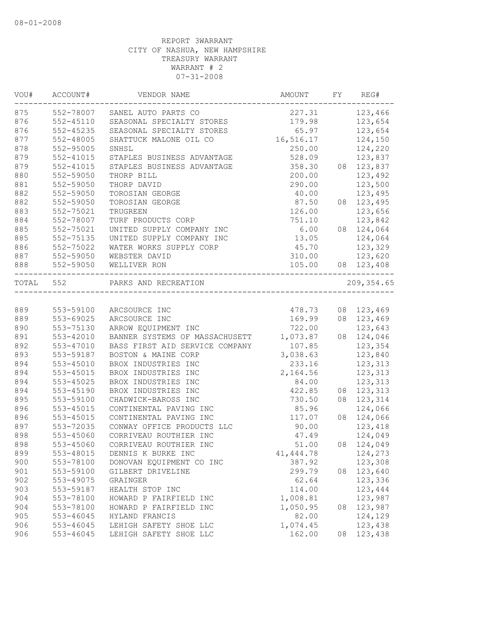| VOU#      | ACCOUNT#      | VENDOR NAME                    | AMOUNT     | FY | REG#              |
|-----------|---------------|--------------------------------|------------|----|-------------------|
| 875       |               | 552-78007 SANEL AUTO PARTS CO  | 227.31     |    | 123,466           |
| 876       | 552-45110     | SEASONAL SPECIALTY STORES      | 179.98     |    | 123,654           |
| 876       | $552 - 45235$ | SEASONAL SPECIALTY STORES      | 65.97      |    | 123,654           |
| 877       | 552-48005     | SHATTUCK MALONE OIL CO         | 16,516.17  |    | 124,150           |
| 878       | 552-95005     | SNHSL                          | 250.00     |    | 124,220           |
| 879       | 552-41015     | STAPLES BUSINESS ADVANTAGE     | 528.09     |    | 123,837           |
| 879       | 552-41015     | STAPLES BUSINESS ADVANTAGE     | 358.30     |    | 08 123,837        |
| 880       | 552-59050     | THORP BILL                     | 200.00     |    | 123,492           |
| 881       | 552-59050     | THORP DAVID                    | 290.00     |    | 123,500           |
| 882       | 552-59050     | TOROSIAN GEORGE                | 40.00      |    | 123,495           |
| 882       | 552-59050     | TOROSIAN GEORGE                | 87.50      |    | 08 123,495        |
| 883       | 552-75021     | TRUGREEN                       | 126.00     |    | 123,656           |
| 884       | 552-78007     | TURF PRODUCTS CORP             | 751.10     |    | 123,842           |
| 885       | 552-75021     | UNITED SUPPLY COMPANY INC      | 6.00       |    | 08 124,064        |
| 885       | 552-75135     | UNITED SUPPLY COMPANY INC      | 13.05      |    | 124,064           |
| 886       | 552-75022     | WATER WORKS SUPPLY CORP        | 45.70      |    | 123,329           |
| 887       | 552-59050     | WEBSTER DAVID                  | 310.00     |    | 123,620           |
| 888       | 552-59050     | WELLIVER RON                   |            |    | 105.00 08 123,408 |
| TOTAL 552 |               | PARKS AND RECREATION           |            |    | 209, 354.65       |
|           |               |                                |            |    |                   |
| 889       | 553-59100     | ARCSOURCE INC                  | 478.73     |    | 08 123,469        |
| 889       | 553-69025     | ARCSOURCE INC                  | 169.99     |    | 08 123,469        |
| 890       | 553-75130     | ARROW EQUIPMENT INC            | 722.00     |    | 123,643           |
| 891       | 553-42010     | BANNER SYSTEMS OF MASSACHUSETT | 1,073.87   |    | 08 124,046        |
| 892       | 553-47010     | BASS FIRST AID SERVICE COMPANY | 107.85     |    | 123,354           |
| 893       | 553-59187     | BOSTON & MAINE CORP            | 3,038.63   |    | 123,840           |
| 894       | $553 - 45010$ | BROX INDUSTRIES INC            | 233.16     |    | 123,313           |
| 894       | 553-45015     | BROX INDUSTRIES INC            | 2,164.56   |    | 123,313           |
| 894       | 553-45025     | BROX INDUSTRIES INC            | 84.00      |    | 123,313           |
| 894       | 553-45190     | BROX INDUSTRIES INC            | 422.85     |    | 08 123, 313       |
| 895       | 553-59100     | CHADWICK-BAROSS INC            | 730.50     |    | 08 123, 314       |
| 896       | $553 - 45015$ | CONTINENTAL PAVING INC         | 85.96      |    | 124,066           |
| 896       | 553-45015     | CONTINENTAL PAVING INC         | 117.07     |    | 08 124,066        |
| 897       | 553-72035     | CONWAY OFFICE PRODUCTS LLC     | 90.00      |    | 123,418           |
| 898       | 553-45060     | CORRIVEAU ROUTHIER INC         | 47.49      |    | 124,049           |
| 898       | 553-45060     | CORRIVEAU ROUTHIER INC         | 51.00      |    | 08 124,049        |
| 899       | 553-48015     | DENNIS K BURKE INC             | 41, 444.78 |    | 124,273           |
| 900       | 553-78100     | DONOVAN EQUIPMENT CO INC       | 387.92     |    | 123,308           |
| 901       | 553-59100     | GILBERT DRIVELINE              | 299.79     | 08 | 123,640           |
| 902       | 553-49075     | GRAINGER                       | 62.64      |    | 123,336           |
| 903       | 553-59187     | HEALTH STOP INC                | 114.00     |    | 123,444           |
| 904       | 553-78100     | HOWARD P FAIRFIELD INC         | 1,008.81   |    | 123,987           |
| 904       | 553-78100     | HOWARD P FAIRFIELD INC         | 1,050.95   | 08 | 123,987           |
| 905       | 553-46045     | HYLAND FRANCIS                 | 82.00      |    | 124,129           |
| 906       | 553-46045     | LEHIGH SAFETY SHOE LLC         | 1,074.45   |    | 123,438           |
| 906       | 553-46045     | LEHIGH SAFETY SHOE LLC         | 162.00     | 08 | 123,438           |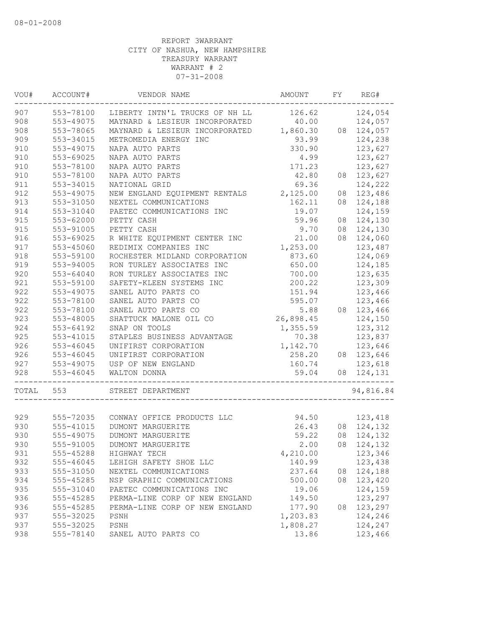| WOU#  | ACCOUNT#  | VENDOR NAME                    | AMOUNT    | FY | REG#       |
|-------|-----------|--------------------------------|-----------|----|------------|
| 907   | 553-78100 | LIBERTY INTN'L TRUCKS OF NH LL | 126.62    |    | 124,054    |
| 908   | 553-49075 | MAYNARD & LESIEUR INCORPORATED | 40.00     |    | 124,057    |
| 908   | 553-78065 | MAYNARD & LESIEUR INCORPORATED | 1,860.30  |    | 08 124,057 |
| 909   | 553-34015 | METROMEDIA ENERGY INC          | 93.99     |    | 124,238    |
| 910   | 553-49075 | NAPA AUTO PARTS                | 330.90    |    | 123,627    |
| 910   | 553-69025 | NAPA AUTO PARTS                | 4.99      |    | 123,627    |
| 910   | 553-78100 | NAPA AUTO PARTS                | 171.23    |    | 123,627    |
| 910   | 553-78100 | NAPA AUTO PARTS                | 42.80     | 08 | 123,627    |
| 911   | 553-34015 | NATIONAL GRID                  | 69.36     |    | 124,222    |
| 912   | 553-49075 | NEW ENGLAND EQUIPMENT RENTALS  | 2,125.00  | 08 | 123,486    |
| 913   | 553-31050 | NEXTEL COMMUNICATIONS          | 162.11    | 08 | 124,188    |
| 914   | 553-31040 | PAETEC COMMUNICATIONS INC      | 19.07     |    | 124,159    |
| 915   | 553-62000 | PETTY CASH                     | 59.96     | 08 | 124,130    |
| 915   | 553-91005 | PETTY CASH                     | 9.70      | 08 | 124,130    |
| 916   | 553-69025 | R WHITE EQUIPMENT CENTER INC   | 21.00     |    | 08 124,060 |
| 917   | 553-45060 | REDIMIX COMPANIES INC          | 1,253.00  |    | 123,487    |
| 918   | 553-59100 | ROCHESTER MIDLAND CORPORATION  | 873.60    |    | 124,069    |
| 919   | 553-94005 | RON TURLEY ASSOCIATES INC      | 650.00    |    | 124,185    |
| 920   | 553-64040 | RON TURLEY ASSOCIATES INC      | 700.00    |    | 123,635    |
| 921   | 553-59100 | SAFETY-KLEEN SYSTEMS INC       | 200.22    |    | 123,309    |
| 922   | 553-49075 | SANEL AUTO PARTS CO            | 151.94    |    | 123,466    |
| 922   | 553-78100 | SANEL AUTO PARTS CO            | 595.07    |    | 123,466    |
| 922   | 553-78100 | SANEL AUTO PARTS CO            | 5.88      | 08 | 123,466    |
| 923   | 553-48005 | SHATTUCK MALONE OIL CO         | 26,898.45 |    | 124,150    |
| 924   | 553-64192 | SNAP ON TOOLS                  | 1,355.59  |    | 123,312    |
| 925   | 553-41015 | STAPLES BUSINESS ADVANTAGE     | 70.38     |    | 123,837    |
| 926   | 553-46045 | UNIFIRST CORPORATION           | 1,142.70  |    | 123,646    |
| 926   | 553-46045 | UNIFIRST CORPORATION           | 258.20    |    | 08 123,646 |
| 927   | 553-49075 | USP OF NEW ENGLAND             | 160.74    |    | 123,618    |
| 928   | 553-46045 | WALTON DONNA                   | 59.04     | 08 | 124,131    |
| TOTAL | 553       | STREET DEPARTMENT              |           |    | 94,816.84  |
|       |           |                                | 94.50     |    |            |
| 929   | 555-72035 | CONWAY OFFICE PRODUCTS LLC     |           |    | 123,418    |
| 930   | 555-41015 | DUMONT MARGUERITE              | 26.43     |    | 08 124,132 |
| 930   | 555-49075 | DUMONT MARGUERITE              | 59.22     | 08 | 124,132    |
| 930   | 555-91005 | DUMONT MARGUERITE              | 2.00      |    | 08 124,132 |
| 931   | 555-45288 | HIGHWAY TECH                   | 4,210.00  |    | 123,346    |
| 932   | 555-46045 | LEHIGH SAFETY SHOE LLC         | 140.99    |    | 123,438    |
| 933   | 555-31050 | NEXTEL COMMUNICATIONS          | 237.64    | 08 | 124,188    |
| 934   | 555-45285 | NSP GRAPHIC COMMUNICATIONS     | 500.00    | 08 | 123,420    |
| 935   | 555-31040 | PAETEC COMMUNICATIONS INC      | 19.06     |    | 124,159    |
| 936   | 555-45285 | PERMA-LINE CORP OF NEW ENGLAND | 149.50    |    | 123,297    |
| 936   | 555-45285 | PERMA-LINE CORP OF NEW ENGLAND | 177.90    | 08 | 123,297    |
| 937   | 555-32025 | PSNH                           | 1,203.83  |    | 124,246    |
| 937   | 555-32025 | PSNH                           | 1,808.27  |    | 124,247    |
| 938   | 555-78140 | SANEL AUTO PARTS CO            | 13.86     |    | 123,466    |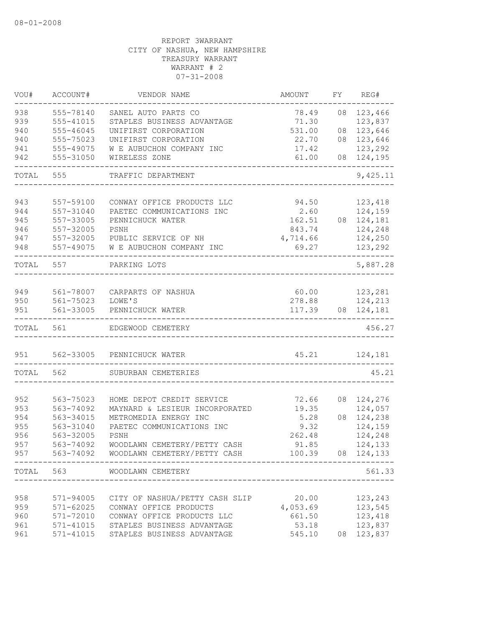| VOU#       | ACCOUNT#               | VENDOR NAME                                              | AMOUNT            | FY | REG#               |
|------------|------------------------|----------------------------------------------------------|-------------------|----|--------------------|
| 938        | 555-78140              | SANEL AUTO PARTS CO                                      | 78.49             | 08 | 123,466            |
| 939        | 555-41015              | STAPLES BUSINESS ADVANTAGE                               | 71.30             |    | 123,837            |
| 940        | 555-46045              | UNIFIRST CORPORATION                                     | 531.00            | 08 | 123,646            |
| 940        | 555-75023              | UNIFIRST CORPORATION                                     | 22.70             |    | 08 123,646         |
| 941        | 555-49075              | W E AUBUCHON COMPANY INC                                 | 17.42             |    | 123,292            |
| 942        | 555-31050              | WIRELESS ZONE                                            | 61.00             |    | 08 124,195         |
| TOTAL      | 555                    | TRAFFIC DEPARTMENT                                       |                   |    | 9,425.11           |
|            |                        |                                                          |                   |    |                    |
| 943        | 557-59100<br>557-31040 | CONWAY OFFICE PRODUCTS LLC                               | 94.50<br>2.60     |    | 123,418            |
| 944        |                        | PAETEC COMMUNICATIONS INC                                |                   |    | 124,159            |
| 945<br>946 | 557-33005<br>557-32005 | PENNICHUCK WATER<br>PSNH                                 | 162.51<br>843.74  |    | 08 124,181         |
|            |                        |                                                          |                   |    | 124,248            |
| 947<br>948 | 557-32005<br>557-49075 | PUBLIC SERVICE OF NH<br>W E AUBUCHON COMPANY INC         | 4,714.66<br>69.27 |    | 124,250<br>123,292 |
| TOTAL      | 557                    | PARKING LOTS                                             |                   |    | 5,887.28           |
|            |                        |                                                          |                   |    |                    |
| 949        | 561-78007              | CARPARTS OF NASHUA                                       |                   |    | 60.00 123,281      |
| 950        | 561-75023              | LOWE'S                                                   |                   |    | 278.88 124,213     |
| 951        | 561-33005              | PENNICHUCK WATER                                         |                   |    | 117.39 08 124,181  |
| TOTAL      | 561                    | EDGEWOOD CEMETERY                                        |                   |    | 456.27             |
| 951        | 562-33005              | PENNICHUCK WATER                                         |                   |    | 45.21 124,181      |
| TOTAL      | 562                    | SUBURBAN CEMETERIES                                      | ------------      |    | 45.21              |
|            |                        |                                                          |                   |    |                    |
| 952        | 563-75023              | HOME DEPOT CREDIT SERVICE                                | 72.66             |    | 08 124,276         |
| 953        | 563-74092              | MAYNARD & LESIEUR INCORPORATED                           | 19.35             |    | 124,057            |
| 954        | 563-34015              | METROMEDIA ENERGY INC                                    | 5.28              |    | 08 124,238         |
| 955        | 563-31040              | PAETEC COMMUNICATIONS INC                                | 9.32              |    | 124,159            |
| 956        | 563-32005              | PSNH                                                     | 262.48            |    | 124,248            |
| 957        | 563-74092              | WOODLAWN CEMETERY/PETTY CASH                             | 91.85             |    | 124,133            |
| 957        | . <u>.</u> .           | 563-74092 WOODLAWN CEMETERY/PETTY CASH 100.39 08 124,133 |                   |    |                    |
|            | TOTAL 563              | WOODLAWN CEMETERY                                        |                   |    | 561.33             |
|            |                        |                                                          |                   |    |                    |
| 958        |                        | 571-94005 CITY OF NASHUA/PETTY CASH SLIP                 | 20.00             |    | 123,243            |
| 959        | $571 - 62025$          | CONWAY OFFICE PRODUCTS                                   | 4,053.69          |    | 123,545            |
| 960        | 571-72010              | CONWAY OFFICE PRODUCTS LLC                               | 661.50            |    | 123,418            |
| 961        | 571-41015              | STAPLES BUSINESS ADVANTAGE                               | 53.18             |    | 123,837            |
| 961        | $571 - 41015$          | STAPLES BUSINESS ADVANTAGE                               | 545.10            |    | 08 123,837         |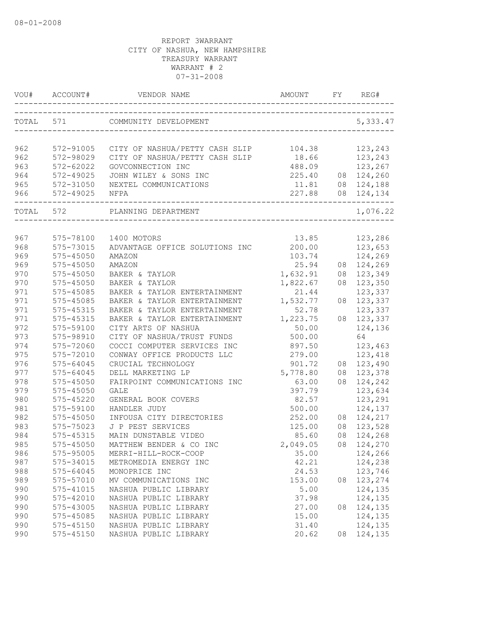|            | VOU# ACCOUNT#              | VENDOR NAME                                                  | AMOUNT<br>-------------------------------- | FY | REG#          |
|------------|----------------------------|--------------------------------------------------------------|--------------------------------------------|----|---------------|
| TOTAL 571  |                            | COMMUNITY DEVELOPMENT<br>--------------------------------    |                                            |    | 5,333.47      |
|            |                            |                                                              |                                            |    |               |
| 962        | 572-91005                  | CITY OF NASHUA/PETTY CASH SLIP                               | 104.38                                     |    | 123,243       |
| 962        | 572-98029                  | CITY OF NASHUA/PETTY CASH SLIP                               | 18.66                                      |    | 123,243       |
| 963        | 572-62022                  | GOVCONNECTION INC                                            | 488.09                                     |    | 123,267       |
| 964        | 572-49025                  | JOHN WILEY & SONS INC                                        | 225.40                                     |    | 08 124,260    |
| 965        | 572-31050                  | NEXTEL COMMUNICATIONS                                        | 11.81                                      |    | 08 124,188    |
| 966        | 572-49025                  | NFPA                                                         | 227.88                                     |    | 08 124,134    |
| TOTAL 572  |                            | PLANNING DEPARTMENT                                          |                                            |    | 1,076.22      |
|            |                            |                                                              |                                            |    |               |
| 967<br>968 | 575-78100                  | 1400 MOTORS                                                  | 13.85                                      |    | 123,286       |
|            | 575-73015                  | ADVANTAGE OFFICE SOLUTIONS INC                               | 200.00                                     |    | 123,653       |
| 969        | $575 - 45050$              | AMAZON                                                       | 103.74                                     |    | 124,269       |
| 969<br>970 | 575-45050                  | AMAZON<br>BAKER & TAYLOR                                     | 25.94                                      |    | 08 124,269    |
|            | $575 - 45050$              |                                                              | 1,632.91                                   |    | 08 123,349    |
| 970        | 575-45050                  | BAKER & TAYLOR                                               | 1,822.67                                   | 08 | 123,350       |
| 971        | 575-45085                  | BAKER & TAYLOR ENTERTAINMENT                                 | 21.44                                      |    | 123,337       |
| 971        | 575-45085<br>$575 - 45315$ | BAKER & TAYLOR ENTERTAINMENT                                 | 1,532.77                                   | 08 | 123,337       |
| 971        |                            | BAKER & TAYLOR ENTERTAINMENT<br>BAKER & TAYLOR ENTERTAINMENT | 52.78                                      |    | 123,337       |
| 971<br>972 | 575-45315                  |                                                              | 1,223.75                                   | 08 | 123,337       |
| 973        | 575-59100<br>575-98910     | CITY ARTS OF NASHUA<br>CITY OF NASHUA/TRUST FUNDS            | 50.00<br>500.00                            |    | 124,136<br>64 |
| 974        | 575-72060                  | COCCI COMPUTER SERVICES INC                                  | 897.50                                     |    | 123,463       |
| 975        | 575-72010                  | CONWAY OFFICE PRODUCTS LLC                                   | 279.00                                     |    | 123,418       |
| 976        | $575 - 64045$              | CRUCIAL TECHNOLOGY                                           | 901.72                                     |    | 08 123,490    |
| 977        | $575 - 64045$              | DELL MARKETING LP                                            | 5,778.80                                   |    | 08 123,378    |
| 978        | 575-45050                  | FAIRPOINT COMMUNICATIONS INC                                 | 63.00                                      | 08 | 124,242       |
| 979        | 575-45050                  | GALE                                                         | 397.79                                     |    | 123,634       |
| 980        | $575 - 45220$              | GENERAL BOOK COVERS                                          | 82.57                                      |    | 123,291       |
| 981        | 575-59100                  | HANDLER JUDY                                                 | 500.00                                     |    | 124,137       |
| 982        | $575 - 45050$              | INFOUSA CITY DIRECTORIES                                     | 252.00                                     |    | 08 124,217    |
| 983        | 575-75023                  | J P PEST SERVICES                                            | 125.00                                     | 08 | 123,528       |
| 984        | 575-45315                  | MAIN DUNSTABLE VIDEO                                         | 85.60                                      | 08 | 124,268       |
| 985        | $575 - 45050$              | MATTHEW BENDER & CO INC                                      | 2,049.05                                   |    | 08 124,270    |
| 986        | 575-95005                  | MERRI-HILL-ROCK-COOP                                         | 35.00                                      |    | 124,266       |
| 987        | 575-34015                  | METROMEDIA ENERGY INC                                        | 42.21                                      |    | 124,238       |
| 988        | 575-64045                  | MONOPRICE INC                                                | 24.53                                      |    | 123,746       |
| 989        | 575-57010                  | MV COMMUNICATIONS INC                                        | 153.00                                     | 08 | 123,274       |
| 990        | 575-41015                  | NASHUA PUBLIC LIBRARY                                        | 5.00                                       |    | 124,135       |
| 990        | 575-42010                  | NASHUA PUBLIC LIBRARY                                        | 37.98                                      |    | 124,135       |
| 990        | 575-43005                  | NASHUA PUBLIC LIBRARY                                        | 27.00                                      | 08 | 124,135       |
| 990        | 575-45085                  | NASHUA PUBLIC LIBRARY                                        | 15.00                                      |    | 124,135       |
| 990        | $575 - 45150$              | NASHUA PUBLIC LIBRARY                                        | 31.40                                      |    | 124,135       |
| 990        | $575 - 45150$              | NASHUA PUBLIC LIBRARY                                        | 20.62                                      | 08 | 124,135       |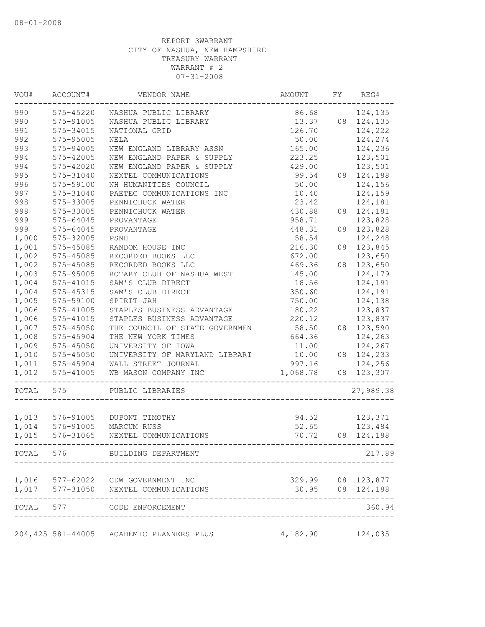| VOU#  | ACCOUNT#        | VENDOR NAME                               | AMOUNT   | FY | REG#                                  |
|-------|-----------------|-------------------------------------------|----------|----|---------------------------------------|
| 990   | 575-45220       | NASHUA PUBLIC LIBRARY                     | 86.68    |    | 124,135                               |
| 990   | 575-91005       | NASHUA PUBLIC LIBRARY                     | 13.37    |    | 08 124,135                            |
| 991   | 575-34015       | NATIONAL GRID                             | 126.70   |    | 124,222                               |
| 992   | 575-95005       | <b>NELA</b>                               | 50.00    |    | 124,274                               |
| 993   | 575-94005       | NEW ENGLAND LIBRARY ASSN                  | 165.00   |    | 124,236                               |
| 994   | 575-42005       | NEW ENGLAND PAPER & SUPPLY                | 223.25   |    | 123,501                               |
| 994   | 575-42020       | NEW ENGLAND PAPER & SUPPLY                | 429.00   |    | 123,501                               |
| 995   | 575-31040       | NEXTEL COMMUNICATIONS                     | 99.54    |    | 08 124,188                            |
| 996   | 575-59100       | NH HUMANITIES COUNCIL                     | 50.00    |    | 124,156                               |
| 997   | 575-31040       | PAETEC COMMUNICATIONS INC                 | 10.40    |    | 124,159                               |
| 998   | 575-33005       | PENNICHUCK WATER                          | 23.42    |    | 124,181                               |
| 998   | 575-33005       | PENNICHUCK WATER                          | 430.88   |    | 08 124,181                            |
| 999   | 575-64045       | PROVANTAGE                                | 958.71   |    | 123,828                               |
| 999   | $575 - 64045$   | PROVANTAGE                                | 448.31   | 08 | 123,828                               |
| 1,000 | 575-32005       | PSNH                                      | 58.54    |    | 124,248                               |
| 1,001 | 575-45085       | RANDOM HOUSE INC                          | 216.30   | 08 | 123,845                               |
| 1,002 | 575-45085       | RECORDED BOOKS LLC                        | 672.00   |    | 123,650                               |
| 1,002 | 575-45085       | RECORDED BOOKS LLC                        | 469.36   | 08 | 123,650                               |
| 1,003 | 575-95005       | ROTARY CLUB OF NASHUA WEST                | 145.00   |    | 124,179                               |
| 1,004 | 575-41015       | SAM'S CLUB DIRECT                         | 18.56    |    | 124,191                               |
| 1,004 | 575-45315       | SAM'S CLUB DIRECT                         | 350.60   |    | 124,191                               |
| 1,005 | 575-59100       | SPIRIT JAH                                | 750.00   |    | 124,138                               |
| 1,006 | 575-41005       | STAPLES BUSINESS ADVANTAGE                | 180.22   |    | 123,837                               |
| 1,006 | 575-41015       | STAPLES BUSINESS ADVANTAGE                | 220.12   |    | 123,837                               |
| 1,007 | 575-45050       | THE COUNCIL OF STATE GOVERNMEN            | 58.50    |    | 08 123,590                            |
| 1,008 | 575-45904       | THE NEW YORK TIMES                        | 664.36   |    | 124,263                               |
| 1,009 | 575-45050       | UNIVERSITY OF IOWA                        | 11.00    |    | 124,267                               |
| 1,010 | $575 - 45050$   | UNIVERSITY OF MARYLAND LIBRARI            | 10.00    |    | 08 124,233                            |
| 1,011 | 575-45904       | WALL STREET JOURNAL                       | 997.16   |    | 124,256                               |
| 1,012 | 575-41005       | WB MASON COMPANY INC                      | 1,068.78 |    | 08 123,307                            |
| TOTAL | 575             | PUBLIC LIBRARIES                          |          |    | 27,989.38                             |
|       | 1,013 576-91005 | DUPONT TIMOTHY                            | 94.52    |    | 123,371                               |
| 1,014 | 576-91005       | MARCUM RUSS                               | 52.65    |    | 123,484                               |
| 1,015 | 576-31065       | NEXTEL COMMUNICATIONS                     | 70.72    |    | 08 124,188                            |
| TOTAL |                 | 576 BUILDING DEPARTMENT                   |          |    | 217.89                                |
|       |                 | 1,016 577-62022 CDW GOVERNMENT INC        |          |    | 329.99 08 123,877<br>30.95 08 124,188 |
| 1,017 |                 | 577-31050 NEXTEL COMMUNICATIONS           |          |    | 08 124,188                            |
| TOTAL |                 | 577 CODE ENFORCEMENT                      |          |    | 360.94                                |
|       |                 | 204, 425 581-44005 ACADEMIC PLANNERS PLUS | 4,182.90 |    | 124,035                               |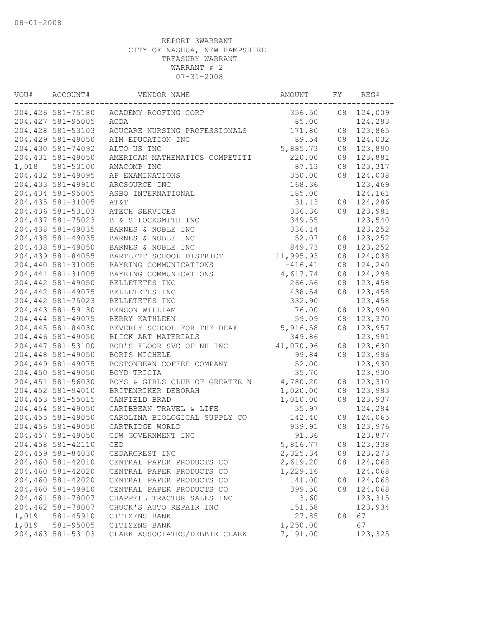| VOU#  | ACCOUNT#           | VENDOR NAME                    | AMOUNT    | FY | REG#    |
|-------|--------------------|--------------------------------|-----------|----|---------|
|       | 204,426 581-75180  | ACADEMY ROOFING CORP           | 356.50    | 08 | 124,009 |
|       | 204, 427 581-95005 | ACDA                           | 85.00     |    | 124,283 |
|       | 204,428 581-53103  | ACUCARE NURSING PROFESSIONALS  | 171.80    | 08 | 123,865 |
|       | 204,429 581-49050  | AIM EDUCATION INC              | 89.54     | 08 | 124,032 |
|       | 204,430 581-74092  | ALTO US INC                    | 5,885.73  | 08 | 123,890 |
|       | 204,431 581-49050  | AMERICAN MATHEMATICS COMPETITI | 220.00    | 08 | 123,881 |
|       | 1,018 581-53100    | ANACOMP INC                    | 87.13     | 08 | 123,317 |
|       | 204,432 581-49095  | AP EXAMINATIONS                | 350.00    | 08 | 124,008 |
|       | 204,433 581-49910  | ARCSOURCE INC                  | 168.36    |    | 123,469 |
|       | 204,434 581-95005  | ASBO INTERNATIONAL             | 185.00    |    | 124,161 |
|       | 204, 435 581-31005 | AT&T                           | 31.13     | 08 | 124,286 |
|       | 204,436 581-53103  | ATECH SERVICES                 | 336.36    | 08 | 123,981 |
|       | 204, 437 581-75023 | B & S LOCKSMITH INC            | 349.55    |    | 123,540 |
|       | 204,438 581-49035  | BARNES & NOBLE INC             | 336.14    |    | 123,252 |
|       | 204,438 581-49035  | BARNES & NOBLE INC             | 52.07     | 08 | 123,252 |
|       | 204,438 581-49050  | BARNES & NOBLE INC             | 849.73    | 08 | 123,252 |
|       | 204,439 581-84055  | BARTLETT SCHOOL DISTRICT       | 11,995.93 | 08 | 124,038 |
|       | 204,440 581-31005  | BAYRING COMMUNICATIONS         | $-416.41$ | 08 | 124,240 |
|       | 204, 441 581-31005 | BAYRING COMMUNICATIONS         | 4,617.74  | 08 | 124,298 |
|       | 204,442 581-49050  | BELLETETES INC                 | 266.56    | 08 | 123,458 |
|       | 204,442 581-49075  | BELLETETES INC                 | 438.54    | 08 | 123,458 |
|       | 204,442 581-75023  | BELLETETES INC                 | 332.90    |    | 123,458 |
|       | 204,443 581-59130  | BENSON WILLIAM                 | 76.00     | 08 | 123,990 |
|       | 204,444 581-49075  | BERRY KATHLEEN                 | 59.09     | 08 | 123,370 |
|       | 204,445 581-84030  | BEVERLY SCHOOL FOR THE DEAF    | 5,916.58  | 08 | 123,957 |
|       | 204,446 581-49050  | BLICK ART MATERIALS            | 349.86    |    | 123,991 |
|       | 204,447 581-53100  | BOB'S FLOOR SVC OF NH INC      | 41,070.96 | 08 | 123,630 |
|       | 204,448 581-49050  | BORIS MICHELE                  | 99.84     | 08 | 123,986 |
|       | 204,449 581-49075  | BOSTONBEAN COFFEE COMPANY      | 52.00     |    | 123,930 |
|       | 204,450 581-49050  | BOYD TRICIA                    | 35.70     |    | 123,900 |
|       | 204,451 581-56030  | BOYS & GIRLS CLUB OF GREATER N | 4,780.20  | 08 | 123,310 |
|       | 204,452 581-94010  | BRITENRIKER DEBORAH            | 1,020.00  | 08 | 123,983 |
|       | 204, 453 581-55015 | CANFIELD BRAD                  | 1,010.00  | 08 | 123,937 |
|       | 204,454 581-49050  | CARIBBEAN TRAVEL & LIFE        | 35.97     |    | 124,284 |
|       | 204,455 581-49050  | CAROLINA BIOLOGICAL SUPPLY CO  | 142.40    | 08 | 124,065 |
|       | 204,456 581-49050  | CARTRIDGE WORLD                | 939.91    | 08 | 123,976 |
|       | 204, 457 581-49050 | CDW GOVERNMENT INC             | 91.36     |    | 123,877 |
|       | 204,458 581-42110  | CED                            | 5,816.77  | 08 | 123,338 |
|       | 204,459 581-84030  | CEDARCREST INC                 | 2,325.34  | 08 | 123,273 |
|       | 204,460 581-42010  | CENTRAL PAPER PRODUCTS CO      | 2,619.20  | 08 | 124,068 |
|       | 204,460 581-42020  | CENTRAL PAPER PRODUCTS CO      | 1,229.16  |    | 124,068 |
|       | 204,460 581-42020  | CENTRAL PAPER PRODUCTS CO      | 141.00    | 08 | 124,068 |
|       | 204,460 581-49910  | CENTRAL PAPER PRODUCTS CO      | 399.50    | 08 | 124,068 |
|       | 204,461 581-78007  | CHAPPELL TRACTOR SALES INC     | 3.60      |    | 123,315 |
|       | 204,462 581-78007  | CHUCK'S AUTO REPAIR INC        | 151.58    |    | 123,934 |
| 1,019 | 581-45910          | CITIZENS BANK                  | 27.85     | 08 | 67      |
|       | 1,019 581-95005    | CITIZENS BANK                  | 1,250.00  |    | 67      |
|       | 204,463 581-53103  | CLARK ASSOCIATES/DEBBIE CLARK  | 7,191.00  |    | 123,325 |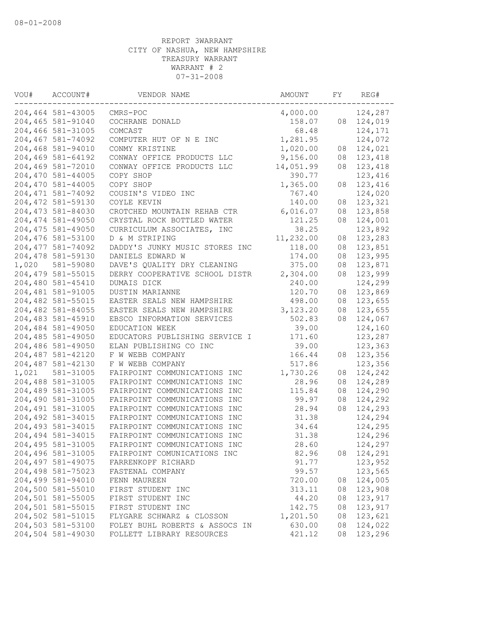| VOU#  | ACCOUNT#           | VENDOR NAME                    | AMOUNT    | FY | REG#    |
|-------|--------------------|--------------------------------|-----------|----|---------|
|       | 204,464 581-43005  | CMRS-POC                       | 4,000.00  |    | 124,287 |
|       | 204,465 581-91040  | COCHRANE DONALD                | 158.07    | 08 | 124,019 |
|       | 204,466 581-31005  | COMCAST                        | 68.48     |    | 124,171 |
|       | 204,467 581-74092  | COMPUTER HUT OF N E INC        | 1,281.95  |    | 124,072 |
|       | 204,468 581-94010  | CONMY KRISTINE                 | 1,020.00  | 08 | 124,021 |
|       | 204,469 581-64192  | CONWAY OFFICE PRODUCTS LLC     | 9,156.00  | 08 | 123,418 |
|       | 204,469 581-72010  | CONWAY OFFICE PRODUCTS LLC     | 14,051.99 | 08 | 123,418 |
|       | 204,470 581-44005  | COPY SHOP                      | 390.77    |    | 123,416 |
|       | 204,470 581-44005  | COPY SHOP                      | 1,365.00  | 08 | 123,416 |
|       | 204, 471 581-74092 | COUSIN'S VIDEO INC             | 767.40    |    | 124,020 |
|       | 204, 472 581-59130 | COYLE KEVIN                    | 140.00    | 08 | 123,321 |
|       | 204, 473 581-84030 | CROTCHED MOUNTAIN REHAB CTR    | 6,016.07  | 08 | 123,858 |
|       | 204, 474 581-49050 | CRYSTAL ROCK BOTTLED WATER     | 121.25    | 08 | 124,001 |
|       | 204,475 581-49050  | CURRICULUM ASSOCIATES, INC     | 38.25     |    | 123,892 |
|       | 204,476 581-53100  | D & M STRIPING                 | 11,232.00 | 08 | 123,283 |
|       | 204, 477 581-74092 | DADDY'S JUNKY MUSIC STORES INC | 118.00    | 08 | 123,851 |
|       | 204,478 581-59130  | DANIELS EDWARD W               | 174.00    | 08 | 123,995 |
| 1,020 | 581-59080          | DAVE'S QUALITY DRY CLEANING    | 375.00    | 08 | 123,871 |
|       | 204, 479 581-55015 | DERRY COOPERATIVE SCHOOL DISTR | 2,304.00  | 08 | 123,999 |
|       | 204,480 581-45410  | DUMAIS DICK                    | 240.00    |    | 124,299 |
|       | 204,481 581-91005  | DUSTIN MARIANNE                | 120.70    | 08 | 123,869 |
|       | 204,482 581-55015  | EASTER SEALS NEW HAMPSHIRE     | 498.00    | 08 | 123,655 |
|       | 204,482 581-84055  | EASTER SEALS NEW HAMPSHIRE     | 3,123.20  | 08 | 123,655 |
|       | 204,483 581-45910  | EBSCO INFORMATION SERVICES     | 502.83    | 08 | 124,067 |
|       | 204,484 581-49050  | EDUCATION WEEK                 | 39.00     |    | 124,160 |
|       | 204,485 581-49050  | EDUCATORS PUBLISHING SERVICE I | 171.60    |    | 123,287 |
|       | 204,486 581-49050  | ELAN PUBLISHING CO INC         | 39.00     |    | 123,363 |
|       | 204,487 581-42120  | F W WEBB COMPANY               | 166.44    | 08 | 123,356 |
|       | 204,487 581-42130  | F W WEBB COMPANY               | 517.86    |    | 123,356 |
| 1,021 | 581-31005          | FAIRPOINT COMMUNICATIONS INC   | 1,730.26  | 08 | 124,242 |
|       | 204,488 581-31005  | FAIRPOINT COMMUNICATIONS INC   | 28.96     | 08 | 124,289 |
|       | 204,489 581-31005  | FAIRPOINT COMMUNICATIONS INC   | 115.84    | 08 | 124,290 |
|       | 204,490 581-31005  | FAIRPOINT COMMUNICATIONS INC   | 99.97     | 08 | 124,292 |
|       | 204, 491 581-31005 | FAIRPOINT COMMUNICATIONS INC   | 28.94     | 08 | 124,293 |
|       | 204,492 581-34015  | FAIRPOINT COMMUNICATIONS INC   | 31.38     |    | 124,294 |
|       | 204,493 581-34015  | FAIRPOINT COMMUNICATIONS INC   | 34.64     |    | 124,295 |
|       | 204,494 581-34015  | FAIRPOINT COMMUNICATIONS INC   | 31.38     |    | 124,296 |
|       | 204, 495 581-31005 | FAIRPOINT COMMUNICATIONS INC   | 28.60     |    | 124,297 |
|       | 204,496 581-31005  | FAIRPOINT COMUNICATIONS INC    | 82.96     | 08 | 124,291 |
|       | 204, 497 581-49075 | FARRENKOPF RICHARD             | 91.77     |    | 123,952 |
|       | 204,498 581-75023  | FASTENAL COMPANY               | 99.57     |    | 123,565 |
|       | 204,499 581-94010  | FENN MAUREEN                   | 720.00    | 08 | 124,005 |
|       | 204,500 581-55010  | FIRST STUDENT INC              | 313.11    | 08 | 123,908 |
|       | 204,501 581-55005  | FIRST STUDENT INC              | 44.20     | 08 | 123,917 |
|       | 204,501 581-55015  | FIRST STUDENT INC              | 142.75    | 08 | 123,917 |
|       | 204,502 581-51015  | FLYGARE SCHWARZ & CLOSSON      | 1,201.50  | 08 | 123,621 |
|       | 204,503 581-53100  | FOLEY BUHL ROBERTS & ASSOCS IN | 630.00    | 08 | 124,022 |
|       | 204,504 581-49030  | FOLLETT LIBRARY RESOURCES      | 421.12    | 08 | 123,296 |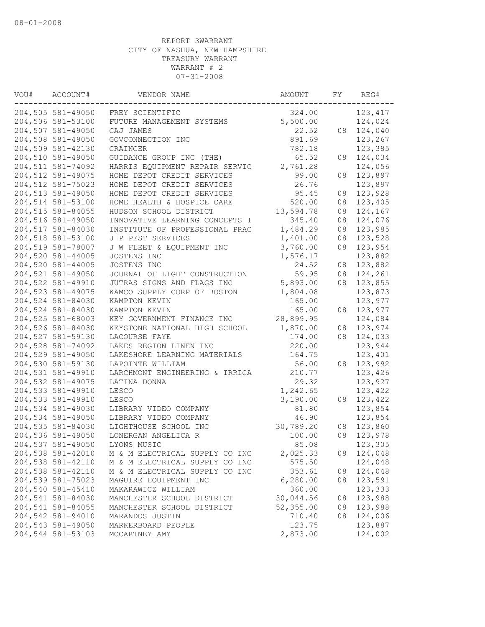| VOU# | ACCOUNT#          | VENDOR NAME                    | AMOUNT    | FY | REG#     |
|------|-------------------|--------------------------------|-----------|----|----------|
|      | 204,505 581-49050 | FREY SCIENTIFIC                | 324.00    |    | 123, 417 |
|      | 204,506 581-53100 | FUTURE MANAGEMENT SYSTEMS      | 5,500.00  |    | 124,024  |
|      | 204,507 581-49050 | GAJ JAMES                      | 22.52     | 08 | 124,040  |
|      | 204,508 581-49050 | GOVCONNECTION INC              | 891.69    |    | 123,267  |
|      | 204,509 581-42130 | GRAINGER                       | 782.18    |    | 123,385  |
|      | 204,510 581-49050 | GUIDANCE GROUP INC (THE)       | 65.52     | 08 | 124,034  |
|      | 204,511 581-74092 | HARRIS EQUIPMENT REPAIR SERVIC | 2,761.28  |    | 124,056  |
|      | 204,512 581-49075 | HOME DEPOT CREDIT SERVICES     | 99.00     | 08 | 123,897  |
|      | 204,512 581-75023 | HOME DEPOT CREDIT SERVICES     | 26.76     |    | 123,897  |
|      | 204,513 581-49050 | HOME DEPOT CREDIT SERVICES     | 95.45     | 08 | 123,928  |
|      | 204,514 581-53100 | HOME HEALTH & HOSPICE CARE     | 520.00    | 08 | 123,405  |
|      | 204,515 581-84055 | HUDSON SCHOOL DISTRICT         | 13,594.78 | 08 | 124,167  |
|      | 204,516 581-49050 | INNOVATIVE LEARNING CONCEPTS I | 345.40    | 08 | 124,076  |
|      | 204,517 581-84030 | INSTITUTE OF PROFESSIONAL PRAC | 1,484.29  | 08 | 123,985  |
|      | 204,518 581-53100 | J P PEST SERVICES              | 1,401.00  | 08 | 123,528  |
|      | 204,519 581-78007 | J W FLEET & EQUIPMENT INC      | 3,760.00  | 08 | 123,954  |
|      | 204,520 581-44005 | JOSTENS INC                    | 1,576.17  |    | 123,882  |
|      | 204,520 581-44005 | JOSTENS INC                    | 24.52     | 08 | 123,882  |
|      | 204,521 581-49050 | JOURNAL OF LIGHT CONSTRUCTION  | 59.95     | 08 | 124,261  |
|      | 204,522 581-49910 | JUTRAS SIGNS AND FLAGS INC     | 5,893.00  | 08 | 123,855  |
|      | 204,523 581-49075 | KAMCO SUPPLY CORP OF BOSTON    | 1,804.08  |    | 123,873  |
|      | 204,524 581-84030 | KAMPTON KEVIN                  | 165.00    |    | 123,977  |
|      | 204,524 581-84030 | KAMPTON KEVIN                  | 165.00    | 08 | 123,977  |
|      | 204,525 581-68003 | KEY GOVERNMENT FINANCE INC     | 28,899.95 |    | 124,084  |
|      | 204,526 581-84030 | KEYSTONE NATIONAL HIGH SCHOOL  | 1,870.00  | 08 | 123,974  |
|      | 204,527 581-59130 | LACOURSE FAYE                  | 174.00    | 08 | 124,033  |
|      | 204,528 581-74092 | LAKES REGION LINEN INC         | 220.00    |    | 123,944  |
|      | 204,529 581-49050 | LAKESHORE LEARNING MATERIALS   | 164.75    |    | 123,401  |
|      | 204,530 581-59130 | LAPOINTE WILLIAM               | 56.00     | 08 | 123,992  |
|      | 204,531 581-49910 | LARCHMONT ENGINEERING & IRRIGA | 210.77    |    | 123,426  |
|      | 204,532 581-49075 | LATINA DONNA                   | 29.32     |    | 123,927  |
|      | 204,533 581-49910 | LESCO                          | 1,242.65  |    | 123,422  |
|      | 204,533 581-49910 | LESCO                          | 3,190.00  | 08 | 123,422  |
|      | 204,534 581-49030 | LIBRARY VIDEO COMPANY          | 81.80     |    | 123,854  |
|      | 204,534 581-49050 | LIBRARY VIDEO COMPANY          | 46.90     |    | 123,854  |
|      | 204,535 581-84030 | LIGHTHOUSE SCHOOL INC          | 30,789.20 | 08 | 123,860  |
|      | 204,536 581-49050 | LONERGAN ANGELICA R            | 100.00    | 08 | 123,978  |
|      | 204,537 581-49050 | LYONS MUSIC                    | 85.08     |    | 123,305  |
|      | 204,538 581-42010 | M & M ELECTRICAL SUPPLY CO INC | 2,025.33  | 08 | 124,048  |
|      | 204,538 581-42110 | M & M ELECTRICAL SUPPLY CO INC | 575.50    |    | 124,048  |
|      | 204,538 581-42110 | M & M ELECTRICAL SUPPLY CO INC | 353.61    | 08 | 124,048  |
|      | 204,539 581-75023 | MAGUIRE EQUIPMENT INC          | 6,280.00  | 08 | 123,591  |
|      | 204,540 581-45410 | MAKARAWICZ WILLIAM             | 360.00    |    | 123,333  |
|      | 204,541 581-84030 | MANCHESTER SCHOOL DISTRICT     | 30,044.56 | 08 | 123,988  |
|      | 204,541 581-84055 | MANCHESTER SCHOOL DISTRICT     | 52,355.00 | 08 | 123,988  |
|      | 204,542 581-94010 | MARANDOS JUSTIN                | 710.40    | 08 | 124,006  |
|      | 204,543 581-49050 | MARKERBOARD PEOPLE             | 123.75    |    | 123,887  |
|      | 204,544 581-53103 | MCCARTNEY AMY                  | 2,873.00  |    | 124,002  |
|      |                   |                                |           |    |          |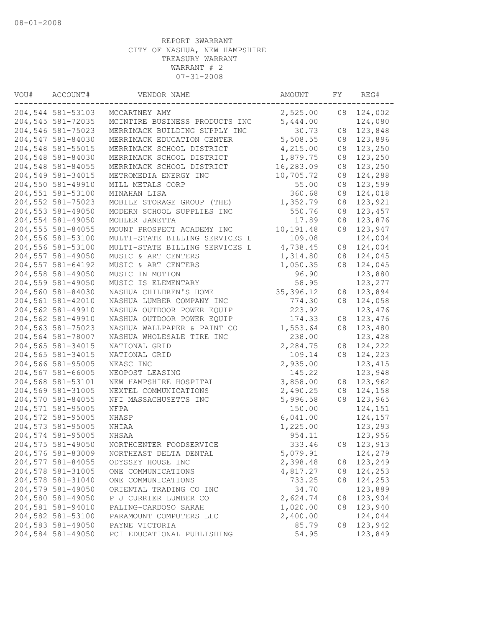| VOU# | ACCOUNT#          | VENDOR NAME                    | AMOUNT     | FY | REG#     |
|------|-------------------|--------------------------------|------------|----|----------|
|      | 204,544 581-53103 | MCCARTNEY AMY                  | 2,525.00   | 08 | 124,002  |
|      | 204,545 581-72035 | MCINTIRE BUSINESS PRODUCTS INC | 5,444.00   |    | 124,080  |
|      | 204,546 581-75023 | MERRIMACK BUILDING SUPPLY INC  | 30.73      | 08 | 123,848  |
|      | 204,547 581-84030 | MERRIMACK EDUCATION CENTER     | 5,508.55   | 08 | 123,896  |
|      | 204,548 581-55015 | MERRIMACK SCHOOL DISTRICT      | 4,215.00   | 08 | 123,250  |
|      | 204,548 581-84030 | MERRIMACK SCHOOL DISTRICT      | 1,879.75   | 08 | 123,250  |
|      | 204,548 581-84055 | MERRIMACK SCHOOL DISTRICT      | 16,283.09  | 08 | 123,250  |
|      | 204,549 581-34015 | METROMEDIA ENERGY INC          | 10,705.72  | 08 | 124,288  |
|      | 204,550 581-49910 | MILL METALS CORP               | 55.00      | 08 | 123,599  |
|      | 204,551 581-53100 | MINAHAN LISA                   | 360.68     | 08 | 124,018  |
|      | 204,552 581-75023 | MOBILE STORAGE GROUP (THE)     | 1,352.79   | 08 | 123,921  |
|      | 204,553 581-49050 | MODERN SCHOOL SUPPLIES INC     | 550.76     | 08 | 123,457  |
|      | 204,554 581-49050 | MOHLER JANETTA                 | 17.89      | 08 | 123,876  |
|      | 204,555 581-84055 | MOUNT PROSPECT ACADEMY INC     | 10,191.48  | 08 | 123,947  |
|      | 204,556 581-53100 | MULTI-STATE BILLING SERVICES L | 109.08     |    | 124,004  |
|      | 204,556 581-53100 | MULTI-STATE BILLING SERVICES L | 4,738.45   | 08 | 124,004  |
|      | 204,557 581-49050 | MUSIC & ART CENTERS            | 1,314.80   | 08 | 124,045  |
|      | 204,557 581-64192 | MUSIC & ART CENTERS            | 1,050.35   | 08 | 124,045  |
|      | 204,558 581-49050 | MUSIC IN MOTION                | 96.90      |    | 123,880  |
|      | 204,559 581-49050 | MUSIC IS ELEMENTARY            | 58.95      |    | 123,277  |
|      | 204,560 581-84030 | NASHUA CHILDREN'S HOME         | 35, 396.12 | 08 | 123,894  |
|      | 204,561 581-42010 | NASHUA LUMBER COMPANY INC      | 774.30     | 08 | 124,058  |
|      | 204,562 581-49910 | NASHUA OUTDOOR POWER EQUIP     | 223.92     |    | 123,476  |
|      | 204,562 581-49910 | NASHUA OUTDOOR POWER EQUIP     | 174.33     | 08 | 123,476  |
|      | 204,563 581-75023 | NASHUA WALLPAPER & PAINT CO    | 1,553.64   | 08 | 123,480  |
|      | 204,564 581-78007 | NASHUA WHOLESALE TIRE INC      | 238.00     |    | 123,428  |
|      | 204,565 581-34015 | NATIONAL GRID                  | 2,284.75   | 08 | 124,222  |
|      | 204,565 581-34015 | NATIONAL GRID                  | 109.14     | 08 | 124,223  |
|      | 204,566 581-95005 | NEASC INC                      | 2,935.00   |    | 123, 415 |
|      | 204,567 581-66005 | NEOPOST LEASING                | 145.22     |    | 123,948  |
|      | 204,568 581-53101 | NEW HAMPSHIRE HOSPITAL         | 3,858.00   | 08 | 123,962  |
|      | 204,569 581-31005 | NEXTEL COMMUNICATIONS          | 2,490.25   | 08 | 124,158  |
|      | 204,570 581-84055 | NFI MASSACHUSETTS INC          | 5,996.58   | 08 | 123,965  |
|      | 204,571 581-95005 | NFPA                           | 150.00     |    | 124,151  |
|      | 204,572 581-95005 | NHASP                          | 6,041.00   |    | 124,157  |
|      | 204,573 581-95005 | NHIAA                          | 1,225.00   |    | 123,293  |
|      | 204,574 581-95005 | <b>NHSAA</b>                   | 954.11     |    | 123,956  |
|      | 204,575 581-49050 | NORTHCENTER FOODSERVICE        | 333.46     | 08 | 123,913  |
|      | 204,576 581-83009 | NORTHEAST DELTA DENTAL         | 5,079.91   |    | 124,279  |
|      | 204,577 581-84055 | ODYSSEY HOUSE INC              | 2,398.48   | 08 | 123,249  |
|      | 204,578 581-31005 | ONE COMMUNICATIONS             | 4,817.27   | 08 | 124,253  |
|      | 204,578 581-31040 | ONE COMMUNICATIONS             | 733.25     | 08 | 124,253  |
|      | 204,579 581-49050 | ORIENTAL TRADING CO INC        | 34.70      |    | 123,889  |
|      | 204,580 581-49050 | P J CURRIER LUMBER CO          | 2,624.74   | 08 | 123,904  |
|      | 204,581 581-94010 | PALING-CARDOSO SARAH           | 1,020.00   | 08 | 123,940  |
|      | 204,582 581-53100 | PARAMOUNT COMPUTERS LLC        | 2,400.00   |    | 124,044  |
|      | 204,583 581-49050 | PAYNE VICTORIA                 | 85.79      | 08 | 123,942  |
|      | 204,584 581-49050 | PCI EDUCATIONAL PUBLISHING     | 54.95      |    | 123,849  |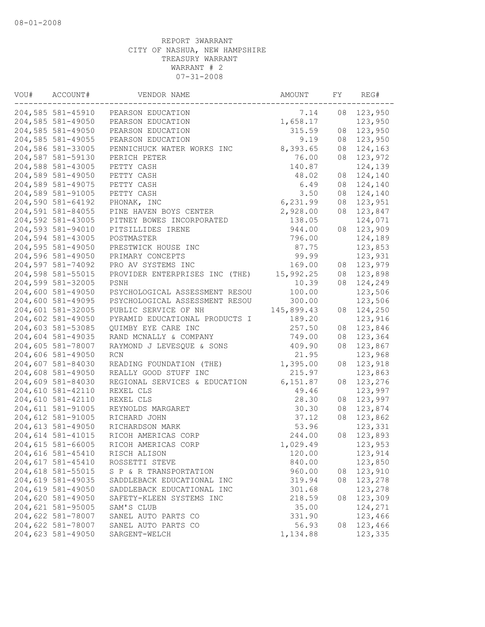| VOU# | ACCOUNT#          | VENDOR NAME                         | AMOUNT     | FY | REG#    |
|------|-------------------|-------------------------------------|------------|----|---------|
|      |                   | 204,585 581-45910 PEARSON EDUCATION | 7.14       | 08 | 123,950 |
|      | 204,585 581-49050 | PEARSON EDUCATION                   | 1,658.17   |    | 123,950 |
|      | 204,585 581-49050 | PEARSON EDUCATION                   | 315.59     | 08 | 123,950 |
|      | 204,585 581-49055 | PEARSON EDUCATION                   | 9.19       | 08 | 123,950 |
|      | 204,586 581-33005 | PENNICHUCK WATER WORKS INC          | 8,393.65   | 08 | 124,163 |
|      | 204,587 581-59130 | PERICH PETER                        | 76.00      | 08 | 123,972 |
|      | 204,588 581-43005 | PETTY CASH                          | 140.87     |    | 124,139 |
|      | 204,589 581-49050 | PETTY CASH                          | 48.02      | 08 | 124,140 |
|      | 204,589 581-49075 | PETTY CASH                          | 6.49       | 08 | 124,140 |
|      | 204,589 581-91005 | PETTY CASH                          | 3.50       | 08 | 124,140 |
|      | 204,590 581-64192 | PHONAK, INC                         | 6,231.99   | 08 | 123,951 |
|      | 204,591 581-84055 | PINE HAVEN BOYS CENTER              | 2,928.00   | 08 | 123,847 |
|      | 204,592 581-43005 | PITNEY BOWES INCORPORATED           | 138.05     |    | 124,071 |
|      | 204,593 581-94010 | PITSILLIDES IRENE                   | 944.00     | 08 | 123,909 |
|      | 204,594 581-43005 | POSTMASTER                          | 796.00     |    | 124,189 |
|      | 204,595 581-49050 | PRESTWICK HOUSE INC                 | 87.75      |    | 123,853 |
|      | 204,596 581-49050 | PRIMARY CONCEPTS                    | 99.99      |    | 123,931 |
|      | 204,597 581-74092 | PRO AV SYSTEMS INC                  | 169.00     | 08 | 123,979 |
|      | 204,598 581-55015 | PROVIDER ENTERPRISES INC (THE)      | 15,992.25  | 08 | 123,898 |
|      | 204,599 581-32005 | PSNH                                | 10.39      | 08 | 124,249 |
|      | 204,600 581-49050 | PSYCHOLOGICAL ASSESSMENT RESOU      | 100.00     |    | 123,506 |
|      | 204,600 581-49095 | PSYCHOLOGICAL ASSESSMENT RESOU      | 300.00     |    | 123,506 |
|      | 204,601 581-32005 | PUBLIC SERVICE OF NH                | 145,899.43 | 08 | 124,250 |
|      | 204,602 581-49050 | PYRAMID EDUCATIONAL PRODUCTS I      | 189.20     |    | 123,916 |
|      | 204,603 581-53085 | QUIMBY EYE CARE INC                 | 257.50     | 08 | 123,846 |
|      | 204,604 581-49035 | RAND MCNALLY & COMPANY              | 749.00     | 08 | 123,364 |
|      | 204,605 581-78007 | RAYMOND J LEVESQUE & SONS           | 409.90     | 08 | 123,867 |
|      | 204,606 581-49050 | <b>RCN</b>                          | 21.95      |    | 123,968 |
|      | 204,607 581-84030 | READING FOUNDATION (THE)            | 1,395.00   | 08 | 123,918 |
|      | 204,608 581-49050 | REALLY GOOD STUFF INC               | 215.97     |    | 123,863 |
|      | 204,609 581-84030 | REGIONAL SERVICES & EDUCATION       | 6, 151.87  | 08 | 123,276 |
|      | 204,610 581-42110 | REXEL CLS                           | 49.46      |    | 123,997 |
|      | 204,610 581-42110 | REXEL CLS                           | 28.30      | 08 | 123,997 |
|      | 204,611 581-91005 | REYNOLDS MARGARET                   | 30.30      | 08 | 123,874 |
|      | 204,612 581-91005 | RICHARD JOHN                        | 37.12      | 08 | 123,862 |
|      | 204,613 581-49050 | RICHARDSON MARK                     | 53.96      |    | 123,331 |
|      | 204,614 581-41015 | RICOH AMERICAS CORP                 | 244.00     | 08 | 123,893 |
|      | 204,615 581-66005 | RICOH AMERICAS CORP                 | 1,029.49   |    | 123,953 |
|      | 204,616 581-45410 | RISCH ALISON                        | 120.00     |    | 123,914 |
|      | 204,617 581-45410 | ROSSETTI STEVE                      | 840.00     |    | 123,850 |
|      | 204,618 581-55015 | S P & R TRANSPORTATION              | 960.00     | 08 | 123,910 |
|      | 204,619 581-49035 | SADDLEBACK EDUCATIONAL INC          | 319.94     | 08 | 123,278 |
|      | 204,619 581-49050 | SADDLEBACK EDUCATIONAL INC          | 301.68     |    | 123,278 |
|      | 204,620 581-49050 | SAFETY-KLEEN SYSTEMS INC            | 218.59     | 08 | 123,309 |
|      | 204,621 581-95005 | SAM'S CLUB                          | 35.00      |    | 124,271 |
|      | 204,622 581-78007 | SANEL AUTO PARTS CO                 | 331.90     |    | 123,466 |
|      | 204,622 581-78007 | SANEL AUTO PARTS CO                 | 56.93      | 08 | 123,466 |
|      | 204,623 581-49050 | SARGENT-WELCH                       | 1,134.88   |    | 123,335 |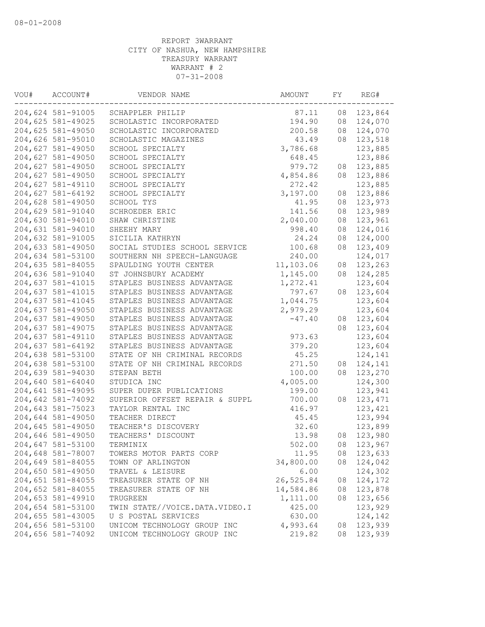| VOU# | ACCOUNT#          | VENDOR NAME                    | AMOUNT    | FY | REG#     |
|------|-------------------|--------------------------------|-----------|----|----------|
|      | 204,624 581-91005 | SCHAPPLER PHILIP               | 87.11     | 08 | 123,864  |
|      | 204,625 581-49025 | SCHOLASTIC INCORPORATED        | 194.90    | 08 | 124,070  |
|      | 204,625 581-49050 | SCHOLASTIC INCORPORATED        | 200.58    | 08 | 124,070  |
|      | 204,626 581-95010 | SCHOLASTIC MAGAZINES           | 43.49     | 08 | 123,518  |
|      | 204,627 581-49050 | SCHOOL SPECIALTY               | 3,786.68  |    | 123,885  |
|      | 204,627 581-49050 | SCHOOL SPECIALTY               | 648.45    |    | 123,886  |
|      | 204,627 581-49050 | SCHOOL SPECIALTY               | 979.72    | 08 | 123,885  |
|      | 204,627 581-49050 | SCHOOL SPECIALTY               | 4,854.86  | 08 | 123,886  |
|      | 204,627 581-49110 | SCHOOL SPECIALTY               | 272.42    |    | 123,885  |
|      | 204,627 581-64192 | SCHOOL SPECIALTY               | 3,197.00  | 08 | 123,886  |
|      | 204,628 581-49050 | SCHOOL TYS                     | 41.95     | 08 | 123,973  |
|      | 204,629 581-91040 | SCHROEDER ERIC                 | 141.56    | 08 | 123,989  |
|      | 204,630 581-94010 | SHAW CHRISTINE                 | 2,040.00  | 08 | 123,961  |
|      | 204,631 581-94010 | SHEEHY MARY                    | 998.40    | 08 | 124,016  |
|      | 204,632 581-91005 | SICILIA KATHRYN                | 24.24     | 08 | 124,000  |
|      | 204,633 581-49050 | SOCIAL STUDIES SCHOOL SERVICE  | 100.68    | 08 | 123,409  |
|      | 204,634 581-53100 | SOUTHERN NH SPEECH-LANGUAGE    | 240.00    |    | 124,017  |
|      | 204,635 581-84055 | SPAULDING YOUTH CENTER         | 11,103.06 | 08 | 123,263  |
|      | 204,636 581-91040 | ST JOHNSBURY ACADEMY           | 1,145.00  | 08 | 124,285  |
|      | 204,637 581-41015 | STAPLES BUSINESS ADVANTAGE     | 1,272.41  |    | 123,604  |
|      | 204,637 581-41015 | STAPLES BUSINESS ADVANTAGE     | 797.67    | 08 | 123,604  |
|      | 204,637 581-41045 | STAPLES BUSINESS ADVANTAGE     | 1,044.75  |    | 123,604  |
|      | 204,637 581-49050 | STAPLES BUSINESS ADVANTAGE     | 2,979.29  |    | 123,604  |
|      | 204,637 581-49050 | STAPLES BUSINESS ADVANTAGE     | $-47.40$  | 08 | 123,604  |
|      | 204,637 581-49075 | STAPLES BUSINESS ADVANTAGE     |           | 08 | 123,604  |
|      | 204,637 581-49110 | STAPLES BUSINESS ADVANTAGE     | 973.63    |    | 123,604  |
|      | 204,637 581-64192 | STAPLES BUSINESS ADVANTAGE     | 379.20    |    | 123,604  |
|      | 204,638 581-53100 | STATE OF NH CRIMINAL RECORDS   | 45.25     |    | 124,141  |
|      | 204,638 581-53100 | STATE OF NH CRIMINAL RECORDS   | 271.50    | 08 | 124,141  |
|      | 204,639 581-94030 | STEPAN BETH                    | 100.00    | 08 | 123,270  |
|      | 204,640 581-64040 | STUDICA INC                    | 4,005.00  |    | 124,300  |
|      | 204,641 581-49095 | SUPER DUPER PUBLICATIONS       | 199.00    |    | 123,941  |
|      | 204,642 581-74092 | SUPERIOR OFFSET REPAIR & SUPPL | 700.00    | 08 | 123, 471 |
|      | 204,643 581-75023 | TAYLOR RENTAL INC              | 416.97    |    | 123,421  |
|      | 204,644 581-49050 | TEACHER DIRECT                 | 45.45     |    | 123,994  |
|      | 204,645 581-49050 | TEACHER'S DISCOVERY            | 32.60     |    | 123,899  |
|      | 204,646 581-49050 | TEACHERS' DISCOUNT             | 13.98     | 08 | 123,980  |
|      | 204,647 581-53100 | TERMINIX                       | 502.00    | 08 | 123,967  |
|      | 204,648 581-78007 | TOWERS MOTOR PARTS CORP        | 11.95     | 08 | 123,633  |
|      | 204,649 581-84055 | TOWN OF ARLINGTON              | 34,800.00 | 08 | 124,042  |
|      | 204,650 581-49050 | TRAVEL & LEISURE               | 6.00      |    | 124,302  |
|      | 204,651 581-84055 | TREASURER STATE OF NH          | 26,525.84 | 08 | 124,172  |
|      | 204,652 581-84055 | TREASURER STATE OF NH          | 14,584.86 | 08 | 123,878  |
|      | 204,653 581-49910 | TRUGREEN                       | 1,111.00  | 08 | 123,656  |
|      | 204,654 581-53100 | TWIN STATE//VOICE.DATA.VIDEO.I | 425.00    |    | 123,929  |
|      | 204,655 581-43005 | U S POSTAL SERVICES            | 630.00    |    | 124,142  |
|      | 204,656 581-53100 | UNICOM TECHNOLOGY GROUP INC    | 4,993.64  | 08 | 123,939  |
|      | 204,656 581-74092 | UNICOM TECHNOLOGY GROUP INC    | 219.82    | 08 | 123,939  |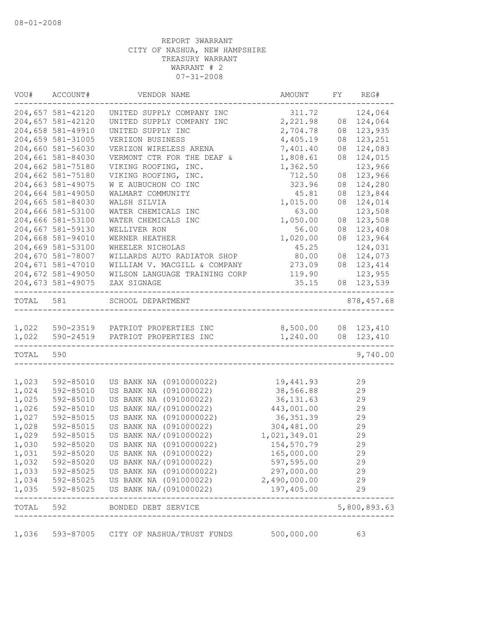|                | VOU# ACCOUNT#     | VENDOR NAME                                                          | AMOUNT                     | FY | REG#         |
|----------------|-------------------|----------------------------------------------------------------------|----------------------------|----|--------------|
|                | 204,657 581-42120 | UNITED SUPPLY COMPANY INC                                            | 311.72                     |    | 124,064      |
|                | 204,657 581-42120 | UNITED SUPPLY COMPANY INC                                            | 2,221.98                   | 08 | 124,064      |
|                | 204,658 581-49910 | UNITED SUPPLY INC                                                    | 2,704.78                   | 08 | 123,935      |
|                | 204,659 581-31005 | VERIZON BUSINESS                                                     | 4,405.19                   | 08 | 123,251      |
|                | 204,660 581-56030 | VERIZON WIRELESS ARENA                                               | 7,401.40                   | 08 | 124,083      |
|                | 204,661 581-84030 | VERMONT CTR FOR THE DEAF &                                           | 1,808.61                   | 08 | 124,015      |
|                | 204,662 581-75180 | VIKING ROOFING, INC.                                                 | 1,362.50                   |    | 123,966      |
|                | 204,662 581-75180 | VIKING ROOFING, INC.                                                 | 712.50                     | 08 | 123,966      |
|                | 204,663 581-49075 | W E AUBUCHON CO INC                                                  | 323.96                     | 08 | 124,280      |
|                | 204,664 581-49050 | WALMART COMMUNITY                                                    | 45.81                      | 08 | 123,844      |
|                | 204,665 581-84030 | WALSH SILVIA                                                         | 1,015.00                   | 08 | 124,014      |
|                | 204,666 581-53100 | WATER CHEMICALS INC                                                  | 63.00                      |    | 123,508      |
|                | 204,666 581-53100 | WATER CHEMICALS INC                                                  | 1,050.00                   | 08 | 123,508      |
|                | 204,667 581-59130 | WELLIVER RON                                                         | 56.00                      | 08 | 123,408      |
|                | 204,668 581-94010 | WERNER HEATHER                                                       | 1,020.00                   | 08 | 123,964      |
|                | 204,669 581-53100 | WHEELER NICHOLAS                                                     | 45.25                      |    | 124,031      |
|                | 204,670 581-78007 | WILLARDS AUTO RADIATOR SHOP                                          | 80.00                      | 08 | 124,073      |
|                | 204,671 581-47010 | WILLIAM V. MACGILL & COMPANY                                         | 273.09                     | 08 | 123,414      |
|                | 204,672 581-49050 | WILSON LANGUAGE TRAINING CORP                                        | 119.90                     |    | 123,955      |
|                | 204,673 581-49075 | ZAX SIGNAGE                                                          | 35.15                      |    | 08 123,539   |
| TOTAL          | 581               | SCHOOL DEPARTMENT                                                    |                            |    | 878, 457.68  |
| 1,022          |                   | 590-23519 PATRIOT PROPERTIES INC                                     | 8,500.00                   |    | 08 123,410   |
| 1,022          |                   | 590-24519 PATRIOT PROPERTIES INC                                     | 1,240.00                   |    | 08 123,410   |
| TOTAL          | 590               | ----------------                                                     |                            |    | 9,740.00     |
|                |                   |                                                                      |                            |    |              |
| 1,023          | 592-85010         | US BANK NA (0910000022)                                              | 19,441.93                  |    | 29           |
| 1,024          | 592-85010         | US BANK NA (091000022)                                               | 38,566.88                  |    | 29           |
| 1,025          | 592-85010         | US BANK NA (091000022)                                               | 36, 131.63                 |    | 29           |
| 1,026          | 592-85010         | US BANK NA/ (091000022)                                              | 443,001.00                 |    | 29           |
| 1,027          | 592-85015         | US BANK NA (0910000022)                                              | 36, 351.39                 |    | 29           |
| 1,028          | 592-85015         | US BANK NA (091000022)                                               | 304,481.00                 |    | 29           |
| 1,029          | 592-85015         | US BANK NA/ (091000022)                                              | 1,021,349.01               |    | 29           |
| 1,030          | 592-85020         | US BANK NA (0910000022)                                              | 154,570.79                 |    | 29           |
| 1,031          | 592-85020         | US BANK NA (091000022)                                               | 165,000.00                 |    | 29           |
| 1,032          |                   | 592-85020 US BANK NA/(091000022)                                     | 597,595.00                 |    | 29           |
| 1,033          |                   | 592-85025 US BANK NA (0910000022)                                    | 297,000.00                 |    | 29           |
| 1,034<br>1,035 |                   | 592-85025 US BANK NA (091000022)<br>592-85025 US BANK NA/(091000022) | 2,490,000.00<br>197,405.00 |    | 29<br>29     |
|                |                   | TOTAL 592 BONDED DEBT SERVICE                                        |                            |    | 5,800,893.63 |
|                |                   | _____________________                                                |                            |    |              |
| 1,036          |                   | 593-87005 CITY OF NASHUA/TRUST FUNDS 500,000.00                      |                            |    | 63           |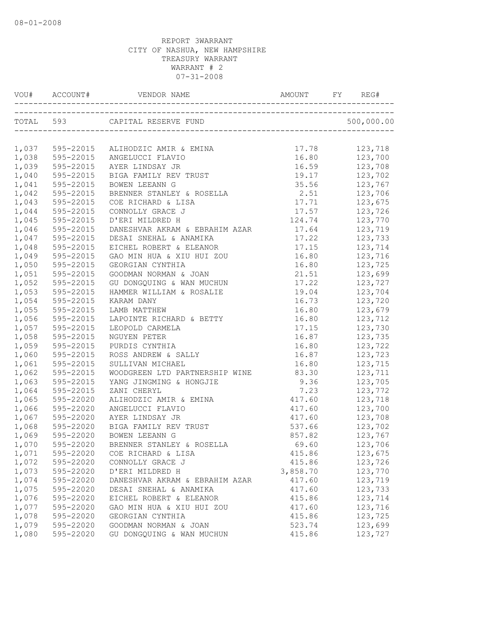|       |           | VOU# ACCOUNT# VENDOR NAME AMOUNT FY REG# |          |                       |
|-------|-----------|------------------------------------------|----------|-----------------------|
|       |           |                                          |          |                       |
|       |           | 1,037 595-22015 ALIHODZIC AMIR & EMINA   | 17.78    | 123,718               |
| 1,038 | 595-22015 | ANGELUCCI FLAVIO                         | 16.80    | 123,700               |
| 1,039 | 595-22015 | AYER LINDSAY JR                          | 16.59    | 123,708               |
| 1,040 | 595-22015 | BIGA FAMILY REV TRUST                    | 19.17    | 123,702               |
| 1,041 | 595-22015 | BOWEN LEEANN G                           | 35.56    | 123,767               |
| 1,042 | 595-22015 | BRENNER STANLEY & ROSELLA                | 2.51     | 123,706               |
| 1,043 | 595-22015 | COE RICHARD & LISA                       | 17.71    | 123,675               |
| 1,044 | 595-22015 | CONNOLLY GRACE J                         | 17.57    | 123,726               |
| 1,045 | 595-22015 | D'ERI MILDRED H                          | 124.74   | 123,770               |
| 1,046 | 595-22015 | DANESHVAR AKRAM & EBRAHIM AZAR 17.64     |          | 123,719               |
| 1,047 | 595-22015 | DESAI SNEHAL & ANAMIKA                   | 17.22    | 123,733               |
| 1,048 | 595-22015 | EICHEL ROBERT & ELEANOR                  | 17.15    | 123,714               |
| 1,049 | 595-22015 | GAO MIN HUA & XIU HUI ZOU                | 16.80    | 123,716               |
| 1,050 | 595-22015 | GEORGIAN CYNTHIA                         | 16.80    | 123,725               |
| 1,051 | 595-22015 | GOODMAN NORMAN & JOAN                    | 21.51    | 123,699               |
| 1,052 | 595-22015 | GU DONGQUING & WAN MUCHUN                | 17.22    | 123,727               |
| 1,053 | 595-22015 | HAMMER WILLIAM & ROSALIE                 | 19.04    | 123,704               |
| 1,054 | 595-22015 | KARAM DANY                               | 16.73    | 123,720               |
| 1,055 | 595-22015 | LAMB MATTHEW                             | 16.80    | 123,679               |
| 1,056 | 595-22015 | LAPOINTE RICHARD & BETTY                 | 16.80    | 123,712               |
| 1,057 | 595-22015 | LEOPOLD CARMELA                          | 17.15    | 123,730               |
| 1,058 | 595-22015 | NGUYEN PETER                             | 16.87    | 123,735               |
| 1,059 | 595-22015 | PURDIS CYNTHIA                           | 16.80    | 123,722               |
| 1,060 | 595-22015 | ROSS ANDREW & SALLY                      | 16.87    | 123,723               |
| 1,061 | 595-22015 | SULLIVAN MICHAEL                         | 16.80    | 123,715               |
| 1,062 | 595-22015 | WOODGREEN LTD PARTNERSHIP WINE           | 83.30    | 123,711               |
| 1,063 | 595-22015 | YANG JINGMING & HONGJIE                  | 9.36     | 123,705               |
| 1,064 | 595-22015 | ZANI CHERYL                              | 7.23     | 123,772               |
| 1,065 | 595-22020 | ALIHODZIC AMIR & EMINA                   | 417.60   | 123,718               |
| 1,066 | 595-22020 | ANGELUCCI FLAVIO                         | 417.60   | 123,700               |
| 1,067 | 595-22020 | AYER LINDSAY JR                          | 417.60   | 123,708               |
| 1,068 | 595-22020 | BIGA FAMILY REV TRUST                    | 537.66   | 123,702               |
| 1,069 | 595-22020 | BOWEN LEEANN G                           | 857.82   | $\frac{1}{123}$ , 767 |
| 1,070 | 595-22020 | BRENNER STANLEY & ROSELLA                | 69.60    | 123,706               |
| 1,071 | 595-22020 | COE RICHARD & LISA                       | 415.86   | 123,675               |
| 1,072 | 595-22020 | CONNOLLY GRACE J                         | 415.86   | 123,726               |
| 1,073 | 595-22020 | D'ERI MILDRED H                          | 3,858.70 | 123,770               |
| 1,074 | 595-22020 | DANESHVAR AKRAM & EBRAHIM AZAR           | 417.60   | 123,719               |
| 1,075 | 595-22020 | DESAI SNEHAL & ANAMIKA                   | 417.60   | 123,733               |
| 1,076 | 595-22020 | EICHEL ROBERT & ELEANOR                  | 415.86   | 123,714               |
| 1,077 | 595-22020 | GAO MIN HUA & XIU HUI ZOU                | 417.60   | 123,716               |
| 1,078 | 595-22020 | GEORGIAN CYNTHIA                         | 415.86   | 123,725               |
| 1,079 | 595-22020 | GOODMAN NORMAN & JOAN                    | 523.74   | 123,699               |
| 1,080 | 595-22020 | GU DONGQUING & WAN MUCHUN                | 415.86   | 123,727               |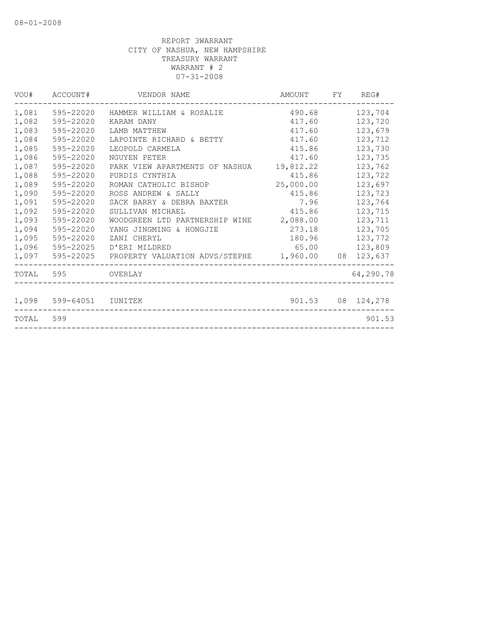|           | VOU# ACCOUNT#           | VENDOR NAME                              | AMOUNT FY REG# |                   |
|-----------|-------------------------|------------------------------------------|----------------|-------------------|
| 1,081     | 595-22020               | HAMMER WILLIAM & ROSALIE                 | 490.68         | 123,704           |
| 1,082     | 595-22020               | KARAM DANY                               | 417.60         | 123,720           |
| 1,083     | 595-22020               | LAMB MATTHEW                             | 417.60         | 123,679           |
| 1,084     | 595-22020               | LAPOINTE RICHARD & BETTY                 | 417.60         | 123,712           |
| 1,085     | 595-22020               | LEOPOLD CARMELA                          | 415.86         | 123,730           |
| 1,086     | 595-22020               | NGUYEN PETER                             | 417.60         | 123,735           |
| 1,087     | 595-22020               | PARK VIEW APARTMENTS OF NASHUA 19,812.22 |                | 123,762           |
| 1,088     | 595-22020               | PURDIS CYNTHIA                           | 415.86         | 123,722           |
| 1,089     | 595-22020               | ROMAN CATHOLIC BISHOP                    | 25,000.00      | 123,697           |
| 1,090     | 595-22020               | ROSS ANDREW & SALLY                      | 415.86         | 123,723           |
| 1,091     | 595-22020               | SACK BARRY & DEBRA BAXTER                | 7.96           | 123,764           |
| 1,092     | 595-22020               | SULLIVAN MICHAEL                         | 415.86         | 123,715           |
| 1,093     | 595-22020               | WOODGREEN LTD PARTNERSHIP WINE           | 2,088.00       | 123,711           |
| 1,094     | 595-22020               | YANG JINGMING & HONGJIE                  | 273.18         | 123,705           |
| 1,095     | 595-22020               | ZANI CHERYL                              | 180.96         | 123,772           |
| 1,096     | 595-22025               | D'ERI MILDRED                            | 65.00          | 123,809           |
| 1,097     |                         |                                          |                |                   |
|           | TOTAL 595 OVERLAY       |                                          |                | 64,290.78         |
|           | 1,098 599-64051 IUNITEK |                                          |                | 901.53 08 124,278 |
| TOTAL 599 |                         |                                          |                | 901.53            |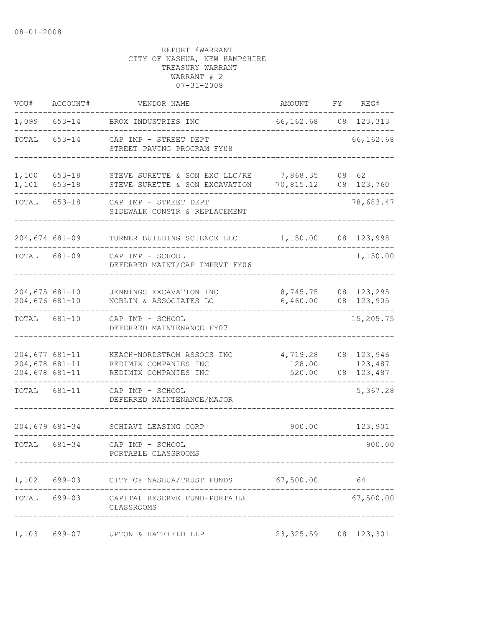| VOU#                                                   | ACCOUNT#             | VENDOR NAME                                                                  | AMOUNT                       | FΥ | REG#                                 |
|--------------------------------------------------------|----------------------|------------------------------------------------------------------------------|------------------------------|----|--------------------------------------|
| 1,099                                                  | $653 - 14$           | BROX INDUSTRIES INC                                                          | 66, 162. 68 08 123, 313      |    |                                      |
| TOTAL                                                  | $653 - 14$           | CAP IMP - STREET DEPT<br>STREET PAVING PROGRAM FY08                          |                              |    | 66,162.68                            |
| 1,100<br>1,101                                         | 653-18<br>$653 - 18$ | STEVE SURETTE & SON EXC LLC/RE<br>STEVE SURETTE & SON EXCAVATION             | 7,868.35<br>70,815.12        |    | 08 62<br>08 123,760                  |
| TOTAL                                                  | $653 - 18$           | CAP IMP - STREET DEPT<br>SIDEWALK CONSTR & REPLACEMENT                       |                              |    | 78,683.47                            |
| $204,674$ 681-09                                       |                      | TURNER BUILDING SCIENCE LLC                                                  | 1,150.00                     |    | 08 123,998                           |
| TOTAL                                                  | 681-09               | CAP IMP - SCHOOL<br>DEFERRED MAINT/CAP IMPRVT FY06                           |                              |    | 1,150.00                             |
| $204,675$ 681-10<br>$204,676$ 681-10                   |                      | JENNINGS EXCAVATION INC<br>NOBLIN & ASSOCIATES LC                            | 8,745.75<br>6,460.00         | 08 | 08 123,295<br>123,905<br>$- - - - -$ |
| TOTAL                                                  | 681-10               | CAP IMP - SCHOOL<br>DEFERRED MAINTENANCE FY07                                |                              |    | 15,205.75                            |
| $204,677$ 681-11<br>$204,678$ 681-11<br>204,678 681-11 |                      | KEACH-NORDSTROM ASSOCS INC<br>REDIMIX COMPANIES INC<br>REDIMIX COMPANIES INC | 4,719.28<br>128.00<br>520.00 | 08 | 08 123,946<br>123,487<br>123,487     |
| TOTAL                                                  | 681-11               | CAP IMP - SCHOOL<br>DEFERRED NAINTENANCE/MAJOR                               |                              |    | 5,367.28                             |
|                                                        | 204,679 681-34       | SCHIAVI LEASING CORP                                                         | 900.00                       |    | 123,901                              |
| TOTAL 681-34                                           |                      | CAP IMP - SCHOOL<br>PORTABLE CLASSROOMS                                      |                              |    | 900.00                               |
|                                                        |                      | 1,102 699-03 CITY OF NASHUA/TRUST FUNDS 67,500.00 64                         |                              |    |                                      |
| TOTAL 699-03                                           |                      | CAPITAL RESERVE FUND-PORTABLE<br>CLASSROOMS                                  |                              |    | 67,500.00                            |
| 1,103                                                  | 699-07               | UPTON & HATFIELD LLP                                                         | 23, 325.59                   |    | 08 123,301                           |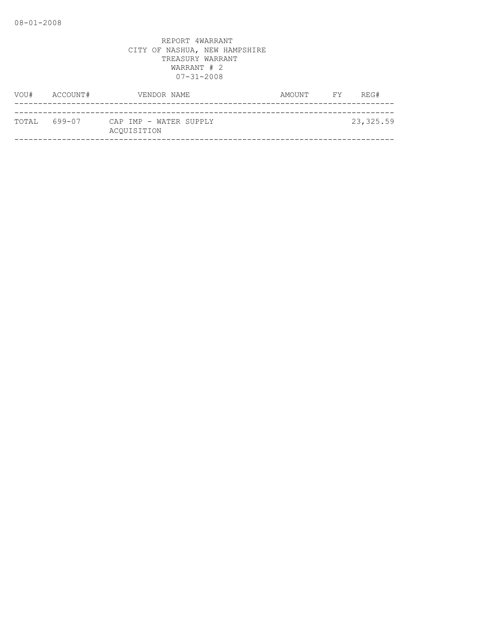| VOU#         | ACCOUNT# | VENDOR NAME                           | AMOUNT | FY | REG#      |
|--------------|----------|---------------------------------------|--------|----|-----------|
|              |          |                                       |        |    |           |
| TOTAL 699-07 |          | CAP IMP - WATER SUPPLY<br>ACOUISITION |        |    | 23,325.59 |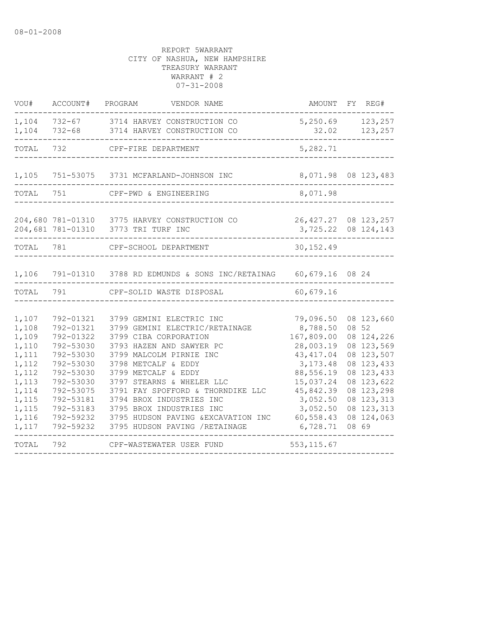| VOU#                                                                                                              | ACCOUNT#                                                                                                                                                              | PROGRAM<br>VENDOR NAME                                                                                                                                                                                                                                                                                                                                                                      | AMOUNT FY REG#                                                                                                                                                      |                                                                                                                                                                            |
|-------------------------------------------------------------------------------------------------------------------|-----------------------------------------------------------------------------------------------------------------------------------------------------------------------|---------------------------------------------------------------------------------------------------------------------------------------------------------------------------------------------------------------------------------------------------------------------------------------------------------------------------------------------------------------------------------------------|---------------------------------------------------------------------------------------------------------------------------------------------------------------------|----------------------------------------------------------------------------------------------------------------------------------------------------------------------------|
| 1,104<br>1,104                                                                                                    |                                                                                                                                                                       | 732-67 3714 HARVEY CONSTRUCTION CO<br>732-68 3714 HARVEY CONSTRUCTION CO                                                                                                                                                                                                                                                                                                                    | 5, 250.69 123, 257<br>32.02                                                                                                                                         | 123,257                                                                                                                                                                    |
| TOTAL                                                                                                             | 732                                                                                                                                                                   | CPF-FIRE DEPARTMENT                                                                                                                                                                                                                                                                                                                                                                         | 5,282.71                                                                                                                                                            |                                                                                                                                                                            |
|                                                                                                                   |                                                                                                                                                                       | 1,105 751-53075 3731 MCFARLAND-JOHNSON INC                                                                                                                                                                                                                                                                                                                                                  | 8,071.98 08 123,483                                                                                                                                                 |                                                                                                                                                                            |
| TOTAL                                                                                                             | 751                                                                                                                                                                   | CPF-PWD & ENGINEERING                                                                                                                                                                                                                                                                                                                                                                       | 8,071.98                                                                                                                                                            |                                                                                                                                                                            |
|                                                                                                                   |                                                                                                                                                                       | 204,680 781-01310 3775 HARVEY CONSTRUCTION CO<br>204,681 781-01310 3773 TRI TURF INC                                                                                                                                                                                                                                                                                                        | 26, 427.27 08 123, 257<br>3,725.22 08 124,143                                                                                                                       |                                                                                                                                                                            |
| TOTAL 781                                                                                                         |                                                                                                                                                                       | CPF-SCHOOL DEPARTMENT                                                                                                                                                                                                                                                                                                                                                                       | 30, 152.49                                                                                                                                                          |                                                                                                                                                                            |
| 1,106                                                                                                             |                                                                                                                                                                       | 791-01310 3788 RD EDMUNDS & SONS INC/RETAINAG 60,679.16 08 24                                                                                                                                                                                                                                                                                                                               |                                                                                                                                                                     |                                                                                                                                                                            |
| TOTAL                                                                                                             | 791                                                                                                                                                                   | CPF-SOLID WASTE DISPOSAL                                                                                                                                                                                                                                                                                                                                                                    | 60,679.16                                                                                                                                                           |                                                                                                                                                                            |
| 1,107<br>1,108<br>1,109<br>1,110<br>1,111<br>1,112<br>1,112<br>1,113<br>1,114<br>1,115<br>1,115<br>1,116<br>1,117 | 792-01321<br>792-01321<br>792-01322<br>792-53030<br>792-53030<br>792-53030<br>792-53030<br>792-53030<br>792-53075<br>792-53181<br>792-53183<br>792-59232<br>792-59232 | 3799 GEMINI ELECTRIC INC<br>3799 GEMINI ELECTRIC/RETAINAGE<br>3799 CIBA CORPORATION<br>3793 HAZEN AND SAWYER PC<br>3799 MALCOLM PIRNIE INC<br>3798 METCALF & EDDY<br>3799 METCALF & EDDY<br>3797 STEARNS & WHELER LLC<br>3791 FAY SPOFFORD & THORNDIKE LLC<br>3794 BROX INDUSTRIES INC<br>3795 BROX INDUSTRIES INC<br>3795 HUDSON PAVING & EXCAVATION INC<br>3795 HUDSON PAVING / RETAINAGE | 79,096.50<br>8,788.50<br>167,809.00<br>28,003.19<br>43, 417.04<br>3, 173.48<br>88,556.19<br>15,037.24<br>45,842.39<br>3,052.50<br>3,052.50<br>60,558.43<br>6,728.71 | 08 123,660<br>08 52<br>08 124,226<br>08 123,569<br>08 123,507<br>08 123,433<br>08 123,433<br>08 123,622<br>08 123,298<br>08 123, 313<br>08 123, 313<br>08 124,063<br>08 69 |
| TOTAL                                                                                                             | 792                                                                                                                                                                   | CPF-WASTEWATER USER FUND                                                                                                                                                                                                                                                                                                                                                                    | 553, 115.67                                                                                                                                                         |                                                                                                                                                                            |
|                                                                                                                   |                                                                                                                                                                       |                                                                                                                                                                                                                                                                                                                                                                                             |                                                                                                                                                                     |                                                                                                                                                                            |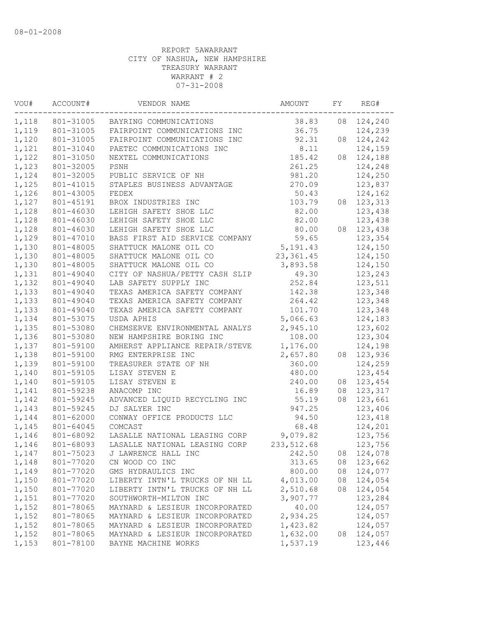| WOU#  | ACCOUNT#  | VENDOR NAME                         | AMOUNT      | FY | REG#               |  |
|-------|-----------|-------------------------------------|-------------|----|--------------------|--|
| 1,118 |           | 801-31005 BAYRING COMMUNICATIONS    | 38.83       | 08 | 124,240            |  |
| 1,119 | 801-31005 | FAIRPOINT COMMUNICATIONS INC        | 36.75       |    | 124,239            |  |
| 1,120 | 801-31005 | FAIRPOINT COMMUNICATIONS INC        | 92.31       | 08 | 124,242            |  |
| 1,121 | 801-31040 | PAETEC COMMUNICATIONS INC           | 8.11        |    | 124,159            |  |
| 1,122 | 801-31050 | NEXTEL COMMUNICATIONS               | 185.42      | 08 | 124,188            |  |
| 1,123 | 801-32005 | PSNH                                | 261.25      |    | 124,248            |  |
| 1,124 | 801-32005 | PUBLIC SERVICE OF NH                | 981.20      |    | 124,250            |  |
| 1,125 | 801-41015 | STAPLES BUSINESS ADVANTAGE          | 270.09      |    | 123,837            |  |
| 1,126 | 801-43005 | FEDEX                               | 50.43       |    | 124,162            |  |
| 1,127 | 801-45191 | BROX INDUSTRIES INC                 | 103.79      |    | 08 123, 313        |  |
| 1,128 | 801-46030 | LEHIGH SAFETY SHOE LLC              | 82.00       |    | 123,438            |  |
| 1,128 | 801-46030 | LEHIGH SAFETY SHOE LLC              | 82.00       |    | 123,438            |  |
| 1,128 | 801-46030 | LEHIGH SAFETY SHOE LLC              | 80.00       | 08 | 123,438            |  |
| 1,129 | 801-47010 | BASS FIRST AID SERVICE COMPANY      | 59.65       |    | 123,354            |  |
| 1,130 | 801-48005 | SHATTUCK MALONE OIL CO              | 5,191.43    |    | 124,150            |  |
| 1,130 | 801-48005 | SHATTUCK MALONE OIL CO              | 23, 361.45  |    | 124,150            |  |
| 1,130 | 801-48005 | SHATTUCK MALONE OIL CO              | 3,893.58    |    | 124,150            |  |
| 1,131 | 801-49040 | CITY OF NASHUA/PETTY CASH SLIP      | 49.30       |    | 123,243            |  |
| 1,132 | 801-49040 | LAB SAFETY SUPPLY INC               | 252.84      |    | 123,511            |  |
| 1,133 | 801-49040 | TEXAS AMERICA SAFETY COMPANY        | 142.38      |    | 123,348            |  |
| 1,133 | 801-49040 | TEXAS AMERICA SAFETY COMPANY        | 264.42      |    | 123,348            |  |
| 1,133 | 801-49040 | TEXAS AMERICA SAFETY COMPANY        | 101.70      |    | 123,348            |  |
| 1,134 | 801-53075 | USDA APHIS                          | 5,066.63    |    | 124,183            |  |
| 1,135 | 801-53080 | CHEMSERVE ENVIRONMENTAL ANALYS      | 2,945.10    |    | 123,602            |  |
| 1,136 | 801-53080 | NEW HAMPSHIRE BORING INC            | 108.00      |    | 123,304            |  |
| 1,137 | 801-59100 | AMHERST APPLIANCE REPAIR/STEVE      | 1,176.00    |    | 124,198            |  |
| 1,138 | 801-59100 | RMG ENTERPRISE INC                  | 2,657.80    | 08 | 123,936            |  |
| 1,139 | 801-59100 | TREASURER STATE OF NH               | 360.00      |    | 124,259            |  |
| 1,140 | 801-59105 | LISAY STEVEN E                      | 480.00      |    | 123,454            |  |
| 1,140 | 801-59105 | LISAY STEVEN E                      | 240.00      | 08 | 123,454            |  |
| 1,141 | 801-59238 | ANACOMP INC                         | 16.89       | 08 | 123,317            |  |
| 1,142 | 801-59245 | ADVANCED LIQUID RECYCLING INC       | 55.19       | 08 | 123,661            |  |
| 1,143 | 801-59245 | DJ SALYER INC                       | 947.25      |    | 123,406            |  |
| 1,144 | 801-62000 | CONWAY OFFICE PRODUCTS LLC          | 94.50       |    | 123,418            |  |
| 1,145 | 801-64045 | COMCAST                             | 68.48       |    | 124,201            |  |
| 1,146 | 801-68092 | LASALLE NATIONAL LEASING CORP       | 9,079.82    |    | 123,756            |  |
| 1,146 | 801-68093 | LASALLE NATIONAL LEASING CORP       | 233, 512.68 |    | 123,756            |  |
|       |           | 1,147 801-75023 J LAWRENCE HALL INC | 242.50      |    | 08 124,078         |  |
| 1,148 | 801-77020 | CN WOOD CO INC                      | 313.65      |    | 08 123,662         |  |
| 1,149 | 801-77020 | GMS HYDRAULICS INC                  | 800.00      |    | 08 124,077         |  |
| 1,150 | 801-77020 | LIBERTY INTN'L TRUCKS OF NH LL      | 4,013.00    | 08 | 124,054            |  |
| 1,150 | 801-77020 | LIBERTY INTN'L TRUCKS OF NH LL      | 2,510.68    | 08 | 124,054            |  |
| 1,151 | 801-77020 | SOUTHWORTH-MILTON INC               | 3,907.77    |    | 123,284            |  |
| 1,152 | 801-78065 | MAYNARD & LESIEUR INCORPORATED      | 40.00       |    | 124,057            |  |
| 1,152 | 801-78065 | MAYNARD & LESIEUR INCORPORATED      | 2,934.25    |    |                    |  |
| 1,152 | 801-78065 | MAYNARD & LESIEUR INCORPORATED      | 1,423.82    |    | 124,057<br>124,057 |  |
| 1,152 | 801-78065 | MAYNARD & LESIEUR INCORPORATED      | 1,632.00    |    | 08 124,057         |  |
|       |           |                                     |             |    |                    |  |
| 1,153 | 801-78100 | BAYNE MACHINE WORKS                 | 1,537.19    |    | 123,446            |  |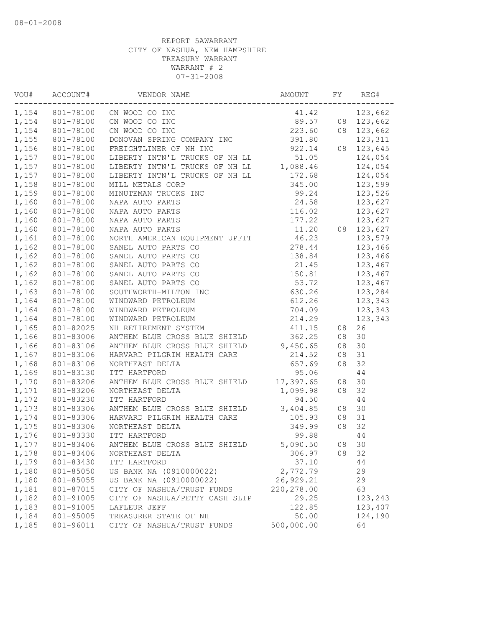| VOU#  |                 |                                                                                                                                                                                                                                                                                                            |             |    | REG#       |
|-------|-----------------|------------------------------------------------------------------------------------------------------------------------------------------------------------------------------------------------------------------------------------------------------------------------------------------------------------|-------------|----|------------|
|       |                 | CN WOOD CO INC<br>CN WOOD CO INC<br>CN WOOD CO INC<br>CN WOOD CO INC<br>CN WOOD CO INC<br>CN WOOD CO INC<br>223.60<br>23,662<br>23,662<br>23,662<br>23,662<br>23,662<br>23,662<br>23,662<br>23,662<br>23,662<br>23,662<br>23,662<br>23,662<br>23,662<br>23,662<br>23,662<br>1,154 801-78100 CN WOOD CO INC |             |    |            |
|       |                 | 1,154 801-78100 CN WOOD CO INC                                                                                                                                                                                                                                                                             |             |    |            |
| 1,154 | 801-78100       |                                                                                                                                                                                                                                                                                                            |             |    |            |
| 1,155 | 801-78100       |                                                                                                                                                                                                                                                                                                            |             |    |            |
| 1,156 | 801-78100       | FREIGHTLINER OF NH INC 922.14<br>LIBERTY INTN'L TRUCKS OF NH LL 51.05<br>LIBERTY INTN'L TRUCKS OF NH LL 1,088.46                                                                                                                                                                                           | 922.14      |    | 08 123,645 |
| 1,157 | 801-78100       |                                                                                                                                                                                                                                                                                                            |             |    | 124,054    |
| 1,157 | 801-78100       |                                                                                                                                                                                                                                                                                                            |             |    | 124,054    |
| 1,157 | 801-78100       | LIBERTY INTN'L TRUCKS OF NH LL                                                                                                                                                                                                                                                                             | 172.68      |    | 124,054    |
| 1,158 | 801-78100       |                                                                                                                                                                                                                                                                                                            |             |    | 123,599    |
|       | 1,159 801-78100 | MILL METALS CORP<br>MINUTEMAN TRUCKS INC<br>MAPA AUTO PARTS<br>NAPA AUTO PARTS<br>NAPA AUTO PARTS<br>NAPA AUTO PARTS<br>NAPA AUTO PARTS<br>MAPA AUTO PARTS<br>MAPA AUTO PARTS<br>MAPA AUTO PARTS<br>11.20<br>MAPA AUTO PARTS<br>11.20<br>11.20<br>11.20                                                    |             |    | 123,526    |
| 1,160 | 801-78100       |                                                                                                                                                                                                                                                                                                            |             |    | 123,627    |
| 1,160 | 801-78100       |                                                                                                                                                                                                                                                                                                            |             |    | 123,627    |
| 1,160 | 801-78100       |                                                                                                                                                                                                                                                                                                            |             |    | 123,627    |
| 1,160 | 801-78100       |                                                                                                                                                                                                                                                                                                            |             |    | 08 123,627 |
| 1,161 | 801-78100       |                                                                                                                                                                                                                                                                                                            |             |    | 123,579    |
| 1,162 | 801-78100       |                                                                                                                                                                                                                                                                                                            |             |    | 123,466    |
| 1,162 | 801-78100       |                                                                                                                                                                                                                                                                                                            |             |    | 123,466    |
| 1,162 | 801-78100       |                                                                                                                                                                                                                                                                                                            |             |    | 123,467    |
| 1,162 | 801-78100       |                                                                                                                                                                                                                                                                                                            |             |    | 123,467    |
| 1,162 | 801-78100       | 177.22<br>NAPA AUTO PARTS<br>NORTH AMERICAN EQUIPMENT UPFIT<br>11.20<br>NORTH AMERICAN EQUIPMENT UPFIT<br>46.23<br>SANEL AUTO PARTS CO<br>278.44<br>SANEL AUTO PARTS CO<br>278.44<br>SANEL AUTO PARTS CO<br>21.45<br>SANEL AUTO PARTS CO<br>21.45<br>SANEL                                                 |             |    | 123,467    |
| 1,163 | 801-78100       |                                                                                                                                                                                                                                                                                                            |             |    | 123,284    |
| 1,164 | 801-78100       |                                                                                                                                                                                                                                                                                                            |             |    | 123,343    |
| 1,164 | 801-78100       |                                                                                                                                                                                                                                                                                                            |             |    | 123,343    |
| 1,164 | 801-78100       |                                                                                                                                                                                                                                                                                                            |             |    | 123,343    |
| 1,165 | 801-82025       | NH RETIREMENT SYSTEM<br>ANTHEM BLUE CROSS BLUE SHIELD                                                                                                                                                                                                                                                      |             | 08 | 26         |
| 1,166 | 801-83006       |                                                                                                                                                                                                                                                                                                            | 362.25      | 08 | 30         |
| 1,166 | 801-83106       | ANTHEM BLUE CROSS BLUE SHIELD 9,450.65                                                                                                                                                                                                                                                                     |             | 08 | 30         |
| 1,167 | 801-83106       | HARVARD PILGRIM HEALTH CARE                                                                                                                                                                                                                                                                                | 214.52      | 08 | 31         |
| 1,168 | 801-83106       | NORTHEAST DELTA                                                                                                                                                                                                                                                                                            | 657.69      | 08 | 32         |
| 1,169 | 801-83130       | ITT HARTFORD                                                                                                                                                                                                                                                                                               | 95.06       |    | 44         |
| 1,170 | 801-83206       | ANTHEM BLUE CROSS BLUE SHIELD 17,397.65                                                                                                                                                                                                                                                                    |             | 08 | 30         |
| 1,171 | 801-83206       | NORTHEAST DELTA                                                                                                                                                                                                                                                                                            | 1,099.98    | 08 | 32         |
| 1,172 | 801-83230       | ITT HARTFORD                                                                                                                                                                                                                                                                                               | 94.50       |    | 44         |
| 1,173 | 801-83306       | ANTHEM BLUE CROSS BLUE SHIELD 3,404.85<br>HARVARD PILGRIM HEALTH CARE 105.93<br>NORTHEAST DELTA 349.99<br>ITT HARTFORD 99.88                                                                                                                                                                               |             | 08 | 30         |
| 1,174 | 801-83306       |                                                                                                                                                                                                                                                                                                            |             | 08 | 31         |
| 1,175 | 801-83306       |                                                                                                                                                                                                                                                                                                            |             | 08 | 32         |
| 1,176 | 801-83330       | ITT HARTFORD                                                                                                                                                                                                                                                                                               |             |    | 44         |
|       |                 | 1,177 801-83406 ANTHEM BLUE CROSS BLUE SHIELD                                                                                                                                                                                                                                                              | 5,090.50    | 08 | 30         |
| 1,178 | 801-83406       | NORTHEAST DELTA                                                                                                                                                                                                                                                                                            | 306.97      | 08 | 32         |
| 1,179 | 801-83430       | ITT HARTFORD                                                                                                                                                                                                                                                                                               | 37.10       |    | 44         |
| 1,180 | 801-85050       | US BANK NA (0910000022)                                                                                                                                                                                                                                                                                    | 2,772.79    |    | 29         |
| 1,180 | 801-85055       | US BANK NA (0910000022)                                                                                                                                                                                                                                                                                    | 26, 929.21  |    | 29         |
| 1,181 | 801-87015       | CITY OF NASHUA/TRUST FUNDS                                                                                                                                                                                                                                                                                 | 220, 278.00 |    | 63         |
| 1,182 | 801-91005       | CITY OF NASHUA/PETTY CASH SLIP                                                                                                                                                                                                                                                                             | 29.25       |    | 123,243    |
| 1,183 | 801-91005       | LAFLEUR JEFF                                                                                                                                                                                                                                                                                               | 122.85      |    | 123,407    |
| 1,184 | 801-95005       | TREASURER STATE OF NH                                                                                                                                                                                                                                                                                      | 50.00       |    | 124,190    |
| 1,185 | 801-96011       | CITY OF NASHUA/TRUST FUNDS                                                                                                                                                                                                                                                                                 | 500,000.00  |    | 64         |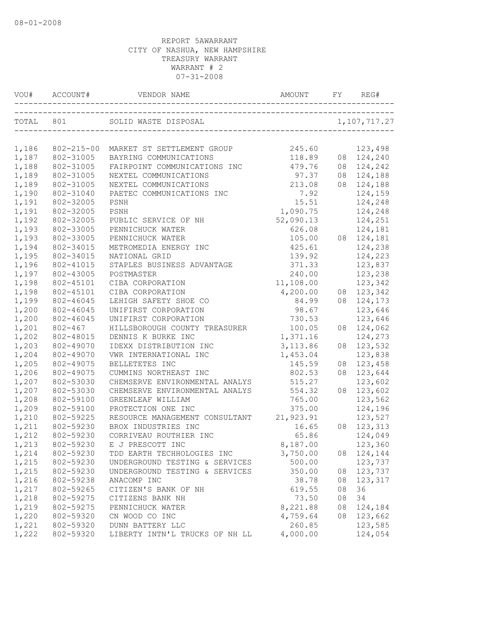|                |                        | VOU# ACCOUNT# VENDOR NAME AND AMOUNT FY RE     |                  |    | REG#                  |
|----------------|------------------------|------------------------------------------------|------------------|----|-----------------------|
|                |                        |                                                |                  |    |                       |
|                |                        |                                                |                  |    |                       |
| 1,186          |                        | 802-215-00 MARKET ST SETTLEMENT GROUP          | 245.60           |    | 123,498               |
| 1,187          | 802-31005              | BAYRING COMMUNICATIONS                         | 118.89           |    | 08 124,240            |
| 1,188          | 802-31005<br>802-31005 | FAIRPOINT COMMUNICATIONS INC                   | 479.76           |    | 08 124,242            |
| 1,189<br>1,189 | 802-31005              | NEXTEL COMMUNICATIONS<br>NEXTEL COMMUNICATIONS | 97.37<br>213.08  |    | 08 124,188            |
| 1,190          | 802-31040              |                                                | 7.92             |    | 08 124,188<br>124,159 |
| 1,191          |                        | PAETEC COMMUNICATIONS INC                      |                  |    |                       |
| 1,191          | 802-32005              | PSNH                                           | 15.51            |    | 124,248               |
|                | 802-32005              | PSNH                                           | 1,090.75         |    | 124,248               |
| 1,192          | 802-32005              | PUBLIC SERVICE OF NH                           | 52,090.13        |    | 124,251               |
| 1,193          | 802-33005<br>802-33005 | PENNICHUCK WATER                               | 626.08           |    | 124,181               |
| 1,193          |                        | PENNICHUCK WATER                               | 105.00           |    | 08 124,181            |
| 1,194          | 802-34015<br>802-34015 | METROMEDIA ENERGY INC<br>NATIONAL GRID         | 425.61           |    | 124,238<br>124,223    |
| 1,195<br>1,196 | 802-41015              | STAPLES BUSINESS ADVANTAGE                     | 139.92<br>371.33 |    |                       |
| 1,197          | 802-43005              |                                                | 240.00           |    | 123,837<br>123,238    |
| 1,198          | 802-45101              | POSTMASTER                                     | 11,108.00        |    | 123,342               |
| 1,198          | 802-45101              | CIBA CORPORATION<br>CIBA CORPORATION           | 4,200.00         |    | 08 123,342            |
| 1,199          | 802-46045              | LEHIGH SAFETY SHOE CO                          | 84.99            |    | 08 124,173            |
| 1,200          | 802-46045              | UNIFIRST CORPORATION                           | 98.67            |    | 123,646               |
| 1,200          | 802-46045              | UNIFIRST CORPORATION                           | 730.53           |    | 123,646               |
| 1,201          | 802-467                | HILLSBOROUGH COUNTY TREASURER                  | 100.05           | 08 | 124,062               |
| 1,202          | 802-48015              | DENNIS K BURKE INC                             | 1,371.16         |    | 124,273               |
| 1,203          | 802-49070              | IDEXX DISTRIBUTION INC                         | 3, 113.86        | 08 | 123,532               |
| 1,204          | 802-49070              | VWR INTERNATIONAL INC                          | 1,453.04         |    | 123,838               |
| 1,205          | 802-49075              | BELLETETES INC                                 | 145.59           | 08 | 123,458               |
| 1,206          | 802-49075              | CUMMINS NORTHEAST INC                          | 802.53           | 08 | 123,644               |
| 1,207          | 802-53030              | CHEMSERVE ENVIRONMENTAL ANALYS                 | 515.27           |    | 123,602               |
| 1,207          | 802-53030              | CHEMSERVE ENVIRONMENTAL ANALYS                 | 554.32           |    | 08 123,602            |
| 1,208          | 802-59100              | GREENLEAF WILLIAM                              | 765.00           |    | 123,562               |
| 1,209          | 802-59100              | PROTECTION ONE INC                             | 375.00           |    | 124,196               |
| 1,210          | 802-59225              | RESOURCE MANAGEMENT CONSULTANT                 | 21,923.91        |    | 123,527               |
| 1,211          | 802-59230              | BROX INDUSTRIES INC                            | 16.65            |    | 08 123, 313           |
| 1,212          | 802-59230              | CORRIVEAU ROUTHIER INC                         | 65.86            |    | 124,049               |
| 1,213          | 802-59230              | E J PRESCOTT INC                               | 8,187.00         |    | 123,360               |
| 1,214          | 802-59230              | TDD EARTH TECHHOLOGIES INC                     | 3,750.00         |    | 08 124,144            |
| 1,215          | 802-59230              | UNDERGROUND TESTING & SERVICES                 | 500.00           |    | 123,737               |
| 1,215          | 802-59230              | UNDERGROUND TESTING & SERVICES                 | 350.00           | 08 | 123,737               |
| 1,216          | 802-59238              | ANACOMP INC                                    | 38.78            | 08 | 123,317               |
| 1,217          | 802-59265              | CITIZEN'S BANK OF NH                           | 619.55           | 08 | 36                    |
| 1,218          | 802-59275              | CITIZENS BANK NH                               | 73.50            | 08 | 34                    |
| 1,219          | 802-59275              | PENNICHUCK WATER                               | 8,221.88         | 08 | 124,184               |
| 1,220          | 802-59320              | CN WOOD CO INC                                 | 4,759.64         | 08 | 123,662               |
| 1,221          | 802-59320              | DUNN BATTERY LLC                               | 260.85           |    | 123,585               |
| 1,222          | 802-59320              | LIBERTY INTN'L TRUCKS OF NH LL                 | 4,000.00         |    | 124,054               |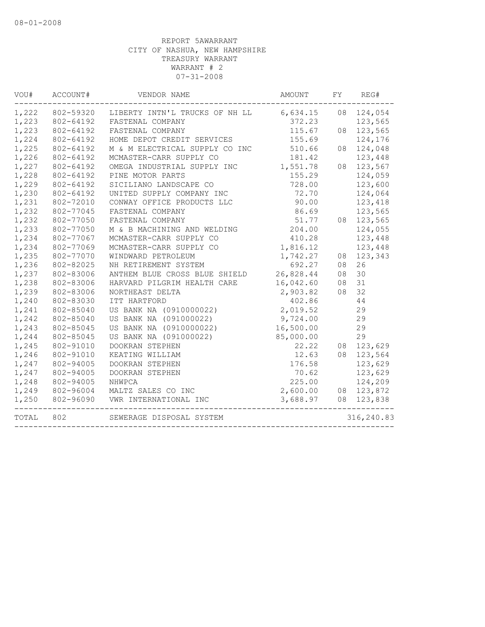| VOU#  | ACCOUNT#  | VENDOR NAME                                       | AMOUNT    | FY | REG#        |
|-------|-----------|---------------------------------------------------|-----------|----|-------------|
| 1,222 |           | 802-59320 LIBERTY INTN'L TRUCKS OF NH LL 6,634.15 |           |    | 08 124,054  |
| 1,223 | 802-64192 | FASTENAL COMPANY                                  | 372.23    |    | 123,565     |
| 1,223 | 802-64192 | FASTENAL COMPANY                                  | 115.67    | 08 | 123,565     |
| 1,224 | 802-64192 | HOME DEPOT CREDIT SERVICES                        | 155.69    |    | 124,176     |
| 1,225 | 802-64192 | M & M ELECTRICAL SUPPLY CO INC                    | 510.66    | 08 | 124,048     |
| 1,226 | 802-64192 | MCMASTER-CARR SUPPLY CO                           | 181.42    |    | 123,448     |
| 1,227 | 802-64192 | OMEGA INDUSTRIAL SUPPLY INC                       | 1,551.78  |    | 08 123,567  |
| 1,228 | 802-64192 | PINE MOTOR PARTS                                  | 155.29    |    | 124,059     |
| 1,229 | 802-64192 | SICILIANO LANDSCAPE CO                            | 728.00    |    | 123,600     |
| 1,230 | 802-64192 | UNITED SUPPLY COMPANY INC                         | 72.70     |    | 124,064     |
| 1,231 | 802-72010 | CONWAY OFFICE PRODUCTS LLC                        | 90.00     |    | 123,418     |
| 1,232 | 802-77045 | FASTENAL COMPANY                                  | 86.69     |    | 123,565     |
| 1,232 | 802-77050 | FASTENAL COMPANY                                  | 51.77     |    | 08 123,565  |
| 1,233 | 802-77050 | M & B MACHINING AND WELDING                       | 204.00    |    | 124,055     |
| 1,234 | 802-77067 | MCMASTER-CARR SUPPLY CO                           | 410.28    |    | 123,448     |
| 1,234 | 802-77069 | MCMASTER-CARR SUPPLY CO                           | 1,816.12  |    | 123,448     |
| 1,235 | 802-77070 | WINDWARD PETROLEUM                                | 1,742.27  | 08 | 123,343     |
| 1,236 | 802-82025 | NH RETIREMENT SYSTEM                              | 692.27    | 08 | 26          |
| 1,237 | 802-83006 | ANTHEM BLUE CROSS BLUE SHIELD                     | 26,828.44 | 08 | 30          |
| 1,238 | 802-83006 | HARVARD PILGRIM HEALTH CARE                       | 16,042.60 | 08 | 31          |
| 1,239 | 802-83006 | NORTHEAST DELTA                                   | 2,903.82  | 08 | 32          |
| 1,240 | 802-83030 | ITT HARTFORD                                      | 402.86    |    | 44          |
| 1,241 | 802-85040 | US BANK NA (0910000022)                           | 2,019.52  |    | 29          |
| 1,242 | 802-85040 | US BANK NA (091000022)                            | 9,724.00  |    | 29          |
| 1,243 | 802-85045 | US BANK NA (0910000022)                           | 16,500.00 |    | 29          |
| 1,244 | 802-85045 | US BANK NA (091000022)                            | 85,000.00 |    | 29          |
| 1,245 | 802-91010 | DOOKRAN STEPHEN                                   | 22.22     | 08 | 123,629     |
| 1,246 | 802-91010 | KEATING WILLIAM                                   | 12.63     |    | 08 123,564  |
| 1,247 | 802-94005 | DOOKRAN STEPHEN                                   | 176.58    |    | 123,629     |
| 1,247 | 802-94005 | DOOKRAN STEPHEN                                   | 70.62     |    | 123,629     |
| 1,248 | 802-94005 | NHWPCA                                            | 225.00    |    | 124,209     |
| 1,249 | 802-96004 | MALTZ SALES CO INC                                | 2,600.00  |    | 08 123,872  |
| 1,250 | 802-96090 | VWR INTERNATIONAL INC                             | 3,688.97  |    | 08 123,838  |
| TOTAL | 802       | SEWERAGE DISPOSAL SYSTEM                          |           |    | 316, 240.83 |
|       |           |                                                   |           |    |             |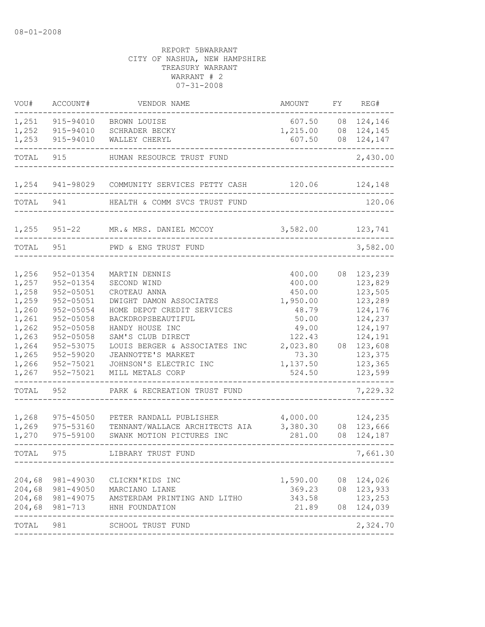| VOU#                                                                                                                                                                                                                                                                                 | ACCOUNT#                                                 | VENDOR NAME                                                                                                                                                                                                                                                                                              | AMOUNT                                                                                                                 | FΥ       | REG#                                                                                                                                         |
|--------------------------------------------------------------------------------------------------------------------------------------------------------------------------------------------------------------------------------------------------------------------------------------|----------------------------------------------------------|----------------------------------------------------------------------------------------------------------------------------------------------------------------------------------------------------------------------------------------------------------------------------------------------------------|------------------------------------------------------------------------------------------------------------------------|----------|----------------------------------------------------------------------------------------------------------------------------------------------|
| 1,251<br>1,252                                                                                                                                                                                                                                                                       | 915-94010<br>BROWN LOUISE<br>915-94010<br>SCHRADER BECKY |                                                                                                                                                                                                                                                                                                          | 607.50<br>1,215.00                                                                                                     | 08<br>08 | 124,146<br>124,145                                                                                                                           |
| 1,253                                                                                                                                                                                                                                                                                | 915-94010                                                | WALLEY CHERYL                                                                                                                                                                                                                                                                                            | 607.50                                                                                                                 | 08       | 124,147                                                                                                                                      |
| TOTAL                                                                                                                                                                                                                                                                                | 915                                                      | HUMAN RESOURCE TRUST FUND                                                                                                                                                                                                                                                                                |                                                                                                                        |          | 2,430.00                                                                                                                                     |
| 1,254                                                                                                                                                                                                                                                                                | 941-98029                                                | COMMUNITY SERVICES PETTY CASH                                                                                                                                                                                                                                                                            | 120.06                                                                                                                 |          | 124,148                                                                                                                                      |
| TOTAL                                                                                                                                                                                                                                                                                | 941                                                      | HEALTH & COMM SVCS TRUST FUND                                                                                                                                                                                                                                                                            |                                                                                                                        |          | 120.06                                                                                                                                       |
| 1,255                                                                                                                                                                                                                                                                                | $951 - 22$                                               | MR. & MRS. DANIEL MCCOY                                                                                                                                                                                                                                                                                  | 3,582.00                                                                                                               |          | 123,741                                                                                                                                      |
| TOTAL                                                                                                                                                                                                                                                                                | 951                                                      | PWD & ENG TRUST FUND                                                                                                                                                                                                                                                                                     |                                                                                                                        |          | 3,582.00                                                                                                                                     |
| 1,256<br>952-01354<br>1,257<br>952-01354<br>1,258<br>952-05051<br>1,259<br>952-05051<br>1,260<br>952-05054<br>1,261<br>952-05058<br>1,262<br>952-05058<br>1,263<br>952-05058<br>1,264<br>952-53075<br>1,265<br>952-59020<br>1,266<br>952-75021<br>952-75021<br>1,267<br>TOTAL<br>952 |                                                          | MARTIN DENNIS<br>SECOND WIND<br>CROTEAU ANNA<br>DWIGHT DAMON ASSOCIATES<br>HOME DEPOT CREDIT SERVICES<br>BACKDROPSBEAUTIFUL<br>HANDY HOUSE INC<br>SAM'S CLUB DIRECT<br>LOUIS BERGER & ASSOCIATES INC<br>JEANNOTTE'S MARKET<br>JOHNSON'S ELECTRIC INC<br>MILL METALS CORP<br>PARK & RECREATION TRUST FUND | 400.00<br>400.00<br>450.00<br>1,950.00<br>48.79<br>50.00<br>49.00<br>122.43<br>2,023.80<br>73.30<br>1,137.50<br>524.50 | 08<br>08 | 123,239<br>123,829<br>123,505<br>123,289<br>124,176<br>124,237<br>124,197<br>124,191<br>123,608<br>123,375<br>123,365<br>123,599<br>7,229.32 |
| 1,268<br>1,269<br>1,270                                                                                                                                                                                                                                                              | 975-45050<br>975-53160<br>975-59100                      | PETER RANDALL PUBLISHER<br>TENNANT/WALLACE ARCHITECTS AIA<br>SWANK MOTION PICTURES INC                                                                                                                                                                                                                   | 4,000.00<br>3,380.30<br>281.00                                                                                         | 08<br>08 | 124,235<br>123,666<br>124,187                                                                                                                |
| TOTAL.                                                                                                                                                                                                                                                                               | 975                                                      | LIBRARY TRUST FUND                                                                                                                                                                                                                                                                                       |                                                                                                                        |          | 7,661.30                                                                                                                                     |
| 204,68<br>204,68<br>204,68<br>204,68                                                                                                                                                                                                                                                 | 981-49030<br>981-49075<br>981-713                        | CLICKN'KIDS INC<br>981-49050 MARCIANO LIANE<br>AMSTERDAM PRINTING AND LITHO<br>HNH FOUNDATION                                                                                                                                                                                                            | 1,590.00<br>369.23<br>343.58<br>21.89                                                                                  | 08       | 124,026<br>08 123,933<br>123,253<br>08 124,039                                                                                               |
| TOTAL 981                                                                                                                                                                                                                                                                            |                                                          | SCHOOL TRUST FUND                                                                                                                                                                                                                                                                                        |                                                                                                                        |          | 2,324.70                                                                                                                                     |
|                                                                                                                                                                                                                                                                                      |                                                          |                                                                                                                                                                                                                                                                                                          |                                                                                                                        |          |                                                                                                                                              |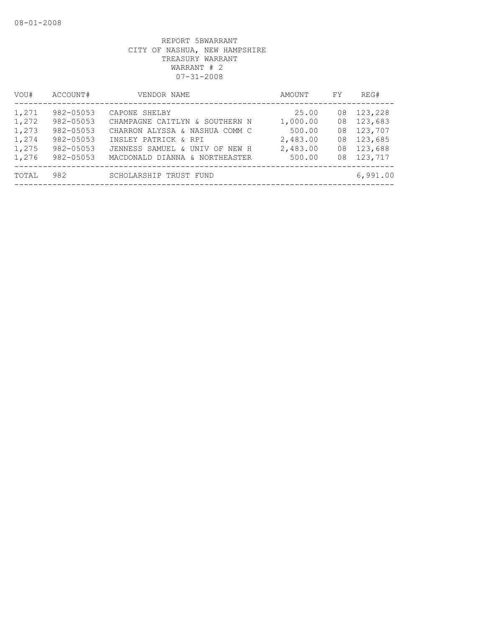| VOU#                                               | ACCOUNT#                                                                                   | VENDOR NAME                                                                                                                                                                   | AMOUNT                                                        | FY                               | REG#                                                           |
|----------------------------------------------------|--------------------------------------------------------------------------------------------|-------------------------------------------------------------------------------------------------------------------------------------------------------------------------------|---------------------------------------------------------------|----------------------------------|----------------------------------------------------------------|
| 1,271<br>1,272<br>1,273<br>1,274<br>1,275<br>1,276 | 982-05053<br>$982 - 05053$<br>$982 - 05053$<br>982-05053<br>$982 - 05053$<br>$982 - 05053$ | CAPONE SHELBY<br>CHAMPAGNE CAITLYN & SOUTHERN N<br>CHARRON ALYSSA & NASHUA COMM C<br>INSLEY PATRICK & RPI<br>JENNESS SAMUEL & UNIV OF NEW H<br>MACDONALD DIANNA & NORTHEASTER | 25.00<br>1,000.00<br>500.00<br>2,483.00<br>2,483.00<br>500.00 | 08<br>08<br>08<br>08<br>08<br>08 | 123,228<br>123,683<br>123,707<br>123,685<br>123,688<br>123,717 |
| TOTAL                                              | 982                                                                                        | SCHOLARSHIP TRUST FUND                                                                                                                                                        |                                                               |                                  | 6,991.00                                                       |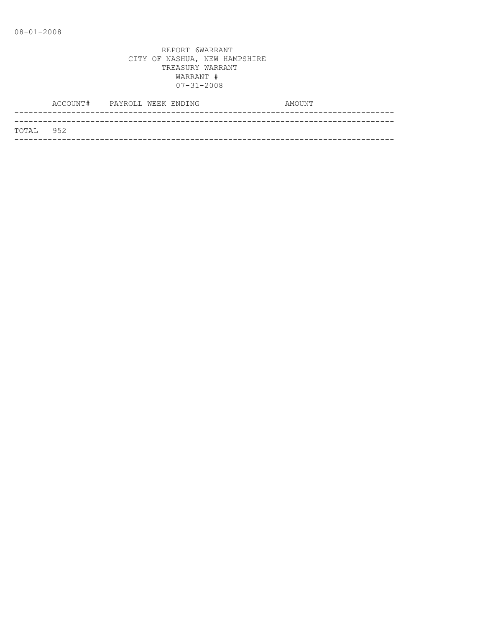|            | ACCOUNT# PAYROLL WEEK ENDING |  | AMOUNT |
|------------|------------------------------|--|--------|
|            |                              |  |        |
| ТОТАТ. 952 |                              |  |        |
|            |                              |  |        |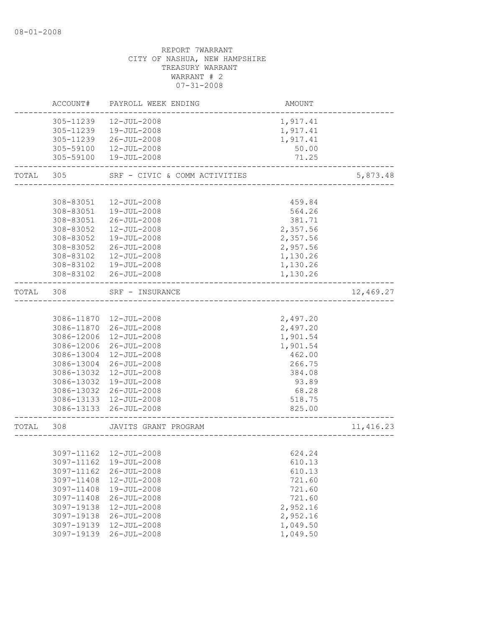|       | ACCOUNT#                            | PAYROLL WEEK ENDING                                                 | AMOUNT                                    |            |
|-------|-------------------------------------|---------------------------------------------------------------------|-------------------------------------------|------------|
|       | 305-11239<br>305-11239<br>305-11239 | 12-JUL-2008<br>19-JUL-2008<br>26-JUL-2008<br>305-59100  12-JUL-2008 | 1,917.41<br>1,917.41<br>1,917.41<br>50.00 |            |
|       | 305-59100                           | 19-JUL-2008                                                         | 71.25                                     |            |
| TOTAL | 305                                 | SRF - CIVIC & COMM ACTIVITIES                                       | -------------------------                 | 5,873.48   |
|       |                                     |                                                                     |                                           |            |
|       | 308-83051                           | 12-JUL-2008                                                         | 459.84                                    |            |
|       | 308-83051                           | 19-JUL-2008                                                         | 564.26                                    |            |
|       |                                     | 308-83051 26-JUL-2008                                               | 381.71                                    |            |
|       | 308-83052                           | 12-JUL-2008                                                         | 2,357.56                                  |            |
|       | 308-83052                           | 19-JUL-2008                                                         | 2,357.56                                  |            |
|       | 308-83052                           | 26-JUL-2008                                                         | 2,957.56                                  |            |
|       | 308-83102                           | 12-JUL-2008                                                         | 1,130.26                                  |            |
|       | 308-83102                           | 19-JUL-2008                                                         | 1,130.26                                  |            |
|       | 308-83102                           | 26-JUL-2008                                                         | 1,130.26                                  |            |
| TOTAL | 308                                 | SRF - INSURANCE                                                     | _____________________________________     | 12,469.27  |
|       |                                     |                                                                     |                                           |            |
|       |                                     | 3086-11870  12-JUL-2008                                             | 2,497.20                                  |            |
|       |                                     | 3086-11870 26-JUL-2008                                              | 2,497.20                                  |            |
|       | 3086-12006                          | 12-JUL-2008                                                         | 1,901.54                                  |            |
|       | 3086-12006                          | 26-JUL-2008                                                         | 1,901.54                                  |            |
|       | 3086-13004                          | 12-JUL-2008                                                         | 462.00                                    |            |
|       |                                     |                                                                     |                                           |            |
|       | 3086-13004                          | 26-JUL-2008                                                         | 266.75                                    |            |
|       | 3086-13032                          | 12-JUL-2008                                                         | 384.08                                    |            |
|       | 3086-13032                          | 19-JUL-2008                                                         | 93.89                                     |            |
|       |                                     | 3086-13032 26-JUL-2008                                              | 68.28                                     |            |
|       |                                     | 3086-13133 12-JUL-2008                                              | 518.75                                    |            |
|       |                                     | 3086-13133 26-JUL-2008                                              | 825.00<br>____________________            |            |
| TOTAL | 308                                 | JAVITS GRANT PROGRAM                                                | -----------------                         | 11, 416.23 |
|       |                                     |                                                                     |                                           |            |
|       |                                     | 3097-11162  12-JUL-2008                                             | 624.24                                    |            |
|       | 3097-11162                          | 19-JUL-2008                                                         | 610.13                                    |            |
|       | 3097-11162                          | $26 - JUL - 2008$                                                   | 610.13                                    |            |
|       | 3097-11408                          | 12-JUL-2008                                                         | 721.60                                    |            |
|       | 3097-11408                          | 19-JUL-2008                                                         | 721.60                                    |            |
|       | 3097-11408                          | $26 - JUL - 2008$                                                   | 721.60                                    |            |
|       | 3097-19138                          | 12-JUL-2008                                                         | 2,952.16                                  |            |
|       | 3097-19138                          | $26 - JUL - 2008$                                                   | 2,952.16                                  |            |
|       | 3097-19139                          | 12-JUL-2008                                                         | 1,049.50                                  |            |
|       | 3097-19139                          | $26 - JUL - 2008$                                                   | 1,049.50                                  |            |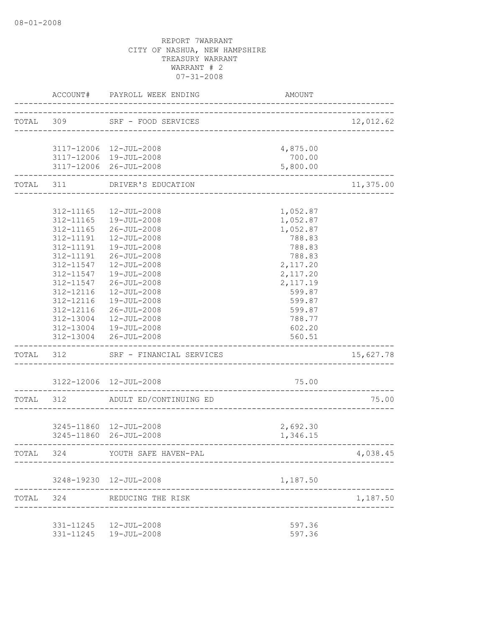|           | ACCOUNT#  | PAYROLL WEEK ENDING      | AMOUNT                             |           |
|-----------|-----------|--------------------------|------------------------------------|-----------|
|           | TOTAL 309 | SRF - FOOD SERVICES      | ------------------------------     | 12,012.62 |
|           |           | 3117-12006 12-JUL-2008   | 4,875.00                           |           |
|           |           | 3117-12006 19-JUL-2008   | 700.00                             |           |
|           |           | 3117-12006 26-JUL-2008   | 5,800.00                           |           |
|           | TOTAL 311 | DRIVER'S EDUCATION       |                                    | 11,375.00 |
|           |           |                          |                                    |           |
|           | 312-11165 | 12-JUL-2008              | 1,052.87                           |           |
|           | 312-11165 | 19-JUL-2008              | 1,052.87                           |           |
|           | 312-11165 | $26 - JUL - 2008$        | 1,052.87                           |           |
|           | 312-11191 | 12-JUL-2008              | 788.83                             |           |
|           | 312-11191 | 19-JUL-2008              | 788.83                             |           |
|           | 312-11191 | $26 - JUL - 2008$        | 788.83                             |           |
|           | 312-11547 | 12-JUL-2008              | 2,117.20                           |           |
|           | 312-11547 | 19-JUL-2008              | 2,117.20                           |           |
|           | 312-11547 | $26 - JUL - 2008$        | 2,117.19                           |           |
|           | 312-12116 | 12-JUL-2008              | 599.87                             |           |
|           | 312-12116 | 19-JUL-2008              | 599.87                             |           |
|           | 312-12116 | 26-JUL-2008              | 599.87                             |           |
|           | 312-13004 | 12-JUL-2008              | 788.77                             |           |
|           |           | 312-13004  19-JUL-2008   | 602.20                             |           |
|           |           | 312-13004 26-JUL-2008    | 560.51                             |           |
| TOTAL 312 |           | SRF - FINANCIAL SERVICES |                                    | 15,627.78 |
|           |           | 3122-12006 12-JUL-2008   | 75.00                              |           |
| TOTAL 312 |           | ADULT ED/CONTINUING ED   | __________________________________ | 75.00     |
|           |           |                          |                                    |           |
|           |           | 3245-11860 12-JUL-2008   | 2,692.30                           |           |
|           |           | 3245-11860 26-JUL-2008   | 1,346.15                           |           |
| TOTAL     | 324       | YOUTH SAFE HAVEN-PAL     |                                    | 4,038.45  |
|           |           | 3248-19230 12-JUL-2008   | 1,187.50                           |           |
| TOTAL     | 324       | REDUCING THE RISK        |                                    | 1,187.50  |
|           |           |                          |                                    |           |
|           |           | 331-11245  12-JUL-2008   | 597.36                             |           |
|           |           | 331-11245  19-JUL-2008   | 597.36                             |           |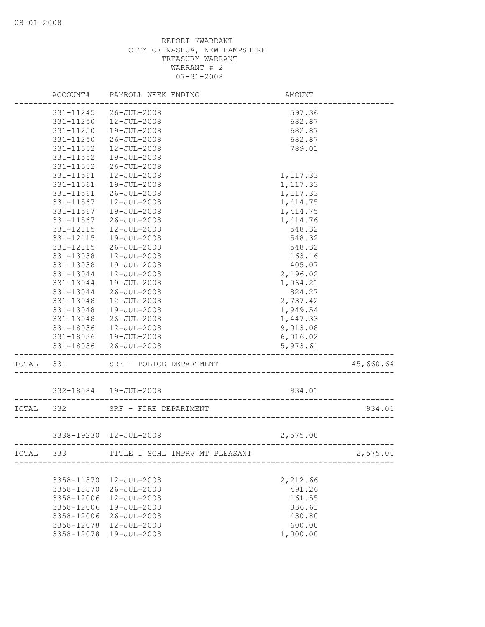|           | ACCOUNT#   | PAYROLL WEEK ENDING                                   | AMOUNT    |           |
|-----------|------------|-------------------------------------------------------|-----------|-----------|
|           | 331-11245  | $26 - JUL - 2008$                                     | 597.36    |           |
|           | 331-11250  | 12-JUL-2008                                           | 682.87    |           |
|           | 331-11250  | 19-JUL-2008                                           | 682.87    |           |
|           | 331-11250  | $26 - JUL - 2008$                                     | 682.87    |           |
|           | 331-11552  | 12-JUL-2008                                           | 789.01    |           |
|           | 331-11552  | 19-JUL-2008                                           |           |           |
|           | 331-11552  | $26 - JUL - 2008$                                     |           |           |
|           | 331-11561  | $12 - JUL - 2008$                                     | 1, 117.33 |           |
|           | 331-11561  | 19-JUL-2008                                           | 1, 117.33 |           |
|           | 331-11561  | $26 - JUL - 2008$                                     | 1,117.33  |           |
|           | 331-11567  | 12-JUL-2008                                           | 1, 414.75 |           |
|           | 331-11567  | 19-JUL-2008                                           | 1, 414.75 |           |
|           | 331-11567  | $26 - JUL - 2008$                                     | 1,414.76  |           |
|           | 331-12115  | 12-JUL-2008                                           | 548.32    |           |
|           | 331-12115  | 19-JUL-2008                                           | 548.32    |           |
|           | 331-12115  | $26 - JUL - 2008$                                     | 548.32    |           |
|           | 331-13038  | 12-JUL-2008                                           | 163.16    |           |
|           | 331-13038  | 19-JUL-2008                                           | 405.07    |           |
|           | 331-13044  | $12 - JUL - 2008$                                     | 2,196.02  |           |
|           | 331-13044  | 19-JUL-2008                                           | 1,064.21  |           |
|           | 331-13044  | $26 - JUL - 2008$                                     | 824.27    |           |
|           | 331-13048  | 12-JUL-2008                                           | 2,737.42  |           |
|           | 331-13048  | 19-JUL-2008                                           | 1,949.54  |           |
|           | 331-13048  | $26 - JUL - 2008$                                     | 1,447.33  |           |
|           | 331-18036  | 12-JUL-2008                                           | 9,013.08  |           |
|           | 331-18036  | 19-JUL-2008                                           | 6,016.02  |           |
|           | 331-18036  | 26-JUL-2008                                           | 5,973.61  |           |
| TOTAL     | 331        | SRF - POLICE DEPARTMENT                               |           | 45,660.64 |
|           |            | 332-18084  19-JUL-2008                                | 934.01    |           |
|           |            |                                                       |           |           |
| TOTAL 332 |            | SRF - FIRE DEPARTMENT                                 |           | 934.01    |
|           |            | 3338-19230 12-JUL-2008<br>--------------------------- | 2,575.00  |           |
| TOTAL     | 333        | TITLE I SCHL IMPRV MT PLEASANT                        |           | 2,575.00  |
|           |            |                                                       |           |           |
|           | 3358-11870 | 12-JUL-2008                                           | 2,212.66  |           |
|           | 3358-11870 | $26 - JUL - 2008$                                     | 491.26    |           |
|           | 3358-12006 | 12-JUL-2008                                           | 161.55    |           |
|           | 3358-12006 | 19-JUL-2008                                           | 336.61    |           |
|           | 3358-12006 | $26 - JUL - 2008$                                     | 430.80    |           |
|           | 3358-12078 | 12-JUL-2008                                           | 600.00    |           |
|           | 3358-12078 | 19-JUL-2008                                           | 1,000.00  |           |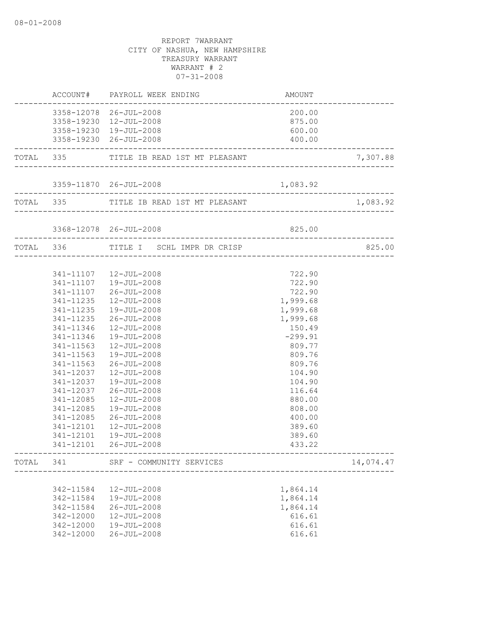|       |           | ACCOUNT# PAYROLL WEEK ENDING                                               | AMOUNT<br>-------------------------      |           |
|-------|-----------|----------------------------------------------------------------------------|------------------------------------------|-----------|
|       |           | 3358-12078 26-JUL-2008<br>3358-19230 12-JUL-2008<br>3358-19230 19-JUL-2008 | 200.00<br>875.00<br>600.00               |           |
|       |           | 3358-19230 26-JUL-2008                                                     | 400.00                                   |           |
|       |           | TOTAL 335 TITLE IB READ 1ST MT PLEASANT                                    |                                          | 7,307.88  |
|       |           | 3359-11870 26-JUL-2008                                                     | 1,083.92                                 |           |
|       |           |                                                                            |                                          |           |
|       |           | 3368-12078 26-JUL-2008                                                     | 825.00                                   |           |
|       |           | TOTAL 336 TITLE I SCHL IMPR DR CRISP                                       |                                          | 825.00    |
|       |           | 341-11107  12-JUL-2008                                                     | 722.90                                   |           |
|       |           | 341-11107  19-JUL-2008                                                     | 722.90                                   |           |
|       |           | 341-11107 26-JUL-2008                                                      | 722.90                                   |           |
|       |           | 341-11235  12-JUL-2008                                                     | 1,999.68                                 |           |
|       |           | 341-11235  19-JUL-2008                                                     | 1,999.68                                 |           |
|       | 341-11235 | 26-JUL-2008                                                                | 1,999.68                                 |           |
|       | 341-11346 | 12-JUL-2008                                                                | 150.49                                   |           |
|       | 341-11346 | 19-JUL-2008                                                                | $-299.91$                                |           |
|       | 341-11563 | $12 - JUL - 2008$                                                          | 809.77                                   |           |
|       | 341-11563 | 19-JUL-2008                                                                | 809.76                                   |           |
|       | 341-11563 | 26-JUL-2008                                                                | 809.76                                   |           |
|       |           | 341-12037  12-JUL-2008                                                     | 104.90                                   |           |
|       |           | 341-12037  19-JUL-2008                                                     | 104.90                                   |           |
|       | 341-12037 | 26-JUL-2008                                                                | 116.64                                   |           |
|       | 341-12085 | 12-JUL-2008                                                                | 880.00                                   |           |
|       | 341-12085 | 19-JUL-2008                                                                | 808.00                                   |           |
|       | 341-12085 | 26-JUL-2008                                                                | 400.00                                   |           |
|       | 341-12101 | 12-JUL-2008                                                                | 389.60                                   |           |
|       | 341-12101 | 19-JUL-2008                                                                | 389.60                                   |           |
|       |           | 341-12101 26-JUL-2008                                                      | 433.22<br>------------------------------ |           |
| TOTAL | 341       | SRF - COMMUNITY SERVICES                                                   |                                          | 14,074.47 |
|       |           |                                                                            |                                          |           |
|       | 342-11584 | 12-JUL-2008                                                                | 1,864.14                                 |           |
|       | 342-11584 | 19-JUL-2008                                                                | 1,864.14                                 |           |
|       | 342-11584 | $26 - JUL - 2008$                                                          | 1,864.14                                 |           |
|       | 342-12000 | $12 - JUL - 2008$                                                          | 616.61                                   |           |
|       | 342-12000 | 19-JUL-2008                                                                | 616.61                                   |           |
|       | 342-12000 | $26 - JUL - 2008$                                                          | 616.61                                   |           |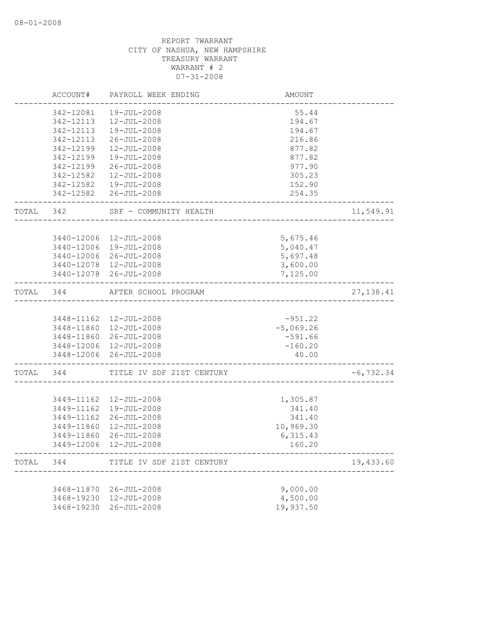|       | ACCOUNT#                 | PAYROLL WEEK ENDING                               | AMOUNT                |              |
|-------|--------------------------|---------------------------------------------------|-----------------------|--------------|
|       | 342-12081                | 19-JUL-2008                                       | 55.44                 |              |
|       | 342-12113                | 12-JUL-2008                                       | 194.67                |              |
|       | 342-12113                | 19-JUL-2008                                       | 194.67                |              |
|       | 342-12113                | 26-JUL-2008                                       | 216.86                |              |
|       | 342-12199                | 12-JUL-2008                                       | 877.82                |              |
|       | 342-12199                | 19-JUL-2008                                       | 877.82                |              |
|       | 342-12199                | $26 - JUL - 2008$                                 | 977.90                |              |
|       | 342-12582                | $12 - JUL - 2008$                                 | 305.23                |              |
|       |                          | 342-12582  19-JUL-2008                            | 152.90                |              |
|       |                          | 342-12582 26-JUL-2008                             | 254.35                |              |
| TOTAL | 342                      | SRF - COMMUNITY HEALTH                            |                       | 11,549.91    |
|       |                          | 3440-12006 12-JUL-2008                            | 5,675.46              |              |
|       |                          | 3440-12006 19-JUL-2008                            | 5,040.47              |              |
|       |                          | 3440-12006 26-JUL-2008                            | 5,697.48              |              |
|       |                          | 3440-12078 12-JUL-2008                            | 3,600.00              |              |
|       |                          | 3440-12078 26-JUL-2008                            | 7,125.00              |              |
| TOTAL | 344                      | AFTER SCHOOL PROGRAM                              |                       | 27, 138.41   |
|       |                          |                                                   | $-951.22$             |              |
|       |                          | 3448-11162  12-JUL-2008<br>3448-11860 12-JUL-2008 | $-5,069.26$           |              |
|       |                          | 3448-11860 26-JUL-2008                            | $-591.66$             |              |
|       |                          | 3448-12006 12-JUL-2008                            | $-160.20$             |              |
|       |                          | 3448-12006 26-JUL-2008                            | 40.00                 |              |
| TOTAL | 344                      | TITLE IV SDF 21ST CENTURY                         |                       | $-6, 732.34$ |
|       |                          |                                                   |                       |              |
|       |                          | 3449-11162  12-JUL-2008                           | 1,305.87              |              |
|       |                          | 3449-11162  19-JUL-2008                           | 341.40                |              |
|       | 3449-11162<br>3449-11860 | 26-JUL-2008<br>12-JUL-2008                        | 341.40                |              |
|       | 3449-11860               | 26-JUL-2008                                       | 10,969.30<br>6,315.43 |              |
|       |                          | 3449-12006 12-JUL-2008                            | 160.20                |              |
| TOTAL | 344                      | TITLE IV SDF 21ST CENTURY                         |                       | 19,433.60    |
|       |                          |                                                   |                       |              |
|       | 3468-11870               | 26-JUL-2008                                       | 9,000.00              |              |
|       | 3468-19230               | 12-JUL-2008                                       | 4,500.00              |              |
|       | 3468-19230               | $26 - JUL - 2008$                                 | 19,937.50             |              |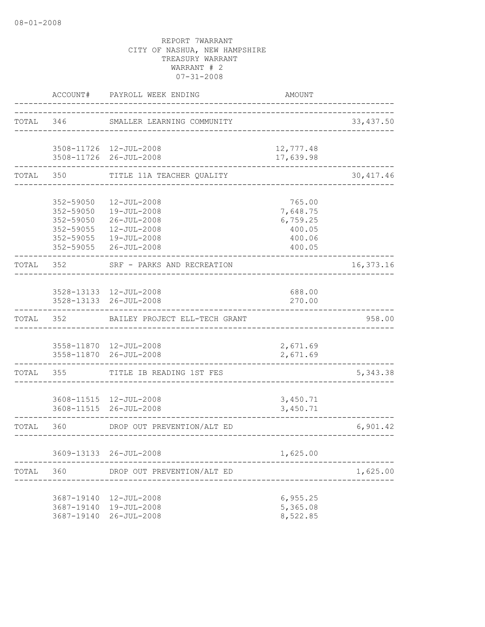|           | ACCOUNT#                               | PAYROLL WEEK ENDING                                                                                                                               | AMOUNT                                                       |            |
|-----------|----------------------------------------|---------------------------------------------------------------------------------------------------------------------------------------------------|--------------------------------------------------------------|------------|
| TOTAL 346 |                                        | SMALLER LEARNING COMMUNITY                                                                                                                        |                                                              | 33, 437.50 |
|           |                                        | 3508-11726 12-JUL-2008<br>3508-11726 26-JUL-2008                                                                                                  | 12,777.48<br>17,639.98                                       |            |
| TOTAL     |                                        | TITLE 11A TEACHER QUALITY                                                                                                                         |                                                              | 30, 417.46 |
|           | 352-59050                              | $12 - JUL - 2008$<br>352-59050  19-JUL-2008<br>352-59050 26-JUL-2008<br>352-59055  12-JUL-2008<br>352-59055  19-JUL-2008<br>352-59055 26-JUL-2008 | 765.00<br>7,648.75<br>6,759.25<br>400.05<br>400.06<br>400.05 |            |
| TOTAL 352 |                                        | SRF - PARKS AND RECREATION                                                                                                                        |                                                              | 16,373.16  |
|           |                                        | 3528-13133 12-JUL-2008<br>3528-13133 26-JUL-2008                                                                                                  | 688.00<br>270.00                                             |            |
| TOTAL     | 352                                    | BAILEY PROJECT ELL-TECH GRANT                                                                                                                     |                                                              | 958.00     |
|           |                                        | 3558-11870  12-JUL-2008<br>3558-11870 26-JUL-2008                                                                                                 | 2,671.69<br>2,671.69                                         |            |
| TOTAL     | 355                                    | TITLE IB READING 1ST FES                                                                                                                          |                                                              | 5, 343.38  |
|           |                                        | 3608-11515  12-JUL-2008<br>3608-11515 26-JUL-2008                                                                                                 | 3,450.71<br>3,450.71                                         |            |
| TOTAL 360 |                                        | DROP OUT PREVENTION/ALT ED                                                                                                                        |                                                              | 6,901.42   |
|           |                                        | 3609-13133 26-JUL-2008                                                                                                                            | 1,625.00                                                     |            |
| TOTAL     | 360                                    | DROP OUT PREVENTION/ALT ED                                                                                                                        |                                                              | 1,625.00   |
|           | 3687-19140<br>3687-19140<br>3687-19140 | 12-JUL-2008<br>19-JUL-2008<br>$26 - JUL - 2008$                                                                                                   | 6,955.25<br>5,365.08<br>8,522.85                             |            |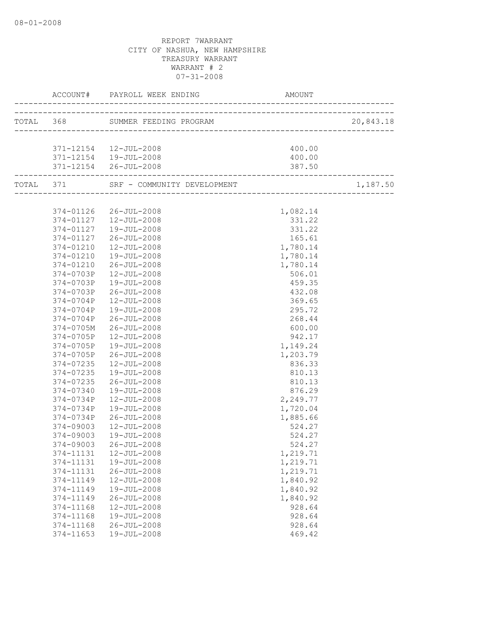|                          |                                                        | AMOUNT                                     |           |
|--------------------------|--------------------------------------------------------|--------------------------------------------|-----------|
|                          | __________________<br>TOTAL 368 SUMMER FEEDING PROGRAM | )GRAM<br>--------------------------------- | 20,843.18 |
|                          |                                                        |                                            |           |
|                          | 371-12154  12-JUL-2008                                 | 400.00                                     |           |
|                          | 371-12154  19-JUL-2008                                 | 400.00                                     |           |
|                          | 371-12154 26-JUL-2008                                  | 387.50                                     |           |
| ------------------------ |                                                        |                                            |           |
|                          |                                                        |                                            | 1,187.50  |
|                          |                                                        |                                            |           |
|                          | 374-01126 26-JUL-2008                                  | 1,082.14                                   |           |
|                          | 374-01127  12-JUL-2008                                 | 331.22                                     |           |
|                          | 374-01127  19-JUL-2008                                 | 331.22                                     |           |
| 374-01127                | 26-JUL-2008                                            | 165.61                                     |           |
| 374-01210                | 12-JUL-2008                                            | 1,780.14                                   |           |
| 374-01210                | 19-JUL-2008                                            | 1,780.14                                   |           |
| 374-01210                | 26-JUL-2008                                            | 1,780.14                                   |           |
| 374-0703P                | $12 - JUL - 2008$                                      | 506.01                                     |           |
| 374-0703P                | 19-JUL-2008                                            | 459.35                                     |           |
| 374-0703P                | 26-JUL-2008                                            | 432.08                                     |           |
| 374-0704P                | $12 - JUL - 2008$                                      | 369.65                                     |           |
| 374-0704P                | 19-JUL-2008                                            | 295.72                                     |           |
| 374-0704P                | 26-JUL-2008                                            | 268.44                                     |           |
| 374-0705M                | $26 - JUL - 2008$                                      | 600.00                                     |           |
| 374-0705P                | 12-JUL-2008                                            | 942.17                                     |           |
| 374-0705P                | 19-JUL-2008                                            | 1,149.24                                   |           |
| 374-0705P                | 26-JUL-2008                                            | 1,203.79                                   |           |
| 374-07235                | 12-JUL-2008                                            | 836.33                                     |           |
| 374-07235                | 19-JUL-2008                                            | 810.13                                     |           |
| 374-07235                | 26-JUL-2008                                            | 810.13                                     |           |
| 374-07340                | 19-JUL-2008                                            | 876.29                                     |           |
| 374-0734P                | 12-JUL-2008                                            | 2,249.77                                   |           |
| 374-0734P                | 19-JUL-2008                                            | 1,720.04                                   |           |
| 374-0734P                | 26-JUL-2008                                            | 1,885.66                                   |           |
| 374-09003                | 12-JUL-2008                                            | 524.27                                     |           |
| 374-09003                | 19-JUL-2008                                            | 524.27                                     |           |
| 374-09003                | 26-JUL-2008                                            | 524.27                                     |           |
| 374-11131                | $12 - JUL - 2008$                                      | 1,219.71                                   |           |
| 374-11131                | 19-JUL-2008                                            | 1,219.71                                   |           |
| 374-11131                | $26 - JUL - 2008$                                      | 1,219.71                                   |           |
| 374-11149                | 12-JUL-2008                                            | 1,840.92                                   |           |
| 374-11149                | 19-JUL-2008                                            | 1,840.92                                   |           |
| 374-11149                | $26 - JUL - 2008$                                      | 1,840.92                                   |           |
| 374-11168                | $12 - JUL - 2008$                                      | 928.64                                     |           |
| 374-11168                | 19-JUL-2008                                            | 928.64                                     |           |
| 374-11168                | $26 - JUL - 2008$                                      | 928.64                                     |           |
| 374-11653                | 19-JUL-2008                                            | 469.42                                     |           |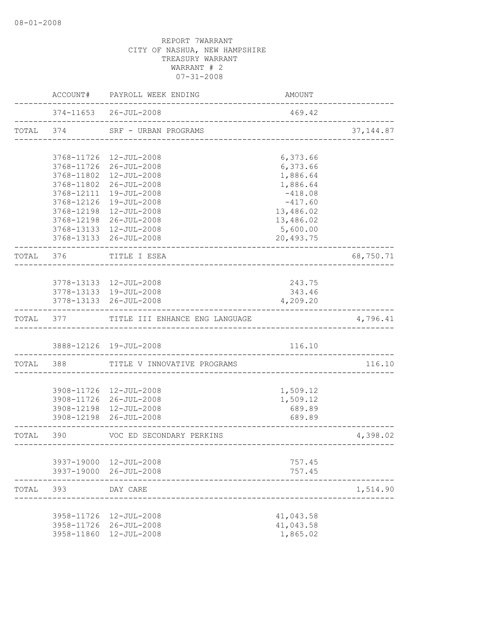|           |          | <b>AMOUNT</b>                                                                                                                                                                                                                                                                                                                                                                                                                                                                                                                                                                                                                                                                                                                                                                                                                                            |                                                                                                                                                                                                       |
|-----------|----------|----------------------------------------------------------------------------------------------------------------------------------------------------------------------------------------------------------------------------------------------------------------------------------------------------------------------------------------------------------------------------------------------------------------------------------------------------------------------------------------------------------------------------------------------------------------------------------------------------------------------------------------------------------------------------------------------------------------------------------------------------------------------------------------------------------------------------------------------------------|-------------------------------------------------------------------------------------------------------------------------------------------------------------------------------------------------------|
|           |          | 469.42                                                                                                                                                                                                                                                                                                                                                                                                                                                                                                                                                                                                                                                                                                                                                                                                                                                   |                                                                                                                                                                                                       |
|           |          |                                                                                                                                                                                                                                                                                                                                                                                                                                                                                                                                                                                                                                                                                                                                                                                                                                                          | 37, 144.87                                                                                                                                                                                            |
|           |          |                                                                                                                                                                                                                                                                                                                                                                                                                                                                                                                                                                                                                                                                                                                                                                                                                                                          |                                                                                                                                                                                                       |
|           |          |                                                                                                                                                                                                                                                                                                                                                                                                                                                                                                                                                                                                                                                                                                                                                                                                                                                          |                                                                                                                                                                                                       |
|           |          |                                                                                                                                                                                                                                                                                                                                                                                                                                                                                                                                                                                                                                                                                                                                                                                                                                                          |                                                                                                                                                                                                       |
|           |          |                                                                                                                                                                                                                                                                                                                                                                                                                                                                                                                                                                                                                                                                                                                                                                                                                                                          |                                                                                                                                                                                                       |
|           |          | $-418.08$                                                                                                                                                                                                                                                                                                                                                                                                                                                                                                                                                                                                                                                                                                                                                                                                                                                |                                                                                                                                                                                                       |
|           |          | $-417.60$                                                                                                                                                                                                                                                                                                                                                                                                                                                                                                                                                                                                                                                                                                                                                                                                                                                |                                                                                                                                                                                                       |
|           |          | 13,486.02                                                                                                                                                                                                                                                                                                                                                                                                                                                                                                                                                                                                                                                                                                                                                                                                                                                |                                                                                                                                                                                                       |
|           |          | 13,486.02                                                                                                                                                                                                                                                                                                                                                                                                                                                                                                                                                                                                                                                                                                                                                                                                                                                |                                                                                                                                                                                                       |
|           |          |                                                                                                                                                                                                                                                                                                                                                                                                                                                                                                                                                                                                                                                                                                                                                                                                                                                          |                                                                                                                                                                                                       |
|           |          | 20,493.75                                                                                                                                                                                                                                                                                                                                                                                                                                                                                                                                                                                                                                                                                                                                                                                                                                                |                                                                                                                                                                                                       |
| TOTAL 376 |          |                                                                                                                                                                                                                                                                                                                                                                                                                                                                                                                                                                                                                                                                                                                                                                                                                                                          | 68,750.71                                                                                                                                                                                             |
|           |          |                                                                                                                                                                                                                                                                                                                                                                                                                                                                                                                                                                                                                                                                                                                                                                                                                                                          |                                                                                                                                                                                                       |
|           |          |                                                                                                                                                                                                                                                                                                                                                                                                                                                                                                                                                                                                                                                                                                                                                                                                                                                          |                                                                                                                                                                                                       |
|           |          | 343.46                                                                                                                                                                                                                                                                                                                                                                                                                                                                                                                                                                                                                                                                                                                                                                                                                                                   |                                                                                                                                                                                                       |
|           |          | 4,209.20                                                                                                                                                                                                                                                                                                                                                                                                                                                                                                                                                                                                                                                                                                                                                                                                                                                 |                                                                                                                                                                                                       |
|           |          |                                                                                                                                                                                                                                                                                                                                                                                                                                                                                                                                                                                                                                                                                                                                                                                                                                                          | 4,796.41                                                                                                                                                                                              |
|           |          | 116.10                                                                                                                                                                                                                                                                                                                                                                                                                                                                                                                                                                                                                                                                                                                                                                                                                                                   |                                                                                                                                                                                                       |
|           |          |                                                                                                                                                                                                                                                                                                                                                                                                                                                                                                                                                                                                                                                                                                                                                                                                                                                          | 116.10                                                                                                                                                                                                |
|           |          |                                                                                                                                                                                                                                                                                                                                                                                                                                                                                                                                                                                                                                                                                                                                                                                                                                                          |                                                                                                                                                                                                       |
|           |          |                                                                                                                                                                                                                                                                                                                                                                                                                                                                                                                                                                                                                                                                                                                                                                                                                                                          |                                                                                                                                                                                                       |
|           |          | 1,509.12                                                                                                                                                                                                                                                                                                                                                                                                                                                                                                                                                                                                                                                                                                                                                                                                                                                 |                                                                                                                                                                                                       |
|           |          | 689.89                                                                                                                                                                                                                                                                                                                                                                                                                                                                                                                                                                                                                                                                                                                                                                                                                                                   |                                                                                                                                                                                                       |
|           |          | 689.89                                                                                                                                                                                                                                                                                                                                                                                                                                                                                                                                                                                                                                                                                                                                                                                                                                                   |                                                                                                                                                                                                       |
|           |          |                                                                                                                                                                                                                                                                                                                                                                                                                                                                                                                                                                                                                                                                                                                                                                                                                                                          | 4,398.02                                                                                                                                                                                              |
|           |          |                                                                                                                                                                                                                                                                                                                                                                                                                                                                                                                                                                                                                                                                                                                                                                                                                                                          |                                                                                                                                                                                                       |
|           |          |                                                                                                                                                                                                                                                                                                                                                                                                                                                                                                                                                                                                                                                                                                                                                                                                                                                          |                                                                                                                                                                                                       |
|           |          |                                                                                                                                                                                                                                                                                                                                                                                                                                                                                                                                                                                                                                                                                                                                                                                                                                                          |                                                                                                                                                                                                       |
| 393       | DAY CARE |                                                                                                                                                                                                                                                                                                                                                                                                                                                                                                                                                                                                                                                                                                                                                                                                                                                          | 1,514.90                                                                                                                                                                                              |
|           |          |                                                                                                                                                                                                                                                                                                                                                                                                                                                                                                                                                                                                                                                                                                                                                                                                                                                          |                                                                                                                                                                                                       |
|           |          |                                                                                                                                                                                                                                                                                                                                                                                                                                                                                                                                                                                                                                                                                                                                                                                                                                                          |                                                                                                                                                                                                       |
|           |          | 1,865.02                                                                                                                                                                                                                                                                                                                                                                                                                                                                                                                                                                                                                                                                                                                                                                                                                                                 |                                                                                                                                                                                                       |
|           |          | ACCOUNT# PAYROLL WEEK ENDING<br>374-11653 26-JUL-2008<br>TOTAL 374 SRF - URBAN PROGRAMS<br>3768-11726 12-JUL-2008<br>3768-11726 26-JUL-2008<br>3768-11802 12-JUL-2008<br>3768-11802 26-JUL-2008<br>3768-12111 19-JUL-2008<br>3768-12126 19-JUL-2008<br>3768-12198 12-JUL-2008<br>3768-12198 26-JUL-2008<br>3768-13133 12-JUL-2008<br>3768-13133 26-JUL-2008<br>TITLE I ESEA<br>3778-13133 12-JUL-2008<br>3778-13133 19-JUL-2008<br>3778-13133 26-JUL-2008<br>TOTAL 377 TITLE III ENHANCE ENG LANGUAGE<br>3888-12126 19-JUL-2008<br>TOTAL 388 TITLE V INNOVATIVE PROGRAMS<br>3908-11726 12-JUL-2008<br>3908-11726 26-JUL-2008<br>3908-12198 12-JUL-2008<br>3908-12198 26-JUL-2008<br>TOTAL 390 VOC ED SECONDARY PERKINS<br>3937-19000 12-JUL-2008<br>3937-19000 26-JUL-2008<br>3958-11726 12-JUL-2008<br>3958-11726 26-JUL-2008<br>3958-11860 12-JUL-2008 | ________________________________<br>---------------------------------<br>6,373.66<br>6,373.66<br>1,886.64<br>1,886.64<br>5,600.00<br>243.75<br>1,509.12<br>757.45<br>757.45<br>41,043.58<br>41,043.58 |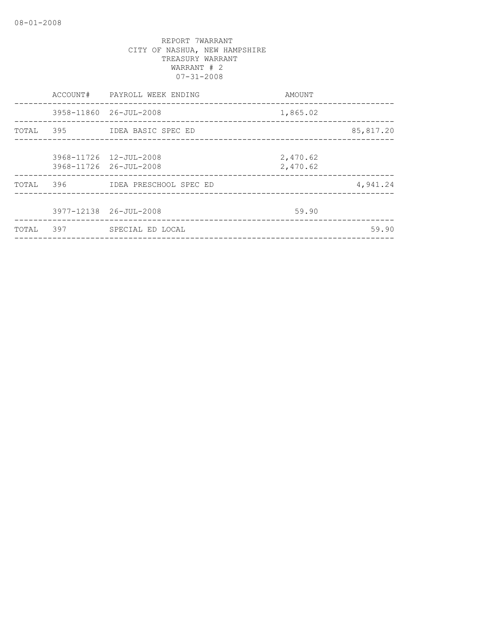|           | AMOUNT                                                                                                                                                                                                   |                          |
|-----------|----------------------------------------------------------------------------------------------------------------------------------------------------------------------------------------------------------|--------------------------|
|           | 1,865.02                                                                                                                                                                                                 |                          |
| TOTAL 395 |                                                                                                                                                                                                          | 85,817.20                |
|           | 2,470.62<br>2,470.62                                                                                                                                                                                     |                          |
| 396       |                                                                                                                                                                                                          | 4,941.24                 |
|           | 59.90                                                                                                                                                                                                    |                          |
| 397       |                                                                                                                                                                                                          | 59.90                    |
|           | ACCOUNT# PAYROLL WEEK ENDING<br>3958-11860 26-JUL-2008<br>IDEA BASIC SPEC ED<br>3968-11726 12-JUL-2008<br>3968-11726 26-JUL-2008<br>IDEA PRESCHOOL SPEC ED<br>3977-12138 26-JUL-2008<br>SPECIAL ED LOCAL | ________________________ |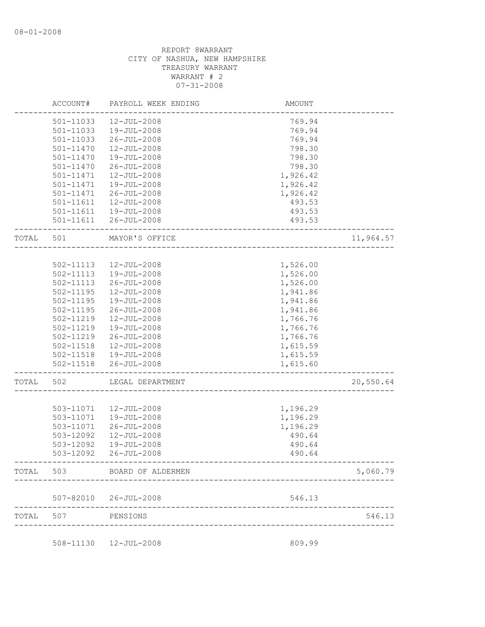|           | ACCOUNT#      | PAYROLL WEEK ENDING   | <b>AMOUNT</b> |           |
|-----------|---------------|-----------------------|---------------|-----------|
|           | 501-11033     | $12 - JUL - 2008$     | 769.94        |           |
|           | 501-11033     | 19-JUL-2008           | 769.94        |           |
|           | 501-11033     | 26-JUL-2008           | 769.94        |           |
|           | 501-11470     | 12-JUL-2008           | 798.30        |           |
|           | 501-11470     | 19-JUL-2008           | 798.30        |           |
|           | 501-11470     | $26 - JUL - 2008$     | 798.30        |           |
|           | 501-11471     | 12-JUL-2008           | 1,926.42      |           |
|           | 501-11471     | 19-JUL-2008           | 1,926.42      |           |
|           | 501-11471     | $26 - JUL - 2008$     | 1,926.42      |           |
|           | 501-11611     | 12-JUL-2008           | 493.53        |           |
|           | 501-11611     | 19-JUL-2008           | 493.53        |           |
|           | 501-11611     | $26 - JUL - 2008$     | 493.53        |           |
| TOTAL     | 501           | MAYOR'S OFFICE        |               | 11,964.57 |
|           |               |                       |               |           |
|           | 502-11113     | 12-JUL-2008           | 1,526.00      |           |
|           | 502-11113     | 19-JUL-2008           | 1,526.00      |           |
|           | $502 - 11113$ | $26 - JUL - 2008$     | 1,526.00      |           |
|           | 502-11195     | 12-JUL-2008           | 1,941.86      |           |
|           | 502-11195     | 19-JUL-2008           | 1,941.86      |           |
|           | 502-11195     | 26-JUL-2008           | 1,941.86      |           |
|           | 502-11219     | 12-JUL-2008           | 1,766.76      |           |
|           | 502-11219     | 19-JUL-2008           | 1,766.76      |           |
|           | 502-11219     | $26 - JUL - 2008$     | 1,766.76      |           |
|           | 502-11518     | 12-JUL-2008           | 1,615.59      |           |
|           | 502-11518     | 19-JUL-2008           | 1,615.59      |           |
|           | 502-11518     | $26 - JUL - 2008$     | 1,615.60      |           |
| TOTAL     | 502           | LEGAL DEPARTMENT      |               | 20,550.64 |
|           |               |                       |               |           |
|           | 503-11071     | $12 - JUL - 2008$     | 1,196.29      |           |
|           | 503-11071     | 19-JUL-2008           | 1,196.29      |           |
|           | 503-11071     | $26 - JUL - 2008$     | 1,196.29      |           |
|           | 503-12092     | $12 - JUL - 2008$     | 490.64        |           |
|           | 503-12092     | 19-JUL-2008           | 490.64        |           |
|           | 503-12092     | 26-JUL-2008           | 490.64        |           |
| TOTAL 503 |               | BOARD OF ALDERMEN     |               | 5,060.79  |
|           |               | 507-82010 26-JUL-2008 | 546.13        |           |
| TOTAL     | 507           | PENSIONS              |               | 546.13    |

508-11130 12-JUL-2008 809.99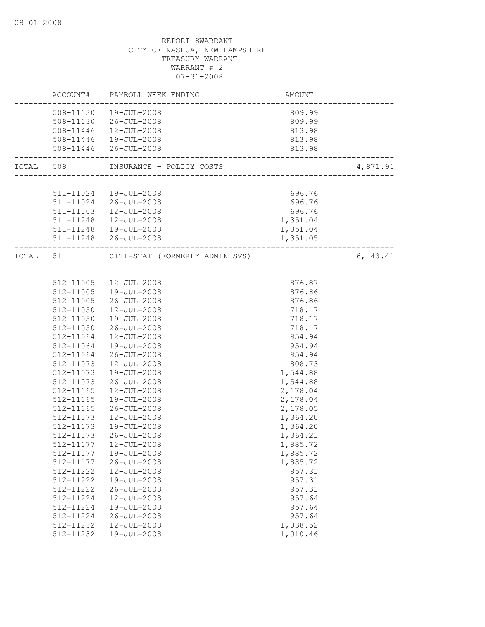|           | AMOUNT<br>------------------------<br>ACCOUNT# PAYROLL WEEK ENDING |                                         |          |
|-----------|--------------------------------------------------------------------|-----------------------------------------|----------|
|           | 508-11130  19-JUL-2008                                             | 809.99                                  |          |
|           | 508-11130 26-JUL-2008                                              | 809.99                                  |          |
|           | 508-11446  12-JUL-2008                                             | 813.98                                  |          |
|           | 508-11446  19-JUL-2008                                             | 813.98                                  |          |
|           | 508-11446 26-JUL-2008                                              | 813.98<br>----------------------------- |          |
|           | TOTAL 508 INSURANCE - POLICY COSTS                                 |                                         | 4,871.91 |
|           |                                                                    |                                         |          |
|           | 511-11024  19-JUL-2008                                             | 696.76                                  |          |
|           | 511-11024 26-JUL-2008                                              | 696.76                                  |          |
|           | 511-11103  12-JUL-2008                                             | 696.76                                  |          |
|           | 511-11248  12-JUL-2008                                             | 1,351.04                                |          |
|           | 511-11248  19-JUL-2008                                             | 1,351.04                                |          |
|           | 511-11248 26-JUL-2008                                              | 1,351.05                                |          |
|           | TOTAL 511 CITI-STAT (FORMERLY ADMIN SVS) 6,143.41                  |                                         |          |
|           |                                                                    |                                         |          |
|           | 512-11005  12-JUL-2008                                             | 876.87                                  |          |
|           | 512-11005  19-JUL-2008                                             | 876.86                                  |          |
| 512-11005 | $26 - JUL - 2008$                                                  | 876.86                                  |          |
| 512-11050 | 12-JUL-2008                                                        | 718.17                                  |          |
| 512-11050 | 19-JUL-2008                                                        | 718.17                                  |          |
| 512-11050 | 26-JUL-2008                                                        | 718.17                                  |          |
| 512-11064 | 12-JUL-2008                                                        | 954.94                                  |          |
| 512-11064 | 19-JUL-2008                                                        | 954.94                                  |          |
| 512-11064 | 26-JUL-2008                                                        | 954.94                                  |          |
| 512-11073 | 12-JUL-2008                                                        | 808.73                                  |          |
| 512-11073 | 19-JUL-2008                                                        | 1,544.88                                |          |
| 512-11073 | 26-JUL-2008                                                        | 1,544.88                                |          |
| 512-11165 | $12 - JUL - 2008$                                                  | 2,178.04                                |          |
| 512-11165 | 19-JUL-2008                                                        | 2,178.04                                |          |
| 512-11165 | 26-JUL-2008                                                        | 2,178.05                                |          |
| 512-11173 | 12-JUL-2008                                                        | 1,364.20                                |          |
| 512-11173 | 19-JUL-2008                                                        | 1,364.20                                |          |
| 512-11173 | 26-JUL-2008                                                        | 1,364.21                                |          |
|           | 512-11177  12-JUL-2008                                             | 1,885.72                                |          |
| 512-11177 | 19-JUL-2008                                                        | 1,885.72                                |          |
| 512-11177 | $26 - JUL - 2008$                                                  | 1,885.72                                |          |
| 512-11222 | 12-JUL-2008                                                        | 957.31                                  |          |
| 512-11222 | 19-JUL-2008                                                        | 957.31                                  |          |
| 512-11222 | $26 - JUL - 2008$                                                  | 957.31                                  |          |
| 512-11224 | 12-JUL-2008                                                        | 957.64                                  |          |
| 512-11224 | 19-JUL-2008                                                        | 957.64                                  |          |
| 512-11224 | $26 - JUL - 2008$                                                  | 957.64                                  |          |
| 512-11232 | 12-JUL-2008                                                        | 1,038.52                                |          |
| 512-11232 | 19-JUL-2008                                                        | 1,010.46                                |          |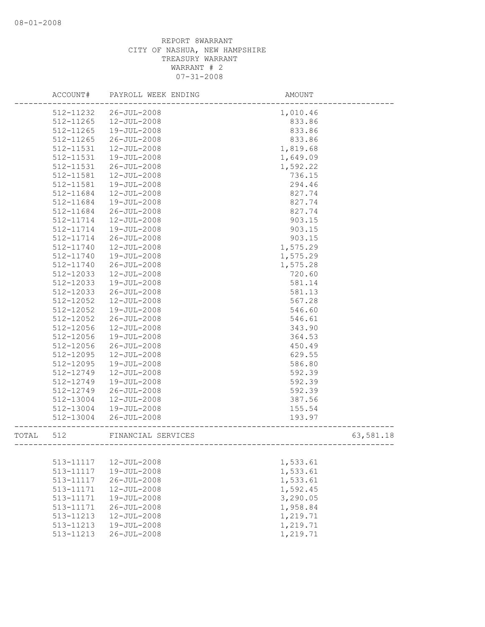|       | ACCOUNT#      | PAYROLL WEEK ENDING | AMOUNT    |
|-------|---------------|---------------------|-----------|
|       | 512-11232     | $26 - JUL - 2008$   | 1,010.46  |
|       | 512-11265     | 12-JUL-2008         | 833.86    |
|       | 512-11265     | 19-JUL-2008         | 833.86    |
|       | 512-11265     | $26 - JUL - 2008$   | 833.86    |
|       | 512-11531     | 12-JUL-2008         | 1,819.68  |
|       | 512-11531     | 19-JUL-2008         | 1,649.09  |
|       | $512 - 11531$ | $26 - JUL - 2008$   | 1,592.22  |
|       | 512-11581     | $12 - JUL - 2008$   | 736.15    |
|       | 512-11581     | 19-JUL-2008         | 294.46    |
|       | 512-11684     | 12-JUL-2008         | 827.74    |
|       | 512-11684     | 19-JUL-2008         | 827.74    |
|       | 512-11684     | $26 - JUL - 2008$   | 827.74    |
|       | 512-11714     | $12 - JUL - 2008$   | 903.15    |
|       | 512-11714     | 19-JUL-2008         | 903.15    |
|       | 512-11714     | $26 - JUL - 2008$   | 903.15    |
|       | 512-11740     | 12-JUL-2008         | 1,575.29  |
|       | 512-11740     | 19-JUL-2008         | 1,575.29  |
|       | 512-11740     | $26 - JUL - 2008$   | 1,575.28  |
|       | 512-12033     | 12-JUL-2008         | 720.60    |
|       | 512-12033     | 19-JUL-2008         | 581.14    |
|       | 512-12033     | $26 - JUL - 2008$   | 581.13    |
|       | 512-12052     | $12 - JUL - 2008$   | 567.28    |
|       | 512-12052     | 19-JUL-2008         | 546.60    |
|       | 512-12052     | $26 - JUL - 2008$   | 546.61    |
|       | 512-12056     | 12-JUL-2008         | 343.90    |
|       | 512-12056     | 19-JUL-2008         | 364.53    |
|       | 512-12056     | $26 - JUL - 2008$   | 450.49    |
|       | 512-12095     | 12-JUL-2008         | 629.55    |
|       | 512-12095     | 19-JUL-2008         | 586.80    |
|       | 512-12749     | $12 - JUL - 2008$   | 592.39    |
|       | 512-12749     | 19-JUL-2008         | 592.39    |
|       | 512-12749     | $26 - JUL - 2008$   | 592.39    |
|       | 512-13004     | 12-JUL-2008         | 387.56    |
|       | 512-13004     | 19-JUL-2008         | 155.54    |
|       | 512-13004     | $26 - JUL - 2008$   | 193.97    |
| TOTAL | 512           | FINANCIAL SERVICES  | 63,581.18 |
|       |               |                     |           |
|       | 513-11117     | 12-JUL-2008         | 1,533.61  |
|       | 513-11117     | $19 - JUL - 2008$   | 1,533.61  |
|       | 513-11117     | $26 - JUL - 2008$   | 1,533.61  |
|       | 513-11171     | $12 - JUL - 2008$   | 1,592.45  |
|       | 513-11171     | $19 - JUL - 2008$   | 3,290.05  |
|       | 513-11171     | $26 - JUL - 2008$   | 1,958.84  |
|       | 513-11213     | $12 - JUL - 2008$   | 1,219.71  |
|       | 513-11213     | 19-JUL-2008         | 1,219.71  |
|       | 513-11213     | $26 - JUL - 2008$   | 1,219.71  |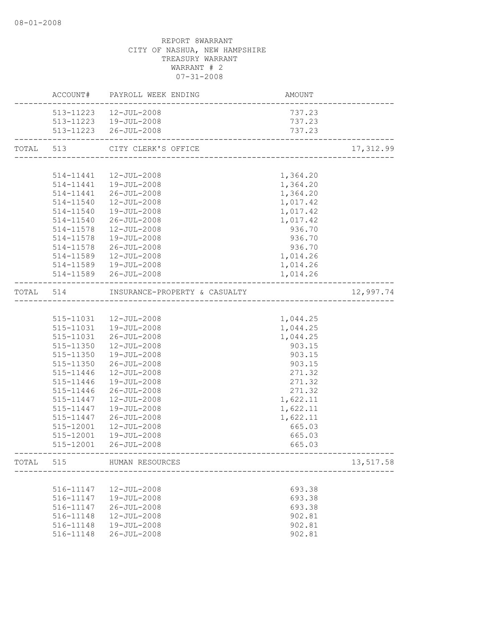|           |           | <b>AMOUNT</b><br>ACCOUNT# PAYROLL WEEK ENDING |          |            |
|-----------|-----------|-----------------------------------------------|----------|------------|
|           |           | 513-11223  12-JUL-2008                        | 737.23   |            |
|           |           | 513-11223  19-JUL-2008                        | 737.23   |            |
|           |           | 513-11223 26-JUL-2008                         | 737.23   |            |
| TOTAL 513 |           | CITY CLERK'S OFFICE                           |          | 17, 312.99 |
|           |           |                                               |          |            |
|           |           | 514-11441  12-JUL-2008                        | 1,364.20 |            |
|           |           | 514-11441  19-JUL-2008                        | 1,364.20 |            |
|           |           | 514-11441 26-JUL-2008                         | 1,364.20 |            |
|           |           | 514-11540  12-JUL-2008                        | 1,017.42 |            |
|           |           | 514-11540  19-JUL-2008                        | 1,017.42 |            |
|           |           | 514-11540 26-JUL-2008                         | 1,017.42 |            |
|           | 514-11578 | 12-JUL-2008                                   | 936.70   |            |
|           | 514-11578 | 19-JUL-2008                                   | 936.70   |            |
|           |           | 514-11578 26-JUL-2008                         | 936.70   |            |
|           | 514-11589 | 12-JUL-2008                                   | 1,014.26 |            |
|           |           | 514-11589  19-JUL-2008                        | 1,014.26 |            |
|           |           | 514-11589 26-JUL-2008                         | 1,014.26 |            |
|           |           | TOTAL 514 INSURANCE-PROPERTY & CASUALTY       |          | 12,997.74  |
|           |           |                                               |          |            |
|           |           | 515-11031  12-JUL-2008                        | 1,044.25 |            |
|           |           | 515-11031  19-JUL-2008                        | 1,044.25 |            |
|           | 515-11031 | $26 - JUL - 2008$                             | 1,044.25 |            |
|           | 515-11350 | $12 - JUL - 2008$                             | 903.15   |            |
|           |           | 515-11350  19-JUL-2008                        | 903.15   |            |
|           |           | 515-11350 26-JUL-2008                         | 903.15   |            |
|           | 515-11446 | 12-JUL-2008                                   | 271.32   |            |
|           | 515-11446 | 19-JUL-2008                                   | 271.32   |            |
|           | 515-11446 | 26-JUL-2008                                   | 271.32   |            |
|           | 515-11447 | 12-JUL-2008                                   | 1,622.11 |            |
|           | 515-11447 | 19-JUL-2008                                   | 1,622.11 |            |
|           | 515-11447 | $26 - JUL - 2008$                             | 1,622.11 |            |
|           | 515-12001 | 12-JUL-2008                                   | 665.03   |            |
|           | 515-12001 | 19-JUL-2008                                   | 665.03   |            |
|           | 515-12001 | 26-JUL-2008                                   | 665.03   |            |
| TOTAL     | 515       | HUMAN RESOURCES                               |          | 13,517.58  |
|           |           | ____________________                          |          |            |
|           | 516-11147 | 12-JUL-2008                                   | 693.38   |            |
|           | 516-11147 | 19-JUL-2008                                   | 693.38   |            |
|           | 516-11147 | $26 - JUL - 2008$                             | 693.38   |            |
|           | 516-11148 | $12 - JUL - 2008$                             | 902.81   |            |
|           | 516-11148 | 19-JUL-2008                                   | 902.81   |            |
|           | 516-11148 | $26 - JUL - 2008$                             | 902.81   |            |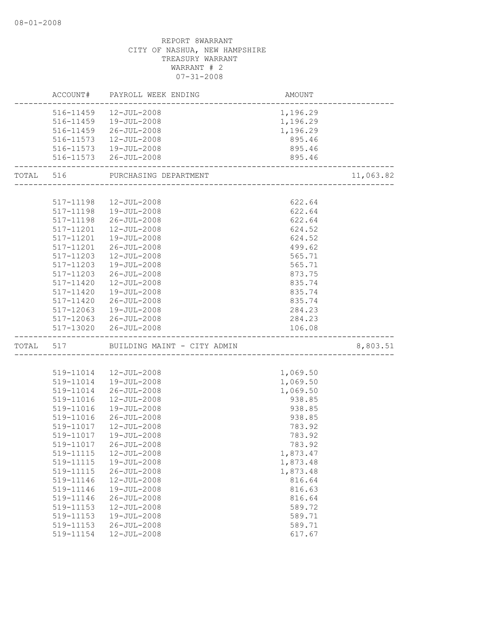| 516-11459  12-JUL-2008<br>1,196.29                                          |           |
|-----------------------------------------------------------------------------|-----------|
| 516-11459  19-JUL-2008<br>1,196.29                                          |           |
| 516-11459 26-JUL-2008<br>1,196.29                                           |           |
| 516-11573<br>12-JUL-2008<br>895.46                                          |           |
| 516-11573  19-JUL-2008<br>895.46                                            |           |
| 516-11573 26-JUL-2008<br>895.46                                             |           |
|                                                                             |           |
| TOTAL 516<br>PURCHASING DEPARTMENT<br>_____________________________________ | 11,063.82 |
|                                                                             |           |
| 622.64<br>517-11198<br>12-JUL-2008                                          |           |
| 517-11198  19-JUL-2008<br>622.64                                            |           |
| 517-11198<br>$26 - JUL - 2008$<br>622.64                                    |           |
| 12-JUL-2008<br>624.52<br>517-11201                                          |           |
| 517-11201<br>19-JUL-2008<br>624.52                                          |           |
| 517-11201<br>$26 - JUL - 2008$<br>499.62                                    |           |
| 517-11203<br>565.71<br>$12 - JUL - 2008$                                    |           |
| $517 - 11203$<br>19-JUL-2008<br>565.71                                      |           |
| 873.75<br>517-11203<br>26-JUL-2008                                          |           |
| 517-11420<br>12-JUL-2008<br>835.74                                          |           |
| 835.74<br>517-11420<br>19-JUL-2008                                          |           |
| 835.74<br>517-11420<br>$26 - JUL - 2008$                                    |           |
| 517-12063<br>19-JUL-2008<br>284.23                                          |           |
| 284.23<br>517-12063 26-JUL-2008                                             |           |
| 517-13020<br>26-JUL-2008<br>106.08                                          |           |
| BUILDING MAINT - CITY ADMIN<br>TOTAL 517                                    | 8,803.51  |
|                                                                             |           |
| 1,069.50<br>519-11014  12-JUL-2008                                          |           |
| 519-11014<br>19-JUL-2008<br>1,069.50                                        |           |
| 26-JUL-2008<br>1,069.50<br>519-11014                                        |           |
| 938.85<br>519-11016<br>$12 - JUL - 2008$                                    |           |
| 938.85<br>519-11016<br>19-JUL-2008                                          |           |
| 938.85<br>519-11016<br>$26 - JUL - 2008$                                    |           |
| 519-11017<br>12-JUL-2008<br>783.92                                          |           |
| 783.92<br>519-11017<br>$19 - JUL - 2008$                                    |           |
| 519-11017 26-JUL-2008<br>783.92                                             |           |
| 519-11115<br>12-JUL-2008<br>1,873.47                                        |           |
| 19-JUL-2008<br>1,873.48<br>519-11115                                        |           |
| $26 - JUL - 2008$<br>1,873.48<br>519-11115                                  |           |
| 519-11146<br>12-JUL-2008<br>816.64                                          |           |
| 19-JUL-2008<br>519-11146<br>816.63                                          |           |
| 519-11146<br>$26 - JUL - 2008$<br>816.64                                    |           |
| 12-JUL-2008<br>519-11153<br>589.72                                          |           |
| 519-11153<br>$19 - JUL - 2008$<br>589.71                                    |           |
|                                                                             |           |
| 519-11153<br>$26 - JUL - 2008$<br>589.71                                    |           |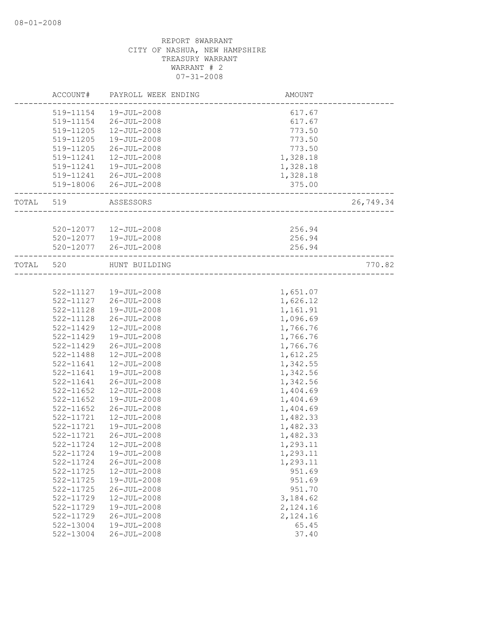| 519-11154<br>19-JUL-2008<br>617.67<br>519-11154<br>26-JUL-2008<br>617.67<br>519-11205<br>$12 - JUL - 2008$<br>773.50<br>773.50<br>519-11205<br>19-JUL-2008<br>773.50<br>519-11205<br>26-JUL-2008<br>12-JUL-2008<br>1,328.18<br>519-11241<br>19-JUL-2008<br>1,328.18<br>519-11241<br>1,328.18<br>519-11241<br>26-JUL-2008<br>519-18006 26-JUL-2008<br>375.00<br>TOTAL 519<br>ASSESSORS<br>520-12077   12-JUL-2008<br>256.94<br>256.94<br>520-12077  19-JUL-2008<br>520-12077 26-JUL-2008<br>256.94<br>TOTAL 520<br>HUNT BUILDING<br>522-11127  19-JUL-2008<br>1,651.07<br>522-11127<br>26-JUL-2008<br>1,626.12<br>1,161.91<br>522-11128<br>19-JUL-2008<br>1,096.69<br>522-11128<br>26-JUL-2008<br>522-11429<br>12-JUL-2008<br>1,766.76<br>522-11429<br>1,766.76<br>19-JUL-2008<br>1,766.76<br>522-11429<br>26-JUL-2008<br>522-11488<br>$12 - JUL - 2008$<br>1,612.25<br>522-11641<br>12-JUL-2008<br>1,342.55<br>522-11641<br>19-JUL-2008<br>1,342.56<br>522-11641<br>26-JUL-2008<br>1,342.56<br>522-11652<br>$12 - JUL - 2008$<br>1,404.69<br>$522 - 11652$<br>19-JUL-2008<br>1,404.69<br>$522 - 11652$<br>26-JUL-2008<br>1,404.69<br>1,482.33<br>522-11721<br>$12 - JUL - 2008$<br>1,482.33<br>522-11721<br>$19 - JUL - 2008$<br>522-11721<br>$26 - JUL - 2008$<br>1,482.33<br>522-11724<br>$12 - JUL - 2008$<br>1,293.11<br>522-11724<br>19-JUL-2008<br>1,293.11<br>$26 - JUL - 2008$<br>522-11724<br>1,293.11<br>12-JUL-2008<br>951.69<br>522-11725<br>522-11725<br>19-JUL-2008<br>951.69<br>951.70<br>522-11725<br>$26 - JUL - 2008$<br>522-11729<br>$12 - JUL - 2008$<br>3,184.62<br>19-JUL-2008<br>522-11729<br>2,124.16<br>522-11729<br>$26 - JUL - 2008$<br>2,124.16<br>522-13004<br>19-JUL-2008<br>65.45 | ACCOUNT#  | PAYROLL WEEK ENDING | <b>AMOUNT</b> |           |
|------------------------------------------------------------------------------------------------------------------------------------------------------------------------------------------------------------------------------------------------------------------------------------------------------------------------------------------------------------------------------------------------------------------------------------------------------------------------------------------------------------------------------------------------------------------------------------------------------------------------------------------------------------------------------------------------------------------------------------------------------------------------------------------------------------------------------------------------------------------------------------------------------------------------------------------------------------------------------------------------------------------------------------------------------------------------------------------------------------------------------------------------------------------------------------------------------------------------------------------------------------------------------------------------------------------------------------------------------------------------------------------------------------------------------------------------------------------------------------------------------------------------------------------------------------------------------------------------------------------------------------------------------------------------------------------------------------------|-----------|---------------------|---------------|-----------|
|                                                                                                                                                                                                                                                                                                                                                                                                                                                                                                                                                                                                                                                                                                                                                                                                                                                                                                                                                                                                                                                                                                                                                                                                                                                                                                                                                                                                                                                                                                                                                                                                                                                                                                                  |           |                     |               |           |
|                                                                                                                                                                                                                                                                                                                                                                                                                                                                                                                                                                                                                                                                                                                                                                                                                                                                                                                                                                                                                                                                                                                                                                                                                                                                                                                                                                                                                                                                                                                                                                                                                                                                                                                  |           |                     |               |           |
|                                                                                                                                                                                                                                                                                                                                                                                                                                                                                                                                                                                                                                                                                                                                                                                                                                                                                                                                                                                                                                                                                                                                                                                                                                                                                                                                                                                                                                                                                                                                                                                                                                                                                                                  |           |                     |               |           |
|                                                                                                                                                                                                                                                                                                                                                                                                                                                                                                                                                                                                                                                                                                                                                                                                                                                                                                                                                                                                                                                                                                                                                                                                                                                                                                                                                                                                                                                                                                                                                                                                                                                                                                                  |           |                     |               |           |
|                                                                                                                                                                                                                                                                                                                                                                                                                                                                                                                                                                                                                                                                                                                                                                                                                                                                                                                                                                                                                                                                                                                                                                                                                                                                                                                                                                                                                                                                                                                                                                                                                                                                                                                  |           |                     |               |           |
|                                                                                                                                                                                                                                                                                                                                                                                                                                                                                                                                                                                                                                                                                                                                                                                                                                                                                                                                                                                                                                                                                                                                                                                                                                                                                                                                                                                                                                                                                                                                                                                                                                                                                                                  |           |                     |               |           |
|                                                                                                                                                                                                                                                                                                                                                                                                                                                                                                                                                                                                                                                                                                                                                                                                                                                                                                                                                                                                                                                                                                                                                                                                                                                                                                                                                                                                                                                                                                                                                                                                                                                                                                                  |           |                     |               |           |
|                                                                                                                                                                                                                                                                                                                                                                                                                                                                                                                                                                                                                                                                                                                                                                                                                                                                                                                                                                                                                                                                                                                                                                                                                                                                                                                                                                                                                                                                                                                                                                                                                                                                                                                  |           |                     |               |           |
|                                                                                                                                                                                                                                                                                                                                                                                                                                                                                                                                                                                                                                                                                                                                                                                                                                                                                                                                                                                                                                                                                                                                                                                                                                                                                                                                                                                                                                                                                                                                                                                                                                                                                                                  |           |                     |               |           |
|                                                                                                                                                                                                                                                                                                                                                                                                                                                                                                                                                                                                                                                                                                                                                                                                                                                                                                                                                                                                                                                                                                                                                                                                                                                                                                                                                                                                                                                                                                                                                                                                                                                                                                                  |           |                     |               | 26,749.34 |
|                                                                                                                                                                                                                                                                                                                                                                                                                                                                                                                                                                                                                                                                                                                                                                                                                                                                                                                                                                                                                                                                                                                                                                                                                                                                                                                                                                                                                                                                                                                                                                                                                                                                                                                  |           |                     |               |           |
|                                                                                                                                                                                                                                                                                                                                                                                                                                                                                                                                                                                                                                                                                                                                                                                                                                                                                                                                                                                                                                                                                                                                                                                                                                                                                                                                                                                                                                                                                                                                                                                                                                                                                                                  |           |                     |               |           |
|                                                                                                                                                                                                                                                                                                                                                                                                                                                                                                                                                                                                                                                                                                                                                                                                                                                                                                                                                                                                                                                                                                                                                                                                                                                                                                                                                                                                                                                                                                                                                                                                                                                                                                                  |           |                     |               |           |
|                                                                                                                                                                                                                                                                                                                                                                                                                                                                                                                                                                                                                                                                                                                                                                                                                                                                                                                                                                                                                                                                                                                                                                                                                                                                                                                                                                                                                                                                                                                                                                                                                                                                                                                  |           |                     |               |           |
|                                                                                                                                                                                                                                                                                                                                                                                                                                                                                                                                                                                                                                                                                                                                                                                                                                                                                                                                                                                                                                                                                                                                                                                                                                                                                                                                                                                                                                                                                                                                                                                                                                                                                                                  |           |                     |               | 770.82    |
|                                                                                                                                                                                                                                                                                                                                                                                                                                                                                                                                                                                                                                                                                                                                                                                                                                                                                                                                                                                                                                                                                                                                                                                                                                                                                                                                                                                                                                                                                                                                                                                                                                                                                                                  |           |                     |               |           |
|                                                                                                                                                                                                                                                                                                                                                                                                                                                                                                                                                                                                                                                                                                                                                                                                                                                                                                                                                                                                                                                                                                                                                                                                                                                                                                                                                                                                                                                                                                                                                                                                                                                                                                                  |           |                     |               |           |
|                                                                                                                                                                                                                                                                                                                                                                                                                                                                                                                                                                                                                                                                                                                                                                                                                                                                                                                                                                                                                                                                                                                                                                                                                                                                                                                                                                                                                                                                                                                                                                                                                                                                                                                  |           |                     |               |           |
|                                                                                                                                                                                                                                                                                                                                                                                                                                                                                                                                                                                                                                                                                                                                                                                                                                                                                                                                                                                                                                                                                                                                                                                                                                                                                                                                                                                                                                                                                                                                                                                                                                                                                                                  |           |                     |               |           |
|                                                                                                                                                                                                                                                                                                                                                                                                                                                                                                                                                                                                                                                                                                                                                                                                                                                                                                                                                                                                                                                                                                                                                                                                                                                                                                                                                                                                                                                                                                                                                                                                                                                                                                                  |           |                     |               |           |
|                                                                                                                                                                                                                                                                                                                                                                                                                                                                                                                                                                                                                                                                                                                                                                                                                                                                                                                                                                                                                                                                                                                                                                                                                                                                                                                                                                                                                                                                                                                                                                                                                                                                                                                  |           |                     |               |           |
|                                                                                                                                                                                                                                                                                                                                                                                                                                                                                                                                                                                                                                                                                                                                                                                                                                                                                                                                                                                                                                                                                                                                                                                                                                                                                                                                                                                                                                                                                                                                                                                                                                                                                                                  |           |                     |               |           |
|                                                                                                                                                                                                                                                                                                                                                                                                                                                                                                                                                                                                                                                                                                                                                                                                                                                                                                                                                                                                                                                                                                                                                                                                                                                                                                                                                                                                                                                                                                                                                                                                                                                                                                                  |           |                     |               |           |
|                                                                                                                                                                                                                                                                                                                                                                                                                                                                                                                                                                                                                                                                                                                                                                                                                                                                                                                                                                                                                                                                                                                                                                                                                                                                                                                                                                                                                                                                                                                                                                                                                                                                                                                  |           |                     |               |           |
|                                                                                                                                                                                                                                                                                                                                                                                                                                                                                                                                                                                                                                                                                                                                                                                                                                                                                                                                                                                                                                                                                                                                                                                                                                                                                                                                                                                                                                                                                                                                                                                                                                                                                                                  |           |                     |               |           |
|                                                                                                                                                                                                                                                                                                                                                                                                                                                                                                                                                                                                                                                                                                                                                                                                                                                                                                                                                                                                                                                                                                                                                                                                                                                                                                                                                                                                                                                                                                                                                                                                                                                                                                                  |           |                     |               |           |
|                                                                                                                                                                                                                                                                                                                                                                                                                                                                                                                                                                                                                                                                                                                                                                                                                                                                                                                                                                                                                                                                                                                                                                                                                                                                                                                                                                                                                                                                                                                                                                                                                                                                                                                  |           |                     |               |           |
|                                                                                                                                                                                                                                                                                                                                                                                                                                                                                                                                                                                                                                                                                                                                                                                                                                                                                                                                                                                                                                                                                                                                                                                                                                                                                                                                                                                                                                                                                                                                                                                                                                                                                                                  |           |                     |               |           |
|                                                                                                                                                                                                                                                                                                                                                                                                                                                                                                                                                                                                                                                                                                                                                                                                                                                                                                                                                                                                                                                                                                                                                                                                                                                                                                                                                                                                                                                                                                                                                                                                                                                                                                                  |           |                     |               |           |
|                                                                                                                                                                                                                                                                                                                                                                                                                                                                                                                                                                                                                                                                                                                                                                                                                                                                                                                                                                                                                                                                                                                                                                                                                                                                                                                                                                                                                                                                                                                                                                                                                                                                                                                  |           |                     |               |           |
|                                                                                                                                                                                                                                                                                                                                                                                                                                                                                                                                                                                                                                                                                                                                                                                                                                                                                                                                                                                                                                                                                                                                                                                                                                                                                                                                                                                                                                                                                                                                                                                                                                                                                                                  |           |                     |               |           |
|                                                                                                                                                                                                                                                                                                                                                                                                                                                                                                                                                                                                                                                                                                                                                                                                                                                                                                                                                                                                                                                                                                                                                                                                                                                                                                                                                                                                                                                                                                                                                                                                                                                                                                                  |           |                     |               |           |
|                                                                                                                                                                                                                                                                                                                                                                                                                                                                                                                                                                                                                                                                                                                                                                                                                                                                                                                                                                                                                                                                                                                                                                                                                                                                                                                                                                                                                                                                                                                                                                                                                                                                                                                  |           |                     |               |           |
|                                                                                                                                                                                                                                                                                                                                                                                                                                                                                                                                                                                                                                                                                                                                                                                                                                                                                                                                                                                                                                                                                                                                                                                                                                                                                                                                                                                                                                                                                                                                                                                                                                                                                                                  |           |                     |               |           |
|                                                                                                                                                                                                                                                                                                                                                                                                                                                                                                                                                                                                                                                                                                                                                                                                                                                                                                                                                                                                                                                                                                                                                                                                                                                                                                                                                                                                                                                                                                                                                                                                                                                                                                                  |           |                     |               |           |
|                                                                                                                                                                                                                                                                                                                                                                                                                                                                                                                                                                                                                                                                                                                                                                                                                                                                                                                                                                                                                                                                                                                                                                                                                                                                                                                                                                                                                                                                                                                                                                                                                                                                                                                  |           |                     |               |           |
|                                                                                                                                                                                                                                                                                                                                                                                                                                                                                                                                                                                                                                                                                                                                                                                                                                                                                                                                                                                                                                                                                                                                                                                                                                                                                                                                                                                                                                                                                                                                                                                                                                                                                                                  |           |                     |               |           |
|                                                                                                                                                                                                                                                                                                                                                                                                                                                                                                                                                                                                                                                                                                                                                                                                                                                                                                                                                                                                                                                                                                                                                                                                                                                                                                                                                                                                                                                                                                                                                                                                                                                                                                                  |           |                     |               |           |
|                                                                                                                                                                                                                                                                                                                                                                                                                                                                                                                                                                                                                                                                                                                                                                                                                                                                                                                                                                                                                                                                                                                                                                                                                                                                                                                                                                                                                                                                                                                                                                                                                                                                                                                  |           |                     |               |           |
|                                                                                                                                                                                                                                                                                                                                                                                                                                                                                                                                                                                                                                                                                                                                                                                                                                                                                                                                                                                                                                                                                                                                                                                                                                                                                                                                                                                                                                                                                                                                                                                                                                                                                                                  |           |                     |               |           |
|                                                                                                                                                                                                                                                                                                                                                                                                                                                                                                                                                                                                                                                                                                                                                                                                                                                                                                                                                                                                                                                                                                                                                                                                                                                                                                                                                                                                                                                                                                                                                                                                                                                                                                                  |           |                     |               |           |
|                                                                                                                                                                                                                                                                                                                                                                                                                                                                                                                                                                                                                                                                                                                                                                                                                                                                                                                                                                                                                                                                                                                                                                                                                                                                                                                                                                                                                                                                                                                                                                                                                                                                                                                  |           |                     |               |           |
|                                                                                                                                                                                                                                                                                                                                                                                                                                                                                                                                                                                                                                                                                                                                                                                                                                                                                                                                                                                                                                                                                                                                                                                                                                                                                                                                                                                                                                                                                                                                                                                                                                                                                                                  |           |                     |               |           |
|                                                                                                                                                                                                                                                                                                                                                                                                                                                                                                                                                                                                                                                                                                                                                                                                                                                                                                                                                                                                                                                                                                                                                                                                                                                                                                                                                                                                                                                                                                                                                                                                                                                                                                                  | 522-13004 | $26 - JUL - 2008$   | 37.40         |           |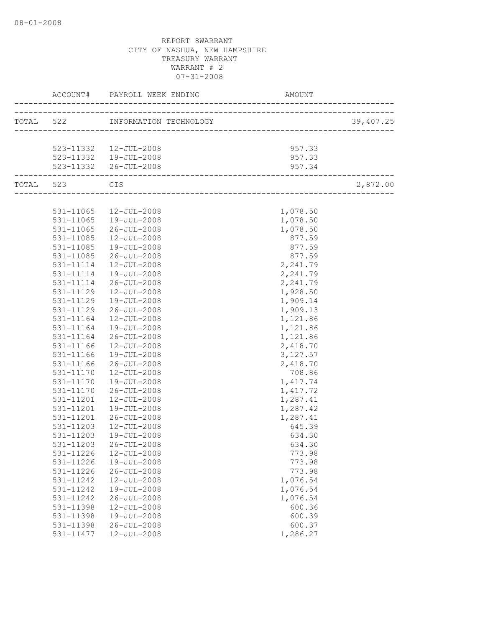|               |                                  | AMOUNT                                             |           |
|---------------|----------------------------------|----------------------------------------------------|-----------|
|               | TOTAL 522 INFORMATION TECHNOLOGY | <sup>1</sup> 91<br>------------------------------- | 39,407.25 |
|               |                                  |                                                    |           |
|               | 523-11332  12-JUL-2008           | 957.33                                             |           |
|               | $523 - 11332$ $19 - JUL - 2008$  | 957.33                                             |           |
|               | 523-11332 26-JUL-2008            | 957.34<br>-----------------------                  |           |
| TOTAL 523 GIS |                                  |                                                    | 2,872.00  |
|               |                                  |                                                    |           |
|               | 531-11065  12-JUL-2008           | 1,078.50                                           |           |
|               | 531-11065  19-JUL-2008           | 1,078.50                                           |           |
| 531-11065     | 26-JUL-2008                      | 1,078.50                                           |           |
| 531-11085     | 12-JUL-2008                      | 877.59                                             |           |
| 531-11085     | 19-JUL-2008                      | 877.59                                             |           |
| 531-11085     | 26-JUL-2008                      | 877.59                                             |           |
| 531-11114     | $12 - JUL - 2008$                | 2,241.79                                           |           |
| 531-11114     | 19-JUL-2008                      | 2,241.79                                           |           |
|               | 531-11114 26-JUL-2008            | 2,241.79                                           |           |
| 531-11129     | $12 - JUL - 2008$                | 1,928.50                                           |           |
| 531-11129     | 19-JUL-2008                      | 1,909.14                                           |           |
| 531-11129     | 26-JUL-2008                      | 1,909.13                                           |           |
| 531-11164     | $12 - JUL - 2008$                | 1,121.86                                           |           |
| 531-11164     | 19-JUL-2008                      | 1,121.86                                           |           |
| 531-11164     | 26-JUL-2008                      | 1,121.86                                           |           |
| 531-11166     | 12-JUL-2008                      | 2,418.70                                           |           |
| 531-11166     | 19-JUL-2008                      | 3, 127.57                                          |           |
| 531-11166     | 26-JUL-2008                      | 2,418.70                                           |           |
| 531-11170     | $12 - JUL - 2008$                | 708.86                                             |           |
| 531-11170     | 19-JUL-2008                      | 1,417.74                                           |           |
| 531-11170     | $26 - JUL - 2008$                | 1, 417.72                                          |           |
| 531-11201     | $12 - JUL - 2008$                | 1,287.41                                           |           |
| 531-11201     | 19-JUL-2008                      | 1,287.42                                           |           |
| 531-11201     | $26 - JUL - 2008$                | 1,287.41                                           |           |
| 531-11203     | 12-JUL-2008                      | 645.39                                             |           |
| 531-11203     | 19-JUL-2008                      | 634.30                                             |           |
|               | 531-11203 26-JUL-2008            | 634.30                                             |           |
| 531-11226     | 12-JUL-2008                      | 773.98                                             |           |
| 531-11226     | 19-JUL-2008                      | 773.98                                             |           |
| 531-11226     | $26 - JUL - 2008$                | 773.98                                             |           |
| 531-11242     | 12-JUL-2008                      | 1,076.54                                           |           |
| 531-11242     | 19-JUL-2008                      | 1,076.54                                           |           |
| 531-11242     | $26 - JUL - 2008$                | 1,076.54                                           |           |
| 531-11398     | 12-JUL-2008                      | 600.36                                             |           |
| 531-11398     | 19-JUL-2008                      | 600.39                                             |           |
| 531-11398     | $26 - JUL - 2008$                | 600.37                                             |           |
| 531-11477     | $12 - JUL - 2008$                | 1,286.27                                           |           |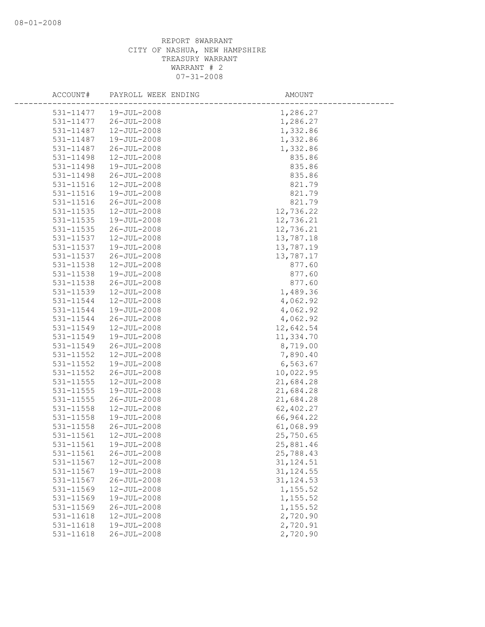| ACCOUNT#  | PAYROLL WEEK ENDING | AMOUNT     |
|-----------|---------------------|------------|
| 531-11477 | 19-JUL-2008         | 1,286.27   |
| 531-11477 | 26-JUL-2008         | 1,286.27   |
| 531-11487 | 12-JUL-2008         | 1,332.86   |
| 531-11487 | 19-JUL-2008         | 1,332.86   |
| 531-11487 | $26 - JUL - 2008$   | 1,332.86   |
| 531-11498 | 12-JUL-2008         | 835.86     |
| 531-11498 | 19-JUL-2008         | 835.86     |
| 531-11498 | $26 - JUL - 2008$   | 835.86     |
| 531-11516 | 12-JUL-2008         | 821.79     |
| 531-11516 | 19-JUL-2008         | 821.79     |
| 531-11516 | $26 - JUL - 2008$   | 821.79     |
| 531-11535 | $12 - JUL - 2008$   | 12,736.22  |
| 531-11535 | 19-JUL-2008         | 12,736.21  |
| 531-11535 | $26 - JUL - 2008$   | 12,736.21  |
| 531-11537 | 12-JUL-2008         | 13,787.18  |
| 531-11537 | 19-JUL-2008         | 13,787.19  |
| 531-11537 | $26 - JUL - 2008$   | 13,787.17  |
| 531-11538 | 12-JUL-2008         | 877.60     |
| 531-11538 | 19-JUL-2008         | 877.60     |
| 531-11538 | $26 - JUL - 2008$   | 877.60     |
| 531-11539 | $12 - JUL - 2008$   | 1,489.36   |
| 531-11544 | 12-JUL-2008         | 4,062.92   |
| 531-11544 | 19-JUL-2008         | 4,062.92   |
| 531-11544 | $26 - JUL - 2008$   | 4,062.92   |
| 531-11549 | 12-JUL-2008         | 12,642.54  |
| 531-11549 | 19-JUL-2008         | 11,334.70  |
| 531-11549 | $26 - JUL - 2008$   | 8,719.00   |
| 531-11552 | 12-JUL-2008         | 7,890.40   |
| 531-11552 | 19-JUL-2008         | 6,563.67   |
| 531-11552 | $26 - JUL - 2008$   | 10,022.95  |
| 531-11555 | 12-JUL-2008         | 21,684.28  |
| 531-11555 | 19-JUL-2008         | 21,684.28  |
| 531-11555 | $26 - JUL - 2008$   | 21,684.28  |
| 531-11558 | $12 - JUL - 2008$   | 62,402.27  |
| 531-11558 | 19-JUL-2008         | 66,964.22  |
| 531-11558 | $26 - JUL - 2008$   | 61,068.99  |
| 531-11561 | $12 - JUL - 2008$   | 25,750.65  |
| 531-11561 | 19-JUL-2008         | 25,881.46  |
| 531-11561 | $26 - JUL - 2008$   | 25,788.43  |
| 531-11567 | 12-JUL-2008         | 31, 124.51 |
| 531-11567 | 19-JUL-2008         | 31, 124.55 |
| 531-11567 | $26 - JUL - 2008$   | 31, 124.53 |
| 531-11569 | 12-JUL-2008         | 1,155.52   |
| 531-11569 | 19-JUL-2008         | 1,155.52   |
| 531-11569 | $26 - JUL - 2008$   | 1,155.52   |
| 531-11618 | 12-JUL-2008         | 2,720.90   |
| 531-11618 | 19-JUL-2008         | 2,720.91   |
| 531-11618 | $26 - JUL - 2008$   | 2,720.90   |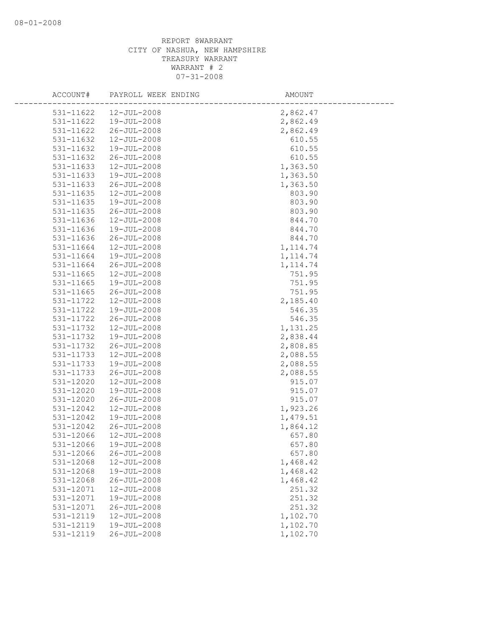| ACCOUNT#               | PAYROLL WEEK ENDING                    | AMOUNT               |
|------------------------|----------------------------------------|----------------------|
| 531-11622              | 12-JUL-2008                            | 2,862.47             |
| 531-11622              | $19 - JUL - 2008$                      | 2,862.49             |
| 531-11622              | $26 - JUL - 2008$                      | 2,862.49             |
| 531-11632              | 12-JUL-2008                            | 610.55               |
| 531-11632              | 19-JUL-2008                            | 610.55               |
| 531-11632              | $26 - JUL - 2008$                      | 610.55               |
| 531-11633              | 12-JUL-2008                            | 1,363.50             |
| 531-11633              | 19-JUL-2008                            | 1,363.50             |
| 531-11633              | 26-JUL-2008                            | 1,363.50             |
| 531-11635              | 12-JUL-2008                            | 803.90               |
| 531-11635              | 19-JUL-2008                            | 803.90               |
| 531-11635              | $26 - JUL - 2008$                      | 803.90               |
| 531-11636              | $12 - JUL - 2008$                      | 844.70               |
| 531-11636              | 19-JUL-2008                            | 844.70               |
| 531-11636              | $26 - JUL - 2008$                      | 844.70               |
| 531-11664              | $12 - JUL - 2008$                      | 1, 114.74            |
| 531-11664              | 19-JUL-2008                            | 1, 114.74            |
| 531-11664              | $26 - JUL - 2008$                      | 1, 114.74            |
| 531-11665              | 12-JUL-2008                            | 751.95               |
| $531 - 11665$          | 19-JUL-2008                            | 751.95               |
| 531-11665              | $26 - JUL - 2008$                      | 751.95               |
| 531-11722              | 12-JUL-2008                            | 2,185.40             |
| 531-11722              | 19-JUL-2008                            | 546.35               |
| 531-11722              | $26 - JUL - 2008$                      | 546.35               |
| 531-11732              | 12-JUL-2008                            | 1,131.25             |
| 531-11732              | 19-JUL-2008                            | 2,838.44             |
| 531-11732              | $26 - JUL - 2008$                      | 2,808.85             |
| 531-11733              | 12-JUL-2008                            | 2,088.55             |
| 531-11733              | 19-JUL-2008                            | 2,088.55             |
| 531-11733              | $26 - JUL - 2008$                      | 2,088.55             |
| 531-12020              | $12 - JUL - 2008$                      | 915.07               |
| 531-12020              | 19-JUL-2008                            | 915.07               |
| 531-12020              | $26 - JUL - 2008$                      | 915.07               |
| 531-12042              | 12-JUL-2008                            | 1,923.26             |
| 531-12042              | 19-JUL-2008                            | 1,479.51             |
| 531-12042              | $26 - JUL - 2008$                      | 1,864.12             |
| 531-12066              | $12 - JUL - 2008$                      | 657.80               |
| 531-12066              | 19-JUL-2008                            | 657.80               |
| 531-12066<br>531-12068 | $26 - JUL - 2008$<br>$12 - JUL - 2008$ | 657.80               |
| 531-12068              | 19-JUL-2008                            | 1,468.42<br>1,468.42 |
| 531-12068              | $26 - JUL - 2008$                      | 1,468.42             |
| 531-12071              | 12-JUL-2008                            | 251.32               |
| 531-12071              | 19-JUL-2008                            | 251.32               |
| 531-12071              | $26 - JUL - 2008$                      | 251.32               |
| 531-12119              | $12 - JUL - 2008$                      | 1,102.70             |
| 531-12119              | 19-JUL-2008                            | 1,102.70             |
| 531-12119              | $26 - JUL - 2008$                      | 1,102.70             |
|                        |                                        |                      |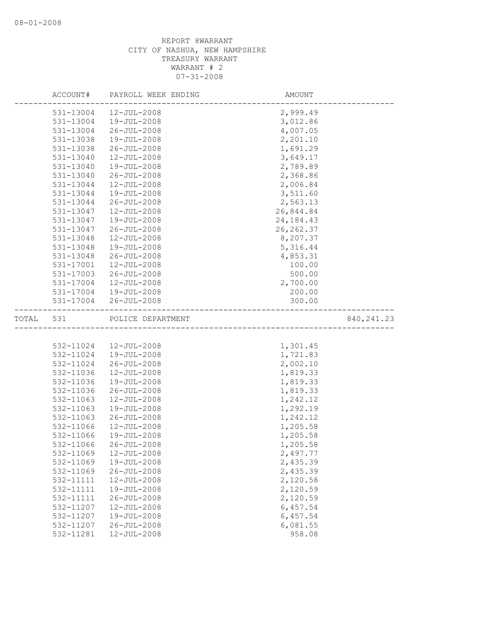|       | ACCOUNT#  | PAYROLL WEEK ENDING | AMOUNT      |             |
|-------|-----------|---------------------|-------------|-------------|
|       | 531-13004 | 12-JUL-2008         | 2,999.49    |             |
|       | 531-13004 | $19 - JUL - 2008$   | 3,012.86    |             |
|       | 531-13004 | $26 - JUL - 2008$   | 4,007.05    |             |
|       | 531-13038 | 19-JUL-2008         | 2,201.10    |             |
|       | 531-13038 | $26 - JUL - 2008$   | 1,691.29    |             |
|       | 531-13040 | 12-JUL-2008         | 3,649.17    |             |
|       | 531-13040 | 19-JUL-2008         | 2,789.89    |             |
|       | 531-13040 | $26 - JUL - 2008$   | 2,368.86    |             |
|       | 531-13044 | 12-JUL-2008         | 2,006.84    |             |
|       | 531-13044 | $19 - JUL - 2008$   | 3,511.60    |             |
|       | 531-13044 | $26 - JUL - 2008$   | 2,563.13    |             |
|       | 531-13047 | $12 - JUL - 2008$   | 26,844.84   |             |
|       | 531-13047 | 19-JUL-2008         | 24, 184. 43 |             |
|       | 531-13047 | $26 - JUL - 2008$   | 26, 262.37  |             |
|       | 531-13048 | 12-JUL-2008         | 8,207.37    |             |
|       | 531-13048 | 19-JUL-2008         | 5,316.44    |             |
|       | 531-13048 | $26 - JUL - 2008$   | 4,853.31    |             |
|       | 531-17001 | $12 - JUL - 2008$   | 100.00      |             |
|       | 531-17003 | $26 - JUL - 2008$   | 500.00      |             |
|       | 531-17004 | $12 - JUL - 2008$   | 2,700.00    |             |
|       | 531-17004 | 19-JUL-2008         | 200.00      |             |
|       | 531-17004 | $26 - JUL - 2008$   | 300.00      |             |
| TOTAL | 531       | POLICE DEPARTMENT   |             | 840, 241.23 |
|       |           |                     |             |             |
|       | 532-11024 | 12-JUL-2008         | 1,301.45    |             |
|       | 532-11024 | 19-JUL-2008         | 1,721.83    |             |
|       | 532-11024 | $26 - JUL - 2008$   | 2,002.10    |             |
|       | 532-11036 | $12 - JUL - 2008$   | 1,819.33    |             |
|       | 532-11036 | 19-JUL-2008         | 1,819.33    |             |
|       | 532-11036 | $26 - JUL - 2008$   | 1,819.33    |             |
|       | 532-11063 | 12-JUL-2008         | 1,242.12    |             |
|       | 532-11063 | 19-JUL-2008         | 1,292.19    |             |
|       | 532-11063 | $26 - JUL - 2008$   | 1,242.12    |             |
|       | 532-11066 | 12-JUL-2008         | 1,205.58    |             |
|       | 532-11066 | $19 - JUL - 2008$   | 1,205.58    |             |
|       | 532-11066 | $26 - JUL - 2008$   | 1,205.58    |             |
|       | 532-11069 | 12-JUL-2008         | 2,497.77    |             |
|       | 532-11069 | 19-JUL-2008         | 2,435.39    |             |
|       | 532-11069 | $26 - JUL - 2008$   | 2,435.39    |             |
|       | 532-11111 | 12-JUL-2008         | 2,120.58    |             |
|       | 532-11111 | 19-JUL-2008         | 2,120.59    |             |
|       | 532-11111 | $26 - JUL - 2008$   | 2,120.59    |             |
|       | 532-11207 | $12 - JUL - 2008$   | 6,457.54    |             |
|       | 532-11207 | 19-JUL-2008         | 6,457.54    |             |
|       | 532-11207 | $26 - JUL - 2008$   | 6,081.55    |             |
|       | 532-11281 | 12-JUL-2008         | 958.08      |             |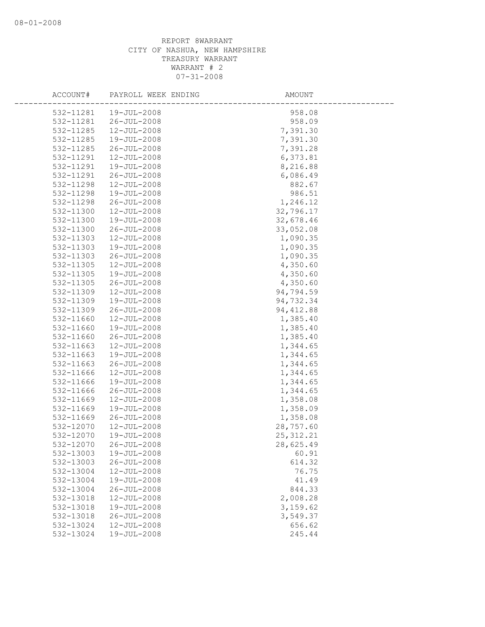| ACCOUNT# |                                | PAYROLL WEEK ENDING | AMOUNT     |
|----------|--------------------------------|---------------------|------------|
|          | 532-11281<br>$19 - JUL - 2008$ |                     | 958.08     |
|          | 532-11281<br>$26 - JUL - 2008$ |                     | 958.09     |
|          | 532-11285<br>12-JUL-2008       |                     | 7,391.30   |
|          | 532-11285<br>19-JUL-2008       |                     | 7,391.30   |
|          | 532-11285<br>$26 - JUL - 2008$ |                     | 7,391.28   |
|          | 12-JUL-2008<br>532-11291       |                     | 6,373.81   |
|          | 532-11291<br>19-JUL-2008       |                     | 8,216.88   |
|          | 532-11291<br>26-JUL-2008       |                     | 6,086.49   |
|          | 532-11298<br>12-JUL-2008       |                     | 882.67     |
|          | 532-11298<br>19-JUL-2008       |                     | 986.51     |
|          | 532-11298<br>$26 - JUL - 2008$ |                     | 1,246.12   |
|          | 532-11300<br>$12 - JUL - 2008$ |                     | 32,796.17  |
|          | 532-11300<br>19-JUL-2008       |                     | 32,678.46  |
|          | 532-11300<br>$26 - JUL - 2008$ |                     | 33,052.08  |
|          | 532-11303<br>12-JUL-2008       |                     | 1,090.35   |
|          | 532-11303<br>19-JUL-2008       |                     | 1,090.35   |
|          | 532-11303<br>26-JUL-2008       |                     | 1,090.35   |
|          | 532-11305<br>$12 - JUL - 2008$ |                     | 4,350.60   |
|          | 532-11305<br>19-JUL-2008       |                     | 4,350.60   |
|          | $26 - JUL - 2008$<br>532-11305 |                     | 4,350.60   |
|          | 532-11309<br>$12 - JUL - 2008$ |                     | 94,794.59  |
|          | 532-11309<br>19-JUL-2008       |                     | 94,732.34  |
|          | 532-11309<br>$26 - JUL - 2008$ |                     | 94, 412.88 |
|          | 532-11660<br>12-JUL-2008       |                     | 1,385.40   |
|          | 532-11660<br>19-JUL-2008       |                     | 1,385.40   |
|          | 532-11660<br>$26 - JUL - 2008$ |                     | 1,385.40   |
|          | 532-11663<br>12-JUL-2008       |                     | 1,344.65   |
|          | 532-11663<br>19-JUL-2008       |                     | 1,344.65   |
|          | 532-11663<br>$26 - JUL - 2008$ |                     | 1,344.65   |
|          | 532-11666<br>$12 - JUL - 2008$ |                     | 1,344.65   |
|          | 532-11666<br>19-JUL-2008       |                     | 1,344.65   |
|          | 532-11666<br>$26 - JUL - 2008$ |                     | 1,344.65   |
|          | 532-11669<br>12-JUL-2008       |                     | 1,358.08   |
|          | 532-11669<br>19-JUL-2008       |                     | 1,358.09   |
|          | 532-11669<br>$26 - JUL - 2008$ |                     | 1,358.08   |
|          | 532-12070<br>12-JUL-2008       |                     | 28,757.60  |
|          | 532-12070<br>19-JUL-2008       |                     | 25, 312.21 |
|          | 532-12070<br>$26 - JUL - 2008$ |                     | 28,625.49  |
|          | 532-13003<br>19-JUL-2008       |                     | 60.91      |
|          | 532-13003<br>$26 - JUL - 2008$ |                     | 614.32     |
|          | 12-JUL-2008<br>532-13004       |                     | 76.75      |
|          | 532-13004<br>19-JUL-2008       |                     | 41.49      |
|          | 532-13004<br>$26 - JUL - 2008$ |                     | 844.33     |
|          | 532-13018<br>12-JUL-2008       |                     | 2,008.28   |
|          | 19-JUL-2008<br>532-13018       |                     | 3,159.62   |
|          | 532-13018<br>$26 - JUL - 2008$ |                     | 3,549.37   |
|          | 532-13024<br>$12 - JUL - 2008$ |                     | 656.62     |
|          | 532-13024<br>19-JUL-2008       |                     | 245.44     |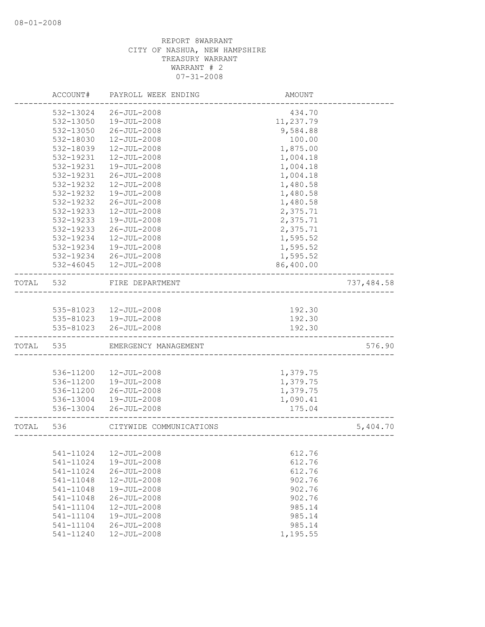|       | ACCOUNT#      | PAYROLL WEEK ENDING     | AMOUNT             |            |
|-------|---------------|-------------------------|--------------------|------------|
|       | 532-13024     | $26 - JUL - 2008$       | 434.70             |            |
|       | $532 - 13050$ | 19-JUL-2008             | 11,237.79          |            |
|       | 532-13050     | $26 - JUL - 2008$       | 9,584.88           |            |
|       | 532-18030     | $12 - JUL - 2008$       | 100.00             |            |
|       | 532-18039     | 12-JUL-2008             | 1,875.00           |            |
|       | 532-19231     | 12-JUL-2008             | 1,004.18           |            |
|       | 532-19231     | 19-JUL-2008             | 1,004.18           |            |
|       | 532-19231     | $26 - JUL - 2008$       | 1,004.18           |            |
|       | 532-19232     | 12-JUL-2008             | 1,480.58           |            |
|       | 532-19232     | 19-JUL-2008             | 1,480.58           |            |
|       | 532-19232     | $26 - JUL - 2008$       | 1,480.58           |            |
|       | 532-19233     | 12-JUL-2008             | 2,375.71           |            |
|       | 532-19233     | 19-JUL-2008             | 2,375.71           |            |
|       | 532-19233     | $26 - JUL - 2008$       | 2,375.71           |            |
|       | 532-19234     | 12-JUL-2008             | 1,595.52           |            |
|       | 532-19234     | 19-JUL-2008             | 1,595.52           |            |
|       | 532-19234     | $26 - JUL - 2008$       | 1,595.52           |            |
|       | 532-46045     | 12-JUL-2008             | 86,400.00          |            |
| TOTAL | 532           | FIRE DEPARTMENT         |                    | 737,484.58 |
|       |               |                         |                    |            |
|       | 535-81023     | 12-JUL-2008             | 192.30             |            |
|       |               | 535-81023  19-JUL-2008  | 192.30             |            |
|       | 535-81023     | $26 - JUL - 2008$       | 192.30             |            |
| TOTAL | 535           | EMERGENCY MANAGEMENT    |                    | 576.90     |
|       |               |                         |                    |            |
|       | 536-11200     | $12 - JUL - 2008$       | 1,379.75           |            |
|       | 536-11200     | 19-JUL-2008             | 1,379.75           |            |
|       | 536-11200     | $26 - JUL - 2008$       | 1,379.75           |            |
|       | 536-13004     | 19-JUL-2008             | 1,090.41           |            |
|       | 536-13004     | $26 - JUL - 2008$       | 175.04             |            |
| TOTAL | 536           | CITYWIDE COMMUNICATIONS | __________________ | 5,404.70   |
|       |               |                         |                    |            |
|       | 541-11024     | 12-JUL-2008             | 612.76             |            |
|       | 541-11024     | 19-JUL-2008             | 612.76             |            |
|       | 541-11024     | $26 - JUL - 2008$       | 612.76             |            |
|       | 541-11048     | 12-JUL-2008             | 902.76             |            |
|       | 541-11048     | 19-JUL-2008             | 902.76             |            |
|       | 541-11048     | $26 - JUL - 2008$       | 902.76             |            |
|       | 541-11104     | 12-JUL-2008             | 985.14             |            |
|       | 541-11104     | 19-JUL-2008             | 985.14             |            |
|       | 541-11104     | $26 - JUL - 2008$       | 985.14             |            |
|       | 541-11240     | 12-JUL-2008             | 1,195.55           |            |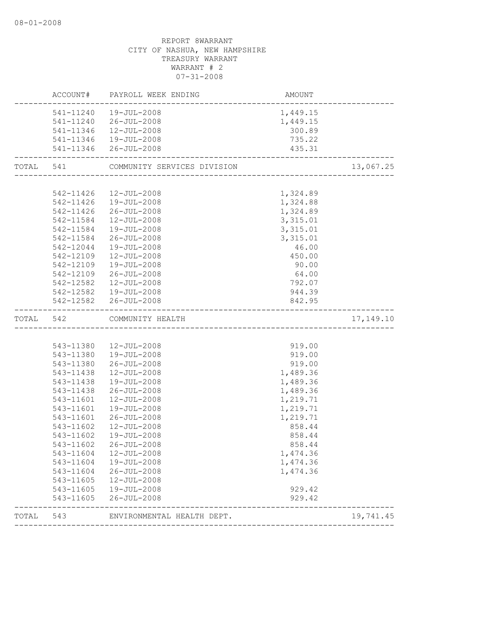|           |           | ACCOUNT# PAYROLL WEEK ENDING | AMOUNT                                 |           |
|-----------|-----------|------------------------------|----------------------------------------|-----------|
|           |           | 541-11240  19-JUL-2008       | 1,449.15                               |           |
|           |           | 541-11240 26-JUL-2008        | 1,449.15                               |           |
|           |           | 541-11346  12-JUL-2008       | 300.89                                 |           |
|           |           | 541-11346  19-JUL-2008       | 735.22                                 |           |
|           |           | 541-11346 26-JUL-2008        | 435.31<br>---------------------------- |           |
| TOTAL 541 |           | COMMUNITY SERVICES DIVISION  |                                        | 13,067.25 |
|           |           |                              |                                        |           |
|           |           | 542-11426  12-JUL-2008       | 1,324.89                               |           |
|           |           | 542-11426  19-JUL-2008       | 1,324.88                               |           |
|           |           | 542-11426 26-JUL-2008        | 1,324.89                               |           |
|           | 542-11584 | 12-JUL-2008                  | 3,315.01                               |           |
|           | 542-11584 | 19-JUL-2008                  | 3,315.01                               |           |
|           | 542-11584 | 26-JUL-2008                  | 3,315.01                               |           |
|           | 542-12044 | 19-JUL-2008                  | 46.00                                  |           |
|           | 542-12109 | 12-JUL-2008                  | 450.00                                 |           |
|           | 542-12109 | 19-JUL-2008                  | 90.00                                  |           |
|           | 542-12109 | 26-JUL-2008                  | 64.00                                  |           |
|           | 542-12582 | 12-JUL-2008                  | 792.07                                 |           |
|           |           | 542-12582  19-JUL-2008       | 944.39                                 |           |
|           |           | 542-12582 26-JUL-2008        | 842.95                                 |           |
| TOTAL     | 542       | COMMUNITY HEALTH             |                                        | 17,149.10 |
|           |           |                              |                                        |           |
|           |           | 543-11380  12-JUL-2008       | 919.00                                 |           |
|           |           | 543-11380  19-JUL-2008       | 919.00                                 |           |
|           | 543-11380 | 26-JUL-2008                  | 919.00                                 |           |
|           | 543-11438 | 12-JUL-2008                  | 1,489.36                               |           |
|           | 543-11438 | 19-JUL-2008                  | 1,489.36                               |           |
|           | 543-11438 | 26-JUL-2008                  | 1,489.36                               |           |
|           |           |                              |                                        |           |
|           | 543-11601 | $12 - JUL - 2008$            | 1,219.71                               |           |
|           | 543-11601 | 19-JUL-2008                  | 1,219.71                               |           |
|           | 543-11601 | 26-JUL-2008                  | 1,219.71                               |           |
|           | 543-11602 | 12-JUL-2008                  | 858.44                                 |           |
|           | 543-11602 | 19-JUL-2008                  | 858.44                                 |           |
|           |           | 543-11602 26-JUL-2008        | 858.44                                 |           |
|           | 543-11604 | 12-JUL-2008                  | 1,474.36                               |           |
|           | 543-11604 | 19-JUL-2008                  | 1,474.36                               |           |
|           | 543-11604 | $26 - JUL - 2008$            | 1,474.36                               |           |
|           | 543-11605 | 12-JUL-2008                  |                                        |           |
|           | 543-11605 | 19-JUL-2008                  | 929.42                                 |           |
|           | 543-11605 | $26 - JUL - 2008$            | 929.42                                 |           |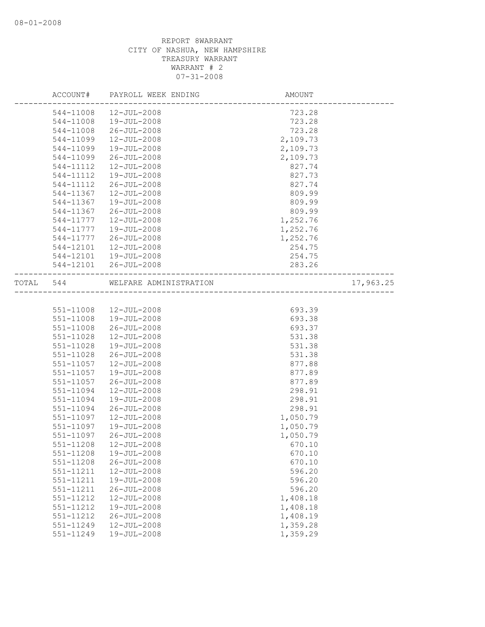|       | ACCOUNT#      | PAYROLL WEEK ENDING    | AMOUNT                            |           |
|-------|---------------|------------------------|-----------------------------------|-----------|
|       | 544-11008     | 12-JUL-2008            | 723.28                            |           |
|       | 544-11008     | 19-JUL-2008            | 723.28                            |           |
|       | 544-11008     | 26-JUL-2008            | 723.28                            |           |
|       | 544-11099     | 12-JUL-2008            | 2,109.73                          |           |
|       | 544-11099     | 19-JUL-2008            | 2,109.73                          |           |
|       | 544-11099     | $26 - JUL - 2008$      | 2,109.73                          |           |
|       | 544-11112     | 12-JUL-2008            | 827.74                            |           |
|       | 544-11112     | 19-JUL-2008            | 827.73                            |           |
|       | 544-11112     | 26-JUL-2008            | 827.74                            |           |
|       | 544-11367     | $12 - JUL - 2008$      | 809.99                            |           |
|       | 544-11367     | 19-JUL-2008            | 809.99                            |           |
|       | 544-11367     | 26-JUL-2008            | 809.99                            |           |
|       | 544-11777     | $12 - JUL - 2008$      | 1,252.76                          |           |
|       | 544-11777     | 19-JUL-2008            | 1,252.76                          |           |
|       | 544-11777     | 26-JUL-2008            | 1,252.76                          |           |
|       | 544-12101     | 12-JUL-2008            | 254.75                            |           |
|       | 544-12101     | 19-JUL-2008            | 254.75                            |           |
|       |               | 544-12101 26-JUL-2008  | 283.26                            |           |
| TOTAL | 544           | WELFARE ADMINISTRATION | _________________________________ | 17,963.25 |
|       |               |                        |                                   |           |
|       | 551-11008     | 12-JUL-2008            | 693.39                            |           |
|       | 551-11008     | 19-JUL-2008            | 693.38                            |           |
|       | 551-11008     | $26 - JUL - 2008$      | 693.37                            |           |
|       | 551-11028     | $12 - JUL - 2008$      | 531.38                            |           |
|       | 551-11028     | 19-JUL-2008            | 531.38                            |           |
|       | $551 - 11028$ | 26-JUL-2008            | 531.38                            |           |
|       | $551 - 11057$ | 12-JUL-2008            | 877.88                            |           |
|       | 551-11057     | 19-JUL-2008            | 877.89                            |           |
|       | 551-11057     | $26 - JUL - 2008$      | 877.89                            |           |
|       | 551-11094     | $12 - JUL - 2008$      | 298.91                            |           |
|       | 551-11094     | 19-JUL-2008            | 298.91                            |           |
|       | 551-11094     | $26 - JUL - 2008$      | 298.91                            |           |
|       | 551-11097     | $12 - JUL - 2008$      | 1,050.79                          |           |
|       | 551-11097     | $19 - JUL - 2008$      | 1,050.79                          |           |
|       | 551-11097     | $26 - JUL - 2008$      | 1,050.79                          |           |
|       | 551-11208     | $12 - JUL - 2008$      | 670.10                            |           |
|       | 551-11208     | 19-JUL-2008            | 670.10                            |           |
|       | $551 - 11208$ | $26 - JUL - 2008$      | 670.10                            |           |
|       | 551-11211     | 12-JUL-2008            | 596.20                            |           |
|       | 551-11211     | 19-JUL-2008            | 596.20                            |           |
|       | 551-11211     | $26 - JUL - 2008$      | 596.20                            |           |
|       | 551-11212     | 12-JUL-2008            | 1,408.18                          |           |
|       | 551-11212     | 19-JUL-2008            | 1,408.18                          |           |
|       | 551-11212     | $26 - JUL - 2008$      | 1,408.19                          |           |
|       | 551-11249     | $12 - JUL - 2008$      | 1,359.28                          |           |
|       | 551-11249     | 19-JUL-2008            | 1,359.29                          |           |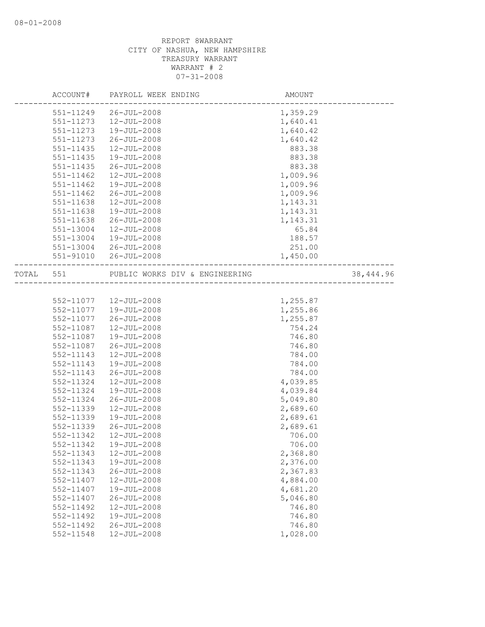|       | ACCOUNT#      | PAYROLL WEEK ENDING            | AMOUNT   |            |
|-------|---------------|--------------------------------|----------|------------|
|       | 551-11249     | 26-JUL-2008                    | 1,359.29 |            |
|       | 551-11273     | $12 - JUL - 2008$              | 1,640.41 |            |
|       | 551-11273     | 19-JUL-2008                    | 1,640.42 |            |
|       | 551-11273     | 26-JUL-2008                    | 1,640.42 |            |
|       | 551-11435     | 12-JUL-2008                    | 883.38   |            |
|       | 551-11435     | 19-JUL-2008                    | 883.38   |            |
|       | 551-11435     | $26 - JUL - 2008$              | 883.38   |            |
|       | 551-11462     | $12 - JUL - 2008$              | 1,009.96 |            |
|       | 551-11462     | 19-JUL-2008                    | 1,009.96 |            |
|       | $551 - 11462$ | 26-JUL-2008                    | 1,009.96 |            |
|       | 551-11638     | 12-JUL-2008                    | 1,143.31 |            |
|       | 551-11638     | 19-JUL-2008                    | 1,143.31 |            |
|       | 551-11638     | 26-JUL-2008                    | 1,143.31 |            |
|       | 551-13004     | 12-JUL-2008                    | 65.84    |            |
|       | 551-13004     | 19-JUL-2008                    | 188.57   |            |
|       | 551-13004     | 26-JUL-2008                    | 251.00   |            |
|       | 551-91010     | $26 - JUL - 2008$              | 1,450.00 |            |
| TOTAL | 551           | PUBLIC WORKS DIV & ENGINEERING |          | 38, 444.96 |
|       |               |                                |          |            |
|       | 552-11077     | 12-JUL-2008                    | 1,255.87 |            |
|       | 552-11077     | 19-JUL-2008                    | 1,255.86 |            |
|       | 552-11077     | 26-JUL-2008                    | 1,255.87 |            |
|       | 552-11087     | 12-JUL-2008                    | 754.24   |            |
|       | 552-11087     | 19-JUL-2008                    | 746.80   |            |
|       | 552-11087     | 26-JUL-2008                    | 746.80   |            |
|       | 552-11143     | $12 - JUL - 2008$              | 784.00   |            |
|       | 552-11143     | 19-JUL-2008                    | 784.00   |            |
|       | 552-11143     | 26-JUL-2008                    | 784.00   |            |
|       | 552-11324     | $12 - JUL - 2008$              | 4,039.85 |            |
|       | 552-11324     | 19-JUL-2008                    | 4,039.84 |            |
|       | 552-11324     | 26-JUL-2008                    | 5,049.80 |            |
|       | 552-11339     | 12-JUL-2008                    | 2,689.60 |            |
|       | 552-11339     | 19-JUL-2008                    | 2,689.61 |            |
|       | 552-11339     | $26 - JUL - 2008$              | 2,689.61 |            |
|       | 552-11342     | $12 - JUL - 2008$              | 706.00   |            |
|       | 552-11342     | 19-JUL-2008                    | 706.00   |            |
|       | 552-11343     | $12 - JUL - 2008$              | 2,368.80 |            |
|       | 552-11343     | 19-JUL-2008                    | 2,376.00 |            |
|       | 552-11343     | $26 - JUL - 2008$              | 2,367.83 |            |
|       | 552-11407     | 12-JUL-2008                    | 4,884.00 |            |
|       | 552-11407     | 19-JUL-2008                    | 4,681.20 |            |
|       | 552-11407     | $26 - JUL - 2008$              | 5,046.80 |            |
|       | 552-11492     | $12 - JUL - 2008$              | 746.80   |            |
|       | 552-11492     | 19-JUL-2008                    | 746.80   |            |
|       | 552-11492     | $26 - JUL - 2008$              | 746.80   |            |
|       | 552-11548     | 12-JUL-2008                    | 1,028.00 |            |
|       |               |                                |          |            |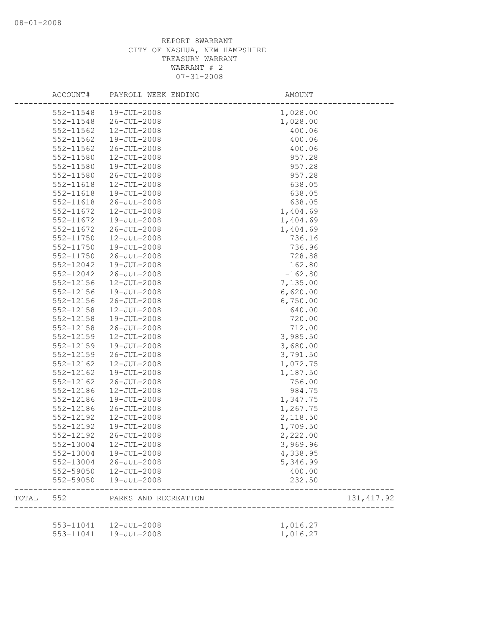| ACCOUNT#      | PAYROLL WEEK ENDING                              | AMOUNT               |             |
|---------------|--------------------------------------------------|----------------------|-------------|
| 552-11548     | 19-JUL-2008                                      | 1,028.00             |             |
| 552-11548     | $26 - JUL - 2008$                                | 1,028.00             |             |
| 552-11562     | $12 - JUL - 2008$                                | 400.06               |             |
| 552-11562     | $19 - JUL - 2008$                                | 400.06               |             |
| 552-11562     | $26 - JUL - 2008$                                | 400.06               |             |
| 552-11580     | $12 - JUL - 2008$                                | 957.28               |             |
| 552-11580     | 19-JUL-2008                                      | 957.28               |             |
| 552-11580     | $26 - JUL - 2008$                                | 957.28               |             |
| 552-11618     | 12-JUL-2008                                      | 638.05               |             |
| 552-11618     | 19-JUL-2008                                      | 638.05               |             |
| 552-11618     | 26-JUL-2008                                      | 638.05               |             |
| 552-11672     | $12 - JUL - 2008$                                | 1,404.69             |             |
| 552-11672     | 19-JUL-2008                                      | 1,404.69             |             |
| 552-11672     | $26 - JUL - 2008$                                | 1,404.69             |             |
| 552-11750     | 12-JUL-2008                                      | 736.16               |             |
| 552-11750     | 19-JUL-2008                                      | 736.96               |             |
| $552 - 11750$ | $26 - JUL - 2008$                                | 728.88               |             |
| 552-12042     | 19-JUL-2008                                      | 162.80               |             |
| 552-12042     | $26 - JUL - 2008$                                | $-162.80$            |             |
| 552-12156     | $12 - JUL - 2008$                                | 7,135.00             |             |
| 552-12156     | $19 - JUL - 2008$                                | 6,620.00             |             |
| 552-12156     | $26 - JUL - 2008$                                | 6,750.00             |             |
| 552-12158     |                                                  | 640.00               |             |
| 552-12158     | 12-JUL-2008                                      | 720.00               |             |
|               | 19-JUL-2008                                      |                      |             |
| 552-12158     | $26 - JUL - 2008$                                | 712.00               |             |
| 552-12159     | 12-JUL-2008                                      | 3,985.50             |             |
| 552-12159     | 19-JUL-2008                                      | 3,680.00             |             |
| 552-12159     | $26 - JUL - 2008$                                | 3,791.50             |             |
| 552-12162     | $12 - JUL - 2008$                                | 1,072.75             |             |
| 552-12162     | 19-JUL-2008                                      | 1,187.50             |             |
| 552-12162     | $26 - JUL - 2008$                                | 756.00               |             |
| 552-12186     | 12-JUL-2008                                      | 984.75               |             |
| 552-12186     | 19-JUL-2008                                      | 1,347.75             |             |
| 552-12186     | $26 - JUL - 2008$                                | 1,267.75             |             |
| 552-12192     | 12-JUL-2008                                      | 2,118.50             |             |
| 552-12192     | 19-JUL-2008                                      | 1,709.50             |             |
| 552-12192     | $26 - JUL - 2008$                                | 2,222.00             |             |
| 552-13004     | 12-JUL-2008                                      | 3,969.96             |             |
| 552-13004     | 19-JUL-2008                                      | 4,338.95             |             |
| 552-13004     | 26-JUL-2008                                      | 5,346.99             |             |
| 552-59050     | $12 - JUL - 2008$                                | 400.00               |             |
| 552-59050     | 19-JUL-2008                                      | 232.50               |             |
|               | TOTAL 552 PARKS AND RECREATION                   | ___________________  | 131, 417.92 |
|               |                                                  |                      |             |
|               | 553-11041  12-JUL-2008<br>553-11041  19-JUL-2008 | 1,016.27<br>1,016.27 |             |
|               |                                                  |                      |             |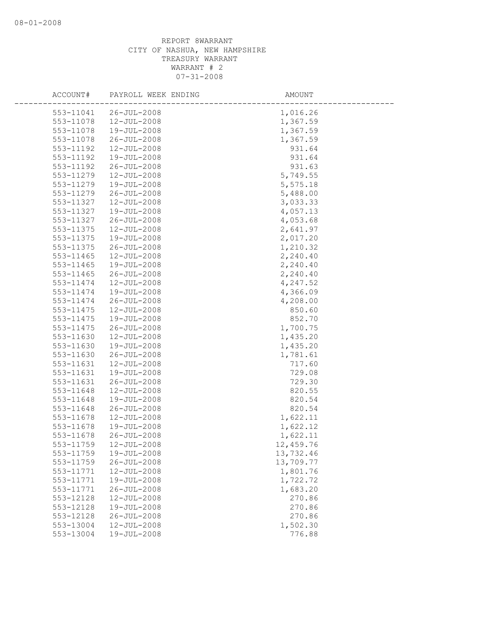| ACCOUNT#  | PAYROLL WEEK ENDING | AMOUNT    |
|-----------|---------------------|-----------|
| 553-11041 | $26 - JUL - 2008$   | 1,016.26  |
| 553-11078 | $12 - JUL - 2008$   | 1,367.59  |
| 553-11078 | $19 - JUL - 2008$   | 1,367.59  |
| 553-11078 | $26 - JUL - 2008$   | 1,367.59  |
| 553-11192 | 12-JUL-2008         | 931.64    |
| 553-11192 | 19-JUL-2008         | 931.64    |
| 553-11192 | $26 - JUL - 2008$   | 931.63    |
| 553-11279 | 12-JUL-2008         | 5,749.55  |
| 553-11279 | 19-JUL-2008         | 5,575.18  |
| 553-11279 | $26 - JUL - 2008$   | 5,488.00  |
| 553-11327 | $12 - JUL - 2008$   | 3,033.33  |
| 553-11327 | 19-JUL-2008         | 4,057.13  |
| 553-11327 | $26 - JUL - 2008$   | 4,053.68  |
| 553-11375 | 12-JUL-2008         | 2,641.97  |
| 553-11375 | 19-JUL-2008         | 2,017.20  |
| 553-11375 | $26 - JUL - 2008$   | 1,210.32  |
| 553-11465 | $12 - JUL - 2008$   | 2,240.40  |
| 553-11465 | 19-JUL-2008         | 2,240.40  |
| 553-11465 | 26-JUL-2008         | 2,240.40  |
| 553-11474 | 12-JUL-2008         | 4,247.52  |
| 553-11474 | $19 - JUL - 2008$   | 4,366.09  |
| 553-11474 | $26 - JUL - 2008$   | 4,208.00  |
| 553-11475 | 12-JUL-2008         | 850.60    |
| 553-11475 | 19-JUL-2008         | 852.70    |
| 553-11475 | $26 - JUL - 2008$   | 1,700.75  |
| 553-11630 | $12 - JUL - 2008$   | 1,435.20  |
| 553-11630 | 19-JUL-2008         | 1,435.20  |
| 553-11630 | 26-JUL-2008         | 1,781.61  |
| 553-11631 | $12 - JUL - 2008$   | 717.60    |
| 553-11631 | 19-JUL-2008         | 729.08    |
| 553-11631 | $26 - JUL - 2008$   | 729.30    |
| 553-11648 | 12-JUL-2008         | 820.55    |
| 553-11648 | 19-JUL-2008         | 820.54    |
| 553-11648 | $26 - JUL - 2008$   | 820.54    |
| 553-11678 | $12 - JUL - 2008$   | 1,622.11  |
| 553-11678 | 19-JUL-2008         | 1,622.12  |
| 553-11678 | $26 - JUL - 2008$   | 1,622.11  |
| 553-11759 | 12-JUL-2008         | 12,459.76 |
| 553-11759 | 19-JUL-2008         | 13,732.46 |
| 553-11759 | $26 - JUL - 2008$   | 13,709.77 |
| 553-11771 | $12 - JUL - 2008$   | 1,801.76  |
| 553-11771 | 19-JUL-2008         | 1,722.72  |
| 553-11771 | $26 - JUL - 2008$   | 1,683.20  |
| 553-12128 | 12-JUL-2008         | 270.86    |
| 553-12128 | 19-JUL-2008         | 270.86    |
| 553-12128 | $26 - JUL - 2008$   | 270.86    |
| 553-13004 | 12-JUL-2008         | 1,502.30  |
| 553-13004 | 19-JUL-2008         | 776.88    |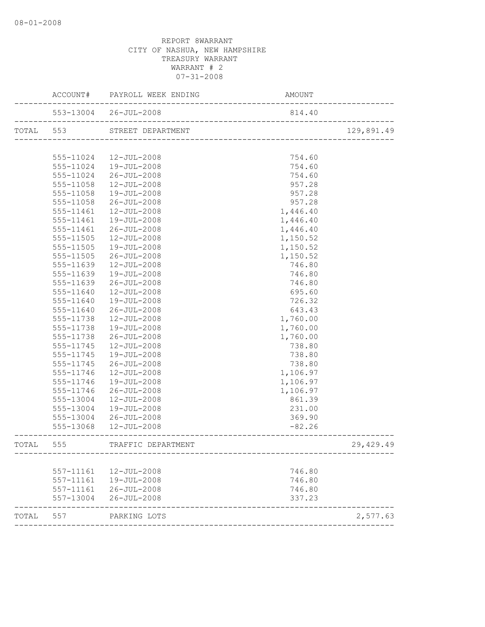|           |           | ACCOUNT# PAYROLL WEEK ENDING | AMOUNT   |            |
|-----------|-----------|------------------------------|----------|------------|
|           |           | 553-13004 26-JUL-2008        | 814.40   |            |
|           |           | TOTAL 553 STREET DEPARTMENT  |          | 129,891.49 |
|           |           |                              |          |            |
|           | 555-11024 | 12-JUL-2008                  | 754.60   |            |
|           | 555-11024 | 19-JUL-2008                  | 754.60   |            |
|           | 555-11024 | 26-JUL-2008                  | 754.60   |            |
|           | 555-11058 | 12-JUL-2008                  | 957.28   |            |
|           | 555-11058 | 19-JUL-2008                  | 957.28   |            |
|           | 555-11058 | 26-JUL-2008                  | 957.28   |            |
|           | 555-11461 | 12-JUL-2008                  | 1,446.40 |            |
|           | 555-11461 | 19-JUL-2008                  | 1,446.40 |            |
|           | 555-11461 | 26-JUL-2008                  | 1,446.40 |            |
|           | 555-11505 | $12 - JUL - 2008$            | 1,150.52 |            |
|           | 555-11505 | 19-JUL-2008                  | 1,150.52 |            |
|           | 555-11505 | 26-JUL-2008                  | 1,150.52 |            |
|           | 555-11639 | $12 - JUL - 2008$            | 746.80   |            |
|           | 555-11639 | 19-JUL-2008                  | 746.80   |            |
|           | 555-11639 | 26-JUL-2008                  | 746.80   |            |
|           | 555-11640 | $12 - JUL - 2008$            | 695.60   |            |
|           | 555-11640 | 19-JUL-2008                  | 726.32   |            |
|           | 555-11640 | 26-JUL-2008                  | 643.43   |            |
|           | 555-11738 | $12 - JUL - 2008$            | 1,760.00 |            |
|           | 555-11738 | 19-JUL-2008                  | 1,760.00 |            |
|           | 555-11738 | 26-JUL-2008                  | 1,760.00 |            |
|           | 555-11745 | 12-JUL-2008                  | 738.80   |            |
|           | 555-11745 | 19-JUL-2008                  | 738.80   |            |
|           | 555-11745 | 26-JUL-2008                  | 738.80   |            |
|           | 555-11746 | 12-JUL-2008                  | 1,106.97 |            |
|           | 555-11746 | 19-JUL-2008                  | 1,106.97 |            |
|           | 555-11746 | 26-JUL-2008                  | 1,106.97 |            |
|           | 555-13004 | $12 - JUL - 2008$            | 861.39   |            |
|           | 555-13004 | 19-JUL-2008                  | 231.00   |            |
|           | 555-13004 | 26-JUL-2008                  | 369.90   |            |
|           | 555-13068 | 12-JUL-2008                  | $-82.26$ |            |
| TOTAL 555 |           | TRAFFIC DEPARTMENT           |          | 29, 429.49 |
|           |           |                              |          |            |
|           | 557-11161 | 12-JUL-2008                  | 746.80   |            |
|           | 557-11161 | 19-JUL-2008                  | 746.80   |            |
|           | 557-11161 | $26 - JUL - 2008$            | 746.80   |            |
|           | 557-13004 | $26 - JUL - 2008$            | 337.23   |            |
| TOTAL     | 557       | PARKING LOTS                 |          | 2,577.63   |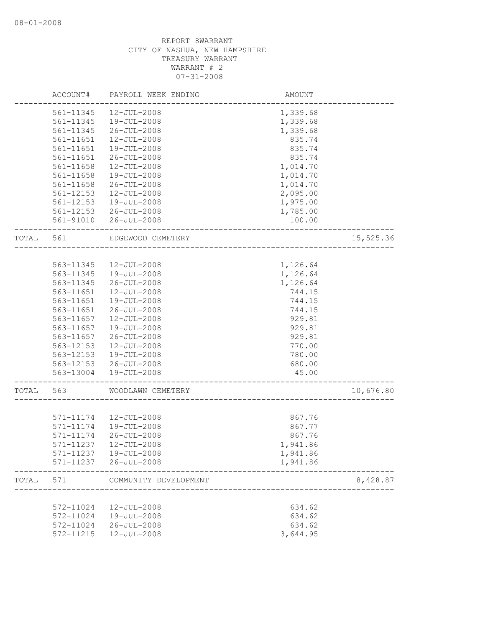|       | ACCOUNT#               | PAYROLL WEEK ENDING        | AMOUNT           |           |
|-------|------------------------|----------------------------|------------------|-----------|
|       | 561-11345              | $12 - JUL - 2008$          | 1,339.68         |           |
|       | 561-11345              | $19 - JUL - 2008$          | 1,339.68         |           |
|       | 561-11345              | $26 - JUL - 2008$          | 1,339.68         |           |
|       | 561-11651              | 12-JUL-2008                | 835.74           |           |
|       | 561-11651              | 19-JUL-2008                | 835.74           |           |
|       | 561-11651              | $26 - JUL - 2008$          | 835.74           |           |
|       | 561-11658              | 12-JUL-2008                | 1,014.70         |           |
|       | 561-11658              | 19-JUL-2008                | 1,014.70         |           |
|       | 561-11658              | $26 - JUL - 2008$          | 1,014.70         |           |
|       | 561-12153              | $12 - JUL - 2008$          | 2,095.00         |           |
|       | 561-12153              | 19-JUL-2008                | 1,975.00         |           |
|       | 561-12153              | 26-JUL-2008                | 1,785.00         |           |
|       | 561-91010              | $26 - JUL - 2008$          | 100.00           |           |
| TOTAL | 561                    | EDGEWOOD CEMETERY          |                  | 15,525.36 |
|       |                        |                            |                  |           |
|       | 563-11345              | 12-JUL-2008                | 1,126.64         |           |
|       | 563-11345              | 19-JUL-2008                | 1,126.64         |           |
|       | 563-11345              | $26 - JUL - 2008$          | 1,126.64         |           |
|       | 563-11651              | $12 - JUL - 2008$          | 744.15           |           |
|       | 563-11651              | 19-JUL-2008                | 744.15           |           |
|       | 563-11651              | $26 - JUL - 2008$          | 744.15           |           |
|       | 563-11657              | 12-JUL-2008                | 929.81           |           |
|       | 563-11657              | 19-JUL-2008                | 929.81           |           |
|       | 563-11657              | $26 - JUL - 2008$          | 929.81           |           |
|       | 563-12153              | $12 - JUL - 2008$          | 770.00           |           |
|       | 563-12153              | 19-JUL-2008                | 780.00           |           |
|       | 563-12153              | $26 - JUL - 2008$          | 680.00           |           |
|       | 563-13004              | 19-JUL-2008                | 45.00            |           |
| TOTAL | 563                    | WOODLAWN CEMETERY          |                  | 10,676.80 |
|       |                        |                            |                  |           |
|       | 571-11174              | 12-JUL-2008                | 867.76           |           |
|       | 571-11174              | 19-JUL-2008                | 867.77           |           |
|       | 571-11174              | $26 - JUL - 2008$          | 867.76           |           |
|       | 571-11237              | $12 - JUL - 2008$          | 1,941.86         |           |
|       | 571-11237              | 19-JUL-2008                | 1,941.86         |           |
|       | 571-11237              | $26 - JUL - 2008$          | 1,941.86         |           |
| TOTAL | 571                    | COMMUNITY DEVELOPMENT      |                  | 8,428.87  |
|       |                        |                            |                  |           |
|       | 572-11024              | 12-JUL-2008<br>19-JUL-2008 | 634.62           |           |
|       | 572-11024<br>572-11024 | $26 - JUL - 2008$          | 634.62<br>634.62 |           |
|       | 572-11215              | 12-JUL-2008                | 3,644.95         |           |
|       |                        |                            |                  |           |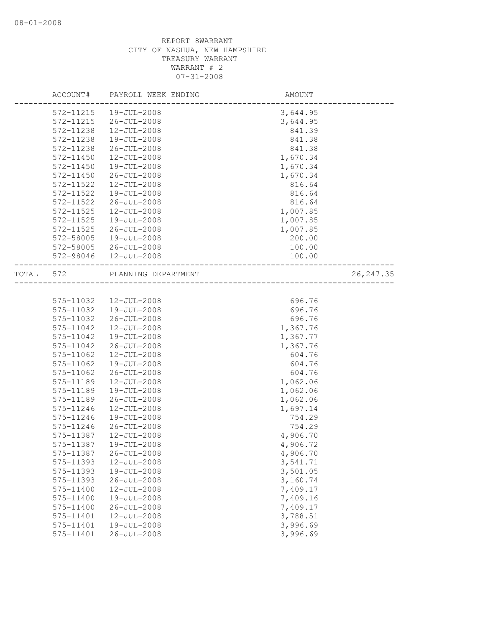|       | ACCOUNT#  | PAYROLL WEEK ENDING | AMOUNT   |            |
|-------|-----------|---------------------|----------|------------|
|       | 572-11215 | $19 - JUL - 2008$   | 3,644.95 |            |
|       | 572-11215 | $26 - JUL - 2008$   | 3,644.95 |            |
|       | 572-11238 | $12 - JUL - 2008$   | 841.39   |            |
|       | 572-11238 | 19-JUL-2008         | 841.38   |            |
|       | 572-11238 | $26 - JUL - 2008$   | 841.38   |            |
|       | 572-11450 | 12-JUL-2008         | 1,670.34 |            |
|       | 572-11450 | 19-JUL-2008         | 1,670.34 |            |
|       | 572-11450 | $26 - JUL - 2008$   | 1,670.34 |            |
|       | 572-11522 | $12 - JUL - 2008$   | 816.64   |            |
|       | 572-11522 | 19-JUL-2008         | 816.64   |            |
|       | 572-11522 | $26 - JUL - 2008$   | 816.64   |            |
|       | 572-11525 | $12 - JUL - 2008$   | 1,007.85 |            |
|       | 572-11525 | 19-JUL-2008         | 1,007.85 |            |
|       | 572-11525 | $26 - JUL - 2008$   | 1,007.85 |            |
|       | 572-58005 | 19-JUL-2008         | 200.00   |            |
|       | 572-58005 | $26 - JUL - 2008$   | 100.00   |            |
|       | 572-98046 | $12 - JUL - 2008$   | 100.00   |            |
| TOTAL | 572       | PLANNING DEPARTMENT |          | 26, 247.35 |
|       |           |                     |          |            |
|       | 575-11032 | 12-JUL-2008         | 696.76   |            |
|       | 575-11032 | 19-JUL-2008         | 696.76   |            |
|       | 575-11032 | $26 - JUL - 2008$   | 696.76   |            |
|       | 575-11042 | 12-JUL-2008         | 1,367.76 |            |
|       | 575-11042 | 19-JUL-2008         | 1,367.77 |            |
|       | 575-11042 | 26-JUL-2008         | 1,367.76 |            |
|       | 575-11062 | $12 - JUL - 2008$   | 604.76   |            |
|       | 575-11062 | 19-JUL-2008         | 604.76   |            |
|       | 575-11062 | $26 - JUL - 2008$   | 604.76   |            |
|       | 575-11189 | 12-JUL-2008         | 1,062.06 |            |
|       | 575-11189 | 19-JUL-2008         | 1,062.06 |            |
|       | 575-11189 | $26 - JUL - 2008$   | 1,062.06 |            |
|       | 575-11246 | 12-JUL-2008         | 1,697.14 |            |
|       | 575-11246 | $19 - JUL - 2008$   | 754.29   |            |
|       | 575-11246 | $26 - JUL - 2008$   | 754.29   |            |
|       | 575-11387 | $12 - JUL - 2008$   | 4,906.70 |            |
|       | 575-11387 | 19-JUL-2008         | 4,906.72 |            |
|       | 575-11387 | $26 - JUL - 2008$   | 4,906.70 |            |
|       | 575-11393 | 12-JUL-2008         | 3,541.71 |            |
|       | 575-11393 | 19-JUL-2008         | 3,501.05 |            |
|       | 575-11393 | $26 - JUL - 2008$   | 3,160.74 |            |
|       | 575-11400 | 12-JUL-2008         | 7,409.17 |            |
|       | 575-11400 | 19-JUL-2008         | 7,409.16 |            |
|       | 575-11400 | $26 - JUL - 2008$   | 7,409.17 |            |
|       | 575-11401 | $12 - JUL - 2008$   | 3,788.51 |            |
|       | 575-11401 | 19-JUL-2008         | 3,996.69 |            |
|       | 575-11401 | $26 - JUL - 2008$   | 3,996.69 |            |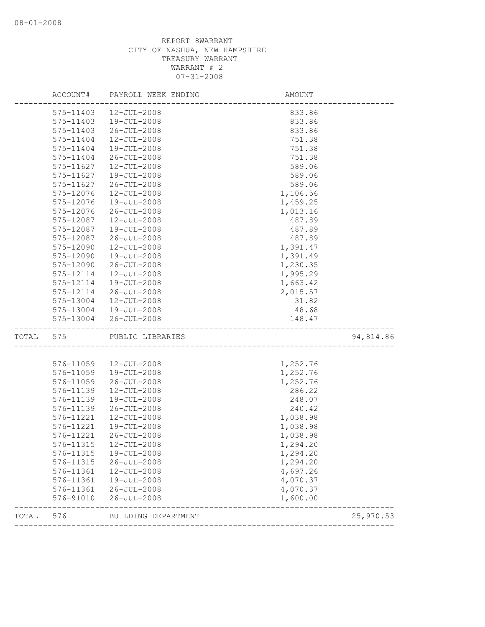| ACCOUNT#     | PAYROLL WEEK ENDING                                                                                                                                      | AMOUNT                                                                                                                                                                                                                                                               |                                                                                                                                                                            |
|--------------|----------------------------------------------------------------------------------------------------------------------------------------------------------|----------------------------------------------------------------------------------------------------------------------------------------------------------------------------------------------------------------------------------------------------------------------|----------------------------------------------------------------------------------------------------------------------------------------------------------------------------|
| 575-11403    | 12-JUL-2008                                                                                                                                              | 833.86                                                                                                                                                                                                                                                               |                                                                                                                                                                            |
| 575-11403    | 19-JUL-2008                                                                                                                                              | 833.86                                                                                                                                                                                                                                                               |                                                                                                                                                                            |
| 575-11403    | $26 - JUL - 2008$                                                                                                                                        | 833.86                                                                                                                                                                                                                                                               |                                                                                                                                                                            |
| 575-11404    | 12-JUL-2008                                                                                                                                              | 751.38                                                                                                                                                                                                                                                               |                                                                                                                                                                            |
| 575-11404    | 19-JUL-2008                                                                                                                                              | 751.38                                                                                                                                                                                                                                                               |                                                                                                                                                                            |
| 575-11404    | $26 - JUL - 2008$                                                                                                                                        | 751.38                                                                                                                                                                                                                                                               |                                                                                                                                                                            |
| 575-11627    | 12-JUL-2008                                                                                                                                              | 589.06                                                                                                                                                                                                                                                               |                                                                                                                                                                            |
| 575-11627    | $19 - JUL - 2008$                                                                                                                                        | 589.06                                                                                                                                                                                                                                                               |                                                                                                                                                                            |
| 575-11627    | $26 - JUL - 2008$                                                                                                                                        | 589.06                                                                                                                                                                                                                                                               |                                                                                                                                                                            |
| 575-12076    | $12 - JUL - 2008$                                                                                                                                        | 1,106.56                                                                                                                                                                                                                                                             |                                                                                                                                                                            |
| 575-12076    | 19-JUL-2008                                                                                                                                              | 1,459.25                                                                                                                                                                                                                                                             |                                                                                                                                                                            |
| 575-12076    | 26-JUL-2008                                                                                                                                              | 1,013.16                                                                                                                                                                                                                                                             |                                                                                                                                                                            |
| 575-12087    | $12 - JUL - 2008$                                                                                                                                        | 487.89                                                                                                                                                                                                                                                               |                                                                                                                                                                            |
| 575-12087    | 19-JUL-2008                                                                                                                                              | 487.89                                                                                                                                                                                                                                                               |                                                                                                                                                                            |
| 575-12087    | $26 - JUL - 2008$                                                                                                                                        | 487.89                                                                                                                                                                                                                                                               |                                                                                                                                                                            |
| 575-12090    | 12-JUL-2008                                                                                                                                              | 1,391.47                                                                                                                                                                                                                                                             |                                                                                                                                                                            |
| 575-12090    | 19-JUL-2008                                                                                                                                              | 1,391.49                                                                                                                                                                                                                                                             |                                                                                                                                                                            |
| 575-12090    | $26 - JUL - 2008$                                                                                                                                        | 1,230.35                                                                                                                                                                                                                                                             |                                                                                                                                                                            |
| 575-12114    | $12 - JUL - 2008$                                                                                                                                        | 1,995.29                                                                                                                                                                                                                                                             |                                                                                                                                                                            |
| 575-12114    | $19 - JUL - 2008$                                                                                                                                        | 1,663.42                                                                                                                                                                                                                                                             |                                                                                                                                                                            |
| 575-12114    | 26-JUL-2008                                                                                                                                              | 2,015.57                                                                                                                                                                                                                                                             |                                                                                                                                                                            |
| 575-13004    | 12-JUL-2008                                                                                                                                              | 31.82                                                                                                                                                                                                                                                                |                                                                                                                                                                            |
| 575-13004    | 19-JUL-2008                                                                                                                                              | 48.68                                                                                                                                                                                                                                                                |                                                                                                                                                                            |
| 575-13004    | 26-JUL-2008                                                                                                                                              | 148.47                                                                                                                                                                                                                                                               |                                                                                                                                                                            |
| TOTAL<br>575 |                                                                                                                                                          |                                                                                                                                                                                                                                                                      | 94,814.86                                                                                                                                                                  |
|              |                                                                                                                                                          |                                                                                                                                                                                                                                                                      |                                                                                                                                                                            |
|              |                                                                                                                                                          |                                                                                                                                                                                                                                                                      |                                                                                                                                                                            |
|              |                                                                                                                                                          |                                                                                                                                                                                                                                                                      |                                                                                                                                                                            |
|              |                                                                                                                                                          |                                                                                                                                                                                                                                                                      |                                                                                                                                                                            |
|              |                                                                                                                                                          |                                                                                                                                                                                                                                                                      |                                                                                                                                                                            |
| 576-11139    |                                                                                                                                                          |                                                                                                                                                                                                                                                                      |                                                                                                                                                                            |
|              |                                                                                                                                                          |                                                                                                                                                                                                                                                                      |                                                                                                                                                                            |
|              |                                                                                                                                                          |                                                                                                                                                                                                                                                                      |                                                                                                                                                                            |
|              |                                                                                                                                                          |                                                                                                                                                                                                                                                                      |                                                                                                                                                                            |
| 576-11221    | $26 - JUL - 2008$                                                                                                                                        |                                                                                                                                                                                                                                                                      |                                                                                                                                                                            |
|              | 12-JUL-2008                                                                                                                                              |                                                                                                                                                                                                                                                                      |                                                                                                                                                                            |
|              |                                                                                                                                                          |                                                                                                                                                                                                                                                                      |                                                                                                                                                                            |
|              |                                                                                                                                                          |                                                                                                                                                                                                                                                                      |                                                                                                                                                                            |
|              |                                                                                                                                                          |                                                                                                                                                                                                                                                                      |                                                                                                                                                                            |
|              |                                                                                                                                                          |                                                                                                                                                                                                                                                                      |                                                                                                                                                                            |
|              |                                                                                                                                                          |                                                                                                                                                                                                                                                                      |                                                                                                                                                                            |
|              |                                                                                                                                                          |                                                                                                                                                                                                                                                                      |                                                                                                                                                                            |
| 576-91010    | $26 - JUL - 2008$                                                                                                                                        | 1,600.00                                                                                                                                                                                                                                                             |                                                                                                                                                                            |
|              | 576-11059<br>576-11059<br>576-11059<br>576-11139<br>576-11139<br>576-11221<br>576-11221<br>576-11315<br>576-11315<br>576-11361<br>576-11361<br>576-11361 | PUBLIC LIBRARIES<br>$12 - JUL - 2008$<br>19-JUL-2008<br>26-JUL-2008<br>$12 - JUL - 2008$<br>19-JUL-2008<br>$26 - JUL - 2008$<br>$12 - JUL - 2008$<br>19-JUL-2008<br>576-11315<br>19-JUL-2008<br>$26 - JUL - 2008$<br>12-JUL-2008<br>19-JUL-2008<br>$26 - JUL - 2008$ | 1,252.76<br>1,252.76<br>1,252.76<br>286.22<br>248.07<br>240.42<br>1,038.98<br>1,038.98<br>1,038.98<br>1,294.20<br>1,294.20<br>1,294.20<br>4,697.26<br>4,070.37<br>4,070.37 |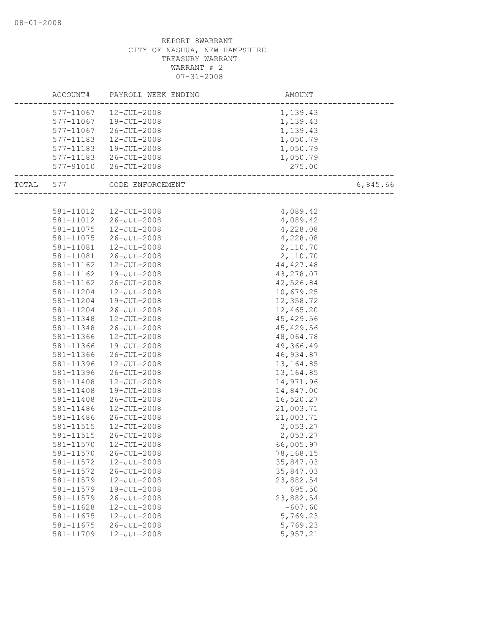|       | ACCOUNT#               | PAYROLL WEEK ENDING        | AMOUNT                 |          |
|-------|------------------------|----------------------------|------------------------|----------|
|       | 577-11067              | 12-JUL-2008                | 1,139.43               |          |
|       | 577-11067              | 19-JUL-2008                | 1,139.43               |          |
|       | 577-11067              | 26-JUL-2008                | 1,139.43               |          |
|       | 577-11183              | 12-JUL-2008                | 1,050.79               |          |
|       | 577-11183              | 19-JUL-2008                | 1,050.79               |          |
|       | 577-11183              | 26-JUL-2008                | 1,050.79               |          |
|       | 577-91010              | $26 - JUL - 2008$          | 275.00                 |          |
|       |                        |                            |                        |          |
| TOTAL | 577                    | CODE ENFORCEMENT           | --------------------   | 6,845.66 |
|       |                        |                            |                        |          |
|       | 581-11012              | $12 - JUL - 2008$          | 4,089.42               |          |
|       | 581-11012              | 26-JUL-2008                | 4,089.42               |          |
|       | 581-11075              | 12-JUL-2008                | 4,228.08               |          |
|       | 581-11075              | $26 - JUL - 2008$          | 4,228.08               |          |
|       | 581-11081              | 12-JUL-2008                | 2,110.70               |          |
|       | 581-11081              | 26-JUL-2008                | 2,110.70               |          |
|       | 581-11162              | $12 - JUL - 2008$          | 44, 427. 48            |          |
|       | 581-11162              | 19-JUL-2008                | 43,278.07              |          |
|       | 581-11162              | $26 - JUL - 2008$          | 42,526.84              |          |
|       | 581-11204              | $12 - JUL - 2008$          | 10,679.25              |          |
|       | 581-11204              | 19-JUL-2008                | 12,358.72              |          |
|       | 581-11204              | 26-JUL-2008                | 12,465.20              |          |
|       | 581-11348              | 12-JUL-2008                | 45, 429.56             |          |
|       | 581-11348              | $26 - JUL - 2008$          | 45, 429.56             |          |
|       | 581-11366              | $12 - JUL - 2008$          | 48,064.78              |          |
|       | 581-11366              | 19-JUL-2008                | 49,366.49              |          |
|       | 581-11366              | $26 - JUL - 2008$          | 46,934.87              |          |
|       | 581-11396              | 12-JUL-2008                | 13, 164.85             |          |
|       | 581-11396              | $26 - JUL - 2008$          | 13, 164.85             |          |
|       | 581-11408              | $12 - JUL - 2008$          | 14,971.96              |          |
|       | 581-11408              | 19-JUL-2008                | 14,847.00              |          |
|       | 581-11408              | $26 - JUL - 2008$          | 16,520.27              |          |
|       | 581-11486              | $12 - JUL - 2008$          | 21,003.71              |          |
|       | 581-11486              | 26-JUL-2008                | 21,003.71              |          |
|       | 581-11515              | $12 - JUL - 2008$          | 2,053.27               |          |
|       | 581-11515              | 26-JUL-2008                | 2,053.27               |          |
|       | 581-11570              | $12 - JUL - 2008$          | 66,005.97              |          |
|       | 581-11570              | $26 - JUL - 2008$          | 78,168.15              |          |
|       |                        | $12 - JUL - 2008$          |                        |          |
|       | 581-11572              |                            | 35,847.03<br>35,847.03 |          |
|       | 581-11572<br>581-11579 | $26 - JUL - 2008$          |                        |          |
|       |                        | 12-JUL-2008<br>19-JUL-2008 | 23,882.54<br>695.50    |          |
|       | 581-11579              |                            |                        |          |
|       | 581-11579              | $26 - JUL - 2008$          | 23,882.54              |          |
|       | 581-11628              | $12 - JUL - 2008$          | $-607.60$              |          |
|       | 581-11675              | $12 - JUL - 2008$          | 5,769.23               |          |
|       | 581-11675              | $26 - JUL - 2008$          | 5,769.23               |          |
|       | 581-11709              | 12-JUL-2008                | 5,957.21               |          |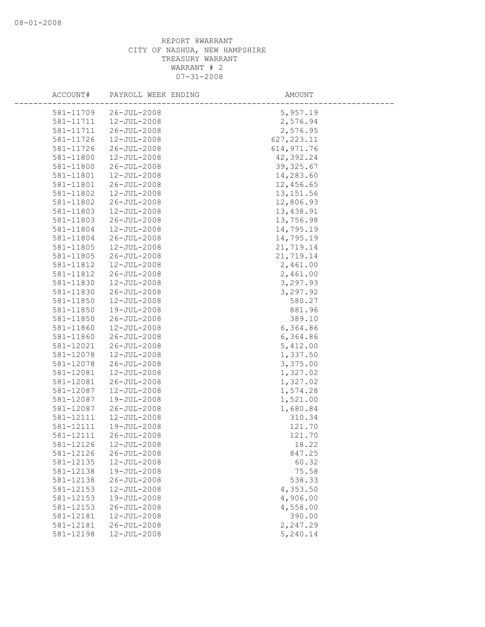| ACCOUNT#  | PAYROLL WEEK ENDING                    | AMOUNT      |
|-----------|----------------------------------------|-------------|
| 581-11709 | $26 - JUL - 2008$                      | 5,957.19    |
| 581-11711 | $12 - JUL - 2008$                      | 2,576.94    |
| 581-11711 | $26 - JUL - 2008$                      | 2,576.95    |
| 581-11726 | 12-JUL-2008                            | 627, 223.11 |
| 581-11726 | $26 - JUL - 2008$                      | 614, 971.76 |
| 581-11800 | 12-JUL-2008                            | 42,392.24   |
| 581-11800 | $26 - JUL - 2008$                      | 39, 325.67  |
| 581-11801 | 12-JUL-2008                            | 14,283.60   |
| 581-11801 | $26 - JUL - 2008$                      | 12,456.65   |
| 581-11802 | 12-JUL-2008                            | 13, 151.56  |
| 581-11802 | $26 - JUL - 2008$                      | 12,806.93   |
| 581-11803 | $12 - JUL - 2008$                      | 13,438.91   |
| 581-11803 | $26 - JUL - 2008$                      | 13,756.98   |
| 581-11804 | 12-JUL-2008                            | 14,795.19   |
| 581-11804 | $26 - JUL - 2008$                      | 14,795.19   |
| 581-11805 | 12-JUL-2008                            | 21,719.14   |
| 581-11805 | $26 - JUL - 2008$                      | 21,719.14   |
| 581-11812 | 12-JUL-2008                            | 2,461.00    |
| 581-11812 | $26 - JUL - 2008$                      | 2,461.00    |
| 581-11830 | $12 - JUL - 2008$                      | 3,297.93    |
| 581-11830 | $26 - JUL - 2008$                      | 3,297.92    |
| 581-11850 | 12-JUL-2008                            | 580.27      |
| 581-11850 | 19-JUL-2008                            | 881.96      |
| 581-11850 | $26 - JUL - 2008$                      | 389.10      |
| 581-11860 | $12 - JUL - 2008$                      | 6,364.86    |
| 581-11860 | $26 - JUL - 2008$                      | 6,364.86    |
| 581-12021 | $26 - JUL - 2008$                      | 5,412.00    |
| 581-12078 | 12-JUL-2008                            | 1,337.50    |
| 581-12078 | $26 - JUL - 2008$                      | 3,375.00    |
| 581-12081 | $12 - JUL - 2008$                      | 1,327.02    |
| 581-12081 | $26 - JUL - 2008$                      | 1,327.02    |
| 581-12087 | 12-JUL-2008                            | 1,574.28    |
| 581-12087 | 19-JUL-2008                            | 1,521.00    |
| 581-12087 | $26 - JUL - 2008$                      | 1,680.84    |
| 581-12111 | 12-JUL-2008                            | 310.34      |
| 581-12111 | 19-JUL-2008                            | 121.70      |
| 581-12111 | $26 - JUL - 2008$                      | 121.70      |
| 581-12126 | $12 - JUL - 2008$                      | 18.22       |
| 581-12126 | $26 - JUL - 2008$                      | 847.25      |
| 581-12135 | 12-JUL-2008                            | 60.32       |
| 581-12138 | 19-JUL-2008                            | 75.58       |
| 581-12138 | $26 - JUL - 2008$                      | 538.33      |
| 581-12153 | 12-JUL-2008                            | 4,353.50    |
| 581-12153 | 19-JUL-2008                            | 4,906.00    |
| 581-12153 | $26 - JUL - 2008$                      | 4,558.00    |
| 581-12181 |                                        |             |
|           | $12 - JUL - 2008$<br>$26 - JUL - 2008$ | 390.00      |
| 581-12181 |                                        | 2,247.29    |
| 581-12198 | 12-JUL-2008                            | 5,240.14    |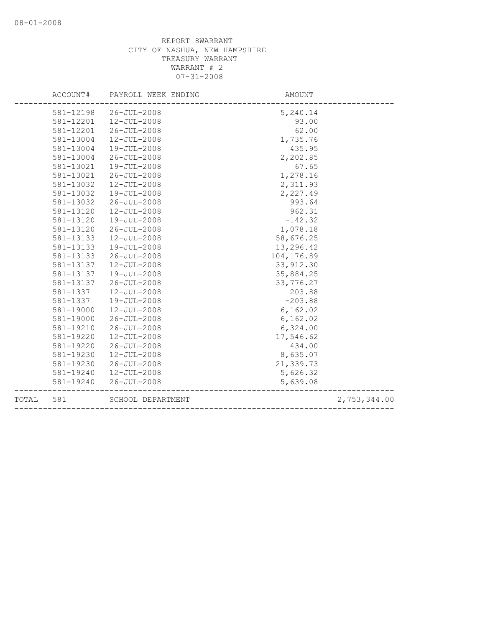|       | ACCOUNT#  | PAYROLL WEEK ENDING | AMOUNT      |              |
|-------|-----------|---------------------|-------------|--------------|
|       | 581-12198 | 26-JUL-2008         | 5,240.14    |              |
|       | 581-12201 | 12-JUL-2008         | 93.00       |              |
|       | 581-12201 | $26 - JUL - 2008$   | 62.00       |              |
|       | 581-13004 | 12-JUL-2008         | 1,735.76    |              |
|       | 581-13004 | 19-JUL-2008         | 435.95      |              |
|       | 581-13004 | $26 - JUL - 2008$   | 2,202.85    |              |
|       | 581-13021 | 19-JUL-2008         | 67.65       |              |
|       | 581-13021 | $26 - JUL - 2008$   | 1,278.16    |              |
|       | 581-13032 | 12-JUL-2008         | 2,311.93    |              |
|       | 581-13032 | 19-JUL-2008         | 2,227.49    |              |
|       | 581-13032 | $26 - JUL - 2008$   | 993.64      |              |
|       | 581-13120 | 12-JUL-2008         | 962.31      |              |
|       | 581-13120 | 19-JUL-2008         | $-142.32$   |              |
|       | 581-13120 | $26 - JUL - 2008$   | 1,078.18    |              |
|       | 581-13133 | 12-JUL-2008         | 58,676.25   |              |
|       | 581-13133 | $19 - JUL - 2008$   | 13,296.42   |              |
|       | 581-13133 | $26 - JUL - 2008$   | 104, 176.89 |              |
|       | 581-13137 | 12-JUL-2008         | 33, 912.30  |              |
|       | 581-13137 | 19-JUL-2008         | 35,884.25   |              |
|       | 581-13137 | $26 - JUL - 2008$   | 33,776.27   |              |
|       | 581-1337  | 12-JUL-2008         | 203.88      |              |
|       | 581-1337  | 19-JUL-2008         | $-203.88$   |              |
|       | 581-19000 | $12 - JUL - 2008$   | 6, 162.02   |              |
|       | 581-19000 | $26 - JUL - 2008$   | 6, 162.02   |              |
|       | 581-19210 | $26 - JUL - 2008$   | 6,324.00    |              |
|       | 581-19220 | 12-JUL-2008         | 17,546.62   |              |
|       | 581-19220 | $26 - JUL - 2008$   | 434.00      |              |
|       | 581-19230 | 12-JUL-2008         | 8,635.07    |              |
|       | 581-19230 | $26 - JUL - 2008$   | 21,339.73   |              |
|       | 581-19240 | $12 - JUL - 2008$   | 5,626.32    |              |
|       | 581-19240 | $26 - JUL - 2008$   | 5,639.08    |              |
| TOTAL | 581       | SCHOOL DEPARTMENT   |             | 2,753,344.00 |
|       |           |                     |             |              |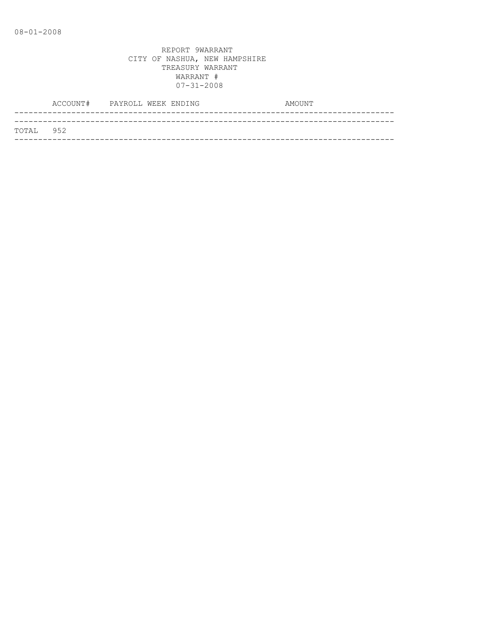|            | ACCOUNT# PAYROLL WEEK ENDING |  | AMOUNT |
|------------|------------------------------|--|--------|
|            |                              |  |        |
| ТОТАЈ, 952 |                              |  |        |
|            |                              |  |        |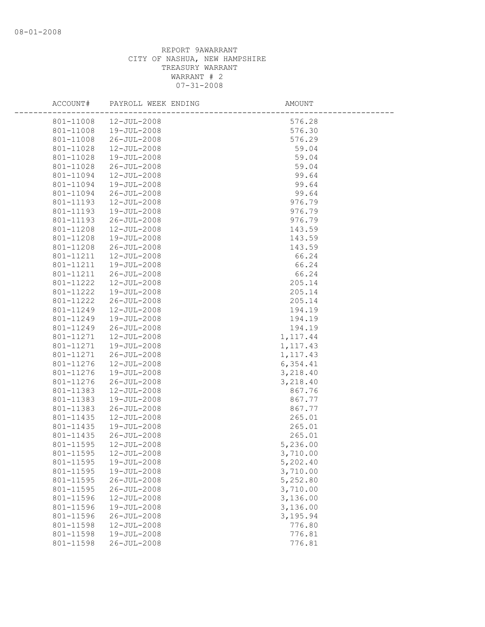| ACCOUNT#  | PAYROLL WEEK ENDING | AMOUNT    |  |
|-----------|---------------------|-----------|--|
| 801-11008 | 12-JUL-2008         | 576.28    |  |
| 801-11008 | 19-JUL-2008         | 576.30    |  |
| 801-11008 | 26-JUL-2008         | 576.29    |  |
| 801-11028 | 12-JUL-2008         | 59.04     |  |
| 801-11028 | 19-JUL-2008         | 59.04     |  |
| 801-11028 | 26-JUL-2008         | 59.04     |  |
| 801-11094 | 12-JUL-2008         | 99.64     |  |
| 801-11094 | 19-JUL-2008         | 99.64     |  |
| 801-11094 | 26-JUL-2008         | 99.64     |  |
| 801-11193 | 12-JUL-2008         | 976.79    |  |
| 801-11193 | 19-JUL-2008         | 976.79    |  |
| 801-11193 | 26-JUL-2008         | 976.79    |  |
| 801-11208 | 12-JUL-2008         | 143.59    |  |
| 801-11208 | 19-JUL-2008         | 143.59    |  |
| 801-11208 | 26-JUL-2008         | 143.59    |  |
| 801-11211 | 12-JUL-2008         | 66.24     |  |
| 801-11211 | 19-JUL-2008         | 66.24     |  |
| 801-11211 | 26-JUL-2008         | 66.24     |  |
| 801-11222 | 12-JUL-2008         | 205.14    |  |
| 801-11222 | 19-JUL-2008         | 205.14    |  |
| 801-11222 | 26-JUL-2008         | 205.14    |  |
| 801-11249 | 12-JUL-2008         | 194.19    |  |
| 801-11249 | 19-JUL-2008         | 194.19    |  |
| 801-11249 | 26-JUL-2008         | 194.19    |  |
| 801-11271 | 12-JUL-2008         | 1, 117.44 |  |
| 801-11271 | 19-JUL-2008         | 1, 117.43 |  |
| 801-11271 | 26-JUL-2008         | 1, 117.43 |  |
| 801-11276 | $12 - JUL - 2008$   | 6,354.41  |  |
| 801-11276 | 19-JUL-2008         | 3,218.40  |  |
| 801-11276 | 26-JUL-2008         | 3,218.40  |  |
| 801-11383 | 12-JUL-2008         | 867.76    |  |
| 801-11383 | 19-JUL-2008         | 867.77    |  |
| 801-11383 | 26-JUL-2008         | 867.77    |  |
| 801-11435 | 12-JUL-2008         | 265.01    |  |
| 801-11435 | 19-JUL-2008         | 265.01    |  |
| 801-11435 | 26-JUL-2008         | 265.01    |  |
| 801-11595 | 12-JUL-2008         | 5,236.00  |  |
| 801-11595 | $12 - JUL - 2008$   | 3,710.00  |  |
| 801-11595 | 19-JUL-2008         | 5,202.40  |  |
| 801-11595 | 19-JUL-2008         | 3,710.00  |  |
| 801-11595 | $26 - JUL - 2008$   | 5,252.80  |  |
| 801-11595 | $26 - JUL - 2008$   | 3,710.00  |  |
| 801-11596 | 12-JUL-2008         | 3,136.00  |  |
| 801-11596 | 19-JUL-2008         | 3,136.00  |  |
| 801-11596 | $26 - JUL - 2008$   | 3,195.94  |  |
| 801-11598 | 12-JUL-2008         | 776.80    |  |
| 801-11598 | 19-JUL-2008         | 776.81    |  |
| 801-11598 | $26 - JUL - 2008$   | 776.81    |  |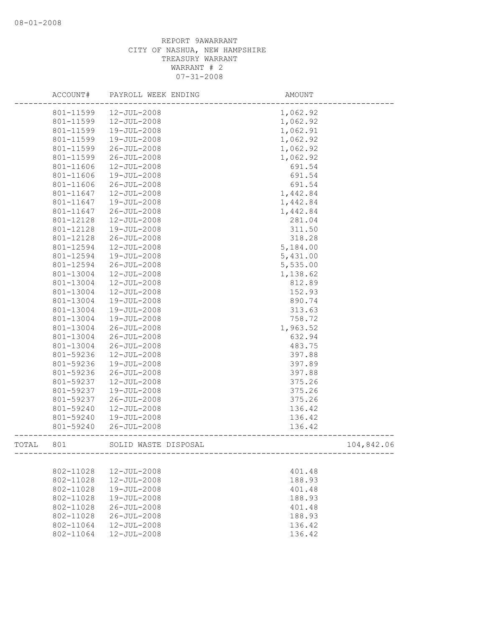|       | ACCOUNT#  | PAYROLL WEEK ENDING  | AMOUNT   |            |
|-------|-----------|----------------------|----------|------------|
|       | 801-11599 | 12-JUL-2008          | 1,062.92 |            |
|       | 801-11599 | 12-JUL-2008          | 1,062.92 |            |
|       | 801-11599 | 19-JUL-2008          | 1,062.91 |            |
|       | 801-11599 | $19 - JUL - 2008$    | 1,062.92 |            |
|       | 801-11599 | $26 - JUL - 2008$    | 1,062.92 |            |
|       | 801-11599 | $26 - JUL - 2008$    | 1,062.92 |            |
|       | 801-11606 | 12-JUL-2008          | 691.54   |            |
|       | 801-11606 | 19-JUL-2008          | 691.54   |            |
|       | 801-11606 | $26 - JUL - 2008$    | 691.54   |            |
|       | 801-11647 | 12-JUL-2008          | 1,442.84 |            |
|       | 801-11647 | 19-JUL-2008          | 1,442.84 |            |
|       | 801-11647 | $26 - JUL - 2008$    | 1,442.84 |            |
|       | 801-12128 | $12 - JUL - 2008$    | 281.04   |            |
|       | 801-12128 | 19-JUL-2008          | 311.50   |            |
|       | 801-12128 | $26 - JUL - 2008$    | 318.28   |            |
|       | 801-12594 | 12-JUL-2008          | 5,184.00 |            |
|       | 801-12594 | 19-JUL-2008          | 5,431.00 |            |
|       | 801-12594 | $26 - JUL - 2008$    | 5,535.00 |            |
|       | 801-13004 | 12-JUL-2008          | 1,138.62 |            |
|       | 801-13004 | 12-JUL-2008          | 812.89   |            |
|       | 801-13004 | $12 - JUL - 2008$    | 152.93   |            |
|       | 801-13004 | 19-JUL-2008          | 890.74   |            |
|       | 801-13004 | 19-JUL-2008          | 313.63   |            |
|       | 801-13004 | 19-JUL-2008          | 758.72   |            |
|       | 801-13004 | $26 - JUL - 2008$    | 1,963.52 |            |
|       | 801-13004 | $26 - JUL - 2008$    | 632.94   |            |
|       | 801-13004 | $26 - JUL - 2008$    | 483.75   |            |
|       | 801-59236 | 12-JUL-2008          | 397.88   |            |
|       | 801-59236 | 19-JUL-2008          | 397.89   |            |
|       | 801-59236 | $26 - JUL - 2008$    | 397.88   |            |
|       | 801-59237 | $12 - JUL - 2008$    | 375.26   |            |
|       | 801-59237 | 19-JUL-2008          | 375.26   |            |
|       | 801-59237 | $26 - JUL - 2008$    | 375.26   |            |
|       | 801-59240 | 12-JUL-2008          | 136.42   |            |
|       | 801-59240 | 19-JUL-2008          | 136.42   |            |
|       | 801-59240 | $26 - JUL - 2008$    | 136.42   |            |
| TOTAL | 801       | SOLID WASTE DISPOSAL |          | 104,842.06 |
|       |           |                      |          |            |
|       | 802-11028 | 12-JUL-2008          | 401.48   |            |
|       | 802-11028 | 12-JUL-2008          | 188.93   |            |
|       | 802-11028 | 19-JUL-2008          | 401.48   |            |
|       | 802-11028 | 19-JUL-2008          | 188.93   |            |
|       | 802-11028 | $26 - JUL - 2008$    | 401.48   |            |
|       | 802-11028 | $26 - JUL - 2008$    | 188.93   |            |
|       | 802-11064 | 12-JUL-2008          | 136.42   |            |
|       | 802-11064 | 12-JUL-2008          | 136.42   |            |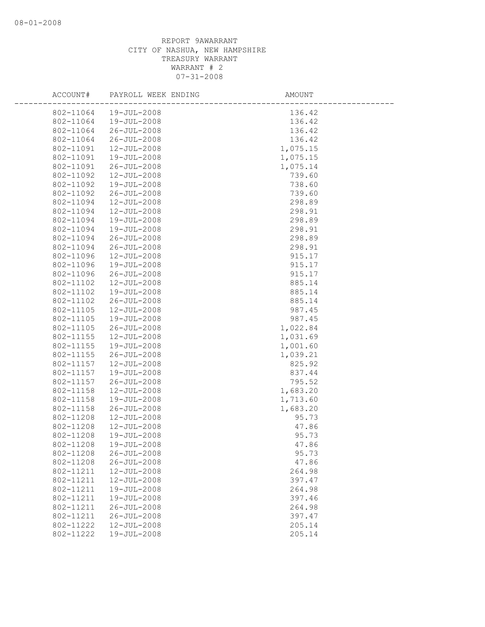| ACCOUNT#  | PAYROLL WEEK ENDING | AMOUNT   |
|-----------|---------------------|----------|
| 802-11064 | $19 - JUL - 2008$   | 136.42   |
| 802-11064 | $19 - JUL - 2008$   | 136.42   |
| 802-11064 | $26 - JUL - 2008$   | 136.42   |
| 802-11064 | $26 - JUL - 2008$   | 136.42   |
| 802-11091 | 12-JUL-2008         | 1,075.15 |
| 802-11091 | 19-JUL-2008         | 1,075.15 |
| 802-11091 | $26 - JUL - 2008$   | 1,075.14 |
| 802-11092 | $12 - JUL - 2008$   | 739.60   |
| 802-11092 | $19 - JUL - 2008$   | 738.60   |
| 802-11092 | $26 - JUL - 2008$   | 739.60   |
| 802-11094 | 12-JUL-2008         | 298.89   |
| 802-11094 | 12-JUL-2008         | 298.91   |
| 802-11094 | 19-JUL-2008         | 298.89   |
| 802-11094 | 19-JUL-2008         | 298.91   |
| 802-11094 | $26 - JUL - 2008$   | 298.89   |
| 802-11094 | $26 - JUL - 2008$   | 298.91   |
| 802-11096 | $12 - JUL - 2008$   | 915.17   |
| 802-11096 | $19 - JUL - 2008$   | 915.17   |
| 802-11096 | $26 - JUL - 2008$   | 915.17   |
| 802-11102 | 12-JUL-2008         | 885.14   |
| 802-11102 | 19-JUL-2008         | 885.14   |
| 802-11102 | $26 - JUL - 2008$   | 885.14   |
| 802-11105 | $12 - JUL - 2008$   | 987.45   |
| 802-11105 | 19-JUL-2008         | 987.45   |
| 802-11105 | $26 - JUL - 2008$   | 1,022.84 |
| 802-11155 | 12-JUL-2008         | 1,031.69 |
| 802-11155 | $19 - JUL - 2008$   | 1,001.60 |
| 802-11155 | $26 - JUL - 2008$   | 1,039.21 |
| 802-11157 | 12-JUL-2008         | 825.92   |
| 802-11157 | 19-JUL-2008         | 837.44   |
| 802-11157 | $26 - JUL - 2008$   | 795.52   |
| 802-11158 | $12 - JUL - 2008$   | 1,683.20 |
| 802-11158 | 19-JUL-2008         | 1,713.60 |
| 802-11158 | $26 - JUL - 2008$   | 1,683.20 |
| 802-11208 | 12-JUL-2008         | 95.73    |
| 802-11208 | 12-JUL-2008         | 47.86    |
| 802-11208 | $19 - JUL - 2008$   | 95.73    |
| 802-11208 | 19-JUL-2008         | 47.86    |
| 802-11208 | $26 - JUL - 2008$   | 95.73    |
| 802-11208 | $26 - JUL - 2008$   | 47.86    |
| 802-11211 | 12-JUL-2008         | 264.98   |
| 802-11211 | 12-JUL-2008         | 397.47   |
| 802-11211 | 19-JUL-2008         | 264.98   |
| 802-11211 | 19-JUL-2008         | 397.46   |
| 802-11211 | $26 - JUL - 2008$   | 264.98   |
| 802-11211 | $26 - JUL - 2008$   | 397.47   |
| 802-11222 | 12-JUL-2008         | 205.14   |
| 802-11222 | 19-JUL-2008         | 205.14   |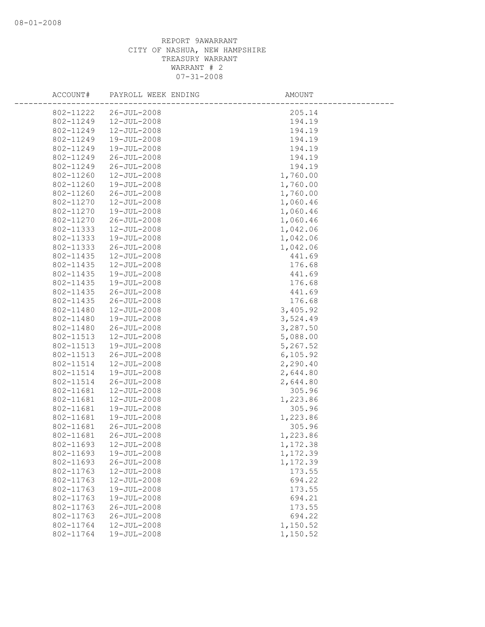| ACCOUNT#               | PAYROLL WEEK ENDING        | AMOUNT             |
|------------------------|----------------------------|--------------------|
| 802-11222              | $26 - JUL - 2008$          | 205.14             |
| 802-11249              | $12 - JUL - 2008$          | 194.19             |
| 802-11249              | $12 - JUL - 2008$          | 194.19             |
| 802-11249              | 19-JUL-2008                | 194.19             |
| 802-11249              | 19-JUL-2008                | 194.19             |
| 802-11249              | $26 - JUL - 2008$          | 194.19             |
| 802-11249              | $26 - JUL - 2008$          | 194.19             |
| 802-11260              | $12 - JUL - 2008$          | 1,760.00           |
| 802-11260              | 19-JUL-2008                | 1,760.00           |
| 802-11260              | 26-JUL-2008                | 1,760.00           |
| 802-11270              | 12-JUL-2008                | 1,060.46           |
| 802-11270              | 19-JUL-2008                | 1,060.46           |
| 802-11270              | $26 - JUL - 2008$          | 1,060.46           |
| 802-11333              | 12-JUL-2008                | 1,042.06           |
| 802-11333              | 19-JUL-2008                | 1,042.06           |
| 802-11333              | $26 - JUL - 2008$          | 1,042.06           |
| 802-11435              | $12 - JUL - 2008$          | 441.69             |
| 802-11435              | $12 - JUL - 2008$          | 176.68             |
| 802-11435              | 19-JUL-2008                | 441.69             |
| 802-11435              | 19-JUL-2008                | 176.68             |
| 802-11435              | $26 - JUL - 2008$          | 441.69             |
| 802-11435              | $26 - JUL - 2008$          | 176.68             |
| 802-11480              | 12-JUL-2008                | 3,405.92           |
| 802-11480              | 19-JUL-2008                | 3,524.49           |
| 802-11480              | $26 - JUL - 2008$          | 3,287.50           |
| 802-11513              | $12 - JUL - 2008$          | 5,088.00           |
| 802-11513              | 19-JUL-2008                | 5,267.52           |
| 802-11513              | 26-JUL-2008                | 6, 105.92          |
| 802-11514              | 12-JUL-2008                | 2,290.40           |
| 802-11514              | 19-JUL-2008                | 2,644.80           |
| 802-11514              | $26 - JUL - 2008$          | 2,644.80           |
| 802-11681              | 12-JUL-2008                | 305.96             |
| 802-11681              | 12-JUL-2008<br>19-JUL-2008 | 1,223.86           |
| 802-11681<br>802-11681 | 19-JUL-2008                | 305.96             |
| 802-11681              | $26 - JUL - 2008$          | 1,223.86<br>305.96 |
| 802-11681              | $26 - JUL - 2008$          | 1,223.86           |
| 802-11693              | 12-JUL-2008                | 1,172.38           |
| 802-11693              | 19-JUL-2008                | 1,172.39           |
| 802-11693              | $26 - JUL - 2008$          | 1,172.39           |
| 802-11763              | $12 - JUL - 2008$          | 173.55             |
| 802-11763              | $12 - JUL - 2008$          | 694.22             |
| 802-11763              | 19-JUL-2008                | 173.55             |
| 802-11763              | 19-JUL-2008                | 694.21             |
| 802-11763              | $26 - JUL - 2008$          | 173.55             |
| 802-11763              | $26 - JUL - 2008$          | 694.22             |
| 802-11764              | $12 - JUL - 2008$          | 1,150.52           |
| 802-11764              | 19-JUL-2008                | 1,150.52           |
|                        |                            |                    |